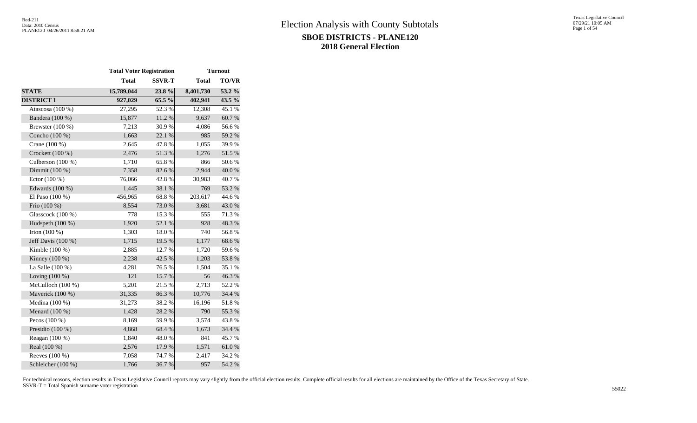|                     | <b>Total Voter Registration</b> |               | <b>Turnout</b> |              |  |  |  |
|---------------------|---------------------------------|---------------|----------------|--------------|--|--|--|
|                     | <b>Total</b>                    | <b>SSVR-T</b> | <b>Total</b>   | <b>TO/VR</b> |  |  |  |
| <b>STATE</b>        | 15,789,044                      | 23.8%         | 8,401,730      | $53.2\%$     |  |  |  |
| <b>DISTRICT 1</b>   | 927,029                         | 65.5 %        | 402,941        | 43.5 %       |  |  |  |
| Atascosa (100 %)    | 27,295                          | 52.3%         | 12,308         | 45.1 %       |  |  |  |
| Bandera (100 %)     | 15,877                          | 11.2 %        | 9,637          | 60.7%        |  |  |  |
| Brewster $(100\%)$  | 7,213                           | 30.9%         | 4,086          | 56.6%        |  |  |  |
| Concho (100 %)      | 1,663                           | 22.1 %        | 985            | 59.2 %       |  |  |  |
| Crane (100 %)       | 2,645                           | 47.8%         | 1,055          | 39.9%        |  |  |  |
| Crockett (100 %)    | 2,476                           | $51.3\ \%$    | 1,276          | 51.5 %       |  |  |  |
| Culberson $(100\%)$ | 1,710                           | 65.8%         | 866            | 50.6%        |  |  |  |
| Dimmit (100 %)      | 7,358                           | 82.6%         | 2,944          | 40.0%        |  |  |  |
| Ector $(100\%)$     | 76,066                          | 42.8%         | 30,983         | 40.7 %       |  |  |  |
| Edwards (100 %)     | 1,445                           | 38.1 %        | 769            | 53.2 %       |  |  |  |
| El Paso (100 %)     | 456,965                         | 68.8%         | 203,617        | 44.6 %       |  |  |  |
| Frio (100 %)        | 8,554                           | 73.0%         | 3,681          | 43.0%        |  |  |  |
| Glasscock (100 %)   | 778                             | 15.3 %        | 555            | 71.3%        |  |  |  |
| Hudspeth (100 %)    | 1,920                           | 52.1 %        | 928            | 48.3%        |  |  |  |
| Irion $(100 %)$     | 1,303                           | 18.0%         | 740            | 56.8%        |  |  |  |
| Jeff Davis (100 %)  | 1,715                           | 19.5 %        | 1,177          | 68.6%        |  |  |  |
| Kimble $(100\%)$    | 2,885                           | 12.7 %        | 1,720          | 59.6%        |  |  |  |
| Kinney $(100\%)$    | 2,238                           | 42.5 %        | 1,203          | 53.8%        |  |  |  |
| La Salle (100 %)    | 4,281                           | 76.5 %        | 1,504          | 35.1 %       |  |  |  |
| Loving $(100\%)$    | 121                             | 15.7 %        | 56             | 46.3%        |  |  |  |
| McCulloch (100 %)   | 5,201                           | 21.5 %        | 2,713          | 52.2 %       |  |  |  |
| Maverick (100 %)    | 31,335                          | 86.3%         | 10,776         | 34.4 %       |  |  |  |
| Medina (100 %)      | 31,273                          | 38.2%         | 16,196         | 51.8%        |  |  |  |
| Menard $(100\%)$    | 1,428                           | 28.2%         | 790            | 55.3%        |  |  |  |
| Pecos (100 %)       | 8,169                           | 59.9%         | 3,574          | 43.8%        |  |  |  |
| Presidio (100 %)    | 4,868                           | 68.4%         | 1,673          | 34.4 %       |  |  |  |
| Reagan (100 %)      | 1,840                           | 48.0%         | 841            | 45.7%        |  |  |  |
| Real (100 %)        | 2,576                           | 17.9%         | 1,571          | 61.0%        |  |  |  |
| Reeves (100 %)      | 7,058                           | 74.7 %        | 2,417          | 34.2 %       |  |  |  |
| Schleicher (100 %)  | 1,766                           | 36.7%         | 957            | 54.2 %       |  |  |  |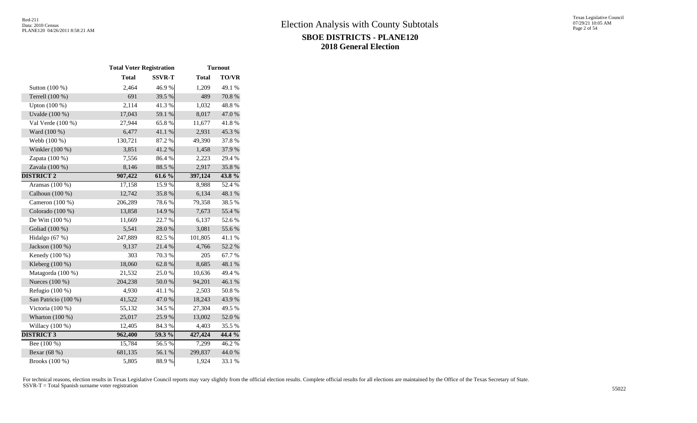|                      | <b>Total Voter Registration</b> |               | <b>Turnout</b> |              |  |  |  |
|----------------------|---------------------------------|---------------|----------------|--------------|--|--|--|
|                      | <b>Total</b>                    | <b>SSVR-T</b> | <b>Total</b>   | <b>TO/VR</b> |  |  |  |
| Sutton (100 %)       | 2,464                           | 46.9%         | 1,209          | 49.1 %       |  |  |  |
| Terrell (100 %)      | 691                             | 39.5 %        | 489            | 70.8%        |  |  |  |
| Upton (100 %)        | 2,114                           | 41.3%         | 1,032          | 48.8%        |  |  |  |
| Uvalde (100 %)       | 17,043                          | 59.1 %        | 8,017          | 47.0%        |  |  |  |
| Val Verde (100 %)    | 27,944                          | 65.8%         | 11,677         | 41.8%        |  |  |  |
| Ward (100 %)         | 6,477                           | 41.1%         | 2,931          | 45.3%        |  |  |  |
| Webb (100 %)         | 130,721                         | 87.2%         | 49,390         | 37.8%        |  |  |  |
| Winkler (100 %)      | 3,851                           | 41.2%         | 1,458          | 37.9%        |  |  |  |
| Zapata (100 %)       | 7,556                           | 86.4%         | 2,223          | 29.4 %       |  |  |  |
| Zavala (100 %)       | 8,146                           | 88.5%         | 2,917          | 35.8%        |  |  |  |
| <b>DISTRICT 2</b>    | 907,422                         | 61.6%         | 397,124        | $43.8\%$     |  |  |  |
| Aransas $(100\%)$    | 17,158                          | 15.9%         | 8,988          | 52.4 %       |  |  |  |
| Calhoun (100 %)      | 12,742                          | 35.8%         | 6,134          | 48.1 %       |  |  |  |
| Cameron (100 %)      | 206,289                         | 78.6%         | 79,358         | 38.5%        |  |  |  |
| Colorado (100 %)     | 13,858                          | 14.9%         | 7,673          | 55.4 %       |  |  |  |
| De Witt (100 %)      | 11,669                          | 22.7 %        | 6,137          | 52.6%        |  |  |  |
| Goliad (100 %)       | 5,541                           | 28.0%         | 3,081          | 55.6%        |  |  |  |
| Hidalgo (67 %)       | 247,889                         | 82.5 %        | 101,805        | 41.1%        |  |  |  |
| Jackson (100 %)      | 9,137                           | 21.4%         | 4,766          | 52.2 %       |  |  |  |
| Kenedy (100 %)       | 303                             | 70.3%         | 205            | 67.7%        |  |  |  |
| Kleberg $(100\%)$    | 18,060                          | 62.8%         | 8,685          | 48.1 %       |  |  |  |
| Matagorda (100 %)    | 21,532                          | 25.0%         | 10,636         | 49.4%        |  |  |  |
| Nueces (100 %)       | 204,238                         | 50.0%         | 94,201         | 46.1 %       |  |  |  |
| Refugio (100 %)      | 4,930                           | 41.1%         | 2,503          | 50.8%        |  |  |  |
| San Patricio (100 %) | 41,522                          | 47.0%         | 18,243         | 43.9%        |  |  |  |
| Victoria (100 %)     | 55,132                          | 34.5 %        | 27,304         | 49.5 %       |  |  |  |
| Wharton $(100\%)$    | 25,017                          | 25.9%         | 13,002         | 52.0%        |  |  |  |
| Willacy (100 %)      | 12,405                          | 84.3%         | 4,403          | 35.5 %       |  |  |  |
| <b>DISTRICT 3</b>    | 962,400                         | 59.3 %        | 427,424        | $44.4\%$     |  |  |  |
| Bee $(100\%)$        | 15,784                          | 56.5%         | 7,299          | 46.2%        |  |  |  |
| Bexar (68 %)         | 681,135                         | 56.1 %        | 299,837        | 44.0%        |  |  |  |
| Brooks (100 %)       | 5,805                           | 88.9%         | 1,924          | 33.1 %       |  |  |  |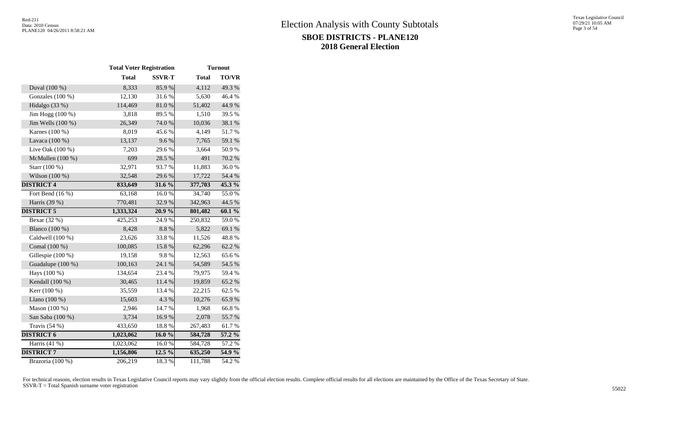|                    | <b>Total Voter Registration</b> |               | <b>Turnout</b> |              |  |  |  |
|--------------------|---------------------------------|---------------|----------------|--------------|--|--|--|
|                    | <b>Total</b>                    | <b>SSVR-T</b> | <b>Total</b>   | <b>TO/VR</b> |  |  |  |
| Duval (100 %)      | 8,333                           | 85.9%         | 4,112          | 49.3 %       |  |  |  |
| Gonzales (100 %)   | 12,130                          | 31.6%         | 5,630          | 46.4%        |  |  |  |
| Hidalgo (33 %)     | 114,469                         | $81.0\ \%$    | 51,402         | 44.9%        |  |  |  |
| Jim Hogg (100 %)   | 3,818                           | 89.5%         | 1,510          | 39.5 %       |  |  |  |
| Jim Wells (100 %)  | 26,349                          | 74.0 %        | 10,036         | 38.1 %       |  |  |  |
| Karnes (100 %)     | 8,019                           | 45.6%         | 4,149          | 51.7%        |  |  |  |
| Lavaca (100 %)     | 13,137                          | 9.6%          | 7,765          | 59.1 %       |  |  |  |
| Live Oak (100 %)   | 7,203                           | 29.6%         | 3,664          | 50.9%        |  |  |  |
| McMullen (100 %)   | 699                             | 28.5 %        | 491            | 70.2 %       |  |  |  |
| Starr (100 %)      | 32,971                          | 93.7%         | 11,883         | 36.0%        |  |  |  |
| Wilson (100 %)     | 32,548                          | 29.6%         | 17,722         | 54.4 %       |  |  |  |
| <b>DISTRICT 4</b>  | 833,649                         | 31.6 %        | 377,703        | $45.3\%$     |  |  |  |
| Fort Bend $(16\%)$ | 63,168                          | 16.0%         | 34,740         | 55.0%        |  |  |  |
| Harris (39 %)      | 770,481                         | 32.9%         | 342,963        | 44.5 %       |  |  |  |
| <b>DISTRICT 5</b>  | 1,333,324                       | 20.9%         | 801,482        | $60.1\%$     |  |  |  |
| Bexar (32 %)       | 425,253                         | 24.9%         | 250,832        | 59.0%        |  |  |  |
| Blanco (100 %)     | 8,428                           | 8.8%          | 5,822          | 69.1 %       |  |  |  |
| Caldwell (100 %)   | 23,626                          | 33.8%         | 11,526         | 48.8%        |  |  |  |
| Comal (100 %)      | 100,085                         | 15.8%         | 62,296         | 62.2%        |  |  |  |
| Gillespie (100 %)  | 19,158                          | 9.8%          | 12,563         | 65.6%        |  |  |  |
| Guadalupe (100 %)  | 100,163                         | 24.1 %        | 54,589         | 54.5 %       |  |  |  |
| Hays (100 %)       | 134,654                         | 23.4 %        | 79,975         | 59.4 %       |  |  |  |
| Kendall (100 %)    | 30,465                          | 11.4 %        | 19,859         | 65.2%        |  |  |  |
| Kerr (100 %)       | 35,559                          | 13.4 %        | 22,215         | 62.5 %       |  |  |  |
| Llano (100 %)      | 15,603                          | 4.3 %         | 10,276         | 65.9%        |  |  |  |
| Mason (100 %)      | 2,946                           | 14.7 %        | 1,968          | 66.8%        |  |  |  |
| San Saba (100 %)   | 3,734                           | 16.9%         | 2,078          | 55.7%        |  |  |  |
| Travis (54 %)      | 433,650                         | 18.8 %        | 267,483        | $61.7\ \%$   |  |  |  |
| <b>DISTRICT 6</b>  | 1,023,062                       | 16.0%         | 584,728        | $57.2\%$     |  |  |  |
| Harris $(41\%)$    | 1,023,062                       | 16.0%         | 584,728        | 57.2 %       |  |  |  |
| <b>DISTRICT 7</b>  | 1,156,806                       | $12.5\%$      | 635,250        | $54.9\%$     |  |  |  |
| Brazoria (100 %)   | 206,219                         | 18.3%         | 111,788        | 54.2 %       |  |  |  |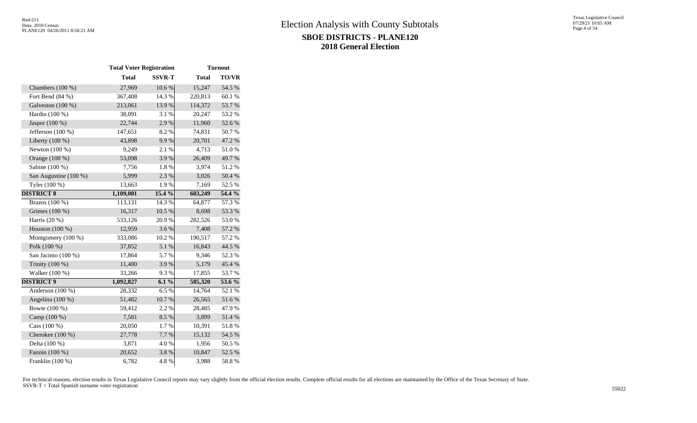|                       | <b>Total Voter Registration</b> |               |              | <b>Turnout</b> |  |
|-----------------------|---------------------------------|---------------|--------------|----------------|--|
|                       | <b>Total</b>                    | <b>SSVR-T</b> | <b>Total</b> | <b>TO/VR</b>   |  |
| Chambers (100 %)      | 27,969                          | 10.6 %        | 15,247       | 54.5 %         |  |
| Fort Bend $(84\% )$   | 367,408                         | 14.3 %        | 220,813      | 60.1%          |  |
| Galveston (100 %)     | 213,061                         | 13.9%         | 114,372      | 53.7%          |  |
| Hardin (100 %)        | 38,091                          | 3.1 %         | 20,247       | 53.2 %         |  |
| Jasper (100 %)        | 22,744                          | 2.9%          | 11,960       | 52.6%          |  |
| Jefferson $(100\%)$   | 147,651                         | 8.2%          | 74,831       | 50.7%          |  |
| Liberty (100 %)       | 43,898                          | 9.9%          | 20,701       | 47.2 %         |  |
| Newton (100 %)        | 9,249                           | 2.1%          | 4,713        | $51.0\ \%$     |  |
| Orange (100 %)        | 53,098                          | 3.9%          | 26,409       | 49.7%          |  |
| Sabine (100 %)        | 7,756                           | 1.8%          | 3,974        | 51.2%          |  |
| San Augustine (100 %) | 5,999                           | 2.3 %         | 3,026        | 50.4 %         |  |
| Tyler (100 %)         | 13,663                          | 1.9%          | 7,169        | 52.5 %         |  |
| <b>DISTRICT 8</b>     | 1,109,001                       | 15.4 %        | 603,249      | 54.4 %         |  |
| Brazos (100 %)        | 113,131                         | 14.3 %        | 64,877       | 57.3 %         |  |
| Grimes (100 %)        | 16,317                          | 10.5 %        | 8,698        | 53.3 %         |  |
| Harris (20 %)         | 533,126                         | 20.9%         | 282,526      | 53.0%          |  |
| Houston $(100\%)$     | 12,959                          | 3.6%          | 7,408        | 57.2 %         |  |
| Montgomery (100 %)    | 333,086                         | 10.2%         | 190,517      | 57.2 %         |  |
| Polk (100 %)          | 37,852                          | 5.1 %         | 16,843       | 44.5 %         |  |
| San Jacinto (100 %)   | 17,864                          | 5.7%          | 9,346        | 52.3%          |  |
| Trinity (100 %)       | 11,400                          | 3.9%          | 5,179        | 45.4 %         |  |
| Walker (100 %)        | 33,266                          | 9.3%          | 17,855       | 53.7%          |  |
| <b>DISTRICT 9</b>     | 1,092,827                       | $6.1\%$       | 585,320      | 53.6 %         |  |
| Anderson (100 %)      | 28,332                          | 6.5%          | 14,764       | 52.1 %         |  |
| Angelina (100 %)      | 51,482                          | 10.7 %        | 26,565       | 51.6%          |  |
| Bowie (100 %)         | 59,412                          | 2.2 %         | 28,485       | 47.9%          |  |
| Camp (100 %)          | 7,581                           | 8.5 %         | 3,899        | 51.4%          |  |
| Cass (100 %)          | 20,050                          | 1.7%          | 10,391       | 51.8%          |  |
| Cherokee (100 %)      | 27,778                          | 7.7 %         | 15,132       | 54.5 %         |  |
| Delta (100 %)         | 3,871                           | 4.0%          | 1,956        | $50.5~\%$      |  |
| Fannin (100 %)        | 20,652                          | 3.8%          | 10,847       | 52.5 %         |  |
| Franklin (100 %)      | 6,782                           | 4.8 %         | 3,988        | 58.8%          |  |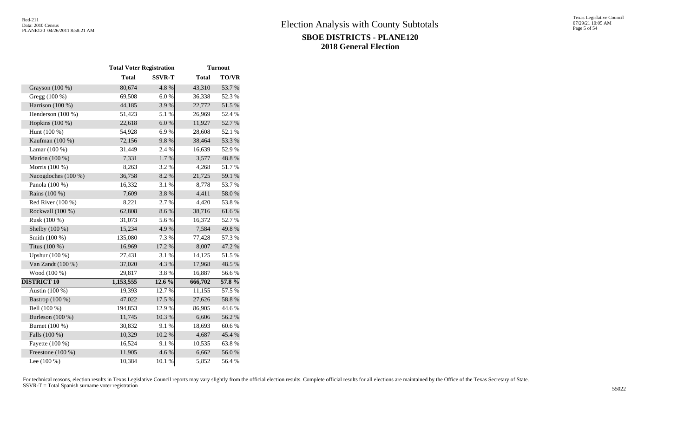|                     | <b>Total Voter Registration</b> |               |              | <b>Turnout</b> |  |
|---------------------|---------------------------------|---------------|--------------|----------------|--|
|                     | <b>Total</b>                    | <b>SSVR-T</b> | <b>Total</b> | TO/VR          |  |
| Grayson (100 %)     | 80,674                          | 4.8%          | 43,310       | 53.7%          |  |
| Gregg (100 %)       | 69,508                          | $6.0\ \%$     | 36,338       | 52.3%          |  |
| Harrison (100 %)    | 44,185                          | 3.9%          | 22,772       | 51.5 %         |  |
| Henderson (100 %)   | 51,423                          | 5.1%          | 26,969       | 52.4 %         |  |
| Hopkins (100 %)     | 22,618                          | 6.0 %         | 11,927       | 52.7%          |  |
| Hunt (100 %)        | 54,928                          | 6.9%          | 28,608       | 52.1 %         |  |
| Kaufman (100 %)     | 72,156                          | 9.8%          | 38,464       | 53.3%          |  |
| Lamar $(100\%)$     | 31,449                          | 2.4 %         | 16,639       | 52.9%          |  |
| Marion (100 %)      | 7,331                           | 1.7%          | 3,577        | 48.8 %         |  |
| Morris (100 %)      | 8,263                           | 3.2 %         | 4,268        | 51.7%          |  |
| Nacogdoches (100 %) | 36,758                          | 8.2 %         | 21,725       | 59.1 %         |  |
| Panola (100 %)      | 16,332                          | 3.1 %         | 8,778        | 53.7%          |  |
| Rains (100 %)       | 7,609                           | 3.8%          | 4,411        | 58.0%          |  |
| Red River $(100\%)$ | 8,221                           | 2.7 %         | 4,420        | 53.8%          |  |
| Rockwall (100 %)    | 62,808                          | 8.6%          | 38,716       | 61.6%          |  |
| Rusk (100 %)        | 31,073                          | 5.6 %         | 16,372       | 52.7%          |  |
| Shelby (100 %)      | 15,234                          | 4.9%          | 7,584        | 49.8%          |  |
| Smith (100 %)       | 135,080                         | 7.3 %         | 77,428       | 57.3 %         |  |
| Titus (100 %)       | 16,969                          | 17.2 %        | 8,007        | 47.2 %         |  |
| Upshur (100 %)      | 27,431                          | 3.1 %         | 14,125       | 51.5%          |  |
| Van Zandt (100 %)   | 37,020                          | 4.3 %         | 17,968       | 48.5 %         |  |
| Wood (100 %)        | 29,817                          | 3.8%          | 16,887       | 56.6%          |  |
| <b>DISTRICT 10</b>  | 1,153,555                       | 12.6 %        | 666,702      | 57.8 %         |  |
| Austin (100 %)      | 19,393                          | 12.7 %        | 11,155       | 57.5 %         |  |
| Bastrop (100 %)     | 47,022                          | 17.5 %        | 27,626       | 58.8 %         |  |
| Bell (100 %)        | 194,853                         | 12.9%         | 86,905       | 44.6 %         |  |
| Burleson (100 %)    | 11,745                          | $10.3~\%$     | 6,606        | 56.2%          |  |
| Burnet (100 %)      | 30,832                          | 9.1%          | 18,693       | 60.6%          |  |
| Falls (100 %)       | 10,329                          | 10.2 %        | 4,687        | 45.4 %         |  |
| Fayette (100 %)     | 16,524                          | 9.1 %         | 10,535       | 63.8%          |  |
| Freestone (100 %)   | 11,905                          | 4.6%          | 6,662        | 56.0%          |  |
| Lee $(100\%)$       | 10,384                          | 10.1 %        | 5,852        | 56.4 %         |  |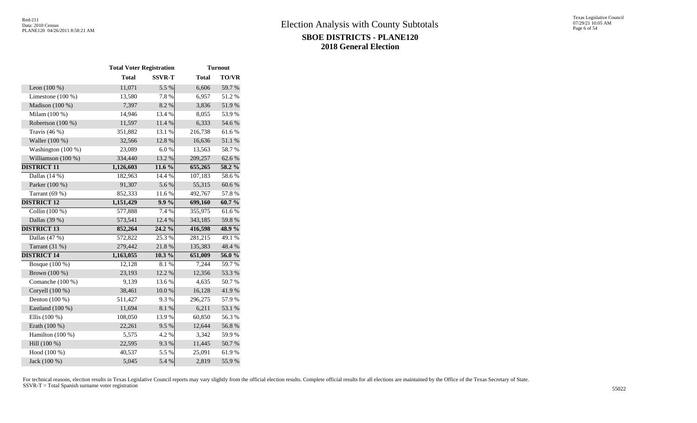|                     | <b>Total Voter Registration</b> |               |              | <b>Turnout</b> |
|---------------------|---------------------------------|---------------|--------------|----------------|
|                     | <b>Total</b>                    | <b>SSVR-T</b> | <b>Total</b> | <b>TO/VR</b>   |
| Leon $(100\%)$      | 11,071                          | 5.5 %         | 6,606        | 59.7 %         |
| Limestone $(100\%)$ | 13,580                          | 7.8%          | 6,957        | 51.2%          |
| Madison (100 %)     | 7,397                           | 8.2%          | 3,836        | 51.9%          |
| Milam (100 %)       | 14,946                          | 13.4 %        | 8,055        | 53.9%          |
| Robertson (100 %)   | 11,597                          | 11.4 %        | 6,333        | 54.6 %         |
| Travis $(46\%)$     | 351,882                         | 13.1 %        | 216,738      | 61.6%          |
| Waller (100 %)      | 32,566                          | 12.8 %        | 16,636       | 51.1%          |
| Washington (100 %)  | 23,089                          | 6.0%          | 13,563       | 58.7%          |
| Williamson (100 %)  | 334,440                         | 13.2 %        | 209,257      | 62.6%          |
| <b>DISTRICT 11</b>  | 1,126,603                       | 11.6 %        | 655,265      | 58.2 %         |
| Dallas $(14%)$      | 182,963                         | 14.4 %        | 107,183      | 58.6%          |
| Parker (100 %)      | 91,307                          | 5.6%          | 55,315       | 60.6%          |
| Tarrant (69 %)      | 852,333                         | 11.6%         | 492,767      | 57.8%          |
| <b>DISTRICT 12</b>  | 1,151,429                       | $9.9\%$       | 699,160      | 60.7%          |
| Collin $(100\%)$    | 577,888                         | 7.4 %         | 355,975      | 61.6%          |
| Dallas (39 %)       | 573,541                         | 12.4 %        | 343,185      | 59.8%          |
| <b>DISTRICT 13</b>  | 852,264                         | 24.2 %        | 416,598      | 48.9%          |
| Dallas (47 %)       | 572,822                         | 25.3%         | 281,215      | 49.1 %         |
| Tarrant $(31%)$     | 279,442                         | 21.8%         | 135,383      | 48.4%          |
| <b>DISTRICT 14</b>  | 1,163,055                       | 10.3%         | 651,009      | 56.0%          |
| Bosque (100 %)      | 12,128                          | 8.1%          | 7,244        | 59.7%          |
| Brown (100 %)       | 23,193                          | 12.2 %        | 12,356       | 53.3%          |
| Comanche (100 %)    | 9,139                           | 13.6%         | 4,635        | 50.7%          |
| Coryell (100 %)     | 38,461                          | $10.0\ \%$    | 16,128       | 41.9%          |
| Denton (100 %)      | 511,427                         | 9.3%          | 296,275      | 57.9%          |
| Eastland (100 %)    | 11,694                          | 8.1 %         | 6,211        | 53.1 %         |
| Ellis (100 %)       | 108,050                         | 13.9%         | 60,850       | 56.3%          |
| Erath (100 %)       | 22,261                          | 9.5%          | 12,644       | 56.8%          |
| Hamilton (100 %)    | 5,575                           | 4.2 %         | 3,342        | 59.9%          |
| Hill (100 %)        | 22,595                          | 9.3%          | 11,445       | 50.7%          |
| Hood (100 %)        | 40,537                          | 5.5 %         | 25,091       | 61.9%          |
| Jack (100 %)        | 5,045                           | 5.4 %         | 2,819        | 55.9%          |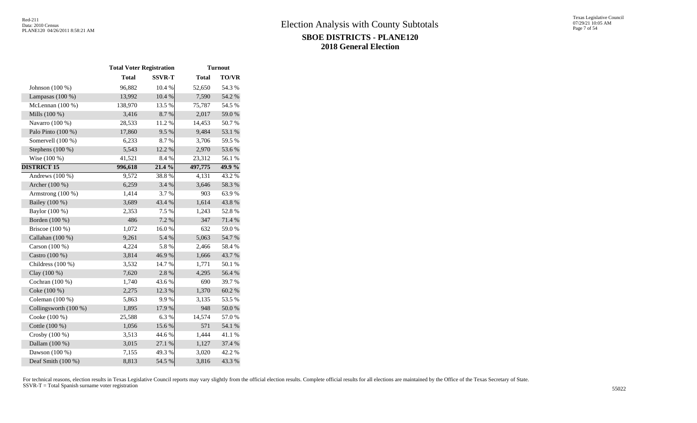|                       | <b>Total Voter Registration</b> |               | <b>Turnout</b>     |              |  |  |  |
|-----------------------|---------------------------------|---------------|--------------------|--------------|--|--|--|
|                       | <b>Total</b>                    | <b>SSVR-T</b> | <b>Total</b>       | <b>TO/VR</b> |  |  |  |
| Johnson (100 %)       | 96,882                          | 10.4 %        | 52,650             | 54.3 %       |  |  |  |
| Lampasas $(100\%)$    | 13,992                          | 10.4 %        | 7,590              | 54.2 %       |  |  |  |
| McLennan (100 %)      | 138,970                         | 13.5 %        | 75,787             | 54.5 %       |  |  |  |
| Mills (100 %)         | 3,416                           | 8.7%          | 2,017              | 59.0%        |  |  |  |
| Navarro (100 %)       | 28,533                          | 11.2%         | 14,453             | 50.7%        |  |  |  |
| Palo Pinto (100 %)    | 17,860                          | 9.5%          | 9,484              | 53.1 %       |  |  |  |
| Somervell (100 %)     | 6,233                           | 8.7%          | 3,706              | 59.5 %       |  |  |  |
| Stephens $(100\%)$    | 5,543                           | 12.2 %        | 2,970              | 53.6%        |  |  |  |
| Wise (100 %)          | 41,521                          | 8.4 %         | 23,312             | 56.1 %       |  |  |  |
| <b>DISTRICT 15</b>    | 996,618                         | 21.4 %        | 497,775            | $49.9\%$     |  |  |  |
| Andrews (100 %)       | 9,572                           | 38.8%         | $\overline{4,131}$ | 43.2 %       |  |  |  |
| Archer (100 %)        | 6,259                           | 3.4 %         | 3,646              | 58.3%        |  |  |  |
| Armstrong (100 %)     | 1,414                           | 3.7%          | 903                | 63.9%        |  |  |  |
| Bailey (100 %)        | 3,689                           | 43.4 %        | 1,614              | 43.8%        |  |  |  |
| Baylor (100 %)        | 2,353                           | 7.5 %         | 1,243              | 52.8%        |  |  |  |
| Borden (100 %)        | 486                             | 7.2 %         | 347                | 71.4 %       |  |  |  |
| Briscoe (100 %)       | 1,072                           | 16.0%         | 632                | 59.0%        |  |  |  |
| Callahan (100 %)      | 9,261                           | 5.4 %         | 5,063              | 54.7%        |  |  |  |
| Carson (100 %)        | 4,224                           | 5.8%          | 2,466              | 58.4%        |  |  |  |
| Castro (100 %)        | 3,814                           | 46.9%         | 1,666              | 43.7 %       |  |  |  |
| Childress (100 %)     | 3,532                           | 14.7%         | 1,771              | 50.1 %       |  |  |  |
| Clay (100 %)          | 7,620                           | 2.8 %         | 4,295              | 56.4 %       |  |  |  |
| Cochran (100 %)       | 1,740                           | 43.6%         | 690                | 39.7%        |  |  |  |
| Coke (100 %)          | 2,275                           | 12.3 %        | 1,370              | 60.2%        |  |  |  |
| Coleman (100 %)       | 5,863                           | 9.9%          | 3,135              | 53.5 %       |  |  |  |
| Collingsworth (100 %) | 1,895                           | 17.9%         | 948                | 50.0%        |  |  |  |
| Cooke (100 %)         | 25,588                          | 6.3%          | 14,574             | 57.0%        |  |  |  |
| Cottle (100 %)        | 1,056                           | 15.6 %        | 571                | 54.1 %       |  |  |  |
| Crosby (100 %)        | 3,513                           | 44.6 %        | 1,444              | 41.1%        |  |  |  |
| Dallam (100 %)        | 3,015                           | 27.1 %        | 1,127              | 37.4 %       |  |  |  |
| Dawson (100 %)        | 7,155                           | 49.3%         | 3,020              | 42.2%        |  |  |  |
| Deaf Smith (100 %)    | 8,813                           | 54.5 %        | 3,816              | 43.3 %       |  |  |  |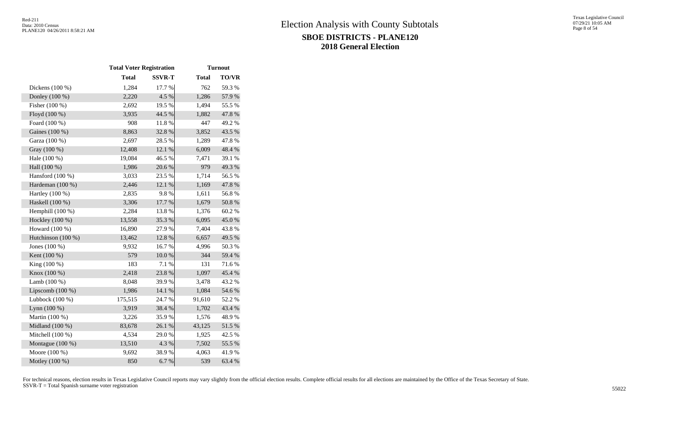|                    | <b>Total Voter Registration</b> |               | <b>Turnout</b> |              |  |  |  |
|--------------------|---------------------------------|---------------|----------------|--------------|--|--|--|
|                    | <b>Total</b>                    | <b>SSVR-T</b> | <b>Total</b>   | <b>TO/VR</b> |  |  |  |
| Dickens (100 %)    | 1,284                           | 17.7 %        | 762            | 59.3%        |  |  |  |
| Donley (100 %)     | 2,220                           | 4.5 %         | 1,286          | 57.9%        |  |  |  |
| Fisher (100 %)     | 2,692                           | 19.5 %        | 1,494          | 55.5 %       |  |  |  |
| Floyd (100 %)      | 3,935                           | 44.5 %        | 1,882          | 47.8%        |  |  |  |
| Foard (100 %)      | 908                             | 11.8 %        | 447            | 49.2%        |  |  |  |
| Gaines (100 %)     | 8,863                           | 32.8%         | 3,852          | 43.5 %       |  |  |  |
| Garza (100 %)      | 2,697                           | 28.5 %        | 1,289          | 47.8%        |  |  |  |
| Gray (100 %)       | 12,408                          | 12.1 %        | 6,009          | 48.4 %       |  |  |  |
| Hale (100 %)       | 19,084                          | 46.5 %        | 7,471          | 39.1 %       |  |  |  |
| Hall (100 %)       | 1,986                           | 20.6%         | 979            | 49.3 %       |  |  |  |
| Hansford (100 %)   | 3,033                           | 23.5 %        | 1,714          | 56.5 %       |  |  |  |
| Hardeman (100 %)   | 2,446                           | 12.1 %        | 1,169          | 47.8 %       |  |  |  |
| Hartley (100 %)    | 2,835                           | 9.8%          | 1,611          | 56.8%        |  |  |  |
| Haskell (100 %)    | 3,306                           | $17.7~\%$     | 1,679          | 50.8%        |  |  |  |
| Hemphill (100 %)   | 2,284                           | 13.8 %        | 1,376          | 60.2%        |  |  |  |
| Hockley (100 %)    | 13,558                          | 35.3%         | 6,095          | 45.0%        |  |  |  |
| Howard (100 %)     | 16,890                          | 27.9%         | 7,404          | 43.8%        |  |  |  |
| Hutchinson (100 %) | 13,462                          | 12.8 %        | 6,657          | 49.5 %       |  |  |  |
| Jones (100 %)      | 9,932                           | 16.7%         | 4,996          | 50.3%        |  |  |  |
| Kent (100 %)       | 579                             | $10.0~\%$     | 344            | 59.4 %       |  |  |  |
| King $(100\%)$     | 183                             | 7.1 %         | 131            | 71.6%        |  |  |  |
| Knox (100 %)       | 2,418                           | 23.8%         | 1,097          | 45.4 %       |  |  |  |
| Lamb (100 %)       | 8,048                           | 39.9%         | 3,478          | 43.2 %       |  |  |  |
| Lipscomb (100 %)   | 1,986                           | 14.1 %        | 1,084          | 54.6 %       |  |  |  |
| Lubbock (100 %)    | 175,515                         | 24.7%         | 91,610         | 52.2%        |  |  |  |
| Lynn $(100\%)$     | 3,919                           | 38.4%         | 1,702          | 43.4 %       |  |  |  |
| Martin (100 %)     | 3,226                           | 35.9%         | 1,576          | 48.9%        |  |  |  |
| Midland $(100\%)$  | 83,678                          | 26.1 %        | 43,125         | 51.5%        |  |  |  |
| Mitchell (100 %)   | 4,534                           | 29.0%         | 1,925          | 42.5 %       |  |  |  |
| Montague (100 %)   | 13,510                          | 4.3 %         | 7,502          | 55.5 %       |  |  |  |
| Moore $(100\%)$    | 9,692                           | 38.9%         | 4,063          | 41.9%        |  |  |  |
| Motley (100 %)     | 850                             | 6.7%          | 539            | 63.4 %       |  |  |  |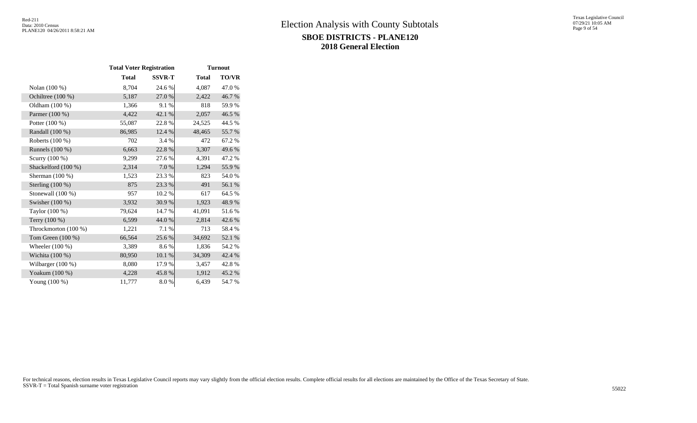|                      | <b>Total Voter Registration</b> |               | <b>Turnout</b> |              |  |  |  |  |
|----------------------|---------------------------------|---------------|----------------|--------------|--|--|--|--|
|                      | <b>Total</b>                    | <b>SSVR-T</b> | <b>Total</b>   | <b>TO/VR</b> |  |  |  |  |
| Nolan (100 %)        | 8,704                           | 24.6 %        | 4,087          | 47.0 %       |  |  |  |  |
| Ochiltree (100 %)    | 5,187                           | 27.0 %        | 2,422          | 46.7 %       |  |  |  |  |
| Oldham (100 %)       | 1,366                           | 9.1 %         | 818            | 59.9%        |  |  |  |  |
| Parmer (100 %)       | 4,422                           | 42.1 %        | 2,057          | 46.5 %       |  |  |  |  |
| Potter (100 %)       | 55,087                          | 22.8%         | 24,525         | 44.5 %       |  |  |  |  |
| Randall (100 %)      | 86,985                          | 12.4 %        | 48,465         | 55.7 %       |  |  |  |  |
| Roberts (100 %)      | 702                             | 3.4 %         | 472            | 67.2%        |  |  |  |  |
| Runnels (100 %)      | 6,663                           | 22.8 %        | 3,307          | 49.6 %       |  |  |  |  |
| Scurry (100 %)       | 9,299                           | 27.6 %        | 4,391          | 47.2 %       |  |  |  |  |
| Shackelford (100 %)  | 2,314                           | 7.0 %         | 1,294          | 55.9%        |  |  |  |  |
| Sherman $(100\%)$    | 1,523                           | 23.3 %        | 823            | 54.0%        |  |  |  |  |
| Sterling $(100\%)$   | 875                             | 23.3 %        | 491            | 56.1 %       |  |  |  |  |
| Stonewall (100 %)    | 957                             | 10.2%         | 617            | 64.5 %       |  |  |  |  |
| Swisher $(100\%)$    | 3,932                           | 30.9 %        | 1,923          | 48.9%        |  |  |  |  |
| Taylor (100 %)       | 79,624                          | 14.7 %        | 41,091         | 51.6%        |  |  |  |  |
| Terry (100 %)        | 6,599                           | 44.0 %        | 2,814          | 42.6 %       |  |  |  |  |
| Throckmorton (100 %) | 1,221                           | 7.1 %         | 713            | 58.4%        |  |  |  |  |
| Tom Green $(100\%)$  | 66,564                          | 25.6 %        | 34,692         | 52.1 %       |  |  |  |  |
| Wheeler $(100\%)$    | 3,389                           | 8.6%          | 1,836          | 54.2 %       |  |  |  |  |
| Wichita (100 %)      | 80,950                          | 10.1 %        | 34,309         | 42.4 %       |  |  |  |  |
| Wilbarger (100 %)    | 8,080                           | 17.9 %        | 3,457          | 42.8%        |  |  |  |  |
| Yoakum (100 %)       | 4,228                           | 45.8%         | 1,912          | 45.2 %       |  |  |  |  |
| Young $(100\%)$      | 11,777                          | 8.0%          | 6,439          | 54.7 %       |  |  |  |  |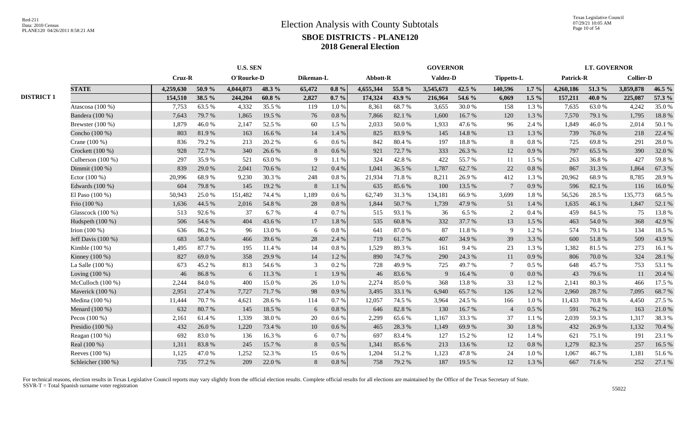|                    |           |        |           |           |                               |           |           |        |           |        |                                    |           |                   |        | <b>Collier-D</b> |                     |  |
|--------------------|-----------|--------|-----------|-----------|-------------------------------|-----------|-----------|--------|-----------|--------|------------------------------------|-----------|-------------------|--------|------------------|---------------------|--|
| <b>STATE</b>       | 4,259,630 | 50.9%  | 4,044,073 | 48.3%     | 65,472                        | $0.8 \%$  | 4,655,344 | 55.8 % | 3,545,673 | 42.5 % | 140,596                            | $1.7\%$   | 4,260,186         | 51.3 % | 3,859,878        | 46.5 %              |  |
|                    | 154,510   | 38.5 % | 244,204   | $60.8 \%$ | 2,827                         | $0.7\%$   | 174,324   | 43.9%  | 216,964   | 54.6 % | 6,069                              | $1.5\%$   | 157,211           | 40.0%  | 225,087          | 57.3 %              |  |
| Atascosa (100 %)   | 7,753     | 63.5%  | 4,332     | 35.5 %    | 119                           | $1.0\,\%$ | 8,361     | 68.7%  | 3,655     | 30.0%  | 158                                | 1.3%      | 7,635             | 63.0%  | 4,242            | 35.0%               |  |
| Bandera (100 %)    | 7,643     | 79.7%  | 1,865     | 19.5 %    | 76                            | $0.8\ \%$ | 7,866     | 82.1 % | 1,600     | 16.7%  | 120                                | 1.3 %     | 7,570             | 79.1 % | 1,795            | 18.8%               |  |
| Brewster (100 %)   | 1,879     | 46.0%  | 2,147     | 52.5 %    | 60                            | 1.5 %     | 2,033     | 50.0%  | 1,933     | 47.6%  | 96                                 | 2.4 %     | 1,849             | 46.0%  | 2,014            | 50.1 %              |  |
| Concho (100 %)     | 803       | 81.9%  | 163       | 16.6%     | 14                            | 1.4 %     | 825       | 83.9%  | 145       | 14.8 % | 13                                 | 1.3 %     | 739               | 76.0%  | 218              | 22.4 %              |  |
| Crane (100 %)      | 836       | 79.2 % | 213       | 20.2%     | 6                             | 0.6 %     | 842       | 80.4%  | 197       | 18.8 % | 8                                  | 0.8%      | 725               | 69.8%  | 291              | 28.0%               |  |
| Crockett (100 %)   | 928       | 72.7 % | 340       | 26.6%     | 8                             | $0.6\,\%$ | 921       | 72.7 % | 333       | 26.3%  | 12                                 | $0.9\ \%$ | 797               | 65.5 % | 390              | 32.0 %              |  |
| Culberson (100 %)  | 297       | 35.9%  | 521       | 63.0%     | -9                            | 1.1 %     | 324       | 42.8%  | 422       | 55.7%  | 11                                 | 1.5 %     | 263               | 36.8%  | 427              | 59.8%               |  |
| Dimmit (100 %)     | 839       | 29.0%  | 2,041     | 70.6%     | 12                            | $0.4~\%$  | 1,041     | 36.5 % | 1,787     | 62.7%  | 22                                 | $0.8\ \%$ | 867               | 31.3%  | 1,864            | 67.3 %              |  |
| Ector $(100\%)$    | 20,996    | 68.9%  | 9,230     | 30.3 %    | 248                           | $0.8\ \%$ | 21,934    | 71.8%  | 8,211     | 26.9%  | 412                                | 1.3 %     | 20,962            | 68.9%  | 8,785            | 28.9%               |  |
| Edwards (100 %)    | 604       | 79.8%  | 145       | 19.2 %    | 8                             | $1.1\ \%$ | 635       | 85.6%  | 100       | 13.5 % | $7\phantom{.0}$                    | 0.9%      | 596               | 82.1 % | 116              | 16.0%               |  |
| El Paso (100 %)    | 50,943    | 25.0%  | 151,482   | 74.4 %    | 1,189                         | 0.6 %     | 62,749    | 31.3%  | 134,181   | 66.9%  | 3,699                              | $1.8\ \%$ | 56,526            | 28.5 % | 135,773          | 68.5 %              |  |
| Frio (100 %)       | 1,636     | 44.5 % | 2,016     | 54.8%     | 28                            | $0.8\ \%$ | 1,844     | 50.7%  | 1,739     | 47.9%  | 51                                 | 1.4 %     | 1,635             | 46.1%  | 1,847            | 52.1 %              |  |
| Glasscock (100 %)  | 513       | 92.6%  | 37        | 6.7%      | $\overline{\mathcal{L}}$      | 0.7%      | 515       | 93.1 % | 36        | 6.5%   | 2                                  | 0.4 %     | 459               | 84.5 % | 75               | 13.8 %              |  |
| Hudspeth (100 %)   | 506       | 54.6 % | 404       | 43.6 %    | 17                            | $1.8\ \%$ | 535       | 60.8%  | 332       | 37.7 % | 13                                 | 1.5 %     | 463               | 54.0%  | 368              | 42.9 %              |  |
| Irion $(100\%)$    | 636       | 86.2%  | 96        | 13.0%     | 6                             | $0.8\ \%$ | 641       | 87.0%  | 87        | 11.8 % | 9                                  | 1.2%      | 574               | 79.1 % | 134              | 18.5 %              |  |
| Jeff Davis (100 %) | 683       | 58.0%  | 466       | 39.6%     | 28                            | 2.4 %     | 719       | 61.7%  | 407       | 34.9%  | 39                                 | 3.3 %     | 600               | 51.8%  | 509              | 43.9%               |  |
| Kimble (100 %)     | 1,495     | 87.7%  | 195       | 11.4 %    | 14                            | $0.8~\%$  | 1,529     | 89.3%  | 161       | 9.4%   | 23                                 | 1.3 %     | 1,382             | 81.5%  | 273              | 16.1%               |  |
| Kinney (100 %)     | 827       | 69.0%  | 358       | 29.9%     | 14                            | 1.2%      | 890       | 74.7 % | 290       | 24.3 % | 11                                 | 0.9%      | 806               | 70.0%  | 324              | 28.1 %              |  |
| La Salle (100 %)   | 673       | 45.2 % | 813       | 54.6 %    | 3                             | $0.2~\%$  | 728       | 49.9%  | 725       | 49.7%  | $\tau$                             | 0.5 %     | 648               | 45.7%  | 753              | 53.1 %              |  |
| Loving $(100\%)$   | 46        | 86.8%  | 6         | 11.3 %    |                               | 1.9%      | 46        | 83.6%  | 9         | 16.4 % | $\mathbf{0}$                       | 0.0 %     | 43                | 79.6%  | 11               | 20.4 %              |  |
| McCulloch (100 %)  | 2,244     | 84.0%  | 400       | 15.0%     | 26                            | $1.0\%$   | 2,274     | 85.0%  | 368       | 13.8%  | 33                                 | 1.2%      | 2,141             | 80.3%  | 466              | 17.5 %              |  |
| Maverick (100 %)   | 2,951     | 27.4 % | 7,727     | 71.7%     | 98                            | $0.9\ \%$ | 3,495     | 33.1 % | 6,940     | 65.7%  | 126                                | 1.2%      | 2,960             | 28.7%  | 7,095            | 68.7%               |  |
| Medina (100 %)     | 11,444    | 70.7%  | 4,621     | 28.6%     | 114                           | 0.7 %     | 12,057    | 74.5 % | 3,964     | 24.5 % | 166                                | 1.0%      | 11,433            | 70.8%  | 4,450            | 27.5 %              |  |
| Menard (100 %)     | 632       | 80.7%  | 145       | 18.5 %    | 6                             | $0.8\ \%$ | 646       | 82.8%  | 130       | 16.7%  | $\overline{4}$                     | $0.5\ \%$ | 591               | 76.2 % | 163              | 21.0%               |  |
| Pecos (100 %)      | 2,161     | 61.4%  | 1,339     | 38.0%     | 20                            | 0.6 %     | 2,299     | 65.6%  | 1,167     | 33.3 % | 37                                 | 1.1%      | 2,039             | 59.3%  | 1,317            | 38.3 %              |  |
| Presidio (100 %)   | 432       | 26.0%  | 1,220     | 73.4 %    | 10                            | 0.6 %     | 465       | 28.3%  | 1,149     | 69.9%  | 30                                 | 1.8%      | 432               | 26.9%  | 1,132            | 70.4 %              |  |
| Reagan (100 %)     | 692       | 83.0%  | 136       | 16.3%     | 6                             | 0.7 %     | 697       | 83.4%  | 127       | 15.2 % | 12                                 | 1.4 %     | 621               | 75.1 % | 191              | 23.1 %              |  |
| Real (100 %)       | 1,311     | 83.8%  | 245       | 15.7%     | 8                             | $0.5\ \%$ | 1,341     | 85.6%  | 213       | 13.6%  | 12                                 | $0.8\ \%$ | 1,279             | 82.3%  | 257              | 16.5 %              |  |
| Reeves $(100\%)$   | 1,125     | 47.0%  | 1,252     | 52.3 %    | 15                            | 0.6 %     | 1,204     | 51.2%  | 1,123     | 47.8%  | 24                                 | $1.0\%$   | 1,067             | 46.7%  | 1,181            | 51.6%               |  |
| Schleicher (100 %) | 735       | 77.2 % | 209       | 22.0 %    | 8                             | $0.8 \%$  | 758       | 79.2 % | 187       | 19.5 % | 12                                 | 1.3%      | 667               | 71.6 % | 252              | 27.1 %              |  |
|                    |           |        | Cruz-R    |           | <b>U.S. SEN</b><br>O'Rourke-D |           | Dikeman-L |        | Abbott-R  |        | <b>GOVERNOR</b><br><b>Valdez-D</b> |           | <b>Tippetts-L</b> |        | Patrick-R        | <b>LT. GOVERNOR</b> |  |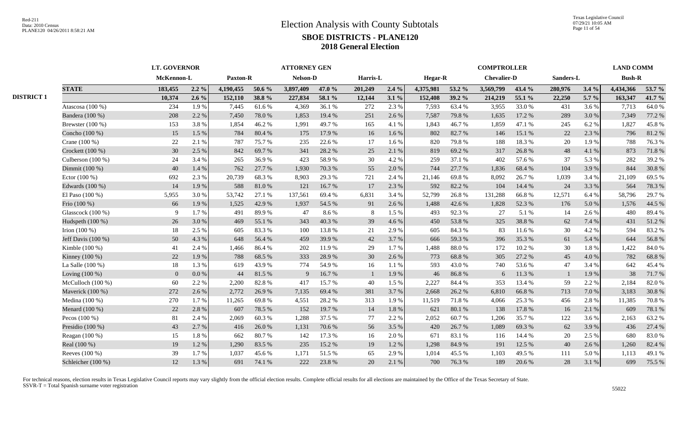|                   | <b>LT. GOVERNOR</b>  |                |         |           |            | <b>ATTORNEY GEN</b> |        |                |         |                | <b>COMPTROLLER</b> |                    |        |           |       |               | <b>LAND COMM</b> |  |
|-------------------|----------------------|----------------|---------|-----------|------------|---------------------|--------|----------------|---------|----------------|--------------------|--------------------|--------|-----------|-------|---------------|------------------|--|
|                   |                      | McKennon-L     |         | Paxton-R  |            | Nelson-D            |        | Harris-L       |         | <b>Hegar-R</b> |                    | <b>Chevalier-D</b> |        | Sanders-L |       | <b>Bush-R</b> |                  |  |
|                   | <b>STATE</b>         | 183,455        | $2.2\%$ | 4,190,455 | 50.6 %     | 3,897,409           | 47.0 % | 201,249        | $2.4\%$ | 4.375.981      | 53.2 %             | 3,569,799          | 43.4 % | 280,976   | 3.4%  | 4,434,366     | 53.7 %           |  |
| <b>DISTRICT 1</b> |                      | 10,374         | $2.6\%$ | 152,110   | 38.8%      | 227,834             | 58.1 % | 12,144         | $3.1\%$ | 152,408        | 39.2 %             | 214,219            | 55.1 % | 22,250    | 5.7 % | 163,347       | 41.7 %           |  |
|                   | Atascosa (100 %)     | 234            | 1.9%    | 7,445     | 61.6 %     | 4,369               | 36.1 % | 272            | 2.3 %   | 7,593          | 63.4 %             | 3,955              | 33.0%  | 431       | 3.6 % | 7,713         | 64.0%            |  |
|                   | Bandera (100 %)      | 208            | 2.2 %   | 7,450     | 78.0%      | 1,853               | 19.4 % | 251            | 2.6 %   | 7,587          | 79.8%              | 1,635              | 17.2 % | 289       | 3.0%  | 7,349         | 77.2 %           |  |
|                   | Brewster $(100\%)$   | 153            | 3.8%    | 1,854     | 46.2%      | 1,991               | 49.7%  | 165            | 4.1 %   | 1,843          | 46.7%              | 1,859              | 47.1 % | 245       | 6.2%  | 1,827         | 45.8%            |  |
|                   | Concho (100 %)       | 15             | 1.5 %   | 784       | 80.4%      | 175                 | 17.9 % | 16             | 1.6 %   | 802            | 82.7%              | 146                | 15.1 % | 22        | 2.3 % | 796           | 81.2%            |  |
|                   | Crane (100 %)        | 22             | 2.1 %   | 787       | 75.7%      | 235                 | 22.6 % | 17             | 1.6 %   | 820            | 79.8%              | 188                | 18.3%  | 20        | 1.9%  | 788           | 76.3 %           |  |
|                   | Crockett $(100\%)$   | 30             | 2.5 %   | 842       | 69.7%      | 341                 | 28.2 % | 25             | 2.1 %   | 819            | 69.2%              | 317                | 26.8%  | 48        | 4.1 % | 873           | 71.8%            |  |
|                   | Culberson $(100\%)$  | 24             | 3.4 %   | 265       | 36.9%      | 423                 | 58.9%  | 30             | 4.2 %   | 259            | 37.1 %             | 402                | 57.6 % | 37        | 5.3 % | 282           | 39.2 %           |  |
|                   | Dimmit (100 %)       | 40             | 1.4 %   | 762       | 27.7 %     | 1,930               | 70.3%  | 55             | 2.0 %   | 744            | 27.7 %             | 1,836              | 68.4%  | 104       | 3.9%  | 844           | 30.8%            |  |
|                   | Ector $(100\%)$      | 692            | 2.3 %   | 20,739    | 68.3%      | 8,903               | 29.3 % | 721            | 2.4 %   | 21,146         | 69.8%              | 8,092              | 26.7%  | 1,039     | 3.4 % | 21,109        | 69.5 %           |  |
|                   | Edwards (100 %)      | 14             | 1.9%    | 588       | $81.0\ \%$ | 121                 | 16.7%  | 17             | 2.3 %   | 592            | 82.2%              | 104                | 14.4 % | 24        | 3.3 % | 564           | 78.3 %           |  |
|                   | El Paso (100 %)      | 5,955          | 3.0%    | 53,742    | 27.1 %     | 137,561             | 69.4%  | 6,831          | 3.4 %   | 52,799         | 26.8%              | 131,288            | 66.8%  | 12,571    | 6.4%  | 58,796        | 29.7 %           |  |
|                   | Frio (100 %)         | 66             | 1.9%    | 1,525     | 42.9%      | 1,937               | 54.5 % | 91             | 2.6 %   | 1,488          | 42.6 %             | 1,828              | 52.3 % | 176       | 5.0%  | 1,576         | 44.5 %           |  |
|                   | Glasscock (100 %)    | 9              | 1.7%    | 491       | 89.9%      | 47                  | 8.6%   | 8              | 1.5 %   | 493            | 92.3%              | 27                 | 5.1 %  | 14        | 2.6 % | 480           | 89.4%            |  |
|                   | Hudspeth (100 %)     | 26             | 3.0%    | 469       | 55.1 %     | 343                 | 40.3%  | 39             | 4.6%    | 450            | 53.8%              | 325                | 38.8%  | 62        | 7.4 % | 431           | 51.2%            |  |
|                   | Irion $(100\%)$      | 18             | 2.5 %   | 605       | 83.3%      | 100                 | 13.8%  | 21             | 2.9%    | 605            | 84.3%              | 83                 | 11.6 % | 30        | 4.2 % | 594           | 83.2%            |  |
|                   | Jeff Davis $(100\%)$ | 50             | 4.3%    | 648       | 56.4%      | 459                 | 39.9%  | 42             | 3.7%    | 666            | 59.3%              | 396                | 35.3%  | 61        | 5.4 % | 644           | 56.8%            |  |
|                   | Kimble $(100\%)$     | 41             | 2.4 %   | 1,466     | 86.4%      | 202                 | 11.9%  | 29             | 1.7%    | 1,488          | 88.0%              | 172                | 10.2 % | 30        | 1.8%  | 1,422         | 84.0%            |  |
|                   | Kinney (100 %)       | 22             | 1.9%    | 788       | 68.5%      | 333                 | 28.9%  | 30             | 2.6 %   | 773            | 68.8%              | 305                | 27.2 % | 45        | 4.0%  | 782           | 68.8%            |  |
|                   | La Salle $(100\%)$   | 18             | 1.3%    | 619       | 43.9%      | 774                 | 54.9%  | 16             | 1.1%    | 593            | 43.0%              | 740                | 53.6%  | 47        | 3.4 % | 642           | 45.4 %           |  |
|                   | Loving $(100\%)$     | $\overline{0}$ | 0.0 %   | 44        | 81.5%      | 9                   | 16.7%  | $\overline{1}$ | 1.9%    | 46             | 86.8%              | 6                  | 11.3 % |           | 1.9%  | 38            | 71.7%            |  |
|                   | McCulloch $(100\%)$  | 60             | 2.2 %   | 2,200     | 82.8%      | 417                 | 15.7 % | 40             | 1.5 %   | 2,227          | 84.4 %             | 353                | 13.4 % | 59        | 2.2 % | 2,184         | 82.0%            |  |
|                   | Maverick (100 %)     | 272            | 2.6 %   | 2,772     | 26.9%      | 7,135               | 69.4 % | 381            | 3.7%    | 2,668          | 26.2 %             | 6,810              | 66.8%  | 713       | 7.0%  | 3,183         | 30.8%            |  |
|                   | Medina (100 %)       | 270            | 1.7%    | 11,265    | 69.8%      | 4,551               | 28.2%  | 313            | 1.9%    | 11,519         | 71.8%              | 4,066              | 25.3 % | 456       | 2.8%  | 11,385        | 70.8%            |  |
|                   | Menard (100 %)       | 22             | 2.8 %   | 607       | 78.5 %     | 152                 | 19.7 % | 14             | 1.8%    | 621            | 80.1%              | 138                | 17.8%  | 16        | 2.1 % | 609           | 78.1 %           |  |
|                   | Pecos $(100\%)$      | 81             | 2.4 %   | 2,069     | 60.3%      | 1,288               | 37.5 % | 77             | 2.2 %   | 2,052          | 60.7%              | 1,206              | 35.7%  | 122       | 3.6 % | 2,163         | 63.2 %           |  |
|                   | Presidio $(100\%)$   | 43             | 2.7 %   | 416       | 26.0%      | 1,131               | 70.6 % | 56             | 3.5 %   | 420            | 26.7 %             | 1,089              | 69.3%  | 62        | 3.9%  | 436           | 27.4 %           |  |
|                   | Reagan (100 %)       | 15             | 1.8%    | 662       | 80.7%      | 142                 | 17.3 % | 16             | 2.0%    | 671            | 83.1 %             | 116                | 14.4 % | 20        | 2.5 % | 680           | 83.0%            |  |
|                   | Real (100 %)         | 19             | 1.2%    | 1,290     | 83.5%      | 235                 | 15.2 % | 19             | 1.2%    | 1,298          | 84.9%              | 191                | 12.5 % | 40        | 2.6%  | 1,260         | 82.4 %           |  |
|                   | Reeves (100 %)       | 39             | 1.7%    | 1,037     | 45.6%      | 1,171               | 51.5%  | 65             | 2.9%    | 1,014          | 45.5 %             | 1,103              | 49.5 % | 111       | 5.0%  | 1,113         | 49.1 %           |  |
|                   | Schleicher (100 %)   | 12             | 1.3 %   | 691       | 74.1 %     | 222                 | 23.8%  | 20             | 2.1 %   | 700            | 76.3%              | 189                | 20.6%  | 28        | 3.1 % | 699           | 75.5 %           |  |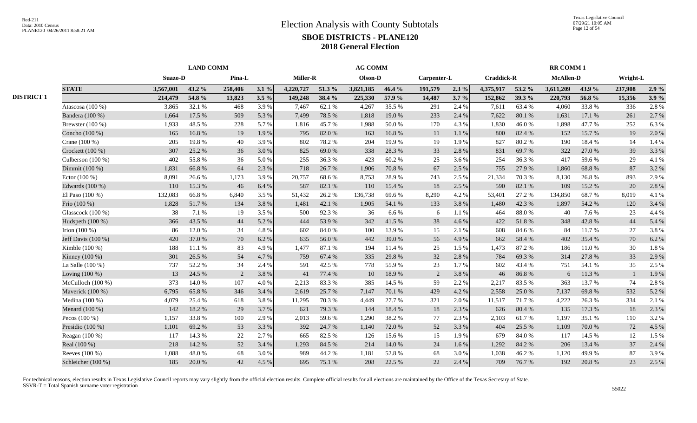|                   | <b>LAND COMM</b>   |                |        |         |         |           | <b>AG COMM</b> |           |        |             |         |                   |        | <b>RR COMM1</b>  |        |              |       |  |
|-------------------|--------------------|----------------|--------|---------|---------|-----------|----------------|-----------|--------|-------------|---------|-------------------|--------|------------------|--------|--------------|-------|--|
|                   |                    | <b>Suazo-D</b> |        | Pina-L  |         | Miller-R  |                | Olson-D   |        | Carpenter-L |         | <b>Craddick-R</b> |        | <b>McAllen-D</b> |        | Wright-L     |       |  |
|                   | <b>STATE</b>       | 3,567,001      | 43.2 % | 258,406 | 3.1%    | 4,220,727 | 51.3 %         | 3,821,185 | 46.4 % | 191,579     | $2.3\%$ | 4,375,917         | 53.2 % | 3,611,209        | 43.9%  | 237,908      | 2.9%  |  |
| <b>DISTRICT 1</b> |                    | 214,479        | 54.8 % | 13,823  | $3.5\%$ | 149,248   | 38.4 %         | 225,330   | 57.9 % | 14,487      | 3.7%    | 152,862           | 39.3 % | 220,793          | 56.8%  | 15,356       | 3.9%  |  |
|                   | Atascosa (100 %)   | 3,865          | 32.1 % | 468     | 3.9%    | 7,467     | 62.1 %         | 4,267     | 35.5 % | 291         | 2.4 %   | 7,611             | 63.4 % | 4,060            | 33.8%  | 336          | 2.8%  |  |
|                   | Bandera (100 %)    | 1,664          | 17.5 % | 509     | 5.3 %   | 7,499     | 78.5 %         | 1,818     | 19.0%  | 233         | 2.4 %   | 7,622             | 80.1 % | 1,631            | 17.1 % | 261          | 2.7%  |  |
|                   | Brewster $(100\%)$ | 1,933          | 48.5 % | 228     | 5.7 %   | 1.816     | 45.7%          | 1,988     | 50.0%  | 170         | 4.3 %   | 1,830             | 46.0%  | 1,898            | 47.7 % | 252          | 6.3%  |  |
|                   | Concho (100 %)     | 165            | 16.8%  | 19      | 1.9%    | 795       | 82.0%          | 163       | 16.8%  | 11          | 1.1 %   | 800               | 82.4 % | 152              | 15.7 % | 19           | 2.0%  |  |
|                   | Crane (100 %)      | 205            | 19.8%  | 40      | 3.9%    | 802       | 78.2%          | 204       | 19.9%  | 19          | 1.9%    | 827               | 80.2%  | 190              | 18.4%  | 14           | 1.4 % |  |
|                   | Crockett (100 %)   | 307            | 25.2 % | 36      | 3.0%    | 825       | 69.0%          | 338       | 28.3%  | 33          | 2.8%    | 831               | 69.7%  | 322              | 27.0 % | 39           | 3.3 % |  |
|                   | Culberson (100 %)  | 402            | 55.8%  | 36      | 5.0%    | 255       | 36.3%          | 423       | 60.2%  | 25          | 3.6 %   | 254               | 36.3%  | 417              | 59.6%  | 29           | 4.1 % |  |
|                   | Dimmit (100 %)     | 1,831          | 66.8%  | 64      | 2.3 %   | 718       | 26.7%          | 1,906     | 70.8%  | 67          | 2.5 %   | 755               | 27.9 % | 1,860            | 68.8%  | 87           | 3.2%  |  |
|                   | Ector (100 %)      | 8,091          | 26.6%  | 1,173   | 3.9%    | 20,757    | 68.6%          | 8,753     | 28.9%  | 743         | 2.5 %   | 21,334            | 70.3%  | 8,130            | 26.8%  | 893          | 2.9%  |  |
|                   | Edwards (100 %)    | 110            | 15.3%  | 46      | 6.4 %   | 587       | 82.1 %         | 110       | 15.4 % | 18          | 2.5 %   | 590               | 82.1 % | 109              | 15.2 % | 20           | 2.8%  |  |
|                   | El Paso $(100\%)$  | 132,083        | 66.8%  | 6,840   | 3.5%    | 51,432    | 26.2%          | 136,738   | 69.6%  | 8,290       | 4.2%    | 53,401            | 27.2 % | 134,850          | 68.7%  | 8,019        | 4.1%  |  |
|                   | Frio (100 %)       | 1,828          | 51.7%  | 134     | 3.8%    | 1,481     | 42.1 %         | 1,905     | 54.1 % | 133         | 3.8%    | 1,480             | 42.3 % | 1,897            | 54.2 % | 120          | 3.4 % |  |
|                   | Glasscock (100 %)  | 38             | 7.1 %  | 19      | 3.5 %   | 500       | 92.3%          | 36        | 6.6%   | -6          | 1.1 %   | 464               | 88.0%  | 40               | 7.6 %  | 23           | 4.4 % |  |
|                   | Hudspeth $(100\%)$ | 366            | 43.5 % | 44      | 5.2 %   | 444       | 53.9%          | 342       | 41.5 % | 38          | 4.6 %   | 422               | 51.8%  | 348              | 42.8%  | 44           | 5.4 % |  |
|                   | Irion $(100\%)$    | 86             | 12.0%  | 34      | 4.8%    | 602       | 84.0%          | 100       | 13.9%  | 15          | 2.1 %   | 608               | 84.6 % | 84               | 11.7 % | 27           | 3.8%  |  |
|                   | Jeff Davis (100 %) | 420            | 37.0%  | 70      | 6.2%    | 635       | 56.0%          | 442       | 39.0%  | 56          | 4.9%    | 662               | 58.4%  | 402              | 35.4 % | 70           | 6.2%  |  |
|                   | Kimble (100 %)     | 188            | 11.1 % | 83      | 4.9%    | 1.477     | 87.1 %         | 194       | 11.4 % | 25          | 1.5 %   | 1,473             | 87.2%  | 186              | 11.0%  | 30           | 1.8%  |  |
|                   | Kinney (100 %)     | 301            | 26.5 % | 54      | 4.7%    | 759       | 67.4 %         | 335       | 29.8%  | 32          | 2.8%    | 784               | 69.3%  | 314              | 27.8 % | 33           | 2.9%  |  |
|                   | La Salle $(100\%)$ | 737            | 52.2%  | 34      | 2.4 %   | 591       | 42.5 %         | 778       | 55.9%  | 23          | 1.7%    | 602               | 43.4 % | 751              | 54.1 % | 35           | 2.5 % |  |
|                   | Loving (100 %)     | 13             | 24.5 % | 2       | 3.8%    | 41        | 77.4 %         | 10        | 18.9%  | 2           | 3.8%    | 46                | 86.8%  | 6                | 11.3 % | $\mathbf{1}$ | 1.9%  |  |
|                   | McCulloch (100 %)  | 373            | 14.0%  | 107     | 4.0 %   | 2,213     | 83.3%          | 385       | 14.5 % | 59          | 2.2 %   | 2,217             | 83.5%  | 363              | 13.7%  | 74           | 2.8%  |  |
|                   | Maverick (100 %)   | 6,795          | 65.8%  | 346     | 3.4 %   | 2,619     | 25.7%          | 7,147     | 70.1%  | 429         | 4.2%    | 2,558             | 25.0%  | 7,137            | 69.8%  | 532          | 5.2%  |  |
|                   | Medina $(100\%)$   | 4,079          | 25.4 % | 618     | 3.8%    | 11,295    | 70.3%          | 4,449     | 27.7 % | 321         | 2.0 %   | 11,517            | 71.7 % | 4,222            | 26.3%  | 334          | 2.1 % |  |
|                   | Menard (100 %)     | 142            | 18.2%  | 29      | 3.7 %   | 621       | 79.3%          | 144       | 18.4%  | 18          | 2.3 %   | 626               | 80.4%  | 135              | 17.3 % | 18           | 2.3 % |  |
|                   | Pecos $(100\%)$    | 1,157          | 33.8%  | 100     | 2.9 %   | 2,013     | 59.6%          | 1,290     | 38.2%  | 77          | 2.3 %   | 2,103             | 61.7%  | 1,197            | 35.1 % | 110          | 3.2 % |  |
|                   | Presidio $(100\%)$ | 1,101          | 69.2%  | 53      | 3.3 %   | 392       | 24.7 %         | 1,140     | 72.0%  | 52          | 3.3 %   | 404               | 25.5 % | 1,109            | 70.0%  | 72           | 4.5 % |  |
|                   | Reagan $(100\%)$   | 117            | 14.3 % | 22      | 2.7 %   | 665       | 82.5 %         | 126       | 15.6 % | 15          | 1.9%    | 679               | 84.0%  | 117              | 14.5 % | 12           | 1.5%  |  |
|                   | Real (100 %)       | 218            | 14.2 % | 52      | 3.4 %   | 1,293     | 84.5 %         | 214       | 14.0 % | 24          | 1.6%    | 1,292             | 84.2 % | 206              | 13.4 % | 37           | 2.4 % |  |
|                   | Reeves (100 %)     | 1,088          | 48.0%  | 68      | 3.0 %   | 989       | 44.2 %         | 1,181     | 52.8%  | 68          | 3.0%    | 1,038             | 46.2%  | 1,120            | 49.9%  | 87           | 3.9%  |  |
|                   | Schleicher (100 %) | 185            | 20.0%  | 42      | 4.5 %   | 695       | 75.1 %         | 208       | 22.5 % | 22          | 2.4 %   | 709               | 76.7%  | 192              | 20.8%  | 23           | 2.5 % |  |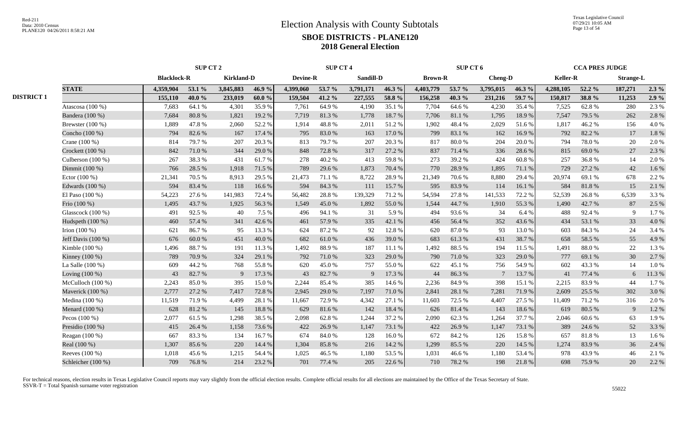|                   |                    | <b>SUP CT 2</b>    |        |                   |        |                 | <b>SUP CT 4</b> |           |        |                | SUP CT 6   |                |        |           | <b>CCA PRES JUDGE</b> |                  |         |
|-------------------|--------------------|--------------------|--------|-------------------|--------|-----------------|-----------------|-----------|--------|----------------|------------|----------------|--------|-----------|-----------------------|------------------|---------|
|                   |                    | <b>Blacklock-R</b> |        | <b>Kirkland-D</b> |        | <b>Devine-R</b> |                 | Sandill-D |        | <b>Brown-R</b> |            | <b>Cheng-D</b> |        | Keller-R  |                       | <b>Strange-L</b> |         |
|                   | <b>STATE</b>       | 4,359,904          | 53.1 % | 3,845,883         | 46.9%  | 4,399,060       | 53.7 %          | 3,791,171 | 46.3%  | 4,403,779      | 53.7 %     | 3,795,015      | 46.3%  | 4,288,105 | 52.2 %                | 187,271          | $2.3\%$ |
| <b>DISTRICT 1</b> |                    | 155,110            | 40.0%  | 233,019           | 60.0%  | 159,504         | 41.2%           | 227,555   | 58.8%  | 156,258        | 40.3%      | 231,216        | 59.7 % | 150,817   | 38.8%                 | 11,253           | 2.9%    |
|                   | Atascosa (100 %)   | 7,683              | 64.1 % | 4,301             | 35.9%  | 7,761           | 64.9%           | 4,190     | 35.1 % | 7,704          | 64.6%      | 4,230          | 35.4 % | 7,525     | 62.8%                 | 280              | 2.3 %   |
|                   | Bandera (100 %)    | 7,684              | 80.8%  | 1,821             | 19.2 % | 7,719           | 81.3%           | 1,778     | 18.7%  | 7,706          | 81.1%      | 1,795          | 18.9%  | 7,547     | 79.5 %                | 262              | 2.8%    |
|                   | Brewster $(100\%)$ | 1,889              | 47.8%  | 2,060             | 52.2%  | 1.914           | 48.8%           | 2,011     | 51.2%  | 1,902          | 48.4%      | 2,029          | 51.6%  | 1.817     | 46.2%                 | 156              | 4.0 %   |
|                   | Concho (100 %)     | 794                | 82.6 % | 167               | 17.4 % | 795             | 83.0%           | 163       | 17.0%  | 799            | 83.1 %     | 162            | 16.9%  | 792       | 82.2%                 | 17               | 1.8%    |
|                   | Crane (100 %)      | 814                | 79.7%  | 207               | 20.3%  | 813             | 79.7%           | 207       | 20.3%  | 817            | $80.0\ \%$ | 204            | 20.0%  | 794       | 78.0%                 | 20               | 2.0%    |
|                   | Crockett (100 %)   | 842                | 71.0%  | 344               | 29.0%  | 848             | 72.8%           | 317       | 27.2 % | 837            | 71.4 %     | 336            | 28.6%  | 815       | 69.0%                 | 27               | 2.3 %   |
|                   | Culberson (100 %)  | 267                | 38.3%  | 431               | 61.7%  | 278             | 40.2%           | 413       | 59.8%  | 273            | 39.2 %     | 424            | 60.8%  | 257       | 36.8%                 | 14               | 2.0%    |
|                   | Dimmit (100 %)     | 766                | 28.5 % | 1,918             | 71.5 % | 789             | 29.6%           | 1,873     | 70.4%  | 770            | 28.9%      | 1,895          | 71.1 % | 729       | 27.2 %                | 42               | 1.6%    |
|                   | Ector $(100\%)$    | 21,341             | 70.5 % | 8,913             | 29.5 % | 21,473          | 71.1 %          | 8,722     | 28.9%  | 21,349         | 70.6 %     | 8,880          | 29.4 % | 20,974    | 69.1 %                | 678              | 2.2 %   |
|                   | Edwards (100 %)    | 594                | 83.4%  | 118               | 16.6%  | 594             | 84.3 %          | 111       | 15.7%  | 595            | 83.9%      | 114            | 16.1%  | 584       | 81.8%                 | 15               | 2.1 %   |
|                   | El Paso $(100\%)$  | 54,223             | 27.6 % | 141,983           | 72.4 % | 56,482          | 28.8%           | 139,329   | 71.2%  | 54,594         | 27.8%      | 141,533        | 72.2 % | 52,539    | 26.8%                 | 6,539            | 3.3%    |
|                   | Frio (100 %)       | 1,495              | 43.7 % | 1,925             | 56.3%  | 1.549           | 45.0%           | 1,892     | 55.0%  | 1,544          | 44.7 %     | 1,910          | 55.3%  | 1.490     | 42.7 %                | 87               | 2.5 %   |
|                   | Glasscock (100 %)  | 491                | 92.5 % | 40                | 7.5 %  | 496             | 94.1 %          | 31        | 5.9%   | 494            | 93.6%      | 34             | 6.4%   | 488       | 92.4%                 | 9                | 1.7%    |
|                   | Hudspeth (100 %)   | 460                | 57.4 % | 341               | 42.6%  | 461             | 57.9%           | 335       | 42.1 % | 456            | 56.4 %     | 352            | 43.6%  | 434       | 53.1 %                | 33               | 4.0%    |
|                   | Irion $(100\%)$    | 621                | 86.7%  | 95                | 13.3 % | 624             | 87.2%           | 92        | 12.8%  | 620            | 87.0%      | 93             | 13.0%  | 603       | 84.3%                 | 24               | 3.4 %   |
|                   | Jeff Davis (100 %) | 676                | 60.0%  | 451               | 40.0%  | 682             | 61.0%           | 436       | 39.0%  | 683            | 61.3%      | 431            | 38.7%  | 658       | 58.5%                 | 55               | 4.9%    |
|                   | Kimble (100 %)     | 1,496              | 88.7%  | 191               | 11.3 % | 1.492           | 88.9%           | 187       | 11.1 % | 1,492          | 88.5%      | 194            | 11.5 % | 1.491     | 88.0%                 | 22               | 1.3%    |
|                   | Kinney $(100\%)$   | 789                | 70.9%  | 324               | 29.1 % | 792             | 71.0%           | 323       | 29.0%  | 790            | 71.0%      | 323            | 29.0%  | 777       | 69.1 %                | 30               | 2.7%    |
|                   | La Salle $(100\%)$ | 609                | 44.2%  | 768               | 55.8%  | 620             | 45.0%           | 757       | 55.0%  | 622            | 45.1 %     | 756            | 54.9%  | 602       | 43.3%                 | 14               | 1.0%    |
|                   | Loving $(100\%)$   | 43                 | 82.7%  | 9                 | 17.3 % | 43              | 82.7%           | 9         | 17.3 % | 44             | 86.3%      | 7              | 13.7%  | 41        | 77.4 %                | 6                | 11.3 %  |
|                   | McCulloch (100 %)  | 2,243              | 85.0%  | 395               | 15.0%  | 2,244           | 85.4%           | 385       | 14.6 % | 2,236          | 84.9%      | 398            | 15.1 % | 2,215     | 83.9%                 | 44               | 1.7%    |
|                   | Maverick (100 %)   | 2,777              | 27.2 % | 7,417             | 72.8%  | 2,945           | 29.0%           | 7,197     | 71.0%  | 2,841          | 28.1 %     | 7,281          | 71.9%  | 2,609     | 25.5 %                | 302              | 3.0%    |
|                   | Medina (100 %)     | 11,519             | 71.9%  | 4,499             | 28.1 % | 11,667          | 72.9 %          | 4,342     | 27.1 % | 11,603         | 72.5 %     | 4,407          | 27.5 % | 11,409    | 71.2%                 | 316              | 2.0%    |
|                   | Menard (100 %)     | 628                | 81.2%  | 145               | 18.8%  | 629             | 81.6%           | 142       | 18.4%  | 626            | 81.4%      | 143            | 18.6%  | 619       | 80.5 %                | 9                | 1.2%    |
|                   | Pecos $(100\%)$    | 2,077              | 61.5%  | 1,298             | 38.5 % | 2,098           | 62.8%           | 1,244     | 37.2 % | 2,090          | 62.3%      | 1,264          | 37.7 % | 2,046     | 60.6%                 | 63               | 1.9%    |
|                   | Presidio $(100\%)$ | 415                | 26.4 % | 1,158             | 73.6%  | 422             | 26.9%           | 1,147     | 73.1 % | 422            | 26.9%      | 1,147          | 73.1 % | 389       | 24.6 %                | 52               | 3.3 %   |
|                   | Reagan $(100\%)$   | 667                | 83.3%  | 134               | 16.7%  | 674             | 84.0%           | 128       | 16.0%  | 672            | 84.2%      | 126            | 15.8%  | 657       | 81.8%                 | 13               | 1.6%    |
|                   | Real (100 %)       | 1,307              | 85.6%  | 220               | 14.4 % | 1,304           | 85.8%           | 216       | 14.2 % | 1,299          | 85.5 %     | 220            | 14.5 % | 1,274     | 83.9%                 | 36               | 2.4 %   |
|                   | Reeves (100 %)     | 1,018              | 45.6%  | 1,215             | 54.4 % | 1,025           | 46.5%           | 1,180     | 53.5%  | 1,031          | 46.6%      | 1,180          | 53.4 % | 978       | 43.9%                 | 46               | 2.1 %   |
|                   | Schleicher (100 %) | 709                | 76.8%  | 214               | 23.2 % | 701             | 77.4 %          | 205       | 22.6 % | 710            | 78.2%      | 198            | 21.8%  | 698       | 75.9%                 | 20               | 2.2 %   |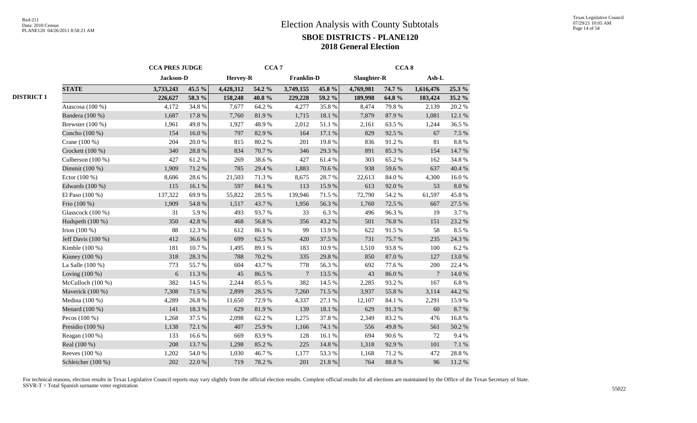|                     | <b>CCA PRES JUDGE</b> |        |           | CCA <sub>7</sub> |            |        |             | CCA <sub>8</sub> |           |           |
|---------------------|-----------------------|--------|-----------|------------------|------------|--------|-------------|------------------|-----------|-----------|
|                     | Jackson-D             |        | Hervey-R  |                  | Franklin-D |        | Slaughter-R |                  | $Ash-L$   |           |
| <b>STATE</b>        | 3,733,243             | 45.5 % | 4,428,312 | 54.2 %           | 3,749,155  | 45.8 % | 4,769,981   | 74.7 %           | 1,616,476 | 25.3 %    |
|                     | 226,627               | 58.3 % | 158,248   | 40.8%            | 229,228    | 59.2 % | 189,998     | 64.8%            | 103,424   | $35.2\%$  |
| Atascosa (100 %)    | 4,172                 | 34.8%  | 7,677     | 64.2%            | 4,277      | 35.8%  | 8,474       | 79.8%            | 2,139     | 20.2 %    |
| Bandera (100 %)     | 1,687                 | 17.8 % | 7,760     | 81.9%            | 1,715      | 18.1 % | 7,879       | 87.9%            | 1,081     | 12.1 %    |
| Brewster $(100\%)$  | 1,961                 | 49.8%  | 1,927     | 48.9%            | 2,012      | 51.1%  | 2,161       | 63.5%            | 1,244     | 36.5%     |
| Concho (100 %)      | 154                   | 16.0%  | 797       | 82.9%            | 164        | 17.1 % | 829         | 92.5 %           | 67        | 7.5 %     |
| Crane (100 %)       | 204                   | 20.0%  | 815       | 80.2%            | 201        | 19.8%  | 836         | 91.2%            | 81        | $8.8\ \%$ |
| Crockett (100 %)    | 340                   | 28.8%  | 834       | 70.7%            | 346        | 29.3%  | 891         | 85.3%            | 154       | 14.7 %    |
| Culberson $(100\%)$ | 427                   | 61.2%  | 269       | 38.6%            | 427        | 61.4%  | 303         | 65.2%            | 162       | 34.8%     |
| Dimmit (100 %)      | 1,909                 | 71.2%  | 785       | 29.4 %           | 1,883      | 70.6 % | 938         | 59.6%            | 637       | 40.4 %    |
| Ector (100 %)       | 8,686                 | 28.6%  | 21,503    | 71.3%            | 8,675      | 28.7%  | 22,613      | $84.0\ \%$       | 4,300     | 16.0%     |
| Edwards (100 %)     | 115                   | 16.1%  | 597       | 84.1 %           | 113        | 15.9%  | 613         | $92.0\ \%$       | 53        | $8.0\ \%$ |
| El Paso (100 %)     | 137,322               | 69.9%  | 55,822    | 28.5 %           | 139,946    | 71.5 % | 72,790      | 54.2 %           | 61,597    | 45.8%     |
| Frio (100 %)        | 1,909                 | 54.8 % | 1,517     | 43.7%            | 1,956      | 56.3%  | 1,760       | 72.5 %           | 667       | 27.5 %    |
| Glasscock (100 %)   | 31                    | 5.9%   | 493       | 93.7%            | 33         | 6.3%   | 496         | 96.3%            | 19        | 3.7%      |
| Hudspeth (100 %)    | 350                   | 42.8%  | 468       | 56.8%            | 356        | 43.2 % | 501         | 76.8%            | 151       | 23.2 %    |
| Irion $(100\%)$     | 88                    | 12.3 % | 612       | 86.1%            | 99         | 13.9%  | 622         | 91.5%            | 58        | 8.5 %     |
| Jeff Davis (100 %)  | 412                   | 36.6%  | 699       | 62.5 %           | 420        | 37.5 % | 731         | 75.7%            | 235       | 24.3 %    |
| Kimble (100 %)      | 181                   | 10.7%  | 1,495     | 89.1 %           | 183        | 10.9%  | 1,510       | 93.8%            | 100       | 6.2%      |
| Kinney (100 %)      | 318                   | 28.3%  | 788       | 70.2 %           | 335        | 29.8%  | 850         | 87.0 %           | 127       | 13.0%     |
| La Salle (100 %)    | 773                   | 55.7%  | 604       | 43.7%            | 778        | 56.3%  | 692         | 77.6%            | 200       | 22.4 %    |
| Loving (100 %)      | 6                     | 11.3 % | 45        | 86.5%            | $\tau$     | 13.5 % | 43          | 86.0%            | 7         | 14.0 %    |
| McCulloch (100 %)   | 382                   | 14.5 % | 2,244     | 85.5%            | 382        | 14.5 % | 2,285       | 93.2%            | 167       | $6.8~\%$  |
| Maverick (100 %)    | 7,308                 | 71.5 % | 2,899     | 28.5 %           | 7,260      | 71.5%  | 3,937       | 55.8%            | 3,114     | 44.2 %    |
| Medina $(100\%)$    | 4,289                 | 26.8%  | 11,650    | 72.9%            | 4,337      | 27.1 % | 12,107      | 84.1 %           | 2,291     | 15.9%     |
| Menard (100 %)      | 141                   | 18.3%  | 629       | 81.9%            | 139        | 18.1 % | 629         | 91.3%            | 60        | 8.7%      |
| Pecos $(100\%)$     | 1,268                 | 37.5 % | 2,098     | 62.2%            | 1,275      | 37.8%  | 2,349       | 83.2%            | 476       | 16.8%     |
| Presidio (100 %)    | 1,138                 | 72.1 % | 407       | 25.9%            | 1,166      | 74.1 % | 556         | 49.8%            | 561       | 50.2 %    |
| Reagan (100 %)      | 133                   | 16.6%  | 669       | 83.9%            | 128        | 16.1%  | 694         | 90.6%            | 72        | 9.4%      |
| Real (100 %)        | 208                   | 13.7%  | 1,298     | 85.2%            | 225        | 14.8 % | 1,318       | 92.9%            | 101       | $7.1\ \%$ |
| Reeves (100 %)      | 1,202                 | 54.0 % | 1,030     | 46.7%            | 1,177      | 53.3 % | 1,168       | 71.2%            | 472       | 28.8%     |
| Schleicher (100 %)  | 202                   | 22.0%  | 719       | 78.2 %           | 201        | 21.8%  | 764         | 88.8 %           | 96        | 11.2%     |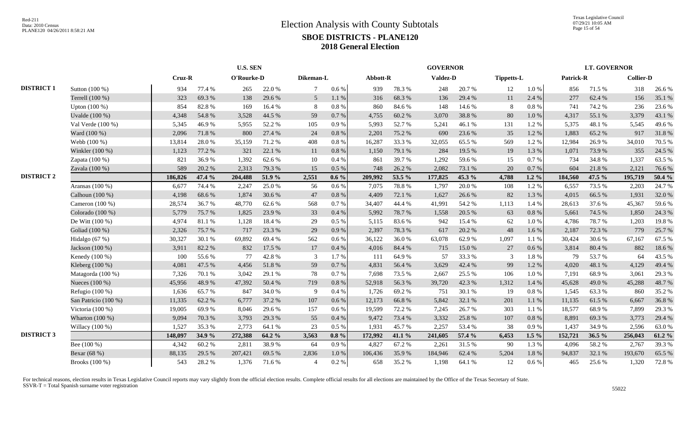Texas Legislative Council 07/29/21 10:05 AM Page 15 of 54

|                   |                      | <b>U.S. SEN</b> |        |            |        |                |           |          |        | <b>GOVERNOR</b> |        |            |           |           | <b>LT. GOVERNOR</b> |                  |        |
|-------------------|----------------------|-----------------|--------|------------|--------|----------------|-----------|----------|--------|-----------------|--------|------------|-----------|-----------|---------------------|------------------|--------|
|                   |                      | $Cruz-R$        |        | O'Rourke-D |        | Dikeman-L      |           | Abbott-R |        | Valdez-D        |        | Tippetts-L |           | Patrick-R |                     | <b>Collier-D</b> |        |
| <b>DISTRICT 1</b> | Sutton (100 %)       | 934             | 77.4 % | 265        | 22.0%  | $\tau$         | $0.6\%$   | 939      | 78.3%  | 248             | 20.7%  | 12         | 1.0%      | 856       | 71.5 %              | 318              | 26.6%  |
|                   | Terrell (100 %)      | 323             | 69.3%  | 138        | 29.6 % | 5 <sup>5</sup> | 1.1%      | 316      | 68.3%  | 136             | 29.4 % | 11         | 2.4 %     | 277       | 62.4%               | 156              | 35.1 % |
|                   | Upton (100 %)        | 854             | 82.8%  | 169        | 16.4 % | 8              | 0.8%      | 860      | 84.6%  | 148             | 14.6 % | 8          | $0.8~\%$  | 741       | 74.2 %              | 236              | 23.6 % |
|                   | Uvalde (100 %)       | 4,348           | 54.8%  | 3,528      | 44.5 % | 59             | 0.7%      | 4,755    | 60.2%  | 3,070           | 38.8%  | 80         | $1.0\ \%$ | 4,317     | 55.1 %              | 3,379            | 43.1 % |
|                   | Val Verde $(100\%)$  | 5,345           | 46.9%  | 5,955      | 52.2 % | 105            | 0.9%      | 5,993    | 52.7%  | 5,241           | 46.1%  | 131        | 1.2%      | 5,375     | 48.1 %              | 5,545            | 49.6%  |
|                   | Ward (100 %)         | 2,096           | 71.8%  | 800        | 27.4 % | 24             | 0.8%      | 2,201    | 75.2 % | 690             | 23.6 % | 35         | $1.2\%$   | 1.883     | 65.2%               | 917              | 31.8%  |
|                   | Webb (100 %)         | 13,814          | 28.0%  | 35,159     | 71.2%  | 408            | $0.8\%$   | 16,287   | 33.3 % | 32,055          | 65.5%  | 569        | 1.2%      | 12,984    | 26.9%               | 34,010           | 70.5 % |
|                   | Winkler (100 %)      | 1,123           | 77.2 % | 321        | 22.1 % | 11             | $0.8\%$   | 1,150    | 79.1 % | 284             | 19.5 % | 19         | 1.3 %     | 1,071     | 73.9%               | 355              | 24.5 % |
|                   | Zapata (100 %)       | 821             | 36.9%  | 1,392      | 62.6%  | 10             | 0.4%      | 861      | 39.7%  | 1,292           | 59.6%  | 15         | 0.7%      | 734       | 34.8%               | 1,337            | 63.5%  |
|                   | Zavala (100 %)       | 589             | 20.2 % | 2,313      | 79.3 % | 15             | 0.5%      | 748      | 26.2%  | 2,082           | 73.1 % | 20         | 0.7%      | 604       | 21.8%               | 2,121            | 76.6%  |
| <b>DISTRICT 2</b> |                      | 186,826         | 47.4 % | 204,488    | 51.9 % | 2,551          | $0.6\%$   | 209,992  | 53.5 % | 177,825         | 45.3 % | 4,788      | $1.2 \%$  | 184,560   | 47.5 %              | 195,719          | 50.4 % |
|                   | Aransas (100 %)      | 6,677           | 74.4 % | 2,247      | 25.0%  | 56             | $0.6\%$   | 7,075    | 78.8%  | 1,797           | 20.0%  | 108        | 1.2%      | 6,557     | 73.5 %              | 2,203            | 24.7%  |
|                   | Calhoun (100 %)      | 4,198           | 68.6%  | 1,874      | 30.6 % | 47             | 0.8 %     | 4,409    | 72.1 % | 1,627           | 26.6%  | 82         | 1.3 %     | 4,015     | 66.5%               | 1,931            | 32.0%  |
|                   | Cameron (100 %)      | 28,574          | 36.7%  | 48,770     | 62.6 % | 568            | 0.7%      | 34,407   | 44.4 % | 41,991          | 54.2 % | 1,113      | 1.4 %     | 28,613    | 37.6 %              | 45,367           | 59.6%  |
|                   | Colorado (100 %)     | 5,779           | 75.7%  | 1,825      | 23.9%  | 33             | $0.4\ \%$ | 5,992    | 78.7%  | 1,558           | 20.5 % | 63         | 0.8%      | 5,661     | 74.5 %              | 1,850            | 24.3 % |
|                   | De Witt (100 %)      | 4,974           | 81.1%  | 1,128      | 18.4%  | 29             | 0.5%      | 5,115    | 83.6%  | 942             | 15.4 % | 62         | $1.0\%$   | 4,786     | 78.7%               | 1,203            | 19.8%  |
|                   | Goliad (100 %)       | 2,326           | 75.7%  | 717        | 23.3 % | 29             | 0.9%      | 2,397    | 78.3%  | 617             | 20.2 % | 48         | $1.6\%$   | 2,187     | 72.3 %              | 779              | 25.7%  |
|                   | Hidalgo (67 %)       | 30,327          | 30.1%  | 69,892     | 69.4%  | 562            | 0.6 %     | 36,122   | 36.0%  | 63,078          | 62.9%  | 1,097      | $1.1\%$   | 30,424    | 30.6%               | 67,167           | 67.5 % |
|                   | Jackson (100 %)      | 3,911           | 82.2%  | 832        | 17.5 % | 17             | 0.4%      | 4,016    | 84.4 % | 715             | 15.0%  | 27         | 0.6 %     | 3,814     | 80.4%               | 882              | 18.6%  |
|                   | Kenedy (100 %)       | 100             | 55.6%  | 77         | 42.8%  | 3              | 1.7%      | 111      | 64.9%  | 57              | 33.3 % | 3          | 1.8%      | 79        | 53.7%               | 64               | 43.5 % |
|                   | Kleberg (100 %)      | 4,081           | 47.5 % | 4,456      | 51.8%  | 59             | $0.7\,\%$ | 4,831    | 56.4%  | 3,629           | 42.4 % | 99         | 1.2%      | 4,020     | 48.1 %              | 4,129            | 49.4 % |
|                   | Matagorda (100 %)    | 7,326           | 70.1%  | 3,042      | 29.1 % | 78             | $0.7\,\%$ | 7,698    | 73.5 % | 2,667           | 25.5 % | 106        | 1.0%      | 7,191     | 68.9%               | 3,061            | 29.3 % |
|                   | Nueces (100 %)       | 45,956          | 48.9%  | 47,392     | 50.4 % | 719            | $0.8\,\%$ | 52,918   | 56.3%  | 39,720          | 42.3 % | 1,312      | 1.4 %     | 45,628    | 49.0%               | 45,288           | 48.7%  |
|                   | Refugio $(100\%)$    | 1,636           | 65.7%  | 847        | 34.0 % | $\mathbf Q$    | 0.4%      | 1,726    | 69.2%  | 751             | 30.1 % | 19         | $0.8\ \%$ | 1,545     | 63.3%               | 860              | 35.2 % |
|                   | San Patricio (100 %) | 11,335          | 62.2%  | 6,777      | 37.2 % | 107            | $0.6\%$   | 12,173   | 66.8%  | 5,842           | 32.1 % | 201        | 1.1%      | 11,135    | 61.5%               | 6,667            | 36.8%  |
|                   | Victoria (100 %)     | 19,005          | 69.9%  | 8,046      | 29.6%  | 157            | 0.6 %     | 19,599   | 72.2 % | 7,245           | 26.7%  | 303        | 1.1%      | 18,577    | 68.9%               | 7,899            | 29.3%  |
|                   | Wharton (100 %)      | 9,094           | 70.3 % | 3,793      | 29.3%  | 55             | 0.4%      | 9,472    | 73.4 % | 3,332           | 25.8%  | 107        | $0.8 \%$  | 8,891     | 69.3%               | 3,773            | 29.4 % |
|                   | Willacy $(100\%)$    | 1,527           | 35.3%  | 2,773      | 64.1 % | 23             | 0.5%      | 1,931    | 45.7%  | 2,257           | 53.4 % | 38         | 0.9%      | 1,437     | 34.9%               | 2,596            | 63.0%  |
| <b>DISTRICT 3</b> |                      | 148,097         | 34.9 % | 272,388    | 64.2%  | 3,563          | $0.8 \%$  | 172,992  | 41.1 % | 241,605         | 57.4 % | 6,453      | $1.5\%$   | 152,721   | 36.5 %              | 256,043          | 61.2%  |
|                   | Bee (100 %)          | 4,342           | 60.2%  | 2,811      | 38.9%  | 64             | $0.9\,\%$ | 4,827    | 67.2%  | 2,261           | 31.5%  | 90         | 1.3 %     | 4,096     | 58.2%               | 2,767            | 39.3%  |
|                   | Bexar (68 %)         | 88,135          | 29.5 % | 207,421    | 69.5 % | 2,836          | $1.0\ \%$ | 106,436  | 35.9%  | 184,946         | 62.4 % | 5,204      | $1.8\ \%$ | 94,837    | 32.1 %              | 193,670          | 65.5 % |
|                   | Brooks (100 %)       | 543             | 28.2%  | 1,376      | 71.6%  | $\overline{4}$ | $0.2~\%$  | 658      | 35.2 % | 1,198           | 64.1%  | 12         | $0.6\%$   | 465       | 25.6 %              | 1,320            | 72.8%  |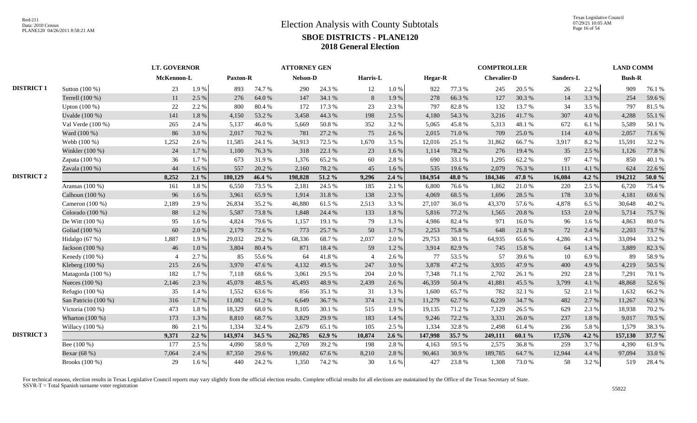|                   |                      | <b>LT. GOVERNOR</b> |         |                 |        | <b>ATTORNEY GEN</b> |        |                |           |                |        | <b>COMPTROLLER</b> |        |           |         | <b>LAND COMM</b> |           |
|-------------------|----------------------|---------------------|---------|-----------------|--------|---------------------|--------|----------------|-----------|----------------|--------|--------------------|--------|-----------|---------|------------------|-----------|
|                   |                      | McKennon-L          |         | <b>Paxton-R</b> |        | Nelson-D            |        | Harris-L       |           | <b>Hegar-R</b> |        | <b>Chevalier-D</b> |        | Sanders-L |         | <b>Bush-R</b>    |           |
| <b>DISTRICT 1</b> | Sutton (100 %)       | 23                  | 1.9%    | 893             | 74.7%  | 290                 | 24.3 % | 12             | $1.0\ \%$ | 922            | 77.3 % | 245                | 20.5 % | 26        | 2.2 %   | 909              | 76.1 %    |
|                   | Terrell (100 %)      | 11                  | 2.5 %   | 276             | 64.0%  | 147                 | 34.1 % | 8              | 1.9%      | 278            | 66.3%  | 127                | 30.3%  | 14        | 3.3 %   | 254              | 59.6%     |
|                   | Upton $(100\%)$      | 22                  | 2.2 %   | 800             | 80.4%  | 172                 | 17.3 % | 23             | 2.3%      | 797            | 82.8%  | 132                | 13.7%  | 34        | 3.5 %   | 797              | 81.5%     |
|                   | Uvalde (100 %)       | 141                 | 1.8%    | 4,150           | 53.2 % | 3,458               | 44.3 % | 198            | 2.5 %     | 4,180          | 54.3 % | 3,216              | 41.7%  | 307       | 4.0 %   | 4,288            | 55.1 %    |
|                   | Val Verde (100 %)    | 265                 | 2.4 %   | 5,137           | 46.0%  | 5.669               | 50.8%  | 352            | 3.2%      | 5,065          | 45.8%  | 5,313              | 48.1 % | 672       | 6.1 %   | 5,589            | 50.1 %    |
|                   | Ward (100 %)         | 86                  | 3.0%    | 2,017           | 70.2 % | 781                 | 27.2 % | 75             | 2.6%      | 2,015          | 71.0%  | 709                | 25.0%  | 114       | 4.0 %   | 2,057            | 71.6%     |
|                   | Webb (100 %)         | 1,252               | 2.6%    | 11,585          | 24.1 % | 34,913              | 72.5 % | 1,670          | 3.5%      | 12,016         | 25.1 % | 31,862             | 66.7%  | 3,917     | 8.2%    | 15,591           | 32.2 %    |
|                   | Winkler (100 %)      | 24                  | 1.7%    | 1,100           | 76.3%  | 318                 | 22.1 % | 23             | 1.6%      | 1,114          | 78.2%  | 276                | 19.4 % | 35        | 2.5 %   | 1,126            | 77.8%     |
|                   | Zapata (100 %)       | 36                  | 1.7%    | 673             | 31.9%  | 1,376               | 65.2%  | 60             | 2.8%      | 690            | 33.1 % | 1,295              | 62.2%  | 97        | 4.7%    | 850              | 40.1%     |
|                   | Zavala (100 %)       | 44                  | 1.6%    | 557             | 20.2 % | 2,160               | 78.2%  | 45             | 1.6 %     | 535            | 19.6 % | 2,079              | 76.3%  | 111       | 4.1 %   | 624              | 22.6 %    |
| <b>DISTRICT 2</b> |                      | 8,252               | 2.1%    | 180,129         | 46.4 % | 198,828             | 51.2%  | 9,296          | 2.4%      | 184,954        | 48.0%  | 184,346            | 47.8 % | 16,084    | 4.2 $%$ | 194,212          | $50.0 \%$ |
|                   | Aransas $(100\%)$    | 161                 | 1.8%    | 6,550           | 73.5 % | 2,181               | 24.5 % | 185            | 2.1%      | 6,800          | 76.6%  | 1,862              | 21.0%  | 220       | 2.5 %   | 6,720            | 75.4 %    |
|                   | Calhoun (100 %)      | 96                  | 1.6%    | 3,961           | 65.9%  | 1,914               | 31.8%  | 138            | 2.3 %     | 4,069          | 68.5%  | 1,696              | 28.5 % | 178       | 3.0%    | 4,181            | 69.6%     |
|                   | Cameron (100 %)      | 2,189               | 2.9%    | 26,834          | 35.2%  | 46,880              | 61.5%  | 2,513          | 3.3%      | 27,107         | 36.0%  | 43,370             | 57.6%  | 4,878     | 6.5 %   | 30,648           | 40.2%     |
|                   | Colorado (100 %)     | 88                  | 1.2%    | 5,587           | 73.8%  | 1,848               | 24.4 % | 133            | 1.8%      | 5,816          | 77.2 % | 1,565              | 20.8%  | 153       | 2.0%    | 5,714            | 75.7%     |
|                   | De Witt (100 %)      | 95                  | 1.6%    | 4,824           | 79.6%  | 1,157               | 19.1 % | 79             | 1.3%      | 4,986          | 82.4 % | 971                | 16.0%  | 96        | 1.6%    | 4,863            | 80.0%     |
|                   | Goliad (100 %)       | 60                  | 2.0 %   | 2,179           | 72.6%  | 773                 | 25.7 % | 50             | 1.7%      | 2,253          | 75.8%  | 648                | 21.8%  | 72        | 2.4 %   | 2,203            | 73.7 %    |
|                   | Hidalgo (67 %)       | 1,887               | 1.9%    | 29,032          | 29.2 % | 68,336              | 68.7%  | 2,037          | 2.0%      | 29,753         | 30.1%  | 64,935             | 65.6%  | 4,286     | 4.3 %   | 33,094           | 33.2 %    |
|                   | Jackson (100 %)      | 46                  | 1.0%    | 3,804           | 80.4%  | 871                 | 18.4 % | 59             | 1.2%      | 3,914          | 82.9%  | 745                | 15.8%  | 64        | $1.4\%$ | 3,889            | 82.3 %    |
|                   | Kenedy (100 %)       |                     | 2.7%    | 85              | 55.6%  | 64                  | 41.8%  | $\overline{4}$ | 2.6%      | 77             | 53.5%  | 57                 | 39.6%  | 10        | 6.9%    | 89               | 58.9%     |
|                   | Kleberg (100 %)      | 215                 | 2.6%    | 3,970           | 47.6%  | 4,132               | 49.5 % | 247            | 3.0%      | 3,878          | 47.2%  | 3,935              | 47.9%  | 400       | 4.9%    | 4,219            | 50.5 %    |
|                   | Matagorda (100 %)    | 182                 | 1.7%    | 7,118           | 68.6%  | 3,061               | 29.5 % | 204            | 2.0%      | 7,348          | 71.1 % | 2,702              | 26.1 % | 292       | 2.8%    | 7,291            | 70.1%     |
|                   | Nueces (100 %)       | 2,146               | 2.3 %   | 45,078          | 48.5 % | 45,493              | 48.9%  | 2,439          | 2.6 %     | 46,359         | 50.4%  | 41,881             | 45.5 % | 3,799     | 4.1 %   | 48,868           | 52.6%     |
|                   | Refugio $(100\%)$    | 35                  | 1.4 %   | 1,552           | 63.6%  | 856                 | 35.1 % | 31             | 1.3%      | 1,600          | 65.7%  | 782                | 32.1 % | 52        | 2.1 %   | 1,632            | 66.2%     |
|                   | San Patricio (100 %) | 316                 | 1.7%    | 11,082          | 61.2%  | 6,649               | 36.7%  | 374            | 2.1%      | 11,279         | 62.7%  | 6,239              | 34.7%  | 482       | 2.7%    | 11,267           | 62.3%     |
|                   | Victoria $(100\%)$   | 473                 | 1.8%    | 18,329          | 68.0%  | 8,105               | 30.1 % | 515            | 1.9%      | 19,135         | 71.2%  | 7,129              | 26.5 % | 629       | 2.3 %   | 18,938           | 70.2 %    |
|                   | Wharton (100 %)      | 173                 | 1.3%    | 8,810           | 68.7%  | 3,829               | 29.9%  | 183            | 1.4 %     | 9,246          | 72.2 % | 3,331              | 26.0%  | 237       | 1.8 %   | 9,017            | 70.5 %    |
|                   | Willacy (100 %)      | 86                  | 2.1%    | 1,334           | 32.4 % | 2,679               | 65.1 % | 105            | 2.5 %     | 1,334          | 32.8%  | 2,498              | 61.4%  | 236       | 5.8%    | 1,579            | 38.3%     |
| <b>DISTRICT 3</b> |                      | 9.371               | $2.2\%$ | 143,974         | 34.5 % | 262,785             | 62.9%  | 10,874         | $2.6\%$   | 147,998        | 35.7 % | 249,111            | 60.1%  | 17,576    | 4.2 %   | 157,130          | 37.7 %    |
|                   | Bee (100 %)          | 177                 | 2.5 %   | 4,090           | 58.0%  | 2,769               | 39.2%  | 198            | 2.8%      | 4,163          | 59.5 % | 2,575              | 36.8%  | 259       | 3.7%    | 4,390            | 61.9%     |
|                   | Bexar (68 %)         | 7,064               | 2.4 %   | 87,350          | 29.6%  | 199,682             | 67.6%  | 8,210          | 2.8%      | 90,461         | 30.9%  | 189,785            | 64.7%  | 12,944    | 4.4 %   | 97,094           | 33.0%     |
|                   | Brooks (100 %)       | 29                  | 1.6%    | 440             | 24.2 % | 1,350               | 74.2 % | 30             | 1.6 %     | 427            | 23.8%  | 1,308              | 73.0%  | 58        | 3.2 %   | 519              | 28.4%     |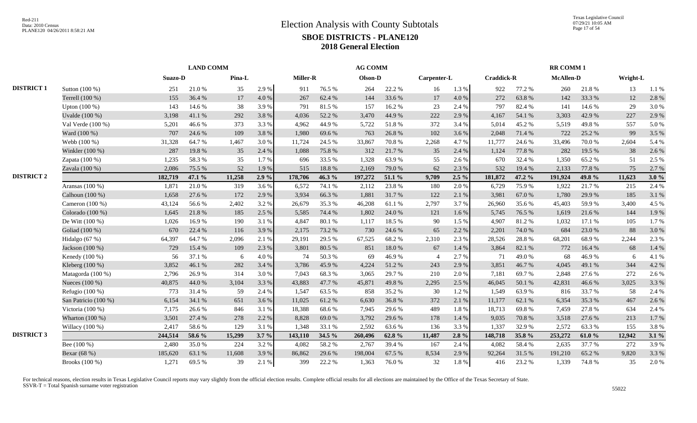|                   |                      | <b>LAND COMM</b> |        |        |         |                 |        | <b>AG COMM</b> |            |                |           |                   |        | <b>RR COMM1</b>  |        |          |       |
|-------------------|----------------------|------------------|--------|--------|---------|-----------------|--------|----------------|------------|----------------|-----------|-------------------|--------|------------------|--------|----------|-------|
|                   |                      | Suazo-D          |        | Pina-L |         | <b>Miller-R</b> |        | Olson-D        |            | Carpenter-L    |           | <b>Craddick-R</b> |        | <b>McAllen-D</b> |        | Wright-L |       |
| <b>DISTRICT 1</b> | Sutton (100 %)       | 251              | 21.0%  | 35     | 2.9%    | 911             | 76.5%  | 264            | 22.2 %     | 16             | 1.3 %     | 922               | 77.2 % | 260              | 21.8%  | 13       | 1.1 % |
|                   | Terrell (100 %)      | 155              | 36.4%  | 17     | 4.0%    | 267             | 62.4%  | 144            | 33.6%      | 17             | $4.0\ \%$ | 272               | 63.8%  | 142              | 33.3 % | 12       | 2.8%  |
|                   | Upton (100 %)        | 143              | 14.6 % | 38     | 3.9%    | 791             | 81.5%  | 157            | 16.2%      | 23             | 2.4 %     | 797               | 82.4 % | 141              | 14.6 % | 29       | 3.0%  |
|                   | Uvalde (100 %)       | 3,198            | 41.1%  | 292    | 3.8%    | 4,036           | 52.2%  | 3,470          | 44.9%      | 222            | 2.9%      | 4,167             | 54.1 % | 3,303            | 42.9%  | 227      | 2.9%  |
|                   | Val Verde (100 %)    | 5,201            | 46.6%  | 373    | 3.3 %   | 4,962           | 44.9%  | 5,722          | 51.8%      | 372            | 3.4 %     | 5,014             | 45.2 % | 5,519            | 49.8%  | 557      | 5.0%  |
|                   | Ward (100 %)         | 707              | 24.6 % | 109    | 3.8%    | 1,980           | 69.6%  | 763            | 26.8%      | 102            | 3.6%      | 2,048             | 71.4%  | 722              | 25.2 % | 99       | 3.5 % |
|                   | Webb (100 %)         | 31,328           | 64.7%  | 1,467  | 3.0 %   | 11.724          | 24.5 % | 33,867         | 70.8%      | 2,268          | 4.7%      | 11,777            | 24.6 % | 33,496           | 70.0%  | 2,604    | 5.4 % |
|                   | Winkler (100 %)      | 287              | 19.8%  | 35     | 2.4 %   | 1,088           | 75.8%  | 312            | 21.7%      | 35             | 2.4 %     | 1,124             | 77.8%  | 282              | 19.5 % | 38       | 2.6%  |
|                   | Zapata (100 %)       | 1,235            | 58.3%  | 35     | 1.7%    | 696             | 33.5 % | 1,328          | 63.9%      | 55             | 2.6 %     | 670               | 32.4 % | 1,350            | 65.2%  | 51       | 2.5 % |
|                   | Zavala (100 %)       | 2,086            | 75.5 % | 52     | 1.9%    | 515             | 18.8%  | 2,169          | 79.0%      | 62             | 2.3%      | 532               | 19.4 % | 2,133            | 77.8 % | 75       | 2.7 % |
| <b>DISTRICT 2</b> |                      | 182,719          | 47.1 % | 11,258 | 2.9%    | 178,706         | 46.3%  | 197,272        | 51.1 %     | 9,709          | $2.5\%$   | 181,872           | 47.2 % | 191,924          | 49.8 % | 11,623   | 3.0%  |
|                   | Aransas (100 %)      | 1,871            | 21.0%  | 319    | 3.6%    | 6,572           | 74.1 % | 2,112          | 23.8%      | 180            | 2.0%      | 6,729             | 75.9%  | 1,922            | 21.7%  | 215      | 2.4 % |
|                   | Calhoun (100 %)      | 1,658            | 27.6 % | 172    | 2.9%    | 3,934           | 66.3%  | 1,881          | 31.7%      | 122            | 2.1 %     | 3,981             | 67.0%  | 1,780            | 29.9%  | 185      | 3.1%  |
|                   | Cameron (100 %)      | 43,124           | 56.6%  | 2,402  | 3.2 %   | 26,679          | 35.3%  | 46,208         | 61.1%      | 2,797          | 3.7%      | 26,960            | 35.6%  | 45,403           | 59.9%  | 3,400    | 4.5 % |
|                   | Colorado (100 %)     | 1,645            | 21.8%  | 185    | 2.5 %   | 5,585           | 74.4 % | 1,802          | 24.0%      | 121            | 1.6 %     | 5,745             | 76.5 % | 1,619            | 21.6%  | 144      | 1.9%  |
|                   | De Witt $(100\%)$    | 1,026            | 16.9%  | 190    | 3.1 %   | 4,847           | 80.1%  | 1,117          | 18.5%      | 90             | 1.5 %     | 4,907             | 81.2%  | 1,032            | 17.1 % | 105      | 1.7%  |
|                   | Goliad (100 %)       | 670              | 22.4 % | 116    | 3.9%    | 2,175           | 73.2 % | 730            | 24.6 %     | 65             | 2.2 %     | 2,201             | 74.0 % | 684              | 23.0%  | 88       | 3.0%  |
|                   | Hidalgo (67 %)       | 64,397           | 64.7%  | 2,096  | 2.1 %   | 29,191          | 29.5 % | 67,525         | 68.2%      | 2,310          | 2.3 %     | 28,526            | 28.8%  | 68,201           | 68.9%  | 2,244    | 2.3 % |
|                   | Jackson (100 %)      | 729              | 15.4 % | 109    | 2.3 %   | 3,801           | 80.5 % | 851            | $18.0\ \%$ | 67             | 1.4%      | 3,864             | 82.1 % | 772              | 16.4 % | 68       | 1.4 % |
|                   | Kenedy (100 %)       | 56               | 37.1 % | 6      | 4.0%    | 74              | 50.3%  | 69             | 46.9%      | $\overline{4}$ | 2.7%      | 71                | 49.0 % | 68               | 46.9%  | 6        | 4.1%  |
|                   | Kleberg (100 %)      | 3,852            | 46.1 % | 282    | 3.4 %   | 3,786           | 45.9%  | 4,224          | 51.2%      | 243            | 2.9%      | 3,851             | 46.7%  | 4,045            | 49.1 % | 344      | 4.2%  |
|                   | Matagorda (100 %)    | 2,796            | 26.9%  | 314    | 3.0%    | 7,043           | 68.3%  | 3,065          | 29.7 %     | 210            | 2.0%      | 7,181             | 69.7%  | 2,848            | 27.6 % | 272      | 2.6%  |
|                   | Nueces (100 %)       | 40,875           | 44.0%  | 3,104  | 3.3%    | 43,883          | 47.7%  | 45,871         | 49.8%      | 2,295          | 2.5 %     | 46,045            | 50.1 % | 42,831           | 46.6%  | 3,025    | 3.3 % |
|                   | Refugio (100 %)      | 773              | 31.4%  | 59     | 2.4 %   | 1,547           | 63.5%  | 858            | 35.2%      | 30             | 1.2%      | 1,549             | 63.9%  | 816              | 33.7%  | 58       | 2.4 % |
|                   | San Patricio (100 %) | 6,154            | 34.1 % | 651    | 3.6%    | 11,025          | 61.2%  | 6,630          | 36.8%      | 372            | 2.1%      | 11,177            | 62.1 % | 6,354            | 35.3 % | 467      | 2.6%  |
|                   | Victoria (100 %)     | 7,175            | 26.6%  | 846    | 3.1 %   | 18,388          | 68.6%  | 7,945          | 29.6%      | 489            | 1.8%      | 18,713            | 69.8%  | 7,459            | 27.8%  | 634      | 2.4 % |
|                   | Wharton (100 %)      | 3,501            | 27.4 % | 278    | 2.2 %   | 8,828           | 69.0%  | 3,792          | 29.6 %     | 178            | 1.4 %     | 9,035             | 70.8%  | 3,518            | 27.6 % | 213      | 1.7%  |
|                   | Willacy $(100\%)$    | 2,417            | 58.6%  | 129    | 3.1%    | 1,348           | 33.1 % | 2,592          | 63.6%      | 136            | 3.3%      | 1,337             | 32.9%  | 2,572            | 63.3%  | 155      | 3.8%  |
| <b>DISTRICT 3</b> |                      | 244,514          | 58.6 % | 15,299 | $3.7\%$ | 143,110         | 34.5 % | 260,496        | 62.8%      | 11,487         | $2.8\%$   | 148,718           | 35.8%  | 253,272          | 61.0%  | 12,942   | 3.1%  |
|                   | Bee (100 %)          | 2,480            | 35.0%  | 224    | 3.2%    | 4,082           | 58.2%  | 2,767          | 39.4 %     | 167            | 2.4 %     | 4,082             | 58.4%  | 2,635            | 37.7 % | 272      | 3.9%  |
|                   | Bexar (68 %)         | 185,620          | 63.1%  | 11,608 | 3.9%    | 86,862          | 29.6%  | 198,004        | 67.5 %     | 8,534          | 2.9%      | 92,264            | 31.5 % | 191,210          | 65.2%  | 9,820    | 3.3 % |
|                   | Brooks (100 %)       | 1,271            | 69.5%  | 39     | 2.1 %   | 399             | 22.2 % | 1,363          | 76.0%      | 32             | $1.8\ \%$ | 416               | 23.2 % | 1,339            | 74.8%  | 35       | 2.0%  |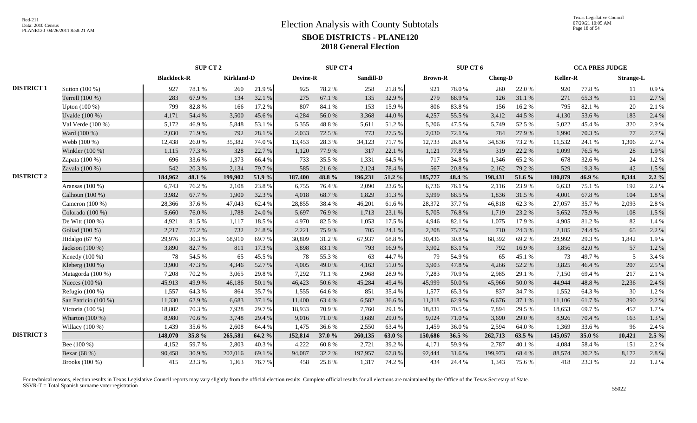|                   |                      | <b>SUP CT 2</b>    |        |                   |        | <b>SUP CT 4</b> |        |           |        | SUP CT 6       |        |                |        | <b>CCA PRES JUDGE</b> |        |                  |         |
|-------------------|----------------------|--------------------|--------|-------------------|--------|-----------------|--------|-----------|--------|----------------|--------|----------------|--------|-----------------------|--------|------------------|---------|
|                   |                      | <b>Blacklock-R</b> |        | <b>Kirkland-D</b> |        | <b>Devine-R</b> |        | Sandill-D |        | <b>Brown-R</b> |        | <b>Cheng-D</b> |        | <b>Keller-R</b>       |        | <b>Strange-L</b> |         |
| <b>DISTRICT 1</b> | Sutton (100 %)       | 927                | 78.1 % | 260               | 21.9%  | 925             | 78.2%  | 258       | 21.8%  | 921            | 78.0%  | 260            | 22.0 % | 920                   | 77.8%  | 11               | 0.9%    |
|                   | Terrell (100 %)      | 283                | 67.9%  | 134               | 32.1 % | 275             | 67.1 % | 135       | 32.9%  | 279            | 68.9%  | 126            | 31.1%  | 271                   | 65.3%  | 11               | 2.7 %   |
|                   | Upton $(100\%)$      | 799                | 82.8%  | 166               | 17.2 % | 807             | 84.1 % | 153       | 15.9%  | 806            | 83.8%  | 156            | 16.2 % | 795                   | 82.1 % | 20               | 2.1 %   |
|                   | Uvalde (100 %)       | 4,171              | 54.4 % | 3,500             | 45.6%  | 4,284           | 56.0%  | 3,368     | 44.0%  | 4,257          | 55.5 % | 3,412          | 44.5 % | 4,130                 | 53.6%  | 183              | 2.4 %   |
|                   | Val Verde (100 %)    | 5,172              | 46.9%  | 5,848             | 53.1 % | 5,355           | 48.8%  | 5,611     | 51.2%  | 5,206          | 47.5 % | 5,749          | 52.5 % | 5,022                 | 45.4 % | 320              | 2.9%    |
|                   | Ward (100 %)         | 2,030              | 71.9%  | 792               | 28.1 % | 2,033           | 72.5 % | 773       | 27.5 % | 2,030          | 72.1 % | 784            | 27.9%  | 1,990                 | 70.3%  | 77               | 2.7 %   |
|                   | Webb (100 %)         | 12,438             | 26.0%  | 35,382            | 74.0%  | 13,453          | 28.3%  | 34,123    | 71.7%  | 12,733         | 26.8%  | 34,836         | 73.2 % | 11,532                | 24.1 % | 1,306            | 2.7 %   |
|                   | Winkler (100 %)      | 1,115              | 77.3 % | 328               | 22.7 % | 1,120           | 77.9%  | 317       | 22.1 % | 1,121          | 77.8%  | 319            | 22.2 % | 1,099                 | 76.5 % | 28               | 1.9%    |
|                   | Zapata (100 %)       | 696                | 33.6 % | 1,373             | 66.4%  | 733             | 35.5 % | 1,331     | 64.5 % | 717            | 34.8%  | 1,346          | 65.2%  | 678                   | 32.6 % | 24               | 1.2%    |
|                   | Zavala (100 %)       | 542                | 20.3 % | 2,134             | 79.7%  | 585             | 21.6 % | 2,124     | 78.4 % | 567            | 20.8%  | 2,162          | 79.2 % | 529                   | 19.3%  | 42               | 1.5 %   |
| <b>DISTRICT 2</b> |                      | 184,962            | 48.1 % | 199,902           | 51.9 % | 187,400         | 48.8%  | 196,231   | 51.2 % | 185,777        | 48.4 % | 198,431        | 51.6 % | 180,879               | 46.9%  | 8,344            | $2.2\%$ |
|                   | Aransas (100 %)      | 6,743              | 76.2%  | 2,108             | 23.8%  | 6,755           | 76.4%  | 2,090     | 23.6 % | 6,736          | 76.1 % | 2,116          | 23.9%  | 6,633                 | 75.1 % | 192              | 2.2 %   |
|                   | Calhoun (100 %)      | 3,982              | 67.7%  | 1,900             | 32.3 % | 4,018           | 68.7%  | 1,829     | 31.3%  | 3,999          | 68.5%  | 1,836          | 31.5 % | 4,001                 | 67.8%  | 104              | 1.8%    |
|                   | Cameron $(100\%)$    | 28,366             | 37.6 % | 47,043            | 62.4%  | 28,855          | 38.4%  | 46,201    | 61.6%  | 28,372         | 37.7 % | 46,818         | 62.3%  | 27,057                | 35.7%  | 2,093            | 2.8%    |
|                   | Colorado (100 %)     | 5,660              | 76.0%  | 1,788             | 24.0%  | 5,697           | 76.9%  | 1,713     | 23.1 % | 5,705          | 76.8%  | 1,719          | 23.2 % | 5,652                 | 75.9%  | 108              | 1.5 %   |
|                   | De Witt $(100\%)$    | 4,921              | 81.5%  | 1,117             | 18.5 % | 4.970           | 82.5 % | 1,053     | 17.5 % | 4,946          | 82.1 % | 1,075          | 17.9 % | 4,905                 | 81.2%  | 82               | 1.4 %   |
|                   | Goliad (100 %)       | 2,217              | 75.2 % | 732               | 24.8%  | 2.221           | 75.9%  | 705       | 24.1 % | 2,208          | 75.7%  | 710            | 24.3 % | 2.185                 | 74.4 % | 65               | 2.2 %   |
|                   | Hidalgo (67 %)       | 29,976             | 30.3%  | 68,910            | 69.7%  | 30,809          | 31.2%  | 67,937    | 68.8%  | 30,436         | 30.8%  | 68,392         | 69.2%  | 28,992                | 29.3 % | 1,842            | 1.9%    |
|                   | Jackson (100 %)      | 3,890              | 82.7%  | 811               | 17.3 % | 3,898           | 83.1 % | 793       | 16.9%  | 3,902          | 83.1 % | 792            | 16.9%  | 3,856                 | 82.0%  | 57               | 1.2%    |
|                   | Kenedy (100 %)       | 78                 | 54.5 % | 65                | 45.5 % | 78              | 55.3%  | 63        | 44.7%  | 79             | 54.9%  | 65             | 45.1 % | 73                    | 49.7%  | 5                | 3.4 %   |
|                   | Kleberg $(100\%)$    | 3,900              | 47.3 % | 4,346             | 52.7%  | 4,005           | 49.0%  | 4,163     | 51.0%  | 3,903          | 47.8%  | 4,266          | 52.2 % | 3,825                 | 46.4%  | 207              | 2.5 %   |
|                   | Matagorda $(100\%)$  | 7,208              | 70.2%  | 3,065             | 29.8%  | 7,292           | 71.1 % | 2,968     | 28.9%  | 7,283          | 70.9%  | 2,985          | 29.1 % | 7,150                 | 69.4%  | 217              | 2.1 %   |
|                   | Nueces (100 %)       | 45,913             | 49.9%  | 46,186            | 50.1 % | 46,423          | 50.6%  | 45,284    | 49.4%  | 45,999         | 50.0%  | 45,966         | 50.0%  | 44.944                | 48.8%  | 2,236            | 2.4 %   |
|                   | Refugio $(100\%)$    | 1,557              | 64.3%  | 864               | 35.7%  | 1,555           | 64.6%  | 851       | 35.4 % | 1,577          | 65.3%  | 837            | 34.7 % | 1,552                 | 64.3 % | 30               | 1.2%    |
|                   | San Patricio (100 %) | 11,330             | 62.9%  | 6,683             | 37.1 % | 11,400          | 63.4%  | 6,582     | 36.6%  | 11,318         | 62.9%  | 6,676          | 37.1 % | 11,106                | 61.7%  | 390              | 2.2 %   |
|                   | Victoria (100 %)     | 18,802             | 70.3%  | 7,928             | 29.7%  | 18,933          | 70.9%  | 7,760     | 29.1 % | 18,831         | 70.5 % | 7,894          | 29.5 % | 18,653                | 69.7%  | 457              | 1.7%    |
|                   | Wharton (100 %)      | 8,980              | 70.6%  | 3,748             | 29.4 % | 9,016           | 71.0%  | 3,689     | 29.0%  | 9,024          | 71.0%  | 3,690          | 29.0%  | 8,926                 | 70.4%  | 163              | 1.3 %   |
|                   | Willacy $(100\%)$    | 1,439              | 35.6%  | 2,608             | 64.4 % | 1,475           | 36.6%  | 2,550     | 63.4 % | 1,459          | 36.0%  | 2,594          | 64.0%  | 1.369                 | 33.6%  | 96               | 2.4 %   |
| <b>DISTRICT 3</b> |                      | 148,070            | 35.8%  | 265,581           | 64.2 % | 152,814         | 37.0 % | 260,135   | 63.0%  | 150,686        | 36.5 % | 262,713        | 63.5 % | 145,057               | 35.0 % | 10,421           | $2.5\%$ |
|                   | Bee $(100\%)$        | 4,152              | 59.7%  | 2,803             | 40.3%  | 4.222           | 60.8%  | 2,721     | 39.2 % | 4,171          | 59.9%  | 2,787          | 40.1 % | 4.084                 | 58.4%  | 151              | 2.2 %   |
|                   | Bexar (68 %)         | 90,458             | 30.9%  | 202,016           | 69.1 % | 94,087          | 32.2 % | 197,957   | 67.8%  | 92,444         | 31.6%  | 199,973        | 68.4%  | 88,574                | 30.2%  | 8,172            | 2.8%    |
|                   | Brooks (100 %)       | 415                | 23.3 % | 1,363             | 76.7%  | 458             | 25.8%  | 1,317     | 74.2 % | 434            | 24.4 % | 1,343          | 75.6%  | 418                   | 23.3 % | 22               | 1.2%    |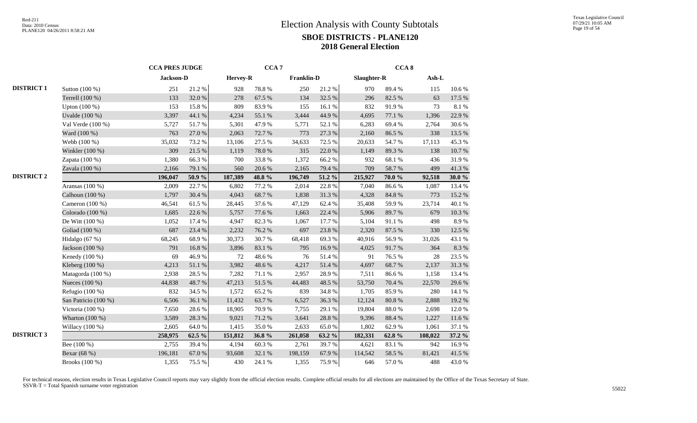|                   |                      | <b>CCA PRES JUDGE</b> |        | CCA <sub>7</sub> |        |                   |        | CCA <sub>8</sub> |            |         |        |
|-------------------|----------------------|-----------------------|--------|------------------|--------|-------------------|--------|------------------|------------|---------|--------|
|                   |                      | Jackson-D             |        | Hervey-R         |        | <b>Franklin-D</b> |        | Slaughter-R      |            | Ash-L   |        |
| <b>DISTRICT 1</b> | Sutton (100 %)       | 251                   | 21.2%  | 928              | 78.8%  | 250               | 21.2%  | 970              | 89.4%      | 115     | 10.6%  |
|                   | Terrell (100 %)      | 133                   | 32.0%  | 278              | 67.5 % | 134               | 32.5 % | 296              | 82.5 %     | 63      | 17.5 % |
|                   | Upton $(100\%)$      | 153                   | 15.8%  | 809              | 83.9%  | 155               | 16.1 % | 832              | 91.9%      | 73      | 8.1%   |
|                   | Uvalde $(100\%)$     | 3,397                 | 44.1 % | 4,234            | 55.1 % | 3,444             | 44.9%  | 4,695            | 77.1 %     | 1,396   | 22.9 % |
|                   | Val Verde (100 %)    | 5,727                 | 51.7%  | 5,301            | 47.9%  | 5,771             | 52.1 % | 6,283            | 69.4%      | 2,764   | 30.6%  |
|                   | Ward (100 %)         | 763                   | 27.0 % | 2,063            | 72.7%  | 773               | 27.3 % | 2,160            | 86.5%      | 338     | 13.5 % |
|                   | Webb (100 %)         | 35,032                | 73.2 % | 13,106           | 27.5 % | 34,633            | 72.5 % | 20,633           | 54.7%      | 17,113  | 45.3%  |
|                   | Winkler (100 %)      | 309                   | 21.5 % | 1,119            | 78.0 % | 315               | 22.0%  | 1,149            | 89.3%      | 138     | 10.7%  |
|                   | Zapata $(100\%)$     | 1,380                 | 66.3%  | 700              | 33.8%  | 1,372             | 66.2%  | 932              | 68.1%      | 436     | 31.9%  |
|                   | Zavala (100 %)       | 2,166                 | 79.1 % | 560              | 20.6%  | 2,165             | 79.4 % | 709              | 58.7%      | 499     | 41.3%  |
| <b>DISTRICT 2</b> |                      | 196,047               | 50.9%  | 187,389          | 48.8%  | 196,749           | 51.2 % | 215,927          | 70.0%      | 92,518  | 30.0 % |
|                   | Aransas (100 %)      | 2,009                 | 22.7 % | 6,802            | 77.2 % | 2,014             | 22.8%  | 7,040            | 86.6%      | 1,087   | 13.4 % |
|                   | Calhoun (100 %)      | 1,797                 | 30.4 % | 4,043            | 68.7%  | 1,838             | 31.3%  | 4,328            | $84.8\ \%$ | 773     | 15.2 % |
|                   | Cameron (100 %)      | 46,541                | 61.5%  | 28,445           | 37.6%  | 47,129            | 62.4 % | 35,408           | 59.9%      | 23,714  | 40.1%  |
|                   | Colorado (100 %)     | 1,685                 | 22.6 % | 5,757            | 77.6 % | 1,663             | 22.4 % | 5,906            | 89.7%      | 679     | 10.3 % |
|                   | De Witt $(100\%)$    | 1,052                 | 17.4 % | 4,947            | 82.3%  | 1,067             | 17.7 % | 5,104            | 91.1%      | 498     | 8.9%   |
|                   | Goliad (100 %)       | 687                   | 23.4 % | 2,232            | 76.2%  | 697               | 23.8%  | 2,320            | 87.5 %     | 330     | 12.5 % |
|                   | Hidalgo (67 %)       | 68,245                | 68.9%  | 30,373           | 30.7%  | 68,418            | 69.3%  | 40,916           | 56.9%      | 31,026  | 43.1 % |
|                   | Jackson (100 %)      | 791                   | 16.8%  | 3,896            | 83.1 % | 795               | 16.9%  | 4,025            | 91.7%      | 364     | 8.3%   |
|                   | Kenedy (100 %)       | 69                    | 46.9%  | 72               | 48.6%  | 76                | 51.4%  | 91               | 76.5 %     | 28      | 23.5 % |
|                   | Kleberg (100 %)      | 4,213                 | 51.1 % | 3,982            | 48.6%  | 4,217             | 51.4%  | 4,697            | 68.7%      | 2,137   | 31.3%  |
|                   | Matagorda (100 %)    | 2,938                 | 28.5%  | 7,282            | 71.1 % | 2,957             | 28.9%  | 7,511            | 86.6%      | 1,158   | 13.4 % |
|                   | Nueces (100 %)       | 44,838                | 48.7%  | 47,213           | 51.5%  | 44,483            | 48.5 % | 53,750           | 70.4 %     | 22,570  | 29.6%  |
|                   | Refugio (100 %)      | 832                   | 34.5 % | 1,572            | 65.2%  | 839               | 34.8 % | 1,705            | 85.9%      | 280     | 14.1 % |
|                   | San Patricio (100 %) | 6,506                 | 36.1 % | 11,432           | 63.7%  | 6,527             | 36.3 % | 12,124           | 80.8 %     | 2,888   | 19.2 % |
|                   | Victoria (100 %)     | 7,650                 | 28.6%  | 18,905           | 70.9%  | 7,755             | 29.1 % | 19,804           | 88.0%      | 2,698   | 12.0%  |
|                   | Wharton $(100\%)$    | 3,589                 | 28.3 % | 9,021            | 71.2%  | 3,641             | 28.8 % | 9,396            | 88.4%      | 1,227   | 11.6 % |
|                   | Willacy $(100\%)$    | 2,605                 | 64.0%  | 1,415            | 35.0%  | 2,633             | 65.0%  | 1,802            | 62.9%      | 1,061   | 37.1 % |
| <b>DISTRICT 3</b> |                      | 258,975               | 62.5 % | 151,812          | 36.8%  | 261,058           | 63.2 % | 182,331          | 62.8%      | 108,022 | 37.2 % |
|                   | Bee (100 %)          | 2,755                 | 39.4 % | 4,194            | 60.3%  | 2,761             | 39.7%  | 4,621            | 83.1 %     | 942     | 16.9%  |
|                   | Bexar (68 %)         | 196,181               | 67.0%  | 93,608           | 32.1 % | 198,159           | 67.9%  | 114,542          | 58.5 %     | 81,421  | 41.5%  |
|                   | Brooks (100 %)       | 1,355                 | 75.5 % | 430              | 24.1 % | 1,355             | 75.9%  | 646              | 57.0 %     | 488     | 43.0%  |
|                   |                      |                       |        |                  |        |                   |        |                  |            |         |        |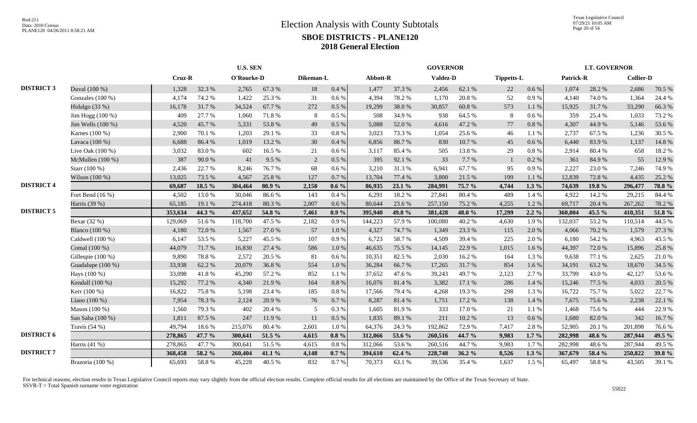Texas Legislative Council 07/29/21 10:05 AM Page 20 of 54

|                   |                    | <b>U.S. SEN</b> |        |            |        |           |          |          | <b>GOVERNOR</b> |                 |        |                   |           | <b>LT. GOVERNOR</b> |        |                  |        |
|-------------------|--------------------|-----------------|--------|------------|--------|-----------|----------|----------|-----------------|-----------------|--------|-------------------|-----------|---------------------|--------|------------------|--------|
|                   |                    | Cruz-R          |        | O'Rourke-D |        | Dikeman-L |          | Abbott-R |                 | <b>Valdez-D</b> |        | <b>Tippetts-L</b> |           | Patrick-R           |        | <b>Collier-D</b> |        |
| <b>DISTRICT 3</b> | Duval (100 %)      | 1,328           | 32.3 % | 2,765      | 67.3 % | 18        | 0.4 %    | 1,477    | 37.3 %          | 2,456           | 62.1 % | 22                | 0.6 %     | 1,074               | 28.2 % | 2,686            | 70.5 % |
|                   | Gonzales $(100\%)$ | 4,174           | 74.2 % | 1,422      | 25.3 % | 31        | 0.6 %    | 4,394    | 78.2 %          | 1,170           | 20.8%  | 52                | $0.9\ \%$ | 4,140               | 74.0%  | 1,364            | 24.4 % |
|                   | Hidalgo (33 %)     | 16,178          | 31.7%  | 34,524     | 67.7%  | 272       | 0.5 %    | 19,299   | 38.0%           | 30,857          | 60.8%  | 573               | 1.1%      | 15,925              | 31.7%  | 33,290           | 66.3%  |
|                   | Jim Hogg $(100\%)$ | 409             | 27.7 % | 1,060      | 71.8%  | 8         | 0.5%     | 508      | 34.9%           | 938             | 64.5 % | 8                 | 0.6 %     | 359                 | 25.4 % | 1,033            | 73.2 % |
|                   | Jim Wells (100 %)  | 4,520           | 45.7%  | 5,331      | 53.8%  | 49        | 0.5%     | 5,088    | 52.0%           | 4,616           | 47.2%  | $77\,$            | $0.8\ \%$ | 4,307               | 44.9%  | 5,146            | 53.6%  |
|                   | Karnes (100 %)     | 2,900           | 70.1%  | 1,203      | 29.1 % | 33        | 0.8 %    | 3,023    | 73.3 %          | 1,054           | 25.6%  | 46                | 1.1 %     | 2,737               | 67.5 % | 1,236            | 30.5 % |
|                   | Lavaca (100 %)     | 6,688           | 86.4%  | 1,019      | 13.2 % | 30        | 0.4%     | 6,856    | 88.7%           | 830             | 10.7%  | 45                | 0.6%      | 6,440               | 83.9%  | 1,137            | 14.8 % |
|                   | Live Oak (100 %)   | 3,032           | 83.0%  | 602        | 16.5 % | 21        | 0.6 %    | 3,117    | 85.4%           | 505             | 13.8%  | 29                | 0.8 %     | 2,914               | 80.4%  | 658              | 18.2%  |
|                   | McMullen (100 %)   | 387             | 90.0%  | 41         | 9.5%   | 2         | 0.5 %    | 395      | 92.1 %          | 33              | 7.7%   | $\overline{1}$    | 0.2 %     | 361                 | 84.9%  | 55               | 12.9 % |
|                   | Starr (100 %)      | 2,436           | 22.7 % | 8,246      | 76.7%  | 68        | 0.6 %    | 3,210    | 31.3%           | 6,941           | 67.7%  | 95                | 0.9%      | 2,227               | 23.0%  | 7,246            | 74.9%  |
|                   | Wilson (100 %)     | 13,025          | 73.5 % | 4,567      | 25.8%  | 127       | 0.7%     | 13,704   | 77.4 %          | 3,800           | 21.5 % | 199               | 1.1 %     | 12,839              | 72.8%  | 4,435            | 25.2 % |
| <b>DISTRICT 4</b> |                    | 69,687          | 18.5 % | 304,464    | 80.9%  | 2,150     | $0.6\%$  | 86,935   | 23.1 %          | 284,991         | 75.7 % | 4,744             | $1.3\%$   | 74,639              | 19.8%  | 296,477          | 78.8%  |
|                   | Fort Bend (16 %)   | 4,502           | 13.0%  | 30,046     | 86.6%  | 143       | 0.4%     | 6,291    | 18.2%           | 27,841          | 80.4%  | 489               | 1.4 %     | 4,922               | 14.2 % | 29,215           | 84.4 % |
|                   | Harris (39 %)      | 65,185          | 19.1 % | 274,418    | 80.3%  | 2,007     | 0.6%     | 80,644   | 23.6 %          | 257,150         | 75.2 % | 4,255             | 1.2%      | 69,717              | 20.4 % | 267,262          | 78.2%  |
| <b>DISTRICT 5</b> |                    | 353,634         | 44.3 % | 437,652    | 54.8 % | 7,461     | $0.9\%$  | 395,940  | 49.8 %          | 381,428         | 48.0%  | 17,299            | $2.2\%$   | 360,004             | 45.5 % | 410,351          | 51.8 % |
|                   | Bexar (32 %)       | 129,069         | 51.6%  | 118,700    | 47.5 % | 2,182     | 0.9 %    | 144,223  | 57.9%           | 100,080         | 40.2%  | 4,630             | 1.9%      | 132,037             | 53.2%  | 110,514          | 44.5 % |
|                   | Blanco (100 %)     | 4,180           | 72.0%  | 1,567      | 27.0 % | 57        | 1.0%     | 4,327    | 74.7%           | 1,349           | 23.3 % | 115               | 2.0%      | 4,066               | 70.2 % | 1,579            | 27.3 % |
|                   | Caldwell (100 %)   | 6,147           | 53.5%  | 5,227      | 45.5 % | 107       | 0.9%     | 6,723    | 58.7%           | 4,509           | 39.4%  | 225               | 2.0%      | 6,180               | 54.2 % | 4,963            | 43.5 % |
|                   | Comal (100 %)      | 44,079          | 71.7%  | 16,830     | 27.4 % | 586       | 1.0%     | 46,635   | 75.5 %          | 14,145          | 22.9 % | 1,015             | 1.6%      | 44,397              | 72.0%  | 15,896           | 25.8%  |
|                   | Gillespie (100 %)  | 9,890           | 78.8%  | 2,572      | 20.5 % | 81        | 0.6 %    | 10,351   | 82.5 %          | 2,030           | 16.2%  | 164               | 1.3%      | 9,638               | 77.1 % | 2,625            | 21.0%  |
|                   | Guadalupe (100 %)  | 33,938          | 62.2%  | 20,079     | 36.8%  | 554       | 1.0%     | 36,284   | 66.7%           | 17,265          | 31.7%  | 854               | 1.6%      | 34,191              | 63.2%  | 18,670           | 34.5 % |
|                   | Hays (100 %)       | 33,098          | 41.8%  | 45,290     | 57.2 % | 852       | 1.1%     | 37,652   | 47.6%           | 39,243          | 49.7%  | 2,123             | 2.7%      | 33,799              | 43.0%  | 42,127           | 53.6%  |
|                   | Kendall (100 %)    | 15,292          | 77.2 % | 4,340      | 21.9%  | 164       | 0.8%     | 16,076   | 81.4%           | 3,382           | 17.1 % | 286               | 1.4 %     | 15,246              | 77.5 % | 4,033            | 20.5 % |
|                   | Kerr (100 %)       | 16,822          | 75.8%  | 5,198      | 23.4 % | 185       | 0.8 %    | 17,566   | 79.4 %          | 4,268           | 19.3%  | 298               | 1.3%      | 16,722              | 75.7%  | 5,022            | 22.7 % |
|                   | Llano $(100\%)$    | 7,954           | 78.3%  | 2,124      | 20.9%  | 76        | 0.7%     | 8,287    | 81.4%           | 1,751           | 17.2 % | 138               | 1.4 %     | 7,675               | 75.6%  | 2,238            | 22.1 % |
|                   | Mason (100 %)      | 1,560           | 79.3 % | 402        | 20.4 % | 5         | 0.3%     | 1,605    | 81.9%           | 333             | 17.0%  | 21                | 1.1 %     | 1,468               | 75.6%  | 444              | 22.9%  |
|                   | San Saba (100 %)   | 1,811           | 87.5 % | 247        | 11.9%  | 11        | 0.5 %    | 1,835    | 89.1 %          | 211             | 10.2%  | 13                | 0.6 %     | 1,680               | 82.0%  | 342              | 16.7%  |
|                   | Travis $(54%)$     | 49,794          | 18.6%  | 215,076    | 80.4%  | 2,601     | 1.0%     | 64,376   | 24.3 %          | 192,862         | 72.9 % | 7,417             | 2.8%      | 52,905              | 20.1 % | 201,898          | 76.6%  |
| <b>DISTRICT 6</b> |                    | 278,865         | 47.7 % | 300,641    | 51.5 % | 4,615     | $0.8 \%$ | 312,066  | 53.6 %          | 260,516         | 44.7 % | 9,983             | $1.7\%$   | 282,998             | 48.6 % | 287,944          | 49.5 % |
|                   | Harris (41 %)      | 278,865         | 47.7%  | 300,641    | 51.5%  | 4,615     | 0.8 %    | 312,066  | 53.6%           | 260,516         | 44.7%  | 9,983             | 1.7%      | 282,998             | 48.6%  | 287,944          | 49.5 % |
| <b>DISTRICT 7</b> |                    | 368,458         | 58.2 % | 260,404    | 41.1 % | 4,148     | $0.7\%$  | 394,610  | 62.4 %          | 228,748         | 36.2%  | 8,526             | $1.3\%$   | 367,679             | 58.4 % | 250,822          | 39.8%  |
|                   | Brazoria (100 %)   | 65,693          | 58.8%  | 45,228     | 40.5 % | 832       | 0.7%     | 70,373   | 63.1 %          | 39,536          | 35.4 % | 1,637             | 1.5 %     | 65,497              | 58.8%  | 43,505           | 39.1 % |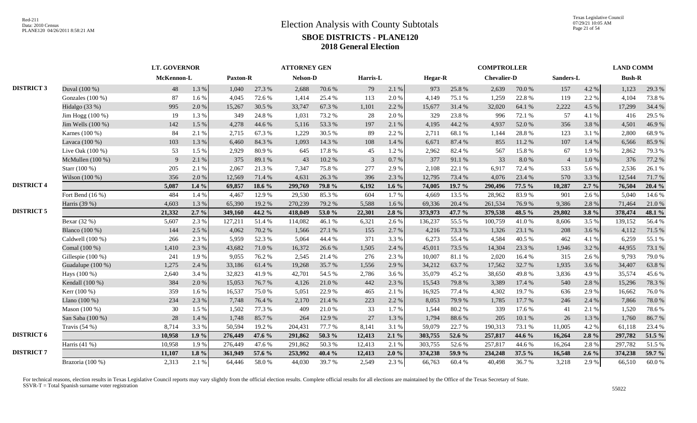|                   |                    | <b>LT. GOVERNOR</b> |          |                 |        | <b>ATTORNEY GEN</b> |        |          |          |         |        | <b>COMPTROLLER</b> |        |                |          | <b>LAND COMM</b> |        |
|-------------------|--------------------|---------------------|----------|-----------------|--------|---------------------|--------|----------|----------|---------|--------|--------------------|--------|----------------|----------|------------------|--------|
|                   |                    | McKennon-L          |          | <b>Paxton-R</b> |        | Nelson-D            |        | Harris-L |          | Hegar-R |        | <b>Chevalier-D</b> |        | Sanders-L      |          | <b>Bush-R</b>    |        |
| <b>DISTRICT 3</b> | Duval (100 %)      | 48                  | 1.3 %    | 1,040           | 27.3 % | 2,688               | 70.6%  | 79       | 2.1 %    | 973     | 25.8%  | 2,639              | 70.0%  | 157            | 4.2 %    | 1,123            | 29.3 % |
|                   | Gonzales $(100\%)$ | 87                  | 1.6%     | 4,045           | 72.6%  | 1,414               | 25.4 % | 113      | 2.0%     | 4,149   | 75.1 % | 1,259              | 22.8%  | 119            | 2.2 %    | 4,104            | 73.8%  |
|                   | Hidalgo (33 %)     | 995                 | 2.0%     | 15,267          | 30.5 % | 33,747              | 67.3%  | 1,101    | 2.2 %    | 15,677  | 31.4 % | 32,020             | 64.1%  | 2,222          | 4.5 %    | 17,299           | 34.4 % |
|                   | Jim Hogg (100 %)   | 19                  | 1.3%     | 349             | 24.8%  | 1.031               | 73.2 % | 28       | 2.0%     | 329     | 23.8%  | 996                | 72.1 % | 57             | 4.1 %    | 416              | 29.5 % |
|                   | Jim Wells (100 %)  | 142                 | 1.5 %    | 4,278           | 44.6 % | 5,116               | 53.3 % | 197      | 2.1 %    | 4,195   | 44.2 % | 4,937              | 52.0%  | 356            | 3.8%     | 4,501            | 46.9%  |
|                   | Karnes (100 %)     | 84                  | 2.1%     | 2,715           | 67.3%  | 1,229               | 30.5 % | 89       | 2.2 %    | 2,711   | 68.1%  | 1,144              | 28.8%  | 123            | 3.1 %    | 2,800            | 68.9%  |
|                   | Lavaca (100 %)     | 103                 | 1.3%     | 6,460           | 84.3%  | 1.093               | 14.3 % | 108      | 1.4 %    | 6,671   | 87.4%  | 855                | 11.2 % | 107            | 1.4 %    | 6,566            | 85.9%  |
|                   | Live Oak (100 %)   | 53                  | 1.5 %    | 2,929           | 80.9%  | 645                 | 17.8%  | 45       | 1.2%     | 2,962   | 82.4 % | 567                | 15.8%  | 67             | 1.9%     | 2,862            | 79.3 % |
|                   | McMullen (100 %)   | 9                   | 2.1 %    | 375             | 89.1%  | 43                  | 10.2 % | 3        | 0.7%     | 377     | 91.1 % | 33                 | 8.0%   | $\overline{4}$ | 1.0%     | 376              | 77.2 % |
|                   | Starr (100 %)      | 205                 | 2.1 %    | 2,067           | 21.3%  | 7.347               | 75.8%  | 277      | 2.9%     | 2,108   | 22.1 % | 6,917              | 72.4 % | 533            | 5.6%     | 2,536            | 26.1%  |
|                   | Wilson (100 %)     | 356                 | 2.0 %    | 12,569          | 71.4%  | 4,631               | 26.3%  | 396      | 2.3 %    | 12,795  | 73.4 % | 4,076              | 23.4 % | 570            | 3.3 %    | 12,544           | 71.7%  |
| <b>DISTRICT 4</b> |                    | 5,087               | $1.4\%$  | 69,857          | 18.6 % | 299,769             | 79.8%  | 6,192    | 1.6 $%$  | 74,005  | 19.7 % | 290,496            | 77.5 % | 10,287         | $2.7\%$  | 76,504           | 20.4%  |
|                   | Fort Bend $(16\%)$ | 484                 | 1.4 %    | 4,467           | 12.9%  | 29,530              | 85.3%  | 604      | 1.7%     | 4.669   | 13.5 % | 28,962             | 83.9%  | 901            | 2.6 %    | 5,040            | 14.6 % |
|                   | Harris (39 %)      | 4,603               | 1.3%     | 65,390          | 19.2%  | 270,239             | 79.2 % | 5,588    | 1.6 %    | 69,336  | 20.4 % | 261,534            | 76.9%  | 9,386          | 2.8 %    | 71,464           | 21.0%  |
| <b>DISTRICT 5</b> |                    | 21,332              | $2.7\%$  | 349,160         | 44.2 % | 418,049             | 53.0%  | 22,301   | $2.8\%$  | 373,973 | 47.7 % | 379,538            | 48.5 % | 29,802         | $3.8 \%$ | 378,474          | 48.1 % |
|                   | Bexar $(32%)$      | 5,607               | 2.3 %    | 127,211         | 51.4%  | 114,082             | 46.1 % | 6,321    | 2.6 %    | 136,237 | 55.5 % | 100,759            | 41.0%  | 8,606          | 3.5 %    | 139,152          | 56.4%  |
|                   | Blanco (100 %)     | 144                 | 2.5 %    | 4,062           | 70.2%  | 1,566               | 27.1 % | 155      | 2.7%     | 4,216   | 73.3 % | 1,326              | 23.1 % | 208            | 3.6%     | 4,112            | 71.5 % |
|                   | Caldwell (100 %)   | 266                 | 2.3 %    | 5,959           | 52.3%  | 5,064               | 44.4 % | 371      | 3.3 %    | 6,273   | 55.4%  | 4,584              | 40.5 % | 462            | 4.1 %    | 6,259            | 55.1 % |
|                   | Comal (100 %)      | 1,410               | 2.3 %    | 43,682          | 71.0%  | 16,372              | 26.6 % | 1,505    | 2.4 %    | 45,011  | 73.5 % | 14,304             | 23.3 % | 1,946          | 3.2 %    | 44,955           | 73.1 % |
|                   | Gillespie (100 %)  | 241                 | 1.9%     | 9,055           | 76.2%  | 2,545               | 21.4%  | 276      | 2.3 %    | 10,007  | 81.1 % | 2,020              | 16.4%  | 315            | 2.6 %    | 9,793            | 79.0%  |
|                   | Guadalupe (100 %)  | 1,275               | 2.4 %    | 33,186          | 61.4%  | 19,268              | 35.7%  | 1,556    | 2.9%     | 34,212  | 63.7%  | 17,562             | 32.7 % | 1,935          | 3.6 %    | 34,407           | 63.8%  |
|                   | Hays (100 %)       | 2,640               | 3.4 %    | 32,823          | 41.9%  | 42,701              | 54.5 % | 2,786    | 3.6 %    | 35,079  | 45.2%  | 38,650             | 49.8%  | 3,836          | 4.9%     | 35,574           | 45.6%  |
|                   | Kendall (100 %)    | 384                 | 2.0%     | 15,053          | 76.7%  | 4,126               | 21.0%  | 442      | 2.3 %    | 15,543  | 79.8%  | 3,389              | 17.4 % | 540            | 2.8%     | 15,296           | 78.3%  |
|                   | Kerr (100 %)       | 359                 | 1.6%     | 16,537          | 75.0%  | 5,051               | 22.9%  | 465      | 2.1 %    | 16,925  | 77.4 % | 4,302              | 19.7%  | 636            | 2.9 %    | 16,662           | 76.0%  |
|                   | Llano (100 %)      | 234                 | 2.3 %    | 7,748           | 76.4%  | 2,170               | 21.4%  | 223      | 2.2 %    | 8,053   | 79.9%  | 1,785              | 17.7 % | 246            | 2.4 %    | 7,866            | 78.0%  |
|                   | Mason (100 %)      | 30                  | 1.5 %    | 1,502           | 77.3 % | 409                 | 21.0%  | 33       | 1.7%     | 1,544   | 80.2%  | 339                | 17.6 % | 41             | 2.1 %    | 1,520            | 78.6%  |
|                   | San Saba (100 %)   | 28                  | 1.4 %    | 1,748           | 85.7%  | 264                 | 12.9%  | 27       | 1.3%     | 1,794   | 88.6%  | 205                | 10.1 % | 26             | 1.3%     | 1,760            | 86.7%  |
|                   | Travis $(54%)$     | 8,714               | 3.3 %    | 50,594          | 19.2%  | 204,431             | 77.7 % | 8,141    | 3.1 %    | 59,079  | 22.7 % | 190,313            | 73.1 % | 11,005         | 4.2%     | 61,118           | 23.4 % |
| <b>DISTRICT 6</b> |                    | 10,958              | 1.9%     | 276,449         | 47.6 % | 291,862             | 50.3 % | 12,413   | $2.1\%$  | 303,755 | 52.6 % | 257,817            | 44.6 % | 16,264         | $2.8\%$  | 297,782          | 51.5 % |
|                   | Harris (41 %)      | 10,958              | 1.9%     | 276,449         | 47.6%  | 291,862             | 50.3%  | 12,413   | 2.1 %    | 303,755 | 52.6%  | 257,817            | 44.6%  | 16,264         | 2.8%     | 297,782          | 51.5%  |
| <b>DISTRICT 7</b> |                    | 11,107              | $1.8 \%$ | 361,949         | 57.6 % | 253,992             | 40.4 % | 12,413   | $2.0 \%$ | 374,238 | 59.9%  | 234,248            | 37.5 % | 16,548         | $2.6\%$  | 374,238          | 59.7 % |
|                   | Brazoria (100 %)   | 2,313               | 2.1 %    | 64,446          | 58.0%  | 44,030              | 39.7%  | 2,549    | 2.3 %    | 66,763  | 60.4%  | 40,498             | 36.7%  | 3,218          | 2.9%     | 66,510           | 60.0%  |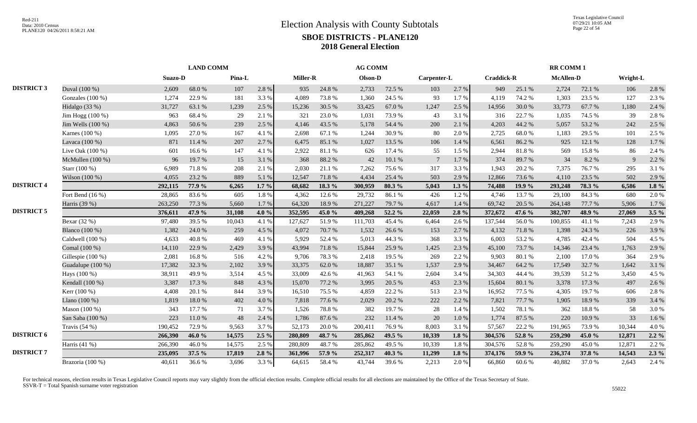|                   |                    | <b>LAND COMM</b> |        |        |         |                 |        | <b>AG COMM</b> |        |                 |           |                   |        | <b>RR COMM1</b>  |        |          |          |
|-------------------|--------------------|------------------|--------|--------|---------|-----------------|--------|----------------|--------|-----------------|-----------|-------------------|--------|------------------|--------|----------|----------|
|                   |                    | Suazo-D          |        | Pina-L |         | <b>Miller-R</b> |        | Olson-D        |        | Carpenter-L     |           | <b>Craddick-R</b> |        | <b>McAllen-D</b> |        | Wright-L |          |
| <b>DISTRICT 3</b> | Duval (100 %)      | 2,609            | 68.0%  | 107    | 2.8 %   | 935             | 24.8%  | 2,733          | 72.5 % | 103             | 2.7 %     | 949               | 25.1 % | 2,724            | 72.1 % | 106      | 2.8%     |
|                   | Gonzales (100 %)   | 1,274            | 22.9%  | 181    | 3.3%    | 4,089           | 73.8%  | 1,360          | 24.5 % | 93              | 1.7%      | 4,119             | 74.2 % | 1,303            | 23.5 % | 127      | 2.3 %    |
|                   | Hidalgo (33 %)     | 31,727           | 63.1 % | 1,239  | 2.5 %   | 15,236          | 30.5 % | 33,425         | 67.0%  | 1,247           | 2.5 %     | 14,956            | 30.0%  | 33,773           | 67.7%  | 1,180    | 2.4 %    |
|                   | Jim Hogg $(100\%)$ | 963              | 68.4%  | 29     | 2.1 %   | 321             | 23.0%  | 1,031          | 73.9%  | 43              | 3.1 %     | 316               | 22.7 % | 1,035            | 74.5 % | 39       | 2.8%     |
|                   | Jim Wells (100 %)  | 4,863            | 50.6%  | 239    | 2.5 %   | 4,146           | 43.5 % | 5,178          | 54.4 % | 200             | 2.1%      | 4,203             | 44.2 % | 5,057            | 53.2 % | 242      | 2.5 %    |
|                   | Karnes (100 %)     | 1,095            | 27.0%  | 167    | 4.1 %   | 2.698           | 67.1 % | 1,244          | 30.9%  | 80              | 2.0%      | 2,725             | 68.0%  | 1,183            | 29.5 % | 101      | 2.5 %    |
|                   | Lavaca (100 %)     | 871              | 11.4 % | 207    | 2.7%    | 6,475           | 85.1 % | 1,027          | 13.5 % | 106             | 1.4 %     | 6,561             | 86.2%  | 925              | 12.1 % | 128      | 1.7%     |
|                   | Live Oak (100 %)   | 601              | 16.6%  | 147    | 4.1 %   | 2,922           | 81.1%  | 626            | 17.4 % | 55              | 1.5 %     | 2,944             | 81.8%  | 569              | 15.8%  | 86       | 2.4 %    |
|                   | McMullen $(100\%)$ | 96               | 19.7%  | 15     | 3.1 %   | 368             | 88.2%  | 42             | 10.1%  | $7\phantom{.0}$ | 1.7%      | 374               | 89.7%  | 34               | 8.2%   | 9        | 2.2 %    |
|                   | Starr (100 %)      | 6,989            | 71.8%  | 208    | 2.1 %   | 2,030           | 21.1 % | 7,262          | 75.6%  | 317             | 3.3 %     | 1,943             | 20.2 % | 7,375            | 76.7%  | 295      | 3.1%     |
|                   | Wilson (100 %)     | 4,055            | 23.2 % | 889    | 5.1 %   | 12,547          | 71.8%  | 4,434          | 25.4 % | 503             | 2.9 %     | 12,866            | 73.6%  | 4,110            | 23.5 % | 502      | 2.9 %    |
| <b>DISTRICT 4</b> |                    | 292,115          | 77.9 % | 6,265  | $1.7\%$ | 68.682          | 18.3 % | 300,959        | 80.3%  | 5,043           | $1.3\%$   | 74,488            | 19.9 % | 293,248          | 78.3 % | 6,586    | $1.8\%$  |
|                   | Fort Bend (16 %)   | 28,865           | 83.6%  | 605    | 1.8%    | 4,362           | 12.6 % | 29,732         | 86.1%  | 426             | 1.2%      | 4,746             | 13.7%  | 29,100           | 84.3%  | 680      | 2.0%     |
|                   | Harris (39 %)      | 263,250          | 77.3 % | 5,660  | 1.7%    | 64,320          | 18.9%  | 271,227        | 79.7%  | 4,617           | 1.4 %     | 69,742            | 20.5 % | 264,148          | 77.7 % | 5,906    | 1.7%     |
| <b>DISTRICT 5</b> |                    | 376,611          | 47.9 % | 31,108 | 4.0 $%$ | 352,595         | 45.0 % | 409,268        | 52.2 % | 22,059          | 2.8%      | 372,672           | 47.6 % | 382,707          | 48.9%  | 27,069   | $3.5 \%$ |
|                   | Bexar (32 %)       | 97,480           | 39.5 % | 10,043 | 4.1 %   | 127,627         | 51.9%  | 111,703        | 45.4%  | 6,464           | 2.6 %     | 137,544           | 56.0%  | 100,855          | 41.1 % | 7,243    | 2.9%     |
|                   | Blanco (100 %)     | 1,382            | 24.0 % | 259    | 4.5 %   | 4.072           | 70.7%  | 1,532          | 26.6%  | 153             | 2.7 %     | 4,132             | 71.8%  | 1,398            | 24.3 % | 226      | 3.9%     |
|                   | Caldwell (100 %)   | 4,633            | 40.8%  | 469    | 4.1 %   | 5,929           | 52.4 % | 5,013          | 44.3 % | 368             | 3.3 %     | 6,003             | 53.2 % | 4,785            | 42.4 % | 504      | 4.5 %    |
|                   | Comal (100 %)      | 14,110           | 22.9%  | 2,429  | 3.9%    | 43,994          | 71.8%  | 15,844         | 25.9%  | 1,425           | 2.3 %     | 45,100            | 73.7 % | 14,346           | 23.4 % | 1,763    | 2.9%     |
|                   | Gillespie (100 %)  | 2,081            | 16.8%  | 516    | 4.2%    | 9.706           | 78.3%  | 2,418          | 19.5 % | 269             | 2.2 %     | 9.903             | 80.1 % | 2,100            | 17.0%  | 364      | 2.9%     |
|                   | Guadalupe (100 %)  | 17,382           | 32.3 % | 2,102  | 3.9%    | 33,375          | 62.0%  | 18,887         | 35.1 % | 1,537           | 2.9%      | 34,467            | 64.2 % | 17,549           | 32.7 % | 1,642    | 3.1%     |
|                   | Hays (100 %)       | 38,911           | 49.9%  | 3,514  | 4.5 %   | 33,009          | 42.6%  | 41,963         | 54.1 % | 2,604           | 3.4 %     | 34,303            | 44.4 % | 39,539           | 51.2%  | 3,450    | 4.5 %    |
|                   | Kendall (100 %)    | 3,387            | 17.3 % | 848    | 4.3 %   | 15,070          | 77.2 % | 3,995          | 20.5 % | 453             | 2.3 %     | 15,604            | 80.1 % | 3,378            | 17.3 % | 497      | 2.6%     |
|                   | Kerr (100 %)       | 4,408            | 20.1 % | 844    | 3.9%    | 16,510          | 75.5 % | 4,859          | 22.2 % | 513             | 2.3 %     | 16,952            | 77.5 % | 4,305            | 19.7%  | 606      | 2.8 %    |
|                   | Llano $(100\%)$    | 1,819            | 18.0%  | 402    | 4.0%    | 7,818           | 77.6 % | 2,029          | 20.2 % | 222             | 2.2 %     | 7,821             | 77.7 % | 1,905            | 18.9%  | 339      | 3.4 %    |
|                   | Mason $(100\%)$    | 343              | 17.7 % | 71     | 3.7%    | 1,526           | 78.8%  | 382            | 19.7%  | 28              | 1.4 %     | 1,502             | 78.1 % | 362              | 18.8%  | 58       | 3.0%     |
|                   | San Saba (100 %)   | 223              | 11.0%  | 48     | 2.4 %   | 1,786           | 87.6%  | 232            | 11.4 % | 20              | $1.0\ \%$ | 1,774             | 87.5 % | 220              | 10.9%  | 33       | 1.6%     |
|                   | Travis $(54%$      | 190,452          | 72.9 % | 9,563  | 3.7 %   | 52,173          | 20.0%  | 200,411        | 76.9%  | 8,003           | 3.1 %     | 57,567            | 22.2 % | 191,965          | 73.9%  | 10,344   | 4.0%     |
| <b>DISTRICT 6</b> |                    | 266,390          | 46.0%  | 14,575 | $2.5\%$ | 280,809         | 48.7 % | 285,862        | 49.5 % | 10,339          | $1.8 \%$  | 304,576           | 52.8%  | 259,290          | 45.0 % | 12,871   | $2.2\%$  |
|                   | Harris (41 %)      | 266,390          | 46.0%  | 14,575 | 2.5 %   | 280,809         | 48.7%  | 285,862        | 49.5%  | 10,339          | 1.8%      | 304,576           | 52.8%  | 259,290          | 45.0%  | 12,871   | 2.2%     |
| <b>DISTRICT 7</b> |                    | 235,095          | 37.5 % | 17,819 | $2.8\%$ | 361.996         | 57.9 % | 252,317        | 40.3%  | 11,299          | 1.8%      | 374,176           | 59.9 % | 236,374          | 37.8%  | 14,543   | $2.3\%$  |
|                   | Brazoria (100 %)   | 40,611           | 36.6%  | 3,696  | 3.3 %   | 64,615          | 58.4%  | 43,744         | 39.6%  | 2,213           | 2.0%      | 66,860            | 60.6%  | 40,882           | 37.0%  | 2,643    | 2.4 %    |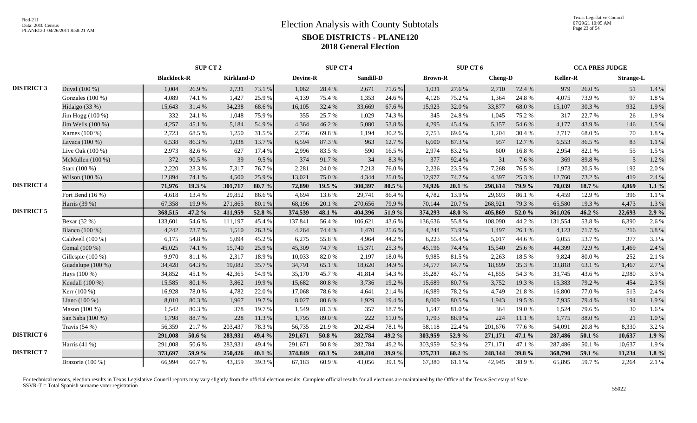|                   |                    | SUP CT 2           |        |                   |        | <b>SUP CT 4</b> |        |                  |            | SUP CT 6       |           |                |        | <b>CCA PRES JUDGE</b> |        |                  |         |
|-------------------|--------------------|--------------------|--------|-------------------|--------|-----------------|--------|------------------|------------|----------------|-----------|----------------|--------|-----------------------|--------|------------------|---------|
|                   |                    | <b>Blacklock-R</b> |        | <b>Kirkland-D</b> |        | <b>Devine-R</b> |        | <b>Sandill-D</b> |            | <b>Brown-R</b> |           | <b>Cheng-D</b> |        | <b>Keller-R</b>       |        | <b>Strange-L</b> |         |
| <b>DISTRICT 3</b> | Duval (100 %)      | 1,004              | 26.9%  | 2,731             | 73.1 % | 1,062           | 28.4 % | 2,671            | 71.6%      | 1,031          | 27.6 %    | 2,710          | 72.4 % | 979                   | 26.0%  | 51               | 1.4 %   |
|                   | Gonzales $(100\%)$ | 4,089              | 74.1 % | 1,427             | 25.9%  | 4,139           | 75.4 % | 1,353            | 24.6 %     | 4,126          | 75.2 %    | 1,364          | 24.8%  | 4,075                 | 73.9%  | 97               | 1.8%    |
|                   | Hidalgo (33 %)     | 15,643             | 31.4 % | 34,238            | 68.6%  | 16,105          | 32.4 % | 33,669           | 67.6%      | 15,923         | 32.0 %    | 33,877         | 68.0%  | 15,107                | 30.3%  | 932              | 1.9%    |
|                   | Jim Hogg (100 %)   | 332                | 24.1 % | 1,048             | 75.9%  | 355             | 25.7%  | 1,029            | 74.3 %     | 345            | 24.8%     | 1,045          | 75.2 % | 317                   | 22.7 % | 26               | 1.9%    |
|                   | Jim Wells (100 %)  | 4,257              | 45.1 % | 5,184             | 54.9%  | 4,364           | 46.2%  | 5,080            | 53.8%      | 4,295          | 45.4 %    | 5,157          | 54.6%  | 4,177                 | 43.9%  | 146              | 1.5 %   |
|                   | Karnes (100 %)     | 2,723              | 68.5%  | 1,250             | 31.5 % | 2.756           | 69.8%  | 1,194            | 30.2 %     | 2,753          | 69.6%     | 1,204          | 30.4 % | 2.717                 | 68.0%  | 70               | 1.8%    |
|                   | Lavaca (100 %)     | 6,538              | 86.3%  | 1,038             | 13.7%  | 6,594           | 87.3 % | 963              | 12.7 %     | 6,600          | 87.3%     | 957            | 12.7%  | 6,553                 | 86.5%  | 83               | 1.1%    |
|                   | Live Oak (100 %)   | 2,973              | 82.6%  | 627               | 17.4 % | 2,996           | 83.5%  | 590              | 16.5%      | 2,974          | 83.2%     | 600            | 16.8%  | 2,954                 | 82.1 % | 55               | 1.5 %   |
|                   | McMullen $(100\%)$ | 372                | 90.5 % | 39                | 9.5 %  | 374             | 91.7%  | 34               | 8.3%       | 377            | 92.4 %    | 31             | 7.6 %  | 369                   | 89.8%  | $\overline{5}$   | 1.2%    |
|                   | Starr (100 %)      | 2,220              | 23.3 % | 7,317             | 76.7%  | 2,281           | 24.0%  | 7,213            | 76.0%      | 2,236          | 23.5 %    | 7,268          | 76.5 % | 1,973                 | 20.5 % | 192              | 2.0%    |
|                   | Wilson (100 %)     | 12,894             | 74.1 % | 4,500             | 25.9%  | 13,021          | 75.0%  | 4,344            | 25.0%      | 12,977         | 74.7%     | 4,397          | 25.3 % | 12,760                | 73.2 % | 419              | 2.4 %   |
| <b>DISTRICT 4</b> |                    | 71.976             | 19.3 % | 301,717           | 80.7 % | 72,890          | 19.5 % | 300,397          | 80.5 %     | 74,926         | 20.1%     | 298,614        | 79.9%  | 70,039                | 18.7 % | 4,869            | $1.3\%$ |
|                   | Fort Bend (16 %)   | 4,618              | 13.4 % | 29,852            | 86.6%  | 4,694           | 13.6 % | 29,741           | 86.4%      | 4,782          | 13.9%     | 29,693         | 86.1%  | 4,459                 | 12.9%  | 396              | 1.1%    |
|                   | Harris (39 %)      | 67,358             | 19.9%  | 271,865           | 80.1 % | 68,196          | 20.1 % | 270,656          | 79.9%      | 70,144         | 20.7 %    | 268,921        | 79.3%  | 65,580                | 19.3 % | 4,473            | 1.3%    |
| <b>DISTRICT 5</b> |                    | 368,515            | 47.2 % | 411,959           | 52.8 % | 374,539         | 48.1 % | 404,396          | 51.9 %     | 374,293        | 48.0%     | 405,869        | 52.0 % | 361,026               | 46.2 % | 22,693           | $2.9\%$ |
|                   | Bexar (32 %)       | 133,601            | 54.6%  | 111,197           | 45.4%  | 137,841         | 56.4%  | 106,621          | 43.6%      | 136,636        | 55.8%     | 108,090        | 44.2%  | 131,554               | 53.8%  | 6,390            | 2.6%    |
|                   | Blanco (100 %)     | 4,242              | 73.7 % | 1,510             | 26.3 % | 4,264           | 74.4 % | 1,470            | 25.6%      | 4,244          | 73.9%     | 1,497          | 26.1 % | 4,123                 | 71.7%  | 216              | 3.8%    |
|                   | Caldwell (100 %)   | 6,175              | 54.8%  | 5,094             | 45.2%  | 6,275           | 55.8%  | 4,964            | 44.2 %     | 6,223          | 55.4 %    | 5,017          | 44.6 % | 6,055                 | 53.7%  | 377              | 3.3 %   |
|                   | Comal (100 %)      | 45,025             | 74.1 % | 15,740            | 25.9%  | 45,309          | 74.7%  | 15,371           | 25.3 %     | 45,196         | 74.4 %    | 15,540         | 25.6 % | 44,399                | 72.9 % | 1,469            | 2.4 %   |
|                   | Gillespie (100 %)  | 9,970              | 81.1%  | 2,317             | 18.9%  | 10,033          | 82.0%  | 2,197            | 18.0%      | 9,985          | 81.5%     | 2,263          | 18.5 % | 9.824                 | 80.0%  | 252              | 2.1%    |
|                   | Guadalupe (100 %)  | 34,428             | 64.3%  | 19,082            | 35.7%  | 34,791          | 65.1 % | 18,620           | 34.9%      | 34,577         | 64.7%     | 18,899         | 35.3%  | 33,818                | 63.1 % | 1,467            | 2.7%    |
|                   | Hays (100 %)       | 34,852             | 45.1 % | 42,365            | 54.9%  | 35,170          | 45.7%  | 41,814           | 54.3 %     | 35,287         | 45.7%     | 41,855         | 54.3%  | 33,745                | 43.6%  | 2,980            | 3.9%    |
|                   | Kendall (100 %)    | 15,585             | 80.1%  | 3,862             | 19.9%  | 15,682          | 80.8%  | 3,736            | 19.2 %     | 15,689         | 80.7%     | 3,752          | 19.3%  | 15,383                | 79.2%  | 454              | 2.3 %   |
|                   | Kerr (100 %)       | 16,928             | 78.0%  | 4,782             | 22.0 % | 17,068          | 78.6%  | 4,641            | 21.4%      | 16,989         | 78.2%     | 4,749          | 21.8%  | 16,800                | 77.0%  | 513              | 2.4 %   |
|                   | Llano $(100\%)$    | 8,010              | 80.3%  | 1,967             | 19.7%  | 8,027           | 80.6%  | 1,929            | 19.4 %     | 8,009          | 80.5 %    | 1,943          | 19.5 % | 7,935                 | 79.4 % | 194              | 1.9%    |
|                   | Mason (100 %)      | 1,542              | 80.3 % | 378               | 19.7%  | 1,549           | 81.3%  | 357              | 18.7%      | 1,547          | 81.0%     | 364            | 19.0%  | 1,524                 | 79.6%  | 30               | 1.6%    |
|                   | San Saba (100 %)   | 1,798              | 88.7%  | 228               | 11.3 % | 1,795           | 89.0%  | 222              | $11.0\ \%$ | 1,793          | 88.9%     | 224            | 11.1 % | 1,775                 | 88.0%  | 21               | 1.0%    |
|                   | Travis $(54\%)$    | 56,359             | 21.7%  | 203,437           | 78.3%  | 56,735          | 21.9%  | 202,454          | 78.1 %     | 58,118         | 22.4 %    | 201,676        | 77.6%  | 54,091                | 20.8%  | 8,330            | 3.2%    |
| <b>DISTRICT 6</b> |                    | 291,008            | 50.6 % | 283,931           | 49.4 % | 291,671         | 50.8%  | 282,784          | 49.2 %     | 303,959        | 52.9 %    | 271,171        | 47.1 % | 287,486               | 50.1 % | 10,637           | $1.9\%$ |
|                   | Harris (41 %)      | 291,008            | 50.6%  | 283,931           | 49.4%  | 291,671         | 50.8%  | 282,784          | 49.2%      | 303,959        | 52.9%     | 271,171        | 47.1 % | 287,486               | 50.1%  | 10,637           | 1.9%    |
| <b>DISTRICT 7</b> |                    | 373,697            | 59.9%  | 250,426           | 40.1%  | 374,849         | 60.1%  | 248,410          | 39.9%      | 375,731        | $60.2 \%$ | 248,144        | 39.8%  | 368,790               | 59.1 % | 11,234           | $1.8\%$ |
|                   | Brazoria (100 %)   | 66,994             | 60.7%  | 43,359            | 39.3%  | 67,183          | 60.9%  | 43,056           | 39.1 %     | 67,380         | 61.1%     | 42,945         | 38.9%  | 65,895                | 59.7%  | 2,264            | 2.1%    |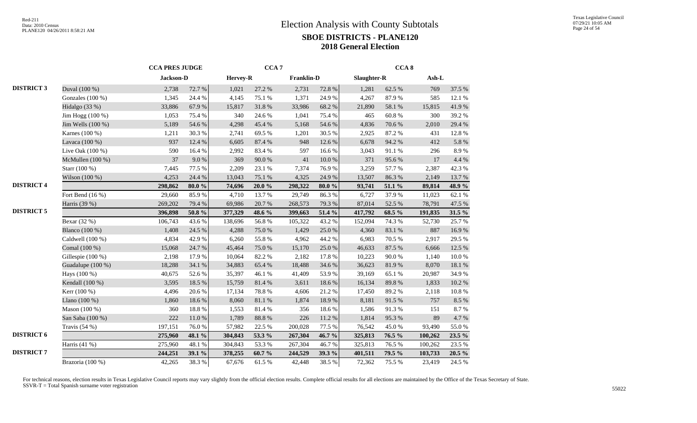|                   |                    |           | <b>CCA PRES JUDGE</b> |          |            | CCA <sub>7</sub>  |        |             | CCA <sub>8</sub> |         |        |
|-------------------|--------------------|-----------|-----------------------|----------|------------|-------------------|--------|-------------|------------------|---------|--------|
|                   |                    | Jackson-D |                       | Hervey-R |            | <b>Franklin-D</b> |        | Slaughter-R |                  | Ash-L   |        |
| <b>DISTRICT 3</b> | Duval (100 %)      | 2,738     | 72.7 %                | 1,021    | 27.2 %     | 2,731             | 72.8%  | 1,281       | 62.5%            | 769     | 37.5 % |
|                   | Gonzales $(100\%)$ | 1,345     | 24.4 %                | 4,145    | 75.1 %     | 1,371             | 24.9%  | 4,267       | 87.9%            | 585     | 12.1 % |
|                   | Hidalgo (33 %)     | 33,886    | 67.9%                 | 15,817   | 31.8%      | 33,986            | 68.2%  | 21,890      | 58.1 %           | 15,815  | 41.9%  |
|                   | Jim Hogg (100 %)   | 1,053     | 75.4 %                | 340      | 24.6 %     | 1,041             | 75.4 % | 465         | 60.8%            | 300     | 39.2 % |
|                   | Jim Wells (100 %)  | 5,189     | 54.6 %                | 4,298    | 45.4 %     | 5,168             | 54.6 % | 4,836       | 70.6 %           | 2,010   | 29.4 % |
|                   | Karnes (100 %)     | 1,211     | 30.3%                 | 2,741    | 69.5%      | 1,201             | 30.5 % | 2,925       | 87.2%            | 431     | 12.8%  |
|                   | Lavaca (100 %)     | 937       | 12.4 %                | 6,605    | 87.4 %     | 948               | 12.6 % | 6,678       | 94.2 %           | 412     | 5.8%   |
|                   | Live Oak (100 %)   | 590       | 16.4%                 | 2,992    | 83.4%      | 597               | 16.6%  | 3,043       | 91.1%            | 296     | 8.9%   |
|                   | McMullen (100 %)   | 37        | 9.0%                  | 369      | 90.0%      | 41                | 10.0%  | 371         | 95.6%            | 17      | 4.4 %  |
|                   | Starr (100 %)      | 7,445     | 77.5 %                | 2,209    | 23.1 %     | 7,374             | 76.9%  | 3,259       | 57.7 %           | 2,387   | 42.3 % |
|                   | Wilson (100 %)     | 4,253     | 24.4 %                | 13,043   | 75.1 %     | 4,325             | 24.9%  | 13,507      | 86.3%            | 2,149   | 13.7%  |
| <b>DISTRICT 4</b> |                    | 298,862   | 80.0%                 | 74,696   | $20.0 \%$  | 298,322           | 80.0%  | 93,741      | 51.1 %           | 89,814  | 48.9 % |
|                   | Fort Bend $(16\%)$ | 29,660    | 85.9%                 | 4,710    | 13.7 %     | 29,749            | 86.3%  | 6,727       | 37.9%            | 11,023  | 62.1 % |
|                   | Harris (39 %)      | 269,202   | 79.4 %                | 69,986   | 20.7%      | 268,573           | 79.3 % | 87,014      | 52.5 %           | 78,791  | 47.5 % |
| <b>DISTRICT 5</b> |                    | 396,898   | $50.8~\%$             | 377,329  | 48.6 %     | 399,663           | 51.4 % | 417,792     | 68.5 %           | 191,835 | 31.5 % |
|                   | Bexar (32 %)       | 106,743   | 43.6%                 | 138,696  | 56.8%      | 105,322           | 43.2%  | 152,094     | 74.3 %           | 52,730  | 25.7%  |
|                   | Blanco (100 %)     | 1,408     | 24.5 %                | 4,288    | 75.0%      | 1,429             | 25.0%  | 4,360       | 83.1 %           | 887     | 16.9%  |
|                   | Caldwell (100 %)   | 4,834     | 42.9%                 | 6,260    | 55.8%      | 4,962             | 44.2 % | 6,983       | 70.5 %           | 2,917   | 29.5 % |
|                   | Comal (100 %)      | 15,068    | 24.7%                 | 45,464   | $75.0\;\%$ | 15,170            | 25.0%  | 46,633      | 87.5 %           | 6,666   | 12.5 % |
|                   | Gillespie (100 %)  | 2,198     | 17.9%                 | 10,064   | 82.2%      | 2,182             | 17.8 % | 10,223      | $90.0\;\%$       | 1,140   | 10.0%  |
|                   | Guadalupe (100 %)  | 18,288    | 34.1 %                | 34,883   | 65.4 %     | 18,488            | 34.6 % | 36,623      | 81.9%            | 8,070   | 18.1%  |
|                   | Hays (100 %)       | 40,675    | 52.6%                 | 35,397   | 46.1%      | 41,409            | 53.9%  | 39,169      | 65.1%            | 20,987  | 34.9%  |
|                   | Kendall (100 %)    | 3,595     | 18.5 %                | 15,759   | $81.4\ \%$ | 3,611             | 18.6%  | 16,134      | 89.8%            | 1,833   | 10.2%  |
|                   | Kerr (100 %)       | 4,496     | 20.6%                 | 17,134   | 78.8 %     | 4,606             | 21.2%  | 17,450      | 89.2%            | 2,118   | 10.8%  |
|                   | Llano $(100\%)$    | 1,860     | 18.6%                 | 8,060    | 81.1 %     | 1,874             | 18.9%  | 8,181       | 91.5 %           | 757     | 8.5 %  |
|                   | Mason $(100\%)$    | 360       | 18.8%                 | 1,553    | 81.4%      | 356               | 18.6%  | 1,586       | 91.3%            | 151     | 8.7%   |
|                   | San Saba (100 %)   | 222       | $11.0\ \%$            | 1,789    | 88.8 %     | 226               | 11.2%  | 1,814       | 95.3%            | 89      | 4.7%   |
|                   | Travis $(54%)$     | 197,151   | 76.0%                 | 57,982   | 22.5 %     | 200,028           | 77.5 % | 76,542      | 45.0%            | 93,490  | 55.0%  |
| <b>DISTRICT 6</b> |                    | 275,960   | 48.1 %                | 304,843  | 53.3 %     | 267,304           | 46.7 % | 325,813     | 76.5 %           | 100,262 | 23.5 % |
|                   | Harris (41 %)      | 275,960   | 48.1 %                | 304,843  | 53.3%      | 267,304           | 46.7%  | 325,813     | 76.5%            | 100,262 | 23.5 % |
| <b>DISTRICT 7</b> |                    | 244,251   | 39.1 %                | 378,255  | 60.7%      | 244,529           | 39.3 % | 401,511     | 79.5 %           | 103,733 | 20.5 % |
|                   | Brazoria (100 %)   | 42,265    | 38.3%                 | 67,676   | 61.5%      | 42,448            | 38.5%  | 72,362      | 75.5 %           | 23,419  | 24.5 % |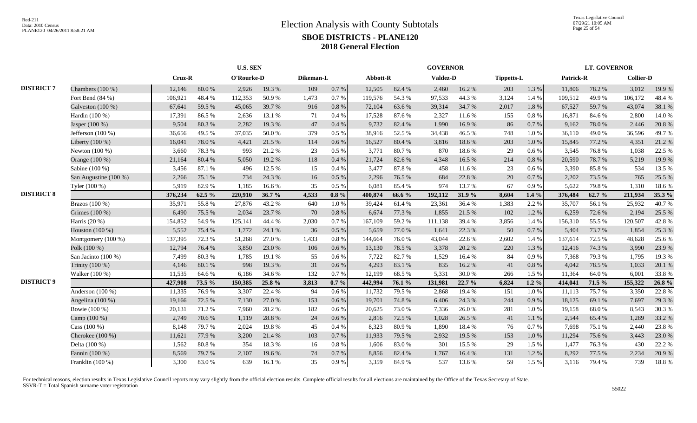Texas Legislative Council 07/29/21 10:05 AM Page 25 of 54

|                   |                       |         | <b>U.S. SEN</b> |            |        |           |           |          |        | <b>GOVERNOR</b> |        |                   |           |           | <b>LT. GOVERNOR</b> |                  |        |
|-------------------|-----------------------|---------|-----------------|------------|--------|-----------|-----------|----------|--------|-----------------|--------|-------------------|-----------|-----------|---------------------|------------------|--------|
|                   |                       | Cruz-R  |                 | O'Rourke-D |        | Dikeman-L |           | Abbott-R |        | Valdez-D        |        | <b>Tippetts-L</b> |           | Patrick-R |                     | <b>Collier-D</b> |        |
| <b>DISTRICT 7</b> | Chambers (100 %)      | 12,146  | $80.0%$         | 2,926      | 19.3 % | 109       | $0.7\,\%$ | 12,505   | 82.4 % | 2,460           | 16.2%  | 203               | 1.3 %     | 11,806    | 78.2%               | 3,012            | 19.9%  |
|                   | Fort Bend (84 %)      | 106,921 | 48.4%           | 112,353    | 50.9%  | 1,473     | 0.7%      | 119,576  | 54.3 % | 97,533          | 44.3 % | 3,124             | 1.4 %     | 109,512   | 49.9%               | 106,172          | 48.4%  |
|                   | Galveston (100 %)     | 67,641  | 59.5 %          | 45,065     | 39.7%  | 916       | 0.8 %     | 72,104   | 63.6%  | 39,314          | 34.7%  | 2,017             | 1.8%      | 67,527    | 59.7%               | 43,074           | 38.1 % |
|                   | Hardin (100 %)        | 17,391  | 86.5%           | 2,636      | 13.1 % | 71        | 0.4%      | 17,528   | 87.6 % | 2,327           | 11.6 % | 155               | 0.8%      | 16,871    | 84.6%               | 2,800            | 14.0%  |
|                   | Jasper (100 %)        | 9,504   | 80.3%           | 2,282      | 19.3%  | 47        | 0.4%      | 9,732    | 82.4 % | 1,990           | 16.9%  | 86                | 0.7%      | 9,162     | 78.0%               | 2,446            | 20.8%  |
|                   | Jefferson $(100\%)$   | 36,656  | 49.5 %          | 37,035     | 50.0%  | 379       | $0.5\%$   | 38,916   | 52.5 % | 34,438          | 46.5%  | 748               | 1.0%      | 36,110    | 49.0%               | 36,596           | 49.7%  |
|                   | Liberty (100 %)       | 16,041  | 78.0%           | 4,421      | 21.5 % | 114       | 0.6 %     | 16,527   | 80.4%  | 3,816           | 18.6%  | 203               | 1.0%      | 15,845    | 77.2 %              | 4,351            | 21.2%  |
|                   | Newton $(100\%)$      | 3,660   | 78.3%           | 993        | 21.2%  | 23        | $0.5\%$   | 3,771    | 80.7%  | 870             | 18.6%  | 29                | 0.6 %     | 3.545     | 76.8%               | 1,038            | 22.5 % |
|                   | Orange (100 %)        | 21,164  | 80.4 %          | 5,050      | 19.2 % | 118       | 0.4%      | 21,724   | 82.6%  | 4,348           | 16.5 % | 214               | $0.8\ \%$ | 20,590    | 78.7%               | 5,219            | 19.9%  |
|                   | Sabine (100 %)        | 3,456   | 87.1 %          | 496        | 12.5 % | 15        | 0.4%      | 3,477    | 87.8%  | 458             | 11.6 % | 23                | $0.6\,\%$ | 3,390     | 85.8%               | 534              | 13.5 % |
|                   | San Augustine (100 %) | 2,266   | 75.1 %          | 734        | 24.3 % | 16        | 0.5%      | 2,296    | 76.5 % | 684             | 22.8%  | 20                | 0.7%      | 2,202     | 73.5 %              | 765              | 25.5 % |
|                   | Tyler (100 %)         | 5,919   | 82.9%           | 1,185      | 16.6%  | 35        | 0.5%      | 6,081    | 85.4 % | 974             | 13.7%  | 67                | 0.9%      | 5,622     | 79.8%               | 1,310            | 18.6%  |
| <b>DISTRICT 8</b> |                       | 376,234 | 62.5 %          | 220,910    | 36.7%  | 4,533     | $0.8 \%$  | 400,874  | 66.6 % | 192,112         | 31.9%  | 8,604             | $1.4\%$   | 376,484   | 62.7%               | 211,934          | 35.3 % |
|                   | Brazos $(100\%)$      | 35,971  | 55.8%           | 27,876     | 43.2 % | 640       | 1.0%      | 39,424   | 61.4%  | 23,361          | 36.4%  | 1,383             | 2.2 %     | 35,707    | 56.1 %              | 25,932           | 40.7%  |
|                   | Grimes (100 %)        | 6,490   | 75.5 %          | 2,034      | 23.7 % | 70        | $0.8\ \%$ | 6,674    | 77.3 % | 1,855           | 21.5 % | 102               | 1.2%      | 6,259     | 72.6 %              | 2,194            | 25.5 % |
|                   | Harris $(20\%)$       | 154,852 | 54.9%           | 125,141    | 44.4 % | 2,030     | 0.7%      | 167,109  | 59.2 % | 111,138         | 39.4 % | 3,856             | 1.4 %     | 156,310   | 55.5 %              | 120,507          | 42.8%  |
|                   | Houston $(100\%)$     | 5,552   | 75.4 %          | 1,772      | 24.1 % | 36        | 0.5%      | 5,659    | 77.0 % | 1,641           | 22.3 % | 50                | 0.7%      | 5,404     | 73.7 %              | 1,854            | 25.3 % |
|                   | Montgomery (100 %)    | 137,395 | 72.3 %          | 51,268     | 27.0 % | 1,433     | 0.8%      | 144,664  | 76.0%  | 43,044          | 22.6 % | 2,602             | 1.4 %     | 137,614   | 72.5 %              | 48,628           | 25.6 % |
|                   | Polk (100 %)          | 12,794  | 76.4%           | 3,850      | 23.0 % | 106       | $0.6\%$   | 13,130   | 78.5 % | 3,378           | 20.2 % | 220               | 1.3 %     | 12,416    | 74.3 %              | 3,990            | 23.9%  |
|                   | San Jacinto (100 %)   | 7,499   | 80.3%           | 1,785      | 19.1 % | 55        | 0.6 %     | 7,722    | 82.7%  | 1,529           | 16.4 % | 84                | 0.9%      | 7,368     | 79.3%               | 1,795            | 19.3 % |
|                   | Trinity (100 %)       | 4,146   | $80.1~\%$       | 998        | 19.3 % | 31        | 0.6 %     | 4,293    | 83.1 % | 835             | 16.2%  | $41\,$            | $0.8\ \%$ | 4,042     | 78.5 %              | 1,033            | 20.1 % |
|                   | Walker (100 %)        | 11,535  | 64.6%           | 6,186      | 34.6 % | 132       | 0.7%      | 12,199   | 68.5 % | 5,331           | 30.0%  | 266               | 1.5 %     | 11,364    | 64.0%               | 6,001            | 33.8%  |
| <b>DISTRICT 9</b> |                       | 427,908 | 73.5 %          | 150,385    | 25.8 % | 3,813     | $0.7 \%$  | 442,994  | 76.1 % | 131,981         | 22.7%  | 6,824             | $1.2\%$   | 414,041   | 71.5 %              | 155,322          | 26.8%  |
|                   | Anderson $(100\%)$    | 11,335  | 76.9%           | 3,307      | 22.4 % | 94        | 0.6%      | 11,732   | 79.5 % | 2,868           | 19.4 % | 151               | $1.0\ \%$ | 11,113    | 75.7%               | 3,350            | 22.8%  |
|                   | Angelina (100 %)      | 19,166  | 72.5 %          | 7,130      | 27.0 % | 153       | 0.6 %     | 19,701   | 74.8%  | 6,406           | 24.3 % | 244               | 0.9%      | 18,125    | 69.1 %              | 7,697            | 29.3 % |
|                   | Bowie (100 %)         | 20,131  | 71.2%           | 7,960      | 28.2 % | 182       | 0.6%      | 20,625   | 73.0%  | 7,336           | 26.0%  | 281               | 1.0%      | 19,158    | 68.0%               | 8,543            | 30.3%  |
|                   | Camp (100 %)          | 2,749   | 70.6%           | 1,119      | 28.8%  | 24        | 0.6 %     | 2,816    | 72.5 % | 1,028           | 26.5 % | 41                | 1.1 %     | 2.544     | 65.4%               | 1,289            | 33.2 % |
|                   | Cass $(100\%)$        | 8,148   | 79.7 %          | 2,024      | 19.8%  | 45        | 0.4%      | 8,323    | 80.9%  | 1,890           | 18.4%  | 76                | 0.7%      | 7.698     | 75.1 %              | 2,440            | 23.8%  |
|                   | Cherokee (100 %)      | 11,621  | 77.9%           | 3,200      | 21.4%  | 103       | 0.7%      | 11,933   | 79.5 % | 2,932           | 19.5 % | 153               | 1.0%      | 11,294    | 75.6%               | 3,443            | 23.0 % |
|                   | Delta (100 %)         | 1,562   | $80.8~\%$       | 354        | 18.3 % | 16        | 0.8%      | 1,606    | 83.0%  | 301             | 15.5 % | 29                | 1.5 %     | 1,477     | 76.3%               | 430              | 22.2 % |
|                   | Fannin (100 %)        | 8,569   | 79.7%           | 2,107      | 19.6%  | 74        | 0.7%      | 8,856    | 82.4 % | 1,767           | 16.4 % | 131               | 1.2%      | 8,292     | 77.5 %              | 2,234            | 20.9%  |
|                   | Franklin (100 %)      | 3,300   | 83.0%           | 639        | 16.1 % | 35        | 0.9 %     | 3,359    | 84.9%  | 537             | 13.6 % | 59                | 1.5%      | 3,116     | 79.4 %              | 739              | 18.8%  |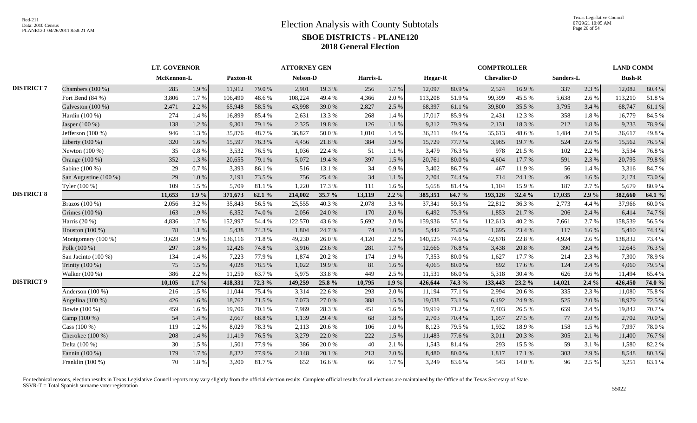|                   |                       | <b>LT. GOVERNOR</b> |          |          |        | <b>ATTORNEY GEN</b> |          |          |           |                |        | <b>COMPTROLLER</b> |        |           |       | <b>LAND COMM</b> |        |
|-------------------|-----------------------|---------------------|----------|----------|--------|---------------------|----------|----------|-----------|----------------|--------|--------------------|--------|-----------|-------|------------------|--------|
|                   |                       | McKennon-L          |          | Paxton-R |        | <b>Nelson-D</b>     |          | Harris-L |           | <b>Hegar-R</b> |        | <b>Chevalier-D</b> |        | Sanders-L |       | <b>Bush-R</b>    |        |
| <b>DISTRICT 7</b> | Chambers $(100\%)$    | 285                 | 1.9%     | 11,912   | 79.0%  | 2,901               | 19.3 %   | 256      | 1.7%      | 12,097         | 80.9%  | 2,524              | 16.9%  | 337       | 2.3 % | 12,082           | 80.4%  |
|                   | Fort Bend (84 %)      | 3,806               | 1.7%     | 106,490  | 48.6%  | 108,224             | 49.4 %   | 4,366    | 2.0 %     | 113,208        | 51.9%  | 99,399             | 45.5 % | 5.638     | 2.6 % | 113,210          | 51.8%  |
|                   | Galveston (100 %)     | 2,471               | 2.2 %    | 65,948   | 58.5%  | 43,998              | 39.0%    | 2,827    | 2.5 %     | 68,397         | 61.1 % | 39,800             | 35.5 % | 3,795     | 3.4 % | 68,747           | 61.1%  |
|                   | Hardin (100 %)        | 274                 | 1.4 %    | 16,899   | 85.4%  | 2,631               | 13.3 %   | 268      | 1.4 %     | 17,017         | 85.9%  | 2,431              | 12.3 % | 358       | 1.8%  | 16,779           | 84.5 % |
|                   | Jasper (100 %)        | 138                 | 1.2%     | 9,301    | 79.1 % | 2,325               | 19.8%    | 126      | 1.1 %     | 9,312          | 79.9%  | 2,131              | 18.3%  | 212       | 1.8%  | 9,233            | 78.9%  |
|                   | Jefferson (100 %)     | 946                 | 1.3%     | 35,876   | 48.7%  | 36,827              | 50.0%    | 1,010    | 1.4 %     | 36,211         | 49.4%  | 35,613             | 48.6%  | 1,484     | 2.0%  | 36,617           | 49.8%  |
|                   | Liberty (100 %)       | 320                 | 1.6%     | 15,597   | 76.3%  | 4,456               | 21.8%    | 384      | 1.9%      | 15,729         | 77.7 % | 3,985              | 19.7%  | 524       | 2.6 % | 15,562           | 76.5 % |
|                   | Newton $(100\%)$      | 35                  | 0.8%     | 3,532    | 76.5 % | 1,036               | 22.4 %   | 51       | 1.1%      | 3,479          | 76.3%  | 978                | 21.5 % | 102       | 2.2 % | 3,534            | 76.8%  |
|                   | Orange (100 %)        | 352                 | 1.3%     | 20,655   | 79.1 % | 5,072               | 19.4 %   | 397      | 1.5 %     | 20,761         | 80.0%  | 4,604              | 17.7 % | 591       | 2.3 % | 20,795           | 79.8%  |
|                   | Sabine (100 %)        | 29                  | 0.7%     | 3,393    | 86.1%  | 516                 | 13.1 %   | 34       | 0.9%      | 3,402          | 86.7%  | 467                | 11.9%  | 56        | 1.4 % | 3,316            | 84.7%  |
|                   | San Augustine (100 %) | 29                  | 1.0%     | 2,191    | 73.5 % | 756                 | 25.4 %   | 34       | 1.1%      | 2,204          | 74.4 % | 714                | 24.1 % | 46        | 1.6%  | 2,174            | 73.0%  |
|                   | Tyler (100 %)         | 109                 | 1.5 %    | 5,709    | 81.1%  | 1,220               | 17.3 %   | 111      | 1.6 %     | 5,658          | 81.4%  | 1,104              | 15.9%  | 187       | 2.7%  | 5,679            | 80.9%  |
| <b>DISTRICT 8</b> |                       | 11,653              | 1.9%     | 371,673  | 62.1 % | 214,002             | 35.7 $%$ | 13,119   | $2.2\%$   | 385,351        | 64.7 % | 193,126            | 32.4 % | 17,035    | 2.9%  | 382,660          | 64.1 % |
|                   | Brazos (100 %)        | 2,056               | 3.2 %    | 35,843   | 56.5%  | 25,555              | 40.3%    | 2,078    | 3.3%      | 37,341         | 59.3%  | 22,812             | 36.3%  | 2,773     | 4.4 % | 37,966           | 60.0%  |
|                   | Grimes (100 %)        | 163                 | 1.9%     | 6,352    | 74.0%  | 2,056               | 24.0%    | 170      | 2.0 %     | 6,492          | 75.9%  | 1,853              | 21.7%  | 206       | 2.4 % | 6,414            | 74.7%  |
|                   | Harris $(20\%)$       | 4,836               | 1.7%     | 152,997  | 54.4 % | 122,570             | 43.6 %   | 5,692    | 2.0%      | 159,936        | 57.1 % | 112,613            | 40.2%  | 7,661     | 2.7%  | 158,539          | 56.5 % |
|                   | Houston (100 %)       | 78                  | 1.1%     | 5,438    | 74.3 % | 1,804               | 24.7 %   | 74       | $1.0\ \%$ | 5,442          | 75.0%  | 1,695              | 23.4 % | 117       | 1.6 % | 5,410            | 74.4 % |
|                   | Montgomery (100 %)    | 3,628               | 1.9%     | 136,116  | 71.8%  | 49,230              | 26.0%    | 4,120    | 2.2 %     | 140,525        | 74.6%  | 42,878             | 22.8%  | 4,924     | 2.6%  | 138,832          | 73.4 % |
|                   | Polk (100 %)          | 297                 | 1.8%     | 12,426   | 74.8 % | 3,916               | 23.6 %   | 281      | 1.7 %     | 12,666         | 76.8%  | 3,438              | 20.8%  | 390       | 2.4 % | 12,645           | 76.3%  |
|                   | San Jacinto (100 %)   | 134                 | 1.4 %    | 7.223    | 77.9%  | 1.874               | 20.2 %   | 174      | 1.9%      | 7,353          | 80.0%  | 1,627              | 17.7 % | 214       | 2.3%  | 7,300            | 78.9%  |
|                   | Trinity (100 %)       | 75                  | 1.5 %    | 4,028    | 78.5 % | 1,022               | 19.9%    | 81       | 1.6 %     | 4,065          | 80.0%  | 892                | 17.6 % | 124       | 2.4 % | 4,060            | 79.5 % |
|                   | Walker (100 %)        | 386                 | 2.2 %    | 11,250   | 63.7%  | 5,975               | 33.8%    | 449      | 2.5 %     | 11,531         | 66.0%  | 5,318              | 30.4 % | 626       | 3.6%  | 11,494           | 65.4%  |
| <b>DISTRICT 9</b> |                       | 10,105              | $1.7\%$  | 418,331  | 72.3 % | 149,259             | 25.8 %   | 10,795   | 1.9%      | 426,644        | 74.3 % | 133,443            | 23.2 % | 14,021    | 2.4%  | 426,450          | 74.0 % |
|                   | Anderson $(100\%)$    | 216                 | 1.5 %    | 11,044   | 75.4 % | 3,314               | 22.6 %   | 293      | 2.0%      | 11,194         | 77.1 % | 2,994              | 20.6%  | 335       | 2.3 % | 11,080           | 75.8%  |
|                   | Angelina (100 %)      | 426                 | 1.6%     | 18,762   | 71.5 % | 7,073               | 27.0 %   | 388      | 1.5 %     | 19,038         | 73.1 % | 6,492              | 24.9%  | 525       | 2.0 % | 18,979           | 72.5 % |
|                   | Bowie (100 %)         | 459                 | 1.6%     | 19,706   | 70.1 % | 7,969               | 28.3%    | 451      | 1.6 %     | 19,919         | 71.2%  | 7,403              | 26.5 % | 659       | 2.4 % | 19,842           | 70.7%  |
|                   | Camp (100 %)          | 54                  | 1.4 %    | 2,667    | 68.8%  | 1,139               | 29.4 %   | 68       | 1.8%      | 2,703          | 70.4 % | 1,057              | 27.5 % | 77        | 2.0%  | 2,702            | 70.0%  |
|                   | Cass $(100\%)$        | 119                 | 1.2%     | 8,029    | 78.3%  | 2,113               | 20.6%    | 106      | $1.0\ \%$ | 8,123          | 79.5 % | 1,932              | 18.9%  | 158       | 1.5 % | 7,997            | 78.0%  |
|                   | Cherokee (100 %)      | 208                 | 1.4 %    | 11,419   | 76.5 % | 3,279               | 22.0%    | 222      | 1.5 %     | 11,483         | 77.6 % | 3,011              | 20.3 % | 305       | 2.1 % | 11,400           | 76.7%  |
|                   | Delta (100 %)         | 30                  | 1.5 %    | 1,501    | 77.9%  | 386                 | 20.0%    | 40       | 2.1 %     | 1,543          | 81.4%  | 293                | 15.5 % | 59        | 3.1%  | 1,580            | 82.2%  |
|                   | Fannin (100 %)        | 179                 | 1.7%     | 8,322    | 77.9 % | 2,148               | 20.1 %   | 213      | 2.0%      | 8,480          | 80.0%  | 1,817              | 17.1 % | 303       | 2.9%  | 8,548            | 80.3%  |
|                   | Franklin (100 %)      | 70                  | $1.8~\%$ | 3,200    | 81.7%  | 652                 | 16.6%    | 66       | 1.7%      | 3,249          | 83.6%  | 543                | 14.0%  | 96        | 2.5 % | 3,251            | 83.1%  |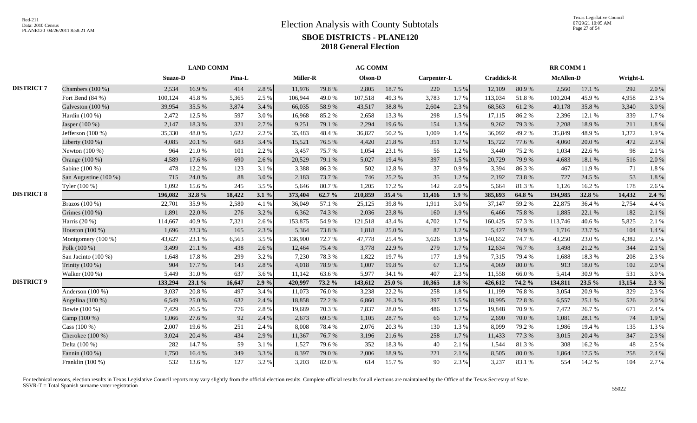|                   |                       |         |        |        | <b>AG COMM</b> |          |        |         |        |             | <b>RR COMM1</b> |                   |        |                  |        |          |         |
|-------------------|-----------------------|---------|--------|--------|----------------|----------|--------|---------|--------|-------------|-----------------|-------------------|--------|------------------|--------|----------|---------|
|                   |                       | Suazo-D |        | Pina-L |                | Miller-R |        | Olson-D |        | Carpenter-L |                 | <b>Craddick-R</b> |        | <b>McAllen-D</b> |        | Wright-L |         |
| <b>DISTRICT 7</b> | Chambers (100 %)      | 2,534   | 16.9%  | 414    | 2.8%           | 11,976   | 79.8%  | 2,805   | 18.7%  | 220         | 1.5 %           | 12,109            | 80.9%  | 2,560            | 17.1 % | 292      | 2.0%    |
|                   | Fort Bend $(84\% )$   | 100,124 | 45.8%  | 5,365  | 2.5 %          | 106,944  | 49.0%  | 107,518 | 49.3%  | 3,783       | 1.7%            | 113,034           | 51.8%  | 100,204          | 45.9%  | 4,958    | 2.3%    |
|                   | Galveston (100 %)     | 39,954  | 35.5 % | 3,874  | 3.4 %          | 66,035   | 58.9%  | 43,517  | 38.8%  | 2,604       | 2.3 %           | 68,563            | 61.2%  | 40,178           | 35.8%  | 3,340    | 3.0%    |
|                   | Hardin (100 %)        | 2,472   | 12.5 % | 597    | 3.0%           | 16,968   | 85.2%  | 2,658   | 13.3 % | 298         | 1.5 %           | 17,115            | 86.2%  | 2,396            | 12.1 % | 339      | 1.7%    |
|                   | Jasper (100 %)        | 2,147   | 18.3%  | 321    | 2.7 %          | 9,251    | 79.1 % | 2,294   | 19.6%  | 154         | 1.3%            | 9,262             | 79.3%  | 2.208            | 18.9%  | 211      | 1.8%    |
|                   | Jefferson (100 %)     | 35,330  | 48.0%  | 1,622  | 2.2 %          | 35,483   | 48.4%  | 36,827  | 50.2%  | 1,009       | 1.4 %           | 36,092            | 49.2%  | 35,849           | 48.9%  | 1,372    | 1.9%    |
|                   | Liberty (100 %)       | 4,085   | 20.1%  | 683    | 3.4 %          | 15,521   | 76.5 % | 4,420   | 21.8%  | 351         | 1.7%            | 15,722            | 77.6%  | 4,060            | 20.0%  | 472      | 2.3 %   |
|                   | Newton $(100\%)$      | 964     | 21.0%  | 101    | 2.2 %          | 3,457    | 75.7%  | 1,054   | 23.1 % | 56          | 1.2%            | 3,440             | 75.2 % | 1.034            | 22.6 % | 98       | 2.1 %   |
|                   | Orange (100 %)        | 4,589   | 17.6 % | 690    | 2.6 %          | 20,529   | 79.1 % | 5,027   | 19.4 % | 397         | 1.5 %           | 20,729            | 79.9%  | 4,683            | 18.1 % | 516      | 2.0 %   |
|                   | Sabine (100 %)        | 478     | 12.2 % | 123    | 3.1 %          | 3,388    | 86.3%  | 502     | 12.8%  | 37          | 0.9%            | 3,394             | 86.3%  | 467              | 11.9%  | 71       | 1.8%    |
|                   | San Augustine (100 %) | 715     | 24.0%  | 88     | 3.0%           | 2,183    | 73.7%  | 746     | 25.2%  | 35          | 1.2%            | 2,192             | 73.8%  | 727              | 24.5 % | 53       | 1.8%    |
|                   | Tyler (100 %)         | 1,092   | 15.6 % | 245    | 3.5 %          | 5,646    | 80.7%  | 1,205   | 17.2 % | 142         | 2.0%            | 5,664             | 81.3%  | 1,126            | 16.2%  | 178      | 2.6%    |
| <b>DISTRICT 8</b> |                       | 196,082 | 32.8%  | 18,422 | 3.1%           | 373,404  | 62.7 % | 210,859 | 35.4 % | 11,416      | 1.9%            | 385,693           | 64.8%  | 194,985          | 32.8%  | 14,432   | 2.4%    |
|                   | Brazos $(100\%)$      | 22,701  | 35.9%  | 2,580  | 4.1 %          | 36,049   | 57.1 % | 25,125  | 39.8%  | 1,911       | 3.0%            | 37,147            | 59.2%  | 22,875           | 36.4 % | 2,754    | 4.4 %   |
|                   | Grimes (100 %)        | 1,891   | 22.0%  | 276    | 3.2 %          | 6,362    | 74.3 % | 2,036   | 23.8%  | 160         | 1.9%            | 6,466             | 75.8%  | 1,885            | 22.1 % | 182      | 2.1 %   |
|                   | Harris (20 %)         | 114,667 | 40.9%  | 7,321  | 2.6 %          | 153,875  | 54.9%  | 121,518 | 43.4 % | 4,702       | 1.7%            | 160,425           | 57.3 % | 113,746          | 40.6%  | 5,825    | 2.1 %   |
|                   | Houston (100 %)       | 1,696   | 23.3 % | 165    | 2.3 %          | 5,364    | 73.8%  | 1,818   | 25.0%  | 87          | 1.2%            | 5,427             | 74.9%  | 1,716            | 23.7 % | 104      | 1.4%    |
|                   | Montgomery $(100\%)$  | 43,627  | 23.1 % | 6,563  | 3.5 %          | 136.900  | 72.7 % | 47,778  | 25.4 % | 3,626       | 1.9%            | 140,652           | 74.7 % | 43,250           | 23.0%  | 4,382    | 2.3%    |
|                   | Polk (100 %)          | 3,499   | 21.1 % | 438    | 2.6%           | 12,464   | 75.4 % | 3,778   | 22.9 % | 279         | 1.7%            | 12,634            | 76.7%  | 3,498            | 21.2%  | 344      | 2.1 %   |
|                   | San Jacinto (100 %)   | 1,648   | 17.8%  | 299    | 3.2 %          | 7,230    | 78.3%  | 1,822   | 19.7%  | 177         | 1.9%            | 7,315             | 79.4%  | 1,688            | 18.3%  | 208      | 2.3 %   |
|                   | Trinity (100 %)       | 904     | 17.7 % | 143    | 2.8%           | 4,018    | 78.9%  | 1,007   | 19.8%  | 67          | 1.3 %           | 4,069             | 80.0%  | 913              | 18.0%  | 102      | 2.0%    |
|                   | Walker (100 %)        | 5,449   | 31.0%  | 637    | 3.6%           | 11,142   | 63.6%  | 5,977   | 34.1 % | 407         | 2.3 %           | 11,558            | 66.0%  | 5,414            | 30.9%  | 531      | 3.0%    |
| <b>DISTRICT 9</b> |                       | 133,294 | 23.1 % | 16,647 | 2.9%           | 420,997  | 73.2 % | 143,612 | 25.0 % | 10,365      | 1.8 $%$         | 426,612           | 74.2 % | 134,811          | 23.5 % | 13,154   | $2.3\%$ |
|                   | Anderson $(100\%)$    | 3,037   | 20.8%  | 497    | 3.4 %          | 11,073   | 76.0%  | 3,238   | 22.2 % | 258         | 1.8%            | 11,199            | 76.8%  | 3.054            | 20.9%  | 329      | 2.3 %   |
|                   | Angelina (100 %)      | 6,549   | 25.0%  | 632    | 2.4 %          | 18,858   | 72.2 % | 6,860   | 26.3%  | 397         | 1.5 %           | 18,995            | 72.8%  | 6,557            | 25.1 % | 526      | 2.0%    |
|                   | Bowie (100 %)         | 7,429   | 26.5%  | 776    | 2.8%           | 19,689   | 70.3%  | 7,837   | 28.0%  | 486         | 1.7%            | 19,848            | 70.9%  | 7,472            | 26.7%  | 671      | 2.4 %   |
|                   | Camp (100 %)          | 1,066   | 27.6 % | 92     | 2.4 %          | 2,673    | 69.5 % | 1,105   | 28.7%  | 66          | 1.7%            | 2,690             | 70.0%  | 1,081            | 28.1 % | 74       | 1.9%    |
|                   | Cass $(100\%)$        | 2,007   | 19.6%  | 251    | 2.4 %          | 8,008    | 78.4%  | 2,076   | 20.3%  | 130         | 1.3%            | 8,099             | 79.2 % | 1,986            | 19.4 % | 135      | 1.3%    |
|                   | Cherokee $(100\%)$    | 3,024   | 20.4 % | 434    | 2.9%           | 11,367   | 76.7%  | 3,196   | 21.6%  | 258         | 1.7%            | 11,433            | 77.3 % | 3,015            | 20.4 % | 347      | 2.3 %   |
|                   | Delta (100 %)         | 282     | 14.7%  | 59     | 3.1%           | 1,527    | 79.6%  | 352     | 18.3%  | 40          | 2.1%            | 1,544             | 81.3%  | 308              | 16.2%  | 48       | 2.5 %   |
|                   | Fannin (100 %)        | 1,750   | 16.4 % | 349    | 3.3 %          | 8,397    | 79.0%  | 2,006   | 18.9%  | 221         | 2.1 %           | 8,505             | 80.0%  | 1,864            | 17.5 % | 258      | 2.4 %   |
|                   | Franklin (100 %)      | 532     | 13.6%  | 127    | 3.2 %          | 3,203    | 82.0%  | 614     | 15.7%  | 90          | 2.3 %           | 3,237             | 83.1 % | 554              | 14.2 % | 104      | 2.7 %   |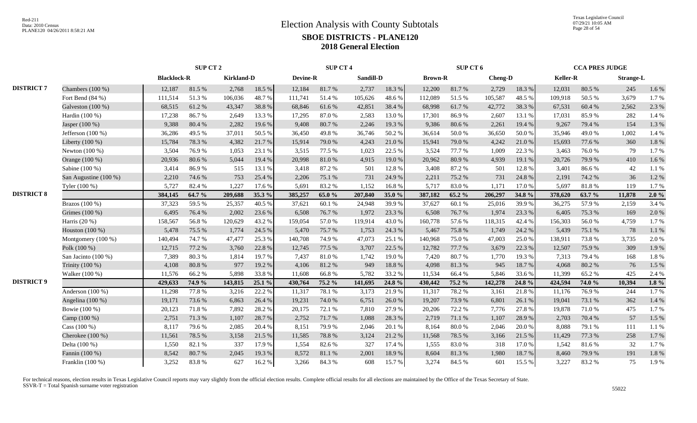|                   |                       |                    | <b>SUP CT 2</b> |                   |        |          | <b>SUP CT 4</b>  |           |        |                | SUP CT 6   |         |        |                 | <b>CCA PRES JUDGE</b> |                  |           |
|-------------------|-----------------------|--------------------|-----------------|-------------------|--------|----------|------------------|-----------|--------|----------------|------------|---------|--------|-----------------|-----------------------|------------------|-----------|
|                   |                       | <b>Blacklock-R</b> |                 | <b>Kirkland-D</b> |        | Devine-R |                  | Sandill-D |        | <b>Brown-R</b> |            | Cheng-D |        | <b>Keller-R</b> |                       | <b>Strange-L</b> |           |
| <b>DISTRICT 7</b> | Chambers (100 %)      | 12,187             | 81.5%           | 2,768             | 18.5 % | 12,184   | 81.7%            | 2,737     | 18.3 % | 12,200         | 81.7%      | 2,729   | 18.3%  | 12,031          | 80.5%                 | 245              | 1.6 %     |
|                   | Fort Bend $(84\%)$    | 111,514            | 51.3%           | 106,036           | 48.7%  | 111,741  | 51.4 %           | 105,626   | 48.6%  | 112,089        | 51.5 %     | 105,587 | 48.5%  | 109,918         | 50.5 %                | 3,679            | 1.7%      |
|                   | Galveston $(100\%)$   | 68,515             | 61.2%           | 43,347            | 38.8%  | 68,846   | 61.6%            | 42,851    | 38.4 % | 68,998         | 61.7%      | 42,772  | 38.3%  | 67,531          | 60.4%                 | 2,562            | 2.3 %     |
|                   | Hardin (100 %)        | 17,238             | 86.7%           | 2,649             | 13.3 % | 17,295   | 87.0%            | 2,583     | 13.0%  | 17,301         | 86.9%      | 2,607   | 13.1 % | 17,031          | 85.9%                 | 282              | 1.4 %     |
|                   | Jasper (100 %)        | 9,388              | 80.4%           | 2,282             | 19.6%  | 9,408    | 80.7%            | 2,246     | 19.3%  | 9,386          | 80.6%      | 2,261   | 19.4 % | 9,267           | 79.4 %                | 154              | 1.3%      |
|                   | Jefferson $(100\%)$   | 36,286             | 49.5 %          | 37,011            | 50.5%  | 36,450   | 49.8%            | 36,746    | 50.2%  | 36,614         | 50.0%      | 36,650  | 50.0%  | 35,946          | 49.0%                 | 1,002            | 1.4 %     |
|                   | Liberty (100 %)       | 15,784             | 78.3%           | 4,382             | 21.7%  | 15,914   | 79.0%            | 4,243     | 21.0%  | 15,941         | 79.0%      | 4,242   | 21.0%  | 15,693          | 77.6 %                | 360              | 1.8%      |
|                   | Newton $(100\%)$      | 3,504              | 76.9%           | 1,053             | 23.1 % | 3,515    | 77.5 %           | 1,023     | 22.5 % | 3,524          | 77.7 %     | 1,009   | 22.3 % | 3,463           | 76.0%                 | 79               | 1.7%      |
|                   | Orange (100 %)        | 20,936             | 80.6%           | 5,044             | 19.4 % | 20,998   | 81.0%            | 4,915     | 19.0%  | 20,962         | 80.9%      | 4,939   | 19.1 % | 20,726          | 79.9%                 | 410              | 1.6%      |
|                   | Sabine (100 %)        | 3,414              | 86.9%           | 515               | 13.1 % | 3,418    | 87.2%            | 501       | 12.8%  | 3,408          | 87.2%      | 501     | 12.8 % | 3,401           | 86.6%                 | 42               | 1.1 %     |
|                   | San Augustine (100 %) | 2,210              | 74.6 %          | 753               | 25.4 % | 2,206    | 75.1 %           | 731       | 24.9%  | 2,211          | 75.2 %     | 731     | 24.8 % | 2,191           | 74.2 %                | 36               | 1.2%      |
|                   | Tyler (100 %)         | 5,727              | 82.4 %          | 1,227             | 17.6 % | 5,691    | 83.2%            | 1,152     | 16.8%  | 5,717          | 83.0%      | 1,171   | 17.0%  | 5,697           | 81.8%                 | 119              | 1.7%      |
| <b>DISTRICT 8</b> |                       | 384,145            | 64.7 %          | 209,688           | 35.3 % | 385,257  | 65.0%            | 207,840   | 35.0 % | 387,182        | 65.2 %     | 206,297 | 34.8%  | 378,620         | 63.7 %                | 11,878           | 2.0%      |
|                   | Brazos (100 %)        | 37,323             | 59.5 %          | 25,357            | 40.5%  | 37,621   | 60.1%            | 24,948    | 39.9%  | 37,627         | 60.1%      | 25,016  | 39.9%  | 36,275          | 57.9%                 | 2,159            | 3.4 %     |
|                   | Grimes (100 %)        | 6,495              | 76.4%           | 2,002             | 23.6 % | 6,508    | 76.7%            | 1,972     | 23.3 % | 6,508          | 76.7%      | 1,974   | 23.3 % | 6,405           | 75.3 %                | 169              | 2.0%      |
|                   | Harris (20 %)         | 158,567            | 56.8%           | 120,629           | 43.2 % | 159,054  | 57.0%            | 119,914   | 43.0%  | 160,778        | 57.6%      | 118,315 | 42.4 % | 156,303         | 56.0%                 | 4,759            | 1.7%      |
|                   | Houston (100 %)       | 5,478              | 75.5 %          | 1,774             | 24.5 % | 5,470    | 75.7%            | 1,753     | 24.3 % | 5,467          | 75.8%      | 1,749   | 24.2 % | 5,439           | 75.1 %                | 78               | 1.1%      |
|                   | Montgomery $(100\%)$  | 140,494            | 74.7 %          | 47,477            | 25.3 % | 140,708  | 74.9%            | 47,073    | 25.1 % | 140,968        | 75.0%      | 47,003  | 25.0%  | 138,911         | 73.8%                 | 3,735            | 2.0 %     |
|                   | Polk (100 %)          | 12,715             | 77.2 %          | 3,760             | 22.8%  | 12,745   | 77.5 %           | 3,707     | 22.5 % | 12,782         | 77.7 %     | 3,679   | 22.3 % | 12,507          | 75.9%                 | 309              | 1.9%      |
|                   | San Jacinto $(100\%)$ | 7,389              | 80.3%           | 1,814             | 19.7%  | 7.437    | 81.0%            | 1,742     | 19.0%  | 7,420          | 80.7%      | 1,770   | 19.3 % | 7.313           | 79.4 %                | 168              | 1.8%      |
|                   | Trinity (100 %)       | 4,108              | 80.8%           | 977               | 19.2 % | 4,106    | 81.2%            | 949       | 18.8 % | 4,098          | 81.3%      | 945     | 18.7%  | 4,068           | 80.2%                 | 76               | 1.5 %     |
|                   | Walker (100 %)        | 11,576             | 66.2%           | 5,898             | 33.8%  | 11,608   | 66.8%            | 5,782     | 33.2 % | 11,534         | 66.4%      | 5,846   | 33.6%  | 11,399          | 65.2%                 | 425              | 2.4 %     |
| <b>DISTRICT 9</b> |                       | 429,633            | 74.9 %          | 143,815           | 25.1 % | 430,764  | 75.2 %           | 141,695   | 24.8 % | 430,442        | 75.2 %     | 142,278 | 24.8 % | 424,594         | 74.0 %                | 10,394           | $1.8 \%$  |
|                   | Anderson $(100\%)$    | 11,298             | 77.8%           | 3,216             | 22.2 % | 11,317   | 78.1 %           | 3,173     | 21.9%  | 11,317         | 78.2%      | 3,161   | 21.8%  | 11,176          | 76.9%                 | 244              | 1.7%      |
|                   | Angelina $(100\%)$    | 19,171             | 73.6%           | 6,863             | 26.4 % | 19,231   | 74.0%            | 6,751     | 26.0%  | 19,207         | 73.9%      | 6,801   | 26.1%  | 19.041          | 73.1 %                | 362              | 1.4 %     |
|                   | Bowie (100 %)         | 20,123             | 71.8%           | 7,892             | 28.2%  | 20,175   | 72.1 %           | 7,810     | 27.9%  | 20,206         | 72.2 %     | 7,776   | 27.8%  | 19,878          | 71.0%                 | 475              | 1.7%      |
|                   | Camp (100 %)          | 2,751              | 71.3%           | 1,107             | 28.7%  | 2,752    | 71.7%            | 1,088     | 28.3 % | 2,719          | 71.1 %     | 1,107   | 28.9%  | 2,703           | 70.4 %                | 57               | 1.5 %     |
|                   | Cass $(100\%)$        | 8,117              | 79.6%           | 2,085             | 20.4 % | 8,151    | 79.9%            | 2,046     | 20.1 % | 8,164          | $80.0\ \%$ | 2,046   | 20.0%  | 8,088           | 79.1 %                | 111              | 1.1 %     |
|                   | Cherokee $(100\%)$    | 11,561             | 78.5 %          | 3,158             | 21.5 % | 11,585   | 78.8%            | 3,124     | 21.2%  | 11,568         | 78.5 %     | 3,166   | 21.5 % | 11,429          | 77.3 %                | 258              | 1.7%      |
|                   | Delta (100 %)         | 1,550              | 82.1 %          | 337               | 17.9%  | 1,554    | 82.6%            | 327       | 17.4 % | 1,555          | 83.0%      | 318     | 17.0%  | 1.542           | 81.6%                 | 32               | 1.7%      |
|                   | Fannin (100 %)        | 8,542              | 80.7%           | 2,045             | 19.3%  | 8,572    | $81.1\text{ }\%$ | 2,001     | 18.9%  | 8,604          | 81.3%      | 1,980   | 18.7%  | 8,460           | 79.9%                 | 191              | $1.8\ \%$ |
|                   | Franklin (100 %)      | 3,252              | 83.8%           | 627               | 16.2%  | 3,266    | 84.3%            | 608       | 15.7%  | 3,274          | 84.5 %     | 601     | 15.5 % | 3,227           | 83.2%                 | 75               | 1.9%      |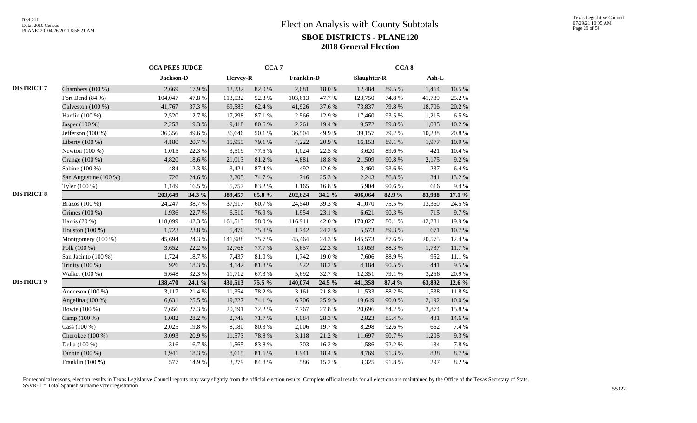|                   |                       | <b>CCA PRES JUDGE</b> |           |          | CCA <sub>7</sub> |                   |            |             | CCA <sub>8</sub> |        |           |
|-------------------|-----------------------|-----------------------|-----------|----------|------------------|-------------------|------------|-------------|------------------|--------|-----------|
|                   |                       | Jackson-D             |           | Hervey-R |                  | <b>Franklin-D</b> |            | Slaughter-R |                  | Ash-L  |           |
| <b>DISTRICT 7</b> | Chambers (100 %)      | 2,669                 | 17.9%     | 12,232   | 82.0%            | 2,681             | $18.0\ \%$ | 12,484      | 89.5%            | 1,464  | 10.5 %    |
|                   | Fort Bend (84 %)      | 104,047               | 47.8 %    | 113,532  | 52.3 %           | 103,613           | 47.7%      | 123,750     | 74.8%            | 41,789 | 25.2 %    |
|                   | Galveston (100 %)     | 41,767                | 37.3 %    | 69,583   | 62.4 %           | 41,926            | 37.6 %     | 73,837      | 79.8%            | 18,706 | 20.2 %    |
|                   | Hardin (100 %)        | 2,520                 | 12.7%     | 17,298   | 87.1 %           | 2,566             | 12.9%      | 17,460      | 93.5%            | 1,215  | 6.5%      |
|                   | Jasper (100 %)        | 2,253                 | 19.3%     | 9,418    | 80.6%            | 2,261             | 19.4 %     | 9,572       | 89.8%            | 1,085  | 10.2%     |
|                   | Jefferson $(100\%)$   | 36,356                | 49.6%     | 36,646   | 50.1 %           | 36,504            | 49.9%      | 39,157      | 79.2 %           | 10,288 | 20.8%     |
|                   | Liberty (100 %)       | 4,180                 | $20.7~\%$ | 15,955   | 79.1 %           | 4,222             | 20.9%      | 16,153      | 89.1 %           | 1,977  | 10.9%     |
|                   | Newton (100 %)        | 1,015                 | 22.3 %    | 3,519    | 77.5 %           | 1,024             | 22.5 %     | 3,620       | 89.6%            | 421    | 10.4 %    |
|                   | Orange (100 %)        | 4,820                 | 18.6%     | 21,013   | 81.2%            | 4,881             | 18.8%      | 21,509      | 90.8%            | 2,175  | 9.2%      |
|                   | Sabine (100 %)        | 484                   | 12.3 %    | 3,421    | 87.4%            | 492               | 12.6 %     | 3,460       | 93.6%            | 237    | 6.4%      |
|                   | San Augustine (100 %) | 726                   | 24.6 %    | 2,205    | 74.7%            | 746               | 25.3 %     | 2,243       | 86.8%            | 341    | 13.2 %    |
|                   | Tyler (100 %)         | 1,149                 | 16.5 %    | 5,757    | 83.2%            | 1,165             | 16.8%      | 5,904       | 90.6%            | 616    | 9.4%      |
| <b>DISTRICT 8</b> |                       | 203,649               | 34.3 %    | 389,457  | 65.8%            | 202,624           | 34.2 %     | 406,064     | 82.9%            | 83,988 | 17.1 %    |
|                   | Brazos (100 %)        | 24,247                | 38.7%     | 37,917   | 60.7%            | 24,540            | 39.3%      | 41,070      | 75.5 %           | 13,360 | 24.5 %    |
|                   | Grimes (100 %)        | 1,936                 | 22.7 %    | 6,510    | 76.9%            | 1,954             | 23.1 %     | 6,621       | 90.3 %           | 715    | 9.7%      |
|                   | Harris (20 %)         | 118,099               | 42.3 %    | 161,513  | 58.0%            | 116,911           | 42.0%      | 170,027     | 80.1 %           | 42,281 | 19.9%     |
|                   | Houston (100 %)       | 1,723                 | 23.8%     | 5,470    | 75.8%            | 1,742             | 24.2 %     | 5,573       | 89.3%            | 671    | 10.7%     |
|                   | Montgomery (100 %)    | 45,694                | 24.3 %    | 141,988  | 75.7%            | 45,464            | 24.3 %     | 145,573     | 87.6%            | 20,575 | 12.4 %    |
|                   | Polk $(100\%)$        | 3,652                 | 22.2 %    | 12,768   | 77.7 %           | 3,657             | 22.3 %     | 13,059      | 88.3%            | 1,737  | 11.7%     |
|                   | San Jacinto (100 %)   | 1,724                 | 18.7%     | 7,437    | 81.0%            | 1,742             | 19.0%      | 7,606       | 88.9%            | 952    | 11.1 %    |
|                   | Trinity (100 %)       | 926                   | 18.3 %    | 4,142    | 81.8%            | 922               | 18.2%      | 4,184       | 90.5 %           | 441    | 9.5%      |
|                   | Walker (100 %)        | 5,648                 | 32.3 %    | 11,712   | 67.3%            | 5,692             | 32.7%      | 12,351      | 79.1 %           | 3,256  | 20.9%     |
| <b>DISTRICT 9</b> |                       | 138,470               | 24.1 %    | 431,513  | 75.5 %           | 140,074           | 24.5 %     | 441,358     | 87.4 %           | 63,892 | 12.6 %    |
|                   | Anderson (100 %)      | 3,117                 | 21.4%     | 11,354   | 78.2%            | 3,161             | 21.8%      | 11,533      | 88.2%            | 1,538  | $11.8~\%$ |
|                   | Angelina (100 %)      | 6,631                 | 25.5 %    | 19,227   | 74.1 %           | 6,706             | 25.9%      | 19,649      | 90.0 %           | 2,192  | $10.0~\%$ |
|                   | Bowie (100 %)         | 7,656                 | 27.3 %    | 20,191   | 72.2 %           | 7,767             | 27.8%      | 20,696      | 84.2 %           | 3,874  | 15.8%     |
|                   | Camp (100 %)          | 1,082                 | 28.2 %    | 2,749    | 71.7%            | 1,084             | 28.3%      | 2,823       | 85.4%            | 481    | 14.6 %    |
|                   | Cass $(100\%)$        | 2,025                 | 19.8%     | 8,180    | 80.3%            | 2,006             | 19.7%      | 8,298       | 92.6%            | 662    | 7.4 %     |
|                   | Cherokee (100 %)      | 3,093                 | 20.9%     | 11,573   | 78.8%            | 3,118             | 21.2%      | 11,697      | 90.7%            | 1,205  | 9.3%      |
|                   | Delta (100 %)         | 316                   | 16.7%     | 1,565    | 83.8%            | 303               | 16.2%      | 1,586       | 92.2%            | 134    | 7.8 %     |
|                   | Fannin (100 %)        | 1,941                 | 18.3 %    | 8,615    | 81.6 %           | 1,941             | 18.4%      | 8,769       | 91.3%            | 838    | 8.7 %     |
|                   | Franklin (100 %)      | 577                   | 14.9%     | 3,279    | 84.8 %           | 586               | 15.2%      | 3,325       | 91.8%            | 297    | 8.2%      |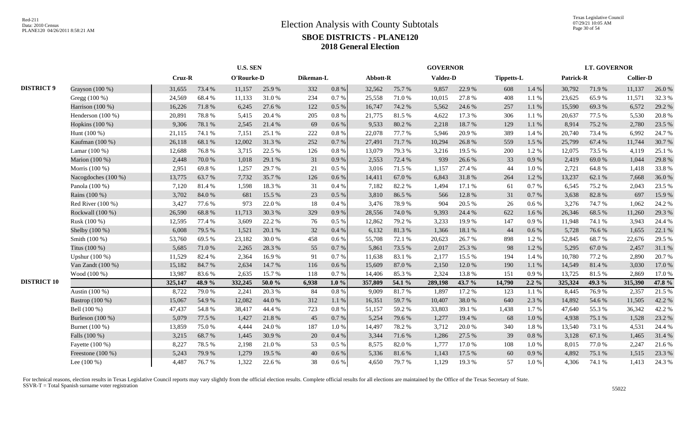|                    |                     |         |        | <b>U.S. SEN</b> |          |           |           |          |        | <b>GOVERNOR</b> |        |            |           |                  | <b>LT. GOVERNOR</b> |                  |        |
|--------------------|---------------------|---------|--------|-----------------|----------|-----------|-----------|----------|--------|-----------------|--------|------------|-----------|------------------|---------------------|------------------|--------|
|                    |                     | Cruz-R  |        | O'Rourke-D      |          | Dikeman-L |           | Abbott-R |        | <b>Valdez-D</b> |        | Tippetts-L |           | <b>Patrick-R</b> |                     | <b>Collier-D</b> |        |
| <b>DISTRICT 9</b>  | Grayson (100 %)     | 31,655  | 73.4 % | 11,157          | 25.9%    | 332       | $0.8\ \%$ | 32,562   | 75.7%  | 9,857           | 22.9%  | 608        | 1.4 %     | 30,792           | 71.9%               | 11,137           | 26.0%  |
|                    | Gregg (100 %)       | 24,569  | 68.4%  | 11,133          | 31.0%    | 234       | 0.7 %     | 25,558   | 71.0%  | 10,015          | 27.8%  | 408        | 1.1%      | 23,625           | 65.9%               | 11,571           | 32.3 % |
|                    | Harrison (100 %)    | 16,226  | 71.8%  | 6,245           | 27.6 %   | 122       | 0.5 %     | 16,747   | 74.2 % | 5,562           | 24.6 % | 257        | 1.1%      | 15,590           | 69.3%               | 6,572            | 29.2 % |
|                    | Henderson (100 %)   | 20,891  | 78.8%  | 5,415           | 20.4 %   | 205       | 0.8%      | 21,775   | 81.5%  | 4,622           | 17.3 % | 306        | 1.1 %     | 20,637           | 77.5 %              | 5,530            | 20.8%  |
|                    | Hopkins (100 %)     | 9,306   | 78.1 % | 2,545           | 21.4%    | 69        | $0.6\%$   | 9,533    | 80.2%  | 2,218           | 18.7%  | 129        | 1.1 %     | 8,914            | 75.2 %              | 2,780            | 23.5 % |
|                    | Hunt (100 %)        | 21,115  | 74.1 % | 7,151           | 25.1 %   | 222       | 0.8 %     | 22,078   | 77.7 % | 5,946           | 20.9%  | 389        | 1.4%      | 20,740           | 73.4 %              | 6,992            | 24.7%  |
|                    | Kaufman (100 %)     | 26,118  | 68.1%  | 12,002          | 31.3%    | 252       | 0.7%      | 27,491   | 71.7%  | 10,294          | 26.8%  | 559        | 1.5 %     | 25,799           | 67.4 %              | 11,744           | 30.7%  |
|                    | Lamar (100 %)       | 12,688  | 76.8%  | 3,715           | 22.5 %   | 126       | $0.8\%$   | 13,079   | 79.3%  | 3,216           | 19.5 % | 200        | 1.2%      | 12,075           | 73.5 %              | 4,119            | 25.1 % |
|                    | Marion (100 %)      | 2,448   | 70.0%  | 1,018           | 29.1 %   | 31        | 0.9%      | 2,553    | 72.4 % | 939             | 26.6 % | 33         | 0.9%      | 2,419            | 69.0%               | 1,044            | 29.8%  |
|                    | Morris $(100\%)$    | 2,951   | 69.8%  | 1,257           | 29.7 %   | 21        | $0.5\%$   | 3,016    | 71.5 % | 1,157           | 27.4 % | 44         | 1.0%      | 2,721            | 64.8%               | 1,418            | 33.8%  |
|                    | Nacogdoches (100 %) | 13,775  | 63.7%  | 7,732           | 35.7%    | 126       | $0.6\%$   | 14,411   | 67.0%  | 6,843           | 31.8%  | 264        | 1.2%      | 13,237           | 62.1 %              | 7,668            | 36.0%  |
|                    | Panola (100 %)      | 7,120   | 81.4%  | 1,598           | 18.3%    | 31        | 0.4%      | 7,182    | 82.2%  | 1,494           | 17.1 % | 61         | 0.7%      | 6,545            | 75.2 %              | 2,043            | 23.5 % |
|                    | Rains (100 %)       | 3,702   | 84.0%  | 681             | 15.5 %   | 23        | 0.5%      | 3,810    | 86.5%  | 566             | 12.8 % | 31         | $0.7\ \%$ | 3,638            | 82.8%               | 697              | 15.9%  |
|                    | Red River (100 %)   | 3,427   | 77.6 % | 973             | 22.0 %   | 18        | 0.4%      | 3,476    | 78.9%  | 904             | 20.5 % | 26         | 0.6%      | 3,276            | 74.7%               | 1,062            | 24.2 % |
|                    | Rockwall (100 %)    | 26,590  | 68.8%  | 11,713          | 30.3%    | 329       | 0.9%      | 28,556   | 74.0%  | 9,393           | 24.4 % | 622        | 1.6 %     | 26,346           | 68.5%               | 11,260           | 29.3 % |
|                    | Rusk (100 %)        | 12,595  | 77.4 % | 3,609           | 22.2 %   | 76        | $0.5\%$   | 12,862   | 79.2 % | 3,233           | 19.9%  | 147        | 0.9%      | 11,948           | 74.1 %              | 3,943            | 24.4 % |
|                    | Shelby (100 %)      | 6,008   | 79.5 % | 1,521           | 20.1 %   | 32        | 0.4%      | 6,132    | 81.3%  | 1,366           | 18.1 % | 44         | $0.6\,\%$ | 5,728            | 76.6%               | 1,655            | 22.1 % |
|                    | Smith (100 %)       | 53,760  | 69.5%  | 23,182          | 30.0%    | 458       | $0.6\%$   | 55,708   | 72.1 % | 20,623          | 26.7%  | 898        | 1.2%      | 52,845           | 68.7%               | 22,676           | 29.5 % |
|                    | Titus $(100\%)$     | 5,685   | 71.0%  | 2,265           | 28.3 %   | 55        | 0.7%      | 5,861    | 73.5 % | 2,017           | 25.3 % | 98         | 1.2%      | 5,295            | 67.0%               | 2,457            | 31.1 % |
|                    | Upshur (100 %)      | 11,529  | 82.4 % | 2,364           | 16.9%    | 91        | 0.7%      | 11,638   | 83.1 % | 2,177           | 15.5 % | 194        | 1.4 %     | 10,780           | 77.2 %              | 2,890            | 20.7%  |
|                    | Van Zandt $(100\%)$ | 15,182  | 84.7%  | 2,634           | 14.7 %   | 116       | $0.6\%$   | 15,609   | 87.0%  | 2,150           | 12.0%  | 190        | 1.1 %     | 14,549           | 81.4%               | 3,030            | 17.0%  |
|                    | Wood (100 %)        | 13,987  | 83.6%  | 2,635           | 15.7%    | 118       | 0.7%      | 14,406   | 85.3%  | 2,324           | 13.8%  | 151        | 0.9%      | 13,725           | 81.5%               | 2,869            | 17.0%  |
| <b>DISTRICT 10</b> |                     | 325,147 | 48.9%  | 332,245         | 50.0 $%$ | 6,938     | $1.0\%$   | 357,809  | 54.1 % | 289,198         | 43.7 % | 14,790     | $2.2\%$   | 325,324          | 49.3 %              | 315,390          | 47.8 % |
|                    | Austin (100 %)      | 8,722   | 79.0%  | 2,241           | 20.3 %   | 84        | $0.8\%$   | 9,009    | 81.7%  | 1,897           | 17.2 % | 123        | 1.1 %     | 8,445            | 76.9%               | 2,357            | 21.5 % |
|                    | Bastrop (100 %)     | 15,067  | 54.9%  | 12,082          | 44.0%    | 312       | 1.1%      | 16,351   | 59.7%  | 10,407          | 38.0%  | 640        | 2.3 %     | 14,892           | 54.6%               | 11,505           | 42.2 % |
|                    | Bell (100 %)        | 47,437  | 54.8%  | 38,417          | 44.4 %   | 723       | 0.8%      | 51,157   | 59.2%  | 33,803          | 39.1 % | 1,438      | 1.7%      | 47,640           | 55.3%               | 36,342           | 42.2 % |
|                    | Burleson (100 %)    | 5,079   | 77.5 % | 1,427           | 21.8%    | 45        | 0.7%      | 5,254    | 79.6%  | 1,277           | 19.4 % | 68         | $1.0\ \%$ | 4,938            | 75.1 %              | 1,528            | 23.2 % |
|                    | Burnet (100 %)      | 13,859  | 75.0%  | 4,444           | 24.0%    | 187       | 1.0%      | 14,497   | 78.2 % | 3,712           | 20.0%  | 340        | 1.8%      | 13,540           | 73.1 %              | 4,531            | 24.4 % |
|                    | Falls (100 %)       | 3,215   | 68.7%  | 1,445           | 30.9%    | 20        | 0.4%      | 3,344    | 71.6%  | 1,286           | 27.5 % | 39         | $0.8\ \%$ | 3,128            | 67.1 %              | 1,465            | 31.4 % |
|                    | Fayette (100 %)     | 8,227   | 78.5 % | 2,198           | 21.0%    | 53        | $0.5\%$   | 8,575    | 82.0%  | 1,777           | 17.0%  | 108        | 1.0%      | 8,015            | 77.0%               | 2,247            | 21.6 % |
|                    | Freestone $(100\%)$ | 5,243   | 79.9%  | 1,279           | 19.5 %   | 40        | $0.6\%$   | 5,336    | 81.6%  | 1,143           | 17.5 % | 60         | 0.9 %     | 4,892            | 75.1 %              | 1,515            | 23.3 % |
|                    | Lee $(100\%)$       | 4,487   | 76.7%  | 1,322           | 22.6 %   | 38        | $0.6\%$   | 4,650    | 79.7%  | 1,129           | 19.3%  | 57         | $1.0%$    | 4,306            | 74.1 %              | 1,413            | 24.3 % |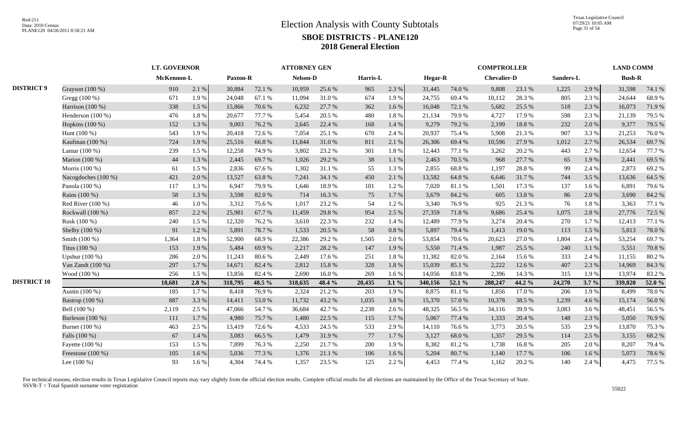|                    |                     | <b>LT. GOVERNOR</b> |         |                 |        | <b>ATTORNEY GEN</b> |        |          |           |                |        | <b>COMPTROLLER</b> |        |           |       | <b>LAND COMM</b> |        |
|--------------------|---------------------|---------------------|---------|-----------------|--------|---------------------|--------|----------|-----------|----------------|--------|--------------------|--------|-----------|-------|------------------|--------|
|                    |                     | McKennon-L          |         | <b>Paxton-R</b> |        | <b>Nelson-D</b>     |        | Harris-L |           | <b>Hegar-R</b> |        | <b>Chevalier-D</b> |        | Sanders-L |       | <b>Bush-R</b>    |        |
| <b>DISTRICT 9</b>  | Grayson (100 %)     | 910                 | 2.1 %   | 30,884          | 72.1 % | 10,959              | 25.6 % | 965      | 2.3 %     | 31,445         | 74.0%  | 9,808              | 23.1 % | 1,225     | 2.9 % | 31,598           | 74.1 % |
|                    | Gregg (100 %)       | 671                 | 1.9%    | 24,048          | 67.1 % | 11,094              | 31.0%  | 674      | 1.9%      | 24,755         | 69.4%  | 10,112             | 28.3%  | 805       | 2.3 % | 24,644           | 68.9%  |
|                    | Harrison (100 %)    | 338                 | 1.5 %   | 15,866          | 70.6 % | 6,232               | 27.7 % | 362      | 1.6 %     | 16,048         | 72.1 % | 5,682              | 25.5 % | 518       | 2.3 % | 16,073           | 71.9%  |
|                    | Henderson (100 %)   | 476                 | 1.8%    | 20,677          | 77.7 % | 5,454               | 20.5 % | 480      | 1.8 %     | 21,134         | 79.9%  | 4,727              | 17.9%  | 598       | 2.3 % | 21,139           | 79.5 % |
|                    | Hopkins (100 %)     | 152                 | 1.3 %   | 9,003           | 76.2 % | 2,645               | 22.4 % | 168      | 1.4%      | 9,279          | 79.2 % | 2,199              | 18.8 % | 232       | 2.0%  | 9,377            | 79.5 % |
|                    | Hunt (100 %)        | 543                 | 1.9%    | 20,418          | 72.6%  | 7,054               | 25.1 % | 670      | 2.4 %     | 20,937         | 75.4 % | 5,908              | 21.3%  | 907       | 3.3%  | 21,253           | 76.0%  |
|                    | Kaufman (100 %)     | 724                 | 1.9%    | 25,516          | 66.8%  | 11,844              | 31.0%  | 811      | 2.1 %     | 26,306         | 69.4%  | 10,596             | 27.9%  | 1,012     | 2.7%  | 26,534           | 69.7%  |
|                    | Lamar (100 %)       | 239                 | 1.5 %   | 12,258          | 74.9%  | 3,802               | 23.2 % | 301      | 1.8%      | 12,443         | 77.1 % | 3,262              | 20.2 % | 443       | 2.7%  | 12,654           | 77.7 % |
|                    | Marion (100 %)      | 44                  | 1.3 %   | 2,445           | 69.7%  | 1,026               | 29.2 % | 38       | 1.1%      | 2,463          | 70.5 % | 968                | 27.7 % | 65        | 1.9%  | 2,441            | 69.5%  |
|                    | Morris (100 %)      | 61                  | 1.5 %   | 2,836           | 67.6%  | 1,302               | 31.1 % | 55       | 1.3 %     | 2,855          | 68.8%  | 1,197              | 28.8%  | 99        | 2.4 % | 2,873            | 69.2%  |
|                    | Nacogdoches (100 %) | 421                 | 2.0%    | 13,527          | 63.8%  | 7,241               | 34.1 % | 450      | 2.1%      | 13,582         | 64.8%  | 6,646              | 31.7%  | 744       | 3.5 % | 13,636           | 64.5 % |
|                    | Panola (100 %)      | 117                 | 1.3 %   | 6,947           | 79.9%  | 1.646               | 18.9%  | 101      | 1.2%      | 7,020          | 81.1%  | 1,501              | 17.3 % | 137       | 1.6 % | 6,891            | 79.6%  |
|                    | Rains (100 %)       | 58                  | 1.3%    | 3,598           | 82.0%  | 714                 | 16.3%  | 75       | 1.7 %     | 3,679          | 84.2 % | 605                | 13.8%  | 86        | 2.0%  | 3,690            | 84.2%  |
|                    | Red River $(100\%)$ | 46                  | 1.0%    | 3,312           | 75.6%  | 1,017               | 23.2 % | 54       | 1.2%      | 3,340          | 76.9%  | 925                | 21.3%  | 76        | 1.8%  | 3,363            | 77.1 % |
|                    | Rockwall (100 %)    | 857                 | 2.2 %   | 25,981          | 67.7%  | 11,459              | 29.8%  | 954      | 2.5 %     | 27,359         | 71.8%  | 9,686              | 25.4 % | 1,075     | 2.8 % | 27,776           | 72.5 % |
|                    | Rusk (100 %)        | 240                 | 1.5 %   | 12,320          | 76.2 % | 3,610               | 22.3 % | 232      | 1.4 %     | 12,489         | 77.9%  | 3,274              | 20.4 % | 270       | 1.7%  | 12,413           | 77.1 % |
|                    | Shelby (100 %)      | 91                  | 1.2%    | 5,891           | 78.7%  | 1,533               | 20.5 % | 58       | 0.8%      | 5,897          | 79.4%  | 1,413              | 19.0%  | 113       | 1.5 % | 5,813            | 78.0%  |
|                    | Smith (100 %)       | 1,364               | 1.8%    | 52,900          | 68.9%  | 22,386              | 29.2 % | 1,505    | 2.0%      | 53,854         | 70.6%  | 20,623             | 27.0%  | 1,804     | 2.4 % | 53,254           | 69.7%  |
|                    | Titus (100 %)       | 153                 | 1.9%    | 5,484           | 69.9%  | 2,217               | 28.2 % | 147      | 1.9%      | 5,550          | 71.4 % | 1,987              | 25.5 % | 240       | 3.1 % | 5,551            | 70.8%  |
|                    | Upshur $(100\%)$    | 286                 | 2.0 %   | 11,243          | 80.6%  | 2,449               | 17.6 % | 251      | 1.8%      | 11,382         | 82.0%  | 2,164              | 15.6 % | 333       | 2.4 % | 11,155           | 80.2%  |
|                    | Van Zandt (100 %)   | 297                 | 1.7%    | 14,671          | 82.4%  | 2,812               | 15.8%  | 328      | $1.8\ \%$ | 15,039         | 85.1%  | 2,222              | 12.6 % | 407       | 2.3 % | 14,969           | 84.3%  |
|                    | Wood (100 %)        | 256                 | 1.5 %   | 13,856          | 82.4 % | 2,690               | 16.0%  | 269      | 1.6%      | 14,056         | 83.8%  | 2,396              | 14.3 % | 315       | 1.9%  | 13,974           | 83.2%  |
| <b>DISTRICT 10</b> |                     | 18,681              | $2.8\%$ | 318,795         | 48.5 % | 318,635             | 48.4 % | 20,435   | 3.1%      | 340,156        | 52.1 % | 288,247            | 44.2 % | 24,270    | 3.7%  | 339,820          | 52.0%  |
|                    | Austin (100 %)      | 185                 | 1.7%    | 8,418           | 76.9%  | 2,324               | 21.2%  | 203      | 1.9%      | 8,875          | 81.1%  | 1,856              | 17.0%  | 206       | 1.9%  | 8,499            | 78.0%  |
|                    | Bastrop (100 %)     | 887                 | 3.3 %   | 14,411          | 53.0%  | 11,732              | 43.2 % | 1,035    | 3.8%      | 15,370         | 57.0%  | 10,378             | 38.5 % | 1,239     | 4.6 % | 15,174           | 56.0%  |
|                    | Bell (100 %)        | 2,119               | 2.5 %   | 47,066          | 54.7%  | 36,684              | 42.7%  | 2,238    | 2.6 %     | 48,325         | 56.5 % | 34,116             | 39.9%  | 3,083     | 3.6%  | 48,451           | 56.5%  |
|                    | Burleson (100 %)    | 111                 | 1.7%    | 4,980           | 75.7%  | 1,480               | 22.5 % | 115      | 1.7%      | 5,067          | 77.4 % | 1,333              | 20.4 % | 148       | 2.3 % | 5,050            | 76.9%  |
|                    | Burnet (100 %)      | 463                 | 2.5 %   | 13,419          | 72.6 % | 4,533               | 24.5 % | 533      | 2.9%      | 14,110         | 76.6%  | 3,773              | 20.5 % | 535       | 2.9%  | 13,870           | 75.3 % |
|                    | Falls (100 %)       | 67                  | 1.4 %   | 3,083           | 66.5%  | 1,479               | 31.9%  | 77       | 1.7%      | 3,127          | 68.0%  | 1,357              | 29.5 % | 114       | 2.5 % | 3,155            | 68.2%  |
|                    | Fayette (100 %)     | 153                 | 1.5 %   | 7,899           | 76.3%  | 2,250               | 21.7%  | 200      | 1.9%      | 8,382          | 81.2%  | 1,738              | 16.8%  | 205       | 2.0%  | 8,207            | 79.4%  |
|                    | Freestone $(100\%)$ | 105                 | 1.6 %   | 5,036           | 77.3 % | 1,376               | 21.1 % | 106      | 1.6 %     | 5,204          | 80.7%  | 1,140              | 17.7 % | 106       | 1.6 % | 5,073            | 78.6%  |
|                    | Lee $(100\%)$       | 93                  | 1.6 %   | 4,304           | 74.4 % | 1,357               | 23.5 % | 125      | 2.2 %     | 4,453          | 77.4 % | 1,162              | 20.2 % | 140       | 2.4 % | 4,475            | 77.5 % |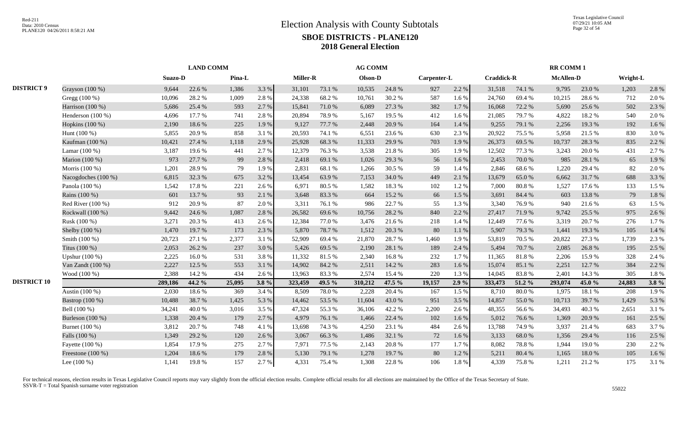|                    |                     |         | <b>LAND COMM</b> |        |         |                 |        | <b>AG COMM</b> |        |             |       |                   |        | <b>RR COMM1</b>  |        |          |         |
|--------------------|---------------------|---------|------------------|--------|---------|-----------------|--------|----------------|--------|-------------|-------|-------------------|--------|------------------|--------|----------|---------|
|                    |                     | Suazo-D |                  | Pina-L |         | <b>Miller-R</b> |        | Olson-D        |        | Carpenter-L |       | <b>Craddick-R</b> |        | <b>McAllen-D</b> |        | Wright-L |         |
| <b>DISTRICT 9</b>  | Grayson (100 %)     | 9,644   | 22.6 %           | 1,386  | 3.3 %   | 31,101          | 73.1 % | 10,535         | 24.8%  | 927         | 2.2 % | 31,518            | 74.1 % | 9,795            | 23.0%  | 1,203    | 2.8%    |
|                    | Gregg (100 %)       | 10,096  | 28.2%            | 1,009  | 2.8%    | 24,338          | 68.2%  | 10,761         | 30.2%  | 587         | 1.6%  | 24,760            | 69.4%  | 10,215           | 28.6%  | 712      | 2.0%    |
|                    | Harrison (100 %)    | 5,686   | 25.4 %           | 593    | 2.7 %   | 15,841          | 71.0%  | 6,089          | 27.3 % | 382         | 1.7%  | 16,068            | 72.2 % | 5,690            | 25.6 % | 502      | 2.3 %   |
|                    | Henderson $(100\%)$ | 4,696   | 17.7 %           | 741    | 2.8%    | 20,894          | 78.9%  | 5,167          | 19.5 % | 412         | 1.6 % | 21,085            | 79.7%  | 4,822            | 18.2%  | 540      | 2.0%    |
|                    | Hopkins (100 %)     | 2,190   | 18.6%            | 225    | 1.9%    | 9,127           | 77.7 % | 2,448          | 20.9%  | 164         | 1.4 % | 9,255             | 79.1 % | 2,256            | 19.3%  | 192      | 1.6%    |
|                    | Hunt (100 %)        | 5,855   | 20.9%            | 858    | 3.1%    | 20,593          | 74.1 % | 6,551          | 23.6 % | 630         | 2.3 % | 20,922            | 75.5 % | 5,958            | 21.5 % | 830      | 3.0%    |
|                    | Kaufman (100 %)     | 10,421  | 27.4 %           | 1,118  | 2.9 %   | 25,928          | 68.3%  | 11,333         | 29.9%  | 703         | 1.9%  | 26,373            | 69.5%  | 10,737           | 28.3%  | 835      | 2.2 %   |
|                    | Lamar (100 %)       | 3,187   | 19.6%            | 441    | 2.7 %   | 12,379          | 76.3%  | 3,538          | 21.8%  | 305         | 1.9%  | 12,502            | 77.3 % | 3,243            | 20.0%  | 431      | 2.7%    |
|                    | Marion (100 %)      | 973     | 27.7 %           | 99     | 2.8%    | 2,418           | 69.1 % | 1,026          | 29.3 % | 56          | 1.6%  | 2,453             | 70.0%  | 985              | 28.1 % | 65       | 1.9%    |
|                    | Morris (100 %)      | 1,201   | 28.9%            | 79     | 1.9%    | 2,831           | 68.1 % | 1,266          | 30.5 % | 59          | 1.4 % | 2,846             | 68.6%  | 1,220            | 29.4 % | 82       | 2.0%    |
|                    | Nacogdoches (100 %) | 6,815   | 32.3 %           | 675    | 3.2%    | 13,454          | 63.9%  | 7,153          | 34.0%  | 449         | 2.1 % | 13,679            | 65.0%  | 6,662            | 31.7%  | 688      | 3.3 %   |
|                    | Panola (100 %)      | 1,542   | 17.8%            | 221    | 2.6 %   | 6,971           | 80.5 % | 1,582          | 18.3%  | 102         | 1.2%  | 7,000             | 80.8%  | 1,527            | 17.6 % | 133      | 1.5 %   |
|                    | Rains (100 %)       | 601     | 13.7 %           | 93     | 2.1 %   | 3,648           | 83.3%  | 664            | 15.2 % | 66          | 1.5 % | 3,691             | 84.4 % | 603              | 13.8%  | 79       | 1.8%    |
|                    | Red River (100 %)   | 912     | 20.9%            | 87     | 2.0 %   | 3,311           | 76.1 % | 986            | 22.7 % | 55          | 1.3%  | 3,340             | 76.9%  | 940              | 21.6%  | 63       | 1.5 %   |
|                    | Rockwall (100 %)    | 9,442   | 24.6 %           | 1,087  | 2.8%    | 26,582          | 69.6%  | 10,756         | 28.2 % | 840         | 2.2 % | 27,417            | 71.9%  | 9,742            | 25.5 % | 975      | 2.6%    |
|                    | Rusk (100 %)        | 3,271   | 20.3 %           | 413    | 2.6 %   | 12,384          | 77.0%  | 3,476          | 21.6 % | 218         | 1.4 % | 12,449            | 77.6 % | 3,319            | 20.7 % | 276      | 1.7 %   |
|                    | Shelby (100 %)      | 1,470   | 19.7%            | 173    | 2.3 %   | 5,870           | 78.7%  | 1,512          | 20.3 % | 80          | 1.1 % | 5,907             | 79.3 % | 1,441            | 19.3%  | 105      | 1.4 %   |
|                    | Smith (100 %)       | 20,723  | 27.1 %           | 2,377  | 3.1%    | 52,909          | 69.4%  | 21,870         | 28.7%  | 1,460       | 1.9%  | 53,819            | 70.5 % | 20,822           | 27.3 % | 1,739    | 2.3 %   |
|                    | Titus $(100\%)$     | 2,053   | 26.2 %           | 237    | 3.0 %   | 5,426           | 69.5 % | 2,190          | 28.1 % | 189         | 2.4 % | 5,494             | 70.7%  | 2.085            | 26.8%  | 195      | 2.5 %   |
|                    | Upshur (100 %)      | 2,225   | 16.0%            | 531    | 3.8%    | 11,332          | 81.5%  | 2,340          | 16.8%  | 232         | 1.7%  | 11,365            | 81.8%  | 2,206            | 15.9%  | 328      | 2.4 %   |
|                    | Van Zandt (100 %)   | 2,227   | 12.5 %           | 553    | 3.1 %   | 14,902          | 84.2 % | 2,511          | 14.2 % | 283         | 1.6%  | 15,074            | 85.1%  | 2,251            | 12.7 % | 384      | 2.2 %   |
|                    | Wood (100 %)        | 2,388   | 14.2 %           | 434    | 2.6 %   | 13,963          | 83.3%  | 2,574          | 15.4 % | 220         | 1.3 % | 14,045            | 83.8%  | 2,401            | 14.3 % | 305      | 1.8%    |
| <b>DISTRICT 10</b> |                     | 289,186 | 44.2 %           | 25,095 | $3.8\%$ | 323,459         | 49.5 % | 310,212        | 47.5 % | 19,157      | 2.9%  | 333,473           | 51.2 % | 293,074          | 45.0%  | 24,883   | $3.8\%$ |
|                    | Austin (100 %)      | 2,030   | 18.6%            | 369    | 3.4 %   | 8,509           | 78.0%  | 2,228          | 20.4 % | 167         | 1.5 % | 8,710             | 80.0%  | 1,975            | 18.1 % | 208      | 1.9%    |
|                    | Bastrop (100 %)     | 10,488  | 38.7%            | 1,425  | 5.3 %   | 14,462          | 53.5 % | 11,604         | 43.0%  | 951         | 3.5 % | 14,857            | 55.0%  | 10,713           | 39.7%  | 1,429    | 5.3 %   |
|                    | Bell (100 %)        | 34,241  | 40.0%            | 3,016  | 3.5 %   | 47,324          | 55.3%  | 36,106         | 42.2 % | 2,200       | 2.6%  | 48,355            | 56.6%  | 34,493           | 40.3%  | 2,651    | 3.1 %   |
|                    | Burleson (100 %)    | 1,338   | 20.4 %           | 179    | 2.7 %   | 4,979           | 76.1 % | 1,466          | 22.4 % | 102         | 1.6%  | 5,012             | 76.6%  | 1,369            | 20.9%  | 161      | 2.5 %   |
|                    | Burnet (100 %)      | 3,812   | 20.7%            | 748    | 4.1 %   | 13,698          | 74.3 % | 4,250          | 23.1 % | 484         | 2.6 % | 13,788            | 74.9%  | 3,937            | 21.4 % | 683      | 3.7 %   |
|                    | Falls (100 %)       | 1,349   | 29.2 %           | 120    | 2.6 %   | 3,067           | 66.3%  | 1,486          | 32.1 % | 72          | 1.6%  | 3,133             | 68.0%  | 1,356            | 29.4 % | 116      | 2.5 %   |
|                    | Fayette (100 %)     | 1,854   | 17.9%            | 275    | 2.7%    | 7,971           | 77.5 % | 2,143          | 20.8%  | 177         | 1.7%  | 8,082             | 78.8%  | 1,944            | 19.0%  | 230      | 2.2 %   |
|                    | Freestone $(100\%)$ | 1,204   | 18.6%            | 179    | 2.8%    | 5,130           | 79.1 % | 1,278          | 19.7%  | 80          | 1.2%  | 5,211             | 80.4%  | 1,165            | 18.0%  | 105      | 1.6%    |
|                    | Lee $(100\%)$       | 1,141   | 19.8%            | 157    | 2.7 %   | 4,331           | 75.4 % | 1,308          | 22.8%  | 106         | 1.8%  | 4,339             | 75.8%  | 1,211            | 21.2%  | 175      | 3.1%    |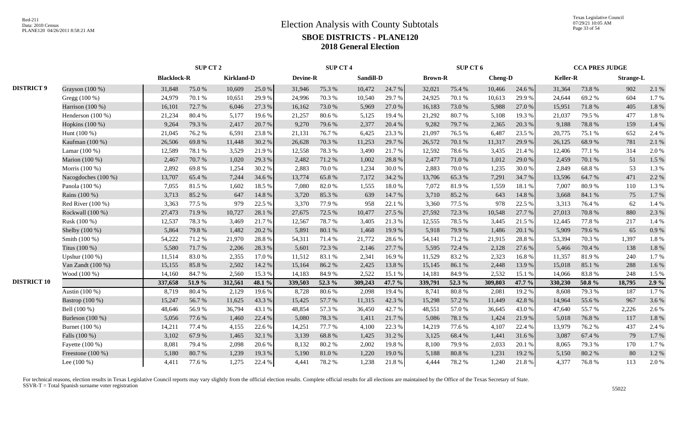|                    |                     |                    | SUP CT 2 |                   |        |          | <b>SUP CT 4</b> |           |        |                | SUP CT 6 |                |        |                 | <b>CCA PRES JUDGE</b> |                  |       |
|--------------------|---------------------|--------------------|----------|-------------------|--------|----------|-----------------|-----------|--------|----------------|----------|----------------|--------|-----------------|-----------------------|------------------|-------|
|                    |                     | <b>Blacklock-R</b> |          | <b>Kirkland-D</b> |        | Devine-R |                 | Sandill-D |        | <b>Brown-R</b> |          | <b>Cheng-D</b> |        | <b>Keller-R</b> |                       | <b>Strange-L</b> |       |
| <b>DISTRICT 9</b>  | Grayson (100 %)     | 31,848             | 75.0%    | 10,609            | 25.0%  | 31,946   | 75.3 %          | 10,472    | 24.7 % | 32,021         | 75.4 %   | 10,466         | 24.6 % | 31,364          | 73.8%                 | 902              | 2.1 % |
|                    | Gregg (100 %)       | 24,979             | 70.1%    | 10,651            | 29.9%  | 24,996   | 70.3%           | 10,540    | 29.7%  | 24,925         | 70.1%    | 10,613         | 29.9%  | 24,644          | 69.2%                 | 604              | 1.7%  |
|                    | Harrison $(100\%)$  | 16,101             | 72.7 %   | 6,046             | 27.3 % | 16,162   | 73.0 %          | 5,969     | 27.0 % | 16,183         | 73.0%    | 5,988          | 27.0%  | 15,951          | 71.8%                 | 405              | 1.8%  |
|                    | Henderson (100 %)   | 21,234             | 80.4%    | 5,177             | 19.6%  | 21,257   | 80.6%           | 5,125     | 19.4 % | 21,292         | 80.7%    | 5,108          | 19.3%  | 21,037          | 79.5 %                | 477              | 1.8%  |
|                    | Hopkins (100 %)     | 9,264              | 79.3%    | 2,417             | 20.7 % | 9,270    | 79.6%           | 2,377     | 20.4 % | 9,282          | 79.7%    | 2,365          | 20.3%  | 9,188           | 78.8%                 | 159              | 1.4 % |
|                    | Hunt (100 %)        | 21,045             | 76.2%    | 6,591             | 23.8%  | 21,131   | 76.7%           | 6,425     | 23.3 % | 21,097         | 76.5 %   | 6,487          | 23.5 % | 20,775          | 75.1 %                | 652              | 2.4 % |
|                    | Kaufman (100 %)     | 26,506             | 69.8%    | 11,448            | 30.2 % | 26,628   | 70.3 %          | 11,253    | 29.7%  | 26,572         | 70.1 %   | 11,317         | 29.9%  | 26,125          | 68.9%                 | 781              | 2.1 % |
|                    | Lamar (100 %)       | 12,589             | 78.1 %   | 3,529             | 21.9%  | 12,558   | 78.3%           | 3,490     | 21.7%  | 12,592         | 78.6%    | 3,435          | 21.4%  | 12,406          | 77.1 %                | 314              | 2.0%  |
|                    | Marion (100 %)      | 2,467              | 70.7%    | 1,020             | 29.3 % | 2,482    | 71.2 %          | 1,002     | 28.8%  | 2,477          | 71.0%    | 1,012          | 29.0%  | 2,459           | 70.1 %                | 51               | 1.5 % |
|                    | Morris (100 %)      | 2,892              | 69.8%    | 1,254             | 30.2%  | 2,883    | 70.0%           | 1,234     | 30.0%  | 2,883          | 70.0%    | 1,235          | 30.0%  | 2,849           | 68.8%                 | 53               | 1.3%  |
|                    | Nacogdoches (100 %) | 13,707             | 65.4 %   | 7,244             | 34.6 % | 13,774   | 65.8%           | 7,172     | 34.2 % | 13,706         | 65.3%    | 7,291          | 34.7 % | 13,596          | 64.7 %                | 471              | 2.2 % |
|                    | Panola (100 %)      | 7,055              | 81.5%    | 1,602             | 18.5%  | 7.080    | 82.0%           | 1,555     | 18.0%  | 7,072          | 81.9%    | 1,559          | 18.1%  | 7.007           | 80.9%                 | 110              | 1.3%  |
|                    | Rains (100 %)       | 3,713              | 85.2%    | 647               | 14.8%  | 3,720    | 85.3%           | 639       | 14.7 % | 3,710          | 85.2%    | 643            | 14.8%  | 3,668           | 84.1 %                | 75               | 1.7%  |
|                    | Red River $(100\%)$ | 3,363              | 77.5 %   | 979               | 22.5 % | 3,370    | 77.9 %          | 958       | 22.1 % | 3,360          | 77.5 %   | 978            | 22.5 % | 3,313           | 76.4 %                | 62               | 1.4 % |
|                    | Rockwall (100 %)    | 27,473             | 71.9%    | 10,727            | 28.1 % | 27,675   | 72.5 %          | 10,477    | 27.5 % | 27,592         | 72.3 %   | 10,548         | 27.7 % | 27,013          | 70.8 %                | 880              | 2.3 % |
|                    | Rusk (100 %)        | 12,537             | 78.3%    | 3,469             | 21.7%  | 12,567   | 78.7%           | 3,405     | 21.3%  | 12,555         | 78.5%    | 3,445          | 21.5 % | 12,445          | 77.8 %                | 217              | 1.4 % |
|                    | Shelby (100 %)      | 5,864              | 79.8%    | 1,482             | 20.2 % | 5,891    | 80.1 %          | 1,468     | 19.9%  | 5,918          | 79.9%    | 1,486          | 20.1 % | 5,909           | 79.6 %                | 65               | 0.9%  |
|                    | Smith (100 %)       | 54,222             | 71.2%    | 21,970            | 28.8%  | 54,311   | 71.4 %          | 21,772    | 28.6%  | 54,141         | 71.2%    | 21,915         | 28.8%  | 53,394          | 70.3%                 | 1,397            | 1.8%  |
|                    | Titus (100 %)       | 5,580              | 71.7%    | 2,206             | 28.3 % | 5,601    | 72.3 %          | 2,146     | 27.7 % | 5,595          | 72.4 %   | 2,128          | 27.6%  | 5,466           | 70.4 %                | 138              | 1.8 % |
|                    | Upshur $(100\%)$    | 11,514             | 83.0%    | 2,355             | 17.0%  | 11,512   | 83.1 %          | 2,341     | 16.9%  | 11,529         | 83.2%    | 2,323          | 16.8%  | 11,357          | 81.9%                 | 240              | 1.7%  |
|                    | Van Zandt (100 %)   | 15,155             | 85.8%    | 2,502             | 14.2 % | 15,164   | 86.2%           | 2,425     | 13.8%  | 15,145         | 86.1%    | 2,448          | 13.9%  | 15,018          | 85.1 %                | 288              | 1.6%  |
|                    | Wood (100 %)        | 14,160             | 84.7%    | 2,560             | 15.3%  | 14,183   | 84.9%           | 2,522     | 15.1 % | 14,181         | 84.9%    | 2,532          | 15.1 % | 14,066          | 83.8%                 | 248              | 1.5 % |
| <b>DISTRICT 10</b> |                     | 337,658            | 51.9 %   | 312,561           | 48.1 % | 339,503  | 52.3 %          | 309,243   | 47.7 % | 339,791        | 52.3 %   | 309,803        | 47.7 % | 330,230         | 50.8 $%$              | 18,795           | 2.9%  |
|                    | Austin (100 %)      | 8,719              | 80.4%    | 2,129             | 19.6%  | 8,728    | 80.6%           | 2,098     | 19.4 % | 8,741          | 80.8%    | 2,081          | 19.2%  | 8,608           | 79.3%                 | 187              | 1.7%  |
|                    | Bastrop (100 %)     | 15,247             | 56.7%    | 11,625            | 43.3%  | 15,425   | 57.7 %          | 11,315    | 42.3 % | 15,298         | 57.2 %   | 11,449         | 42.8%  | 14,964          | 55.6 %                | 967              | 3.6%  |
|                    | Bell (100 %)        | 48,646             | 56.9%    | 36,794            | 43.1 % | 48,854   | 57.3 %          | 36,450    | 42.7 % | 48,551         | 57.0%    | 36,645         | 43.0 % | 47,640          | 55.7%                 | 2,226            | 2.6%  |
|                    | Burleson (100 %)    | 5,056              | 77.6%    | 1,460             | 22.4 % | 5,080    | 78.3%           | 1,411     | 21.7%  | 5,086          | 78.1 %   | 1,424          | 21.9%  | 5,018           | 76.8%                 | 117              | 1.8%  |
|                    | Burnet (100 %)      | 14,211             | 77.4 %   | 4,155             | 22.6 % | 14,251   | 77.7 %          | 4,100     | 22.3 % | 14,219         | 77.6 %   | 4,107          | 22.4 % | 13,979          | 76.2 %                | 437              | 2.4 % |
|                    | Falls (100 %)       | 3,102              | 67.9%    | 1,465             | 32.1 % | 3,139    | 68.8%           | 1,425     | 31.2%  | 3,125          | 68.4%    | 1,441          | 31.6%  | 3,087           | 67.4 %                | 79               | 1.7%  |
|                    | Fayette (100 %)     | 8,081              | 79.4%    | 2,098             | 20.6%  | 8,132    | 80.2%           | 2,002     | 19.8%  | 8,100          | 79.9%    | 2,033          | 20.1 % | 8,065           | 79.3%                 | 170              | 1.7%  |
|                    | Freestone (100 %)   | 5,180              | 80.7%    | 1,239             | 19.3%  | 5,190    | 81.0%           | 1,220     | 19.0%  | 5,188          | 80.8 %   | 1,231          | 19.2 % | 5,150           | 80.2%                 | 80               | 1.2%  |
|                    | Lee $(100\%)$       | 4,411              | 77.6 %   | 1,275             | 22.4 % | 4,441    | 78.2%           | 1,238     | 21.8%  | 4,444          | 78.2%    | 1,240          | 21.8%  | 4,377           | 76.8%                 | 113              | 2.0%  |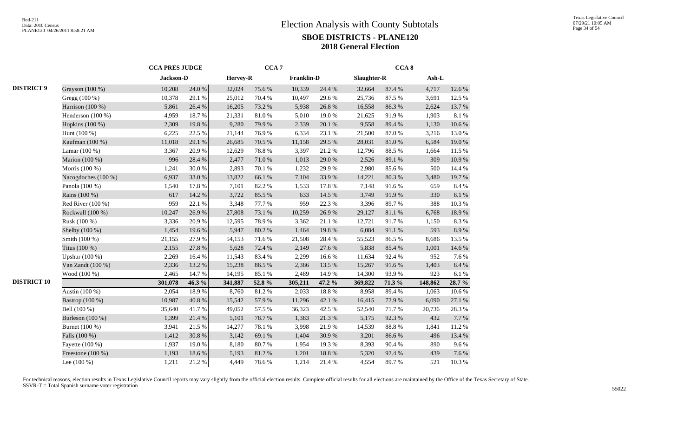|                    |                     |           | <b>CCA PRES JUDGE</b> |          | CCA <sub>7</sub> |                   |        |             | CCA <sub>8</sub> |         |        |
|--------------------|---------------------|-----------|-----------------------|----------|------------------|-------------------|--------|-------------|------------------|---------|--------|
|                    |                     | Jackson-D |                       | Hervey-R |                  | <b>Franklin-D</b> |        | Slaughter-R |                  | Ash-L   |        |
| <b>DISTRICT 9</b>  | Grayson (100 %)     | 10,208    | 24.0 %                | 32,024   | 75.6%            | 10,339            | 24.4 % | 32,664      | 87.4 %           | 4,717   | 12.6%  |
|                    | Gregg (100 %)       | 10,378    | 29.1 %                | 25,012   | 70.4 %           | 10,497            | 29.6%  | 25,736      | 87.5 %           | 3,691   | 12.5 % |
|                    | Harrison (100 %)    | 5,861     | 26.4 %                | 16,205   | 73.2 %           | 5,938             | 26.8%  | 16,558      | 86.3%            | 2,624   | 13.7%  |
|                    | Henderson (100 %)   | 4,959     | 18.7%                 | 21,331   | 81.0%            | 5,010             | 19.0%  | 21,625      | 91.9%            | 1,903   | 8.1%   |
|                    | Hopkins (100 %)     | 2,309     | 19.8%                 | 9,280    | 79.9%            | 2,339             | 20.1 % | 9,558       | 89.4%            | 1,130   | 10.6%  |
|                    | Hunt $(100\%)$      | 6,225     | 22.5 %                | 21,144   | 76.9%            | 6,334             | 23.1 % | 21,500      | 87.0%            | 3,216   | 13.0%  |
|                    | Kaufman (100 %)     | 11,018    | 29.1 %                | 26,685   | 70.5 %           | 11,158            | 29.5 % | 28,031      | 81.0%            | 6,584   | 19.0%  |
|                    | Lamar $(100\%)$     | 3,367     | 20.9%                 | 12,629   | 78.8%            | 3,397             | 21.2%  | 12,796      | 88.5%            | 1,664   | 11.5 % |
|                    | Marion (100 %)      | 996       | 28.4 %                | 2,477    | 71.0 %           | 1,013             | 29.0%  | 2,526       | 89.1 %           | 309     | 10.9%  |
|                    | Morris (100 %)      | 1,241     | $30.0\;\%$            | 2,893    | 70.1 %           | 1,232             | 29.9%  | 2,980       | 85.6%            | 500     | 14.4 % |
|                    | Nacogdoches (100 %) | 6,937     | 33.0%                 | 13,822   | 66.1%            | 7,104             | 33.9%  | 14,221      | 80.3 %           | 3,480   | 19.7%  |
|                    | Panola (100 %)      | 1,540     | 17.8%                 | 7,101    | 82.2%            | 1,533             | 17.8%  | 7,148       | 91.6%            | 659     | 8.4%   |
|                    | Rains (100 %)       | 617       | 14.2 %                | 3,722    | 85.5%            | 633               | 14.5 % | 3,749       | 91.9%            | 330     | 8.1%   |
|                    | Red River $(100\%)$ | 959       | 22.1 %                | 3,348    | 77.7 %           | 959               | 22.3 % | 3,396       | 89.7%            | 388     | 10.3 % |
|                    | Rockwall (100 %)    | 10,247    | 26.9%                 | 27,808   | 73.1 %           | 10,259            | 26.9%  | 29,127      | 81.1 %           | 6,768   | 18.9%  |
|                    | Rusk (100 %)        | 3,336     | 20.9%                 | 12,595   | 78.9%            | 3,362             | 21.1%  | 12,721      | 91.7%            | 1,150   | 8.3%   |
|                    | Shelby (100 %)      | 1,454     | 19.6%                 | 5,947    | 80.2%            | 1,464             | 19.8%  | 6,084       | $91.1\text{ }\%$ | 593     | 8.9%   |
|                    | Smith (100 %)       | 21,155    | 27.9%                 | 54,153   | 71.6%            | 21,508            | 28.4 % | 55,523      | 86.5%            | 8,686   | 13.5 % |
|                    | Titus (100 %)       | 2,155     | 27.8 %                | 5,628    | 72.4 %           | 2,149             | 27.6 % | 5,838       | 85.4%            | 1,001   | 14.6 % |
|                    | Upshur (100 %)      | 2,269     | 16.4%                 | 11,543   | 83.4%            | 2,299             | 16.6%  | 11,634      | 92.4 %           | 952     | 7.6 %  |
|                    | Van Zandt (100 %)   | 2,336     | 13.2 %                | 15,238   | 86.5%            | 2,386             | 13.5 % | 15,267      | 91.6%            | 1,403   | 8.4 %  |
|                    | Wood (100 %)        | 2,465     | 14.7 %                | 14,195   | 85.1 %           | 2,489             | 14.9 % | 14,300      | 93.9%            | 923     | 6.1%   |
| <b>DISTRICT 10</b> |                     | 301,078   | 46.3 %                | 341,887  | 52.8 %           | 305,211           | 47.2 % | 369,822     | 71.3 %           | 148,862 | 28.7 % |
|                    | Austin (100 %)      | 2,054     | 18.9%                 | 8,760    | 81.2%            | 2,033             | 18.8%  | 8,958       | 89.4%            | 1,063   | 10.6%  |
|                    | Bastrop (100 %)     | 10,987    | 40.8%                 | 15,542   | 57.9%            | 11,296            | 42.1 % | 16,415      | 72.9%            | 6,090   | 27.1 % |
|                    | Bell (100 %)        | 35,640    | 41.7%                 | 49,052   | 57.5 %           | 36,323            | 42.5 % | 52,540      | 71.7%            | 20,736  | 28.3%  |
|                    | Burleson (100 %)    | 1,399     | 21.4 %                | 5,101    | 78.7%            | 1,383             | 21.3%  | 5,175       | 92.3%            | 432     | 7.7 %  |
|                    | Burnet (100 %)      | 3,941     | 21.5 %                | 14,277   | 78.1 %           | 3,998             | 21.9%  | 14,539      | 88.8%            | 1,841   | 11.2%  |
|                    | Falls (100 %)       | 1,412     | 30.8%                 | 3,142    | 69.1 %           | 1,404             | 30.9%  | 3,201       | 86.6%            | 496     | 13.4 % |
|                    | Fayette (100 %)     | 1,937     | 19.0%                 | 8,180    | 80.7%            | 1,954             | 19.3%  | 8,393       | 90.4%            | 890     | 9.6%   |
|                    | Freestone (100 %)   | 1,193     | 18.6%                 | 5,193    | 81.2 %           | 1,201             | 18.8%  | 5,320       | 92.4 %           | 439     | 7.6 %  |
|                    | Lee $(100\%)$       | 1,211     | 21.2%                 | 4,449    | 78.6%            | 1,214             | 21.4%  | 4,554       | 89.7%            | 521     | 10.3 % |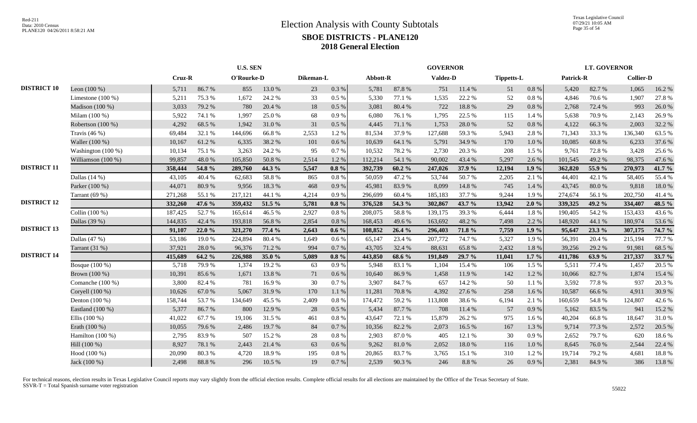Texas Legislative Council 07/29/21 10:05 AM Page 35 of 54

|                    |                      | <b>U.S. SEN</b> |        |            |        |           |           | <b>GOVERNOR</b> |        |          |        |                   | <b>LT. GOVERNOR</b> |           |        |                  |        |
|--------------------|----------------------|-----------------|--------|------------|--------|-----------|-----------|-----------------|--------|----------|--------|-------------------|---------------------|-----------|--------|------------------|--------|
|                    |                      | Cruz-R          |        | O'Rourke-D |        | Dikeman-L |           | Abbott-R        |        | Valdez-D |        | <b>Tippetts-L</b> |                     | Patrick-R |        | <b>Collier-D</b> |        |
| <b>DISTRICT 10</b> | Leon $(100\%)$       | 5,711           | 86.7%  | 855        | 13.0 % | 23        | $0.3\ \%$ | 5,781           | 87.8%  | 751      | 11.4 % | 51                | $0.8~\%$            | 5,420     | 82.7%  | 1,065            | 16.2%  |
|                    | Limestone $(100\%)$  | 5,211           | 75.3 % | 1,672      | 24.2 % | 33        | $0.5\%$   | 5,330           | 77.1 % | 1,535    | 22.2 % | 52                | $0.8~\%$            | 4,846     | 70.6%  | 1,907            | 27.8%  |
|                    | Madison (100 %)      | 3,033           | 79.2 % | 780        | 20.4 % | 18        | 0.5 %     | 3,081           | 80.4%  | 722      | 18.8%  | 29                | 0.8%                | 2,768     | 72.4 % | 993              | 26.0%  |
|                    | Milam (100 %)        | 5,922           | 74.1 % | 1,997      | 25.0%  | 68        | 0.9%      | 6,080           | 76.1 % | 1,795    | 22.5 % | 115               | 1.4 %               | 5,638     | 70.9%  | 2,143            | 26.9%  |
|                    | Robertson (100 %)    | 4,292           | 68.5%  | 1,942      | 31.0%  | 31        | 0.5 %     | 4,445           | 71.1 % | 1,753    | 28.0%  | 52                | $0.8~\%$            | 4,122     | 66.3%  | 2,003            | 32.2 % |
|                    | Travis $(46\%)$      | 69,484          | 32.1 % | 144,696    | 66.8%  | 2,553     | 1.2%      | 81,534          | 37.9 % | 127,688  | 59.3%  | 5,943             | 2.8 %               | 71,343    | 33.3 % | 136,340          | 63.5 % |
|                    | Waller (100 %)       | 10,167          | 61.2%  | 6,335      | 38.2%  | 101       | 0.6 %     | 10,639          | 64.1 % | 5,791    | 34.9%  | 170               | 1.0%                | 10,085    | 60.8%  | 6,233            | 37.6 % |
|                    | Washington (100 %)   | 10,134          | 75.1 % | 3,263      | 24.2 % | 95        | 0.7%      | 10,532          | 78.2 % | 2,730    | 20.3 % | 208               | 1.5 %               | 9,761     | 72.8%  | 3,428            | 25.6 % |
|                    | Williamson $(100\%)$ | 99,857          | 48.0%  | 105,850    | 50.8%  | 2,514     | 1.2%      | 112,214         | 54.1 % | 90,002   | 43.4 % | 5,297             | 2.6 %               | 101.545   | 49.2%  | 98,375           | 47.6%  |
| <b>DISTRICT 11</b> |                      | 358,444         | 54.8 % | 289,760    | 44.3 % | 5,547     | $0.8 \%$  | 392,739         | 60.2%  | 247,026  | 37.9 % | 12,194            | 1.9%                | 362,820   | 55.9%  | 270,973          | 41.7 % |
|                    | Dallas $(14%)$       | 43,105          | 40.4 % | 62,683     | 58.8%  | 865       | 0.8 %     | 50,059          | 47.2%  | 53,744   | 50.7%  | 2,205             | 2.1 %               | 44,401    | 42.1 % | 58,405           | 55.4 % |
|                    | Parker (100 %)       | 44,071          | 80.9%  | 9,956      | 18.3%  | 468       | 0.9%      | 45,981          | 83.9%  | 8,099    | 14.8 % | 745               | 1.4 %               | 43,745    | 80.0%  | 9,818            | 18.0%  |
|                    | Tarrant $(69%)$      | 271,268         | 55.1 % | 217,121    | 44.1 % | 4,214     | 0.9%      | 296,699         | 60.4%  | 185,183  | 37.7 % | 9,244             | 1.9%                | 274,674   | 56.1%  | 202,750          | 41.4%  |
| <b>DISTRICT 12</b> |                      | 332,260         | 47.6 % | 359,432    | 51.5 % | 5,781     | $0.8 \%$  | 376,528         | 54.3 % | 302,867  | 43.7 % | 13,942            | 2.0%                | 339,325   | 49.2 % | 334,407          | 48.5 % |
|                    | Collin (100 %)       | 187,425         | 52.7%  | 165,614    | 46.5%  | 2,927     | $0.8~\%$  | 208,075         | 58.8%  | 139,175  | 39.3%  | 6,444             | 1.8%                | 190,405   | 54.2 % | 153,433          | 43.6%  |
|                    | Dallas (39 %)        | 144,835         | 42.4 % | 193,818    | 56.8%  | 2,854     | 0.8%      | 168,453         | 49.6%  | 163,692  | 48.2%  | 7,498             | 2.2 %               | 148,920   | 44.1 % | 180,974          | 53.6%  |
| <b>DISTRICT 13</b> |                      | 91,107          | 22.0%  | 321,270    | 77.4 % | 2,643     | $0.6\%$   | 108,852         | 26.4 % | 296,403  | 71.8%  | 7,759             | 1.9%                | 95,647    | 23.3 % | 307,175          | 74.7 % |
|                    | Dallas (47 %)        | 53,186          | 19.0%  | 224,894    | 80.4%  | 1,649     | 0.6 %     | 65,147          | 23.4 % | 207,772  | 74.7%  | 5,327             | 1.9%                | 56,391    | 20.4 % | 215,194          | 77.7 % |
|                    | Tarrant (31 %)       | 37,921          | 28.0%  | 96,376     | 71.2%  | 994       | 0.7%      | 43,705          | 32.4 % | 88,631   | 65.8%  | 2,432             | 1.8%                | 39,256    | 29.2 % | 91,981           | 68.5%  |
| <b>DISTRICT 14</b> |                      | 415,689         | 64.2 % | 226,988    | 35.0%  | 5,089     | $0.8 \%$  | 443,850         | 68.6 % | 191,849  | 29.7 % | 11,041            | $1.7\%$             | 411,786   | 63.9%  | 217,337          | 33.7 % |
|                    | Bosque $(100\%)$     | 5,718           | 79.9%  | 1,374      | 19.2 % | 63        | 0.9%      | 5,948           | 83.1 % | 1,104    | 15.4 % | 106               | 1.5 %               | 5,511     | 77.4 % | 1,457            | 20.5 % |
|                    | Brown (100 %)        | 10,391          | 85.6%  | 1,671      | 13.8%  | 71        | 0.6%      | 10,640          | 86.9%  | 1,458    | 11.9%  | 142               | 1.2%                | 10,066    | 82.7%  | 1,874            | 15.4 % |
|                    | Comanche (100 %)     | 3,800           | 82.4 % | 781        | 16.9%  | 30        | 0.7%      | 3,907           | 84.7%  | 657      | 14.2 % | 50                | 1.1 %               | 3,592     | 77.8%  | 937              | 20.3%  |
|                    | Coryell (100 %)      | 10,626          | 67.0%  | 5,067      | 31.9%  | 170       | 1.1%      | 11,281          | 70.8%  | 4,392    | 27.6%  | 258               | 1.6%                | 10,587    | 66.6%  | 4,911            | 30.9%  |
|                    | Denton $(100\%)$     | 158,744         | 53.7%  | 134,649    | 45.5 % | 2,409     | 0.8%      | 174,472         | 59.2 % | 113,808  | 38.6%  | 6,194             | 2.1 %               | 160,659   | 54.8%  | 124,807          | 42.6%  |
|                    | Eastland (100 %)     | 5,377           | 86.7%  | 800        | 12.9 % | 28        | 0.5%      | 5,434           | 87.7%  | 708      | 11.4 % | 57                | 0.9%                | 5,162     | 83.5%  | 941              | 15.2 % |
|                    | Ellis $(100\%)$      | 41,022          | 67.7%  | 19,106     | 31.5 % | 461       | 0.8%      | 43,647          | 72.1 % | 15,879   | 26.2%  | 975               | 1.6 %               | 40,204    | 66.8%  | 18,647           | 31.0%  |
|                    | Erath (100 %)        | 10,055          | 79.6%  | 2,486      | 19.7 % | 84        | 0.7%      | 10,356          | 82.2 % | 2,073    | 16.5 % | 167               | 1.3%                | 9,714     | 77.3 % | 2,572            | 20.5 % |
|                    | Hamilton (100 %)     | 2,795           | 83.9%  | 507        | 15.2 % | 28        | 0.8%      | 2,903           | 87.0%  | 405      | 12.1 % | 30                | 0.9%                | 2,652     | 79.7%  | 620              | 18.6%  |
|                    | Hill (100 %)         | 8,927           | 78.1 % | 2,443      | 21.4%  | 63        | 0.6 %     | 9,262           | 81.0%  | 2,052    | 18.0%  | 116               | $1.0\ \%$           | 8,645     | 76.0%  | 2,544            | 22.4 % |
|                    | Hood (100 %)         | 20,090          | 80.3%  | 4,720      | 18.9%  | 195       | 0.8%      | 20,865          | 83.7%  | 3,765    | 15.1 % | 310               | 1.2%                | 19,714    | 79.2 % | 4,681            | 18.8%  |
|                    | Jack (100 %)         | 2,498           | 88.8%  | 296        | 10.5 % | 19        | 0.7 %     | 2,539           | 90.3%  | 246      | 8.8%   | 26                | 0.9 %               | 2,381     | 84.9%  | 386              | 13.8%  |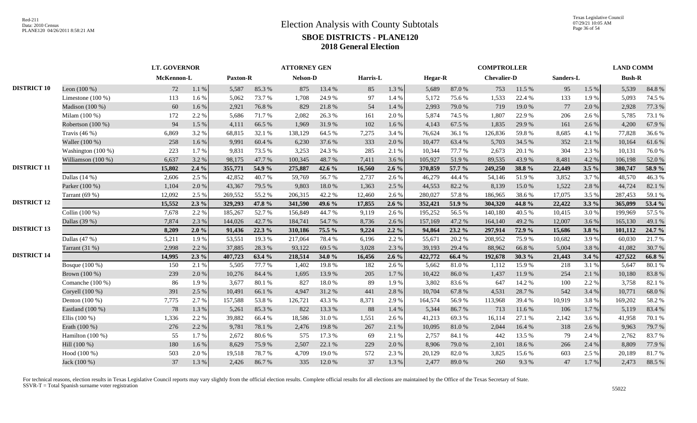|                    |                     |            | <b>LT. GOVERNOR</b> |                 |        | <b>ATTORNEY GEN</b> |        |          |         |         |        | <b>COMPTROLLER</b> |        |           |         | <b>LAND COMM</b> |        |
|--------------------|---------------------|------------|---------------------|-----------------|--------|---------------------|--------|----------|---------|---------|--------|--------------------|--------|-----------|---------|------------------|--------|
|                    |                     | McKennon-L |                     | <b>Paxton-R</b> |        | <b>Nelson-D</b>     |        | Harris-L |         | Hegar-R |        | <b>Chevalier-D</b> |        | Sanders-L |         | <b>Bush-R</b>    |        |
| <b>DISTRICT 10</b> | Leon $(100\%)$      | 72         | 1.1%                | 5,587           | 85.3%  | 875                 | 13.4 % | 85       | 1.3 %   | 5,689   | 87.0%  | 753                | 11.5 % | 95        | 1.5 %   | 5,539            | 84.8%  |
|                    | Limestone $(100\%)$ | 113        | 1.6%                | 5,062           | 73.7%  | 1,708               | 24.9%  | 97       | 1.4 %   | 5,172   | 75.6%  | 1,533              | 22.4 % | 133       | 1.9%    | 5,093            | 74.5 % |
|                    | Madison (100 %)     | 60         | 1.6 %               | 2,921           | 76.8%  | 829                 | 21.8%  | 54       | 1.4 %   | 2,993   | 79.0%  | 719                | 19.0%  | 77        | 2.0%    | 2,928            | 77.3 % |
|                    | Milam (100 %)       | 172        | 2.2 %               | 5,686           | 71.7%  | 2,082               | 26.3%  | 161      | 2.0 %   | 5,874   | 74.5 % | 1,807              | 22.9%  | 206       | 2.6%    | 5,785            | 73.1 % |
|                    | Robertson (100 %)   | 94         | 1.5 %               | 4,111           | 66.5%  | 1,969               | 31.9%  | 102      | 1.6 %   | 4,143   | 67.5 % | 1,835              | 29.9%  | 161       | 2.6%    | 4,200            | 67.9%  |
|                    | Travis $(46%)$      | 6,869      | 3.2%                | 68,815          | 32.1 % | 138,129             | 64.5 % | 7,275    | 3.4 %   | 76,624  | 36.1%  | 126,836            | 59.8%  | 8,685     | 4.1 %   | 77,828           | 36.6%  |
|                    | Waller (100 %)      | 258        | 1.6%                | 9,991           | 60.4%  | 6,230               | 37.6 % | 333      | 2.0%    | 10,477  | 63.4 % | 5,703              | 34.5 % | 352       | 2.1 %   | 10,164           | 61.6%  |
|                    | Washington (100 %)  | 223        | 1.7%                | 9,831           | 73.5 % | 3,253               | 24.3 % | 285      | 2.1 %   | 10,344  | 77.7 % | 2,673              | 20.1 % | 304       | 2.3%    | 10,131           | 76.0%  |
|                    | Williamson (100 %)  | 6,637      | 3.2 %               | 98,175          | 47.7%  | 100,345             | 48.7%  | 7,411    | 3.6 %   | 105,927 | 51.9%  | 89,535             | 43.9%  | 8,481     | 4.2%    | 106,198          | 52.0%  |
| <b>DISTRICT 11</b> |                     | 15,802     | $2.4\%$             | 355,771         | 54.9 % | 275,887             | 42.6 % | 16,560   | $2.6\%$ | 370,859 | 57.7 % | 249,250            | 38.8%  | 22,449    | $3.5\%$ | 380,747          | 58.9%  |
|                    | Dallas $(14%)$      | 2,606      | 2.5 %               | 42,852          | 40.7%  | 59,769              | 56.7%  | 2,737    | 2.6%    | 46,279  | 44.4 % | 54,146             | 51.9%  | 3,852     | 3.7%    | 48,570           | 46.3%  |
|                    | Parker (100 %)      | 1,104      | 2.0%                | 43,367          | 79.5 % | 9,803               | 18.0%  | 1,363    | 2.5 %   | 44,553  | 82.2 % | 8,139              | 15.0%  | 1,522     | 2.8 %   | 44,724           | 82.1 % |
|                    | Tarrant $(69%)$     | 12,092     | 2.5 %               | 269,552         | 55.2%  | 206,315             | 42.2 % | 12,460   | 2.6 %   | 280,027 | 57.8%  | 186,965            | 38.6%  | 17,075    | 3.5 %   | 287,453          | 59.1 % |
| <b>DISTRICT 12</b> |                     | 15,552     | $2.3\%$             | 329,293         | 47.8 % | 341,590             | 49.6 % | 17,855   | $2.6\%$ | 352,421 | 51.9%  | 304,320            | 44.8%  | 22,422    | $3.3\%$ | 365,099          | 53.4 % |
|                    | Collin (100 %)      | 7,678      | 2.2 %               | 185,267         | 52.7%  | 156,849             | 44.7%  | 9,119    | 2.6%    | 195,252 | 56.5 % | 140,180            | 40.5 % | 10,415    | 3.0%    | 199,969          | 57.5 % |
|                    | Dallas (39 %)       | 7,874      | 2.3 %               | 144,026         | 42.7%  | 184,741             | 54.7%  | 8,736    | 2.6 %   | 157,169 | 47.2 % | 164,140            | 49.2%  | 12,007    | 3.6%    | 165,130          | 49.1 % |
| <b>DISTRICT 13</b> |                     | 8,209      | 2.0%                | 91,436          | 22.3 % | 310,186             | 75.5 % | 9,224    | $2.2\%$ | 94,864  | 23.2%  | 297,914            | 72.9 % | 15,686    | 3.8%    | 101,112          | 24.7 % |
|                    | Dallas (47 %)       | 5,211      | 1.9%                | 53,551          | 19.3 % | 217,064             | 78.4%  | 6,196    | 2.2 %   | 55,671  | 20.2%  | 208,952            | 75.9%  | 10,682    | 3.9%    | 60,030           | 21.7%  |
|                    | Tarrant $(31%)$     | 2,998      | 2.2 %               | 37,885          | 28.3%  | 93,122              | 69.5 % | 3,028    | 2.3 %   | 39,193  | 29.4 % | 88,962             | 66.8%  | 5,004     | 3.8%    | 41,082           | 30.7%  |
| <b>DISTRICT 14</b> |                     | 14,995     | $2.3\%$             | 407,723         | 63.4 % | 218,514             | 34.0 % | 16,456   | $2.6\%$ | 422,772 | 66.4 % | 192,678            | 30.3 % | 21,443    | 3.4%    | 427,522          | 66.8%  |
|                    | Bosque (100 %)      | 150        | 2.1 %               | 5,505           | 77.7 % | 1,402               | 19.8%  | 182      | 2.6 %   | 5,662   | 81.0%  | 1,112              | 15.9%  | 218       | 3.1%    | 5,647            | 80.1%  |
|                    | Brown (100 %)       | 239        | 2.0 %               | 10,276          | 84.4 % | 1,695               | 13.9%  | 205      | 1.7%    | 10,422  | 86.0%  | 1,437              | 11.9%  | 254       | 2.1%    | 10,180           | 83.8%  |
|                    | Comanche (100 %)    | 86         | 1.9%                | 3,677           | 80.1%  | 827                 | 18.0%  | 89       | 1.9%    | 3,802   | 83.6%  | 647                | 14.2 % | 100       | 2.2 %   | 3,758            | 82.1 % |
|                    | Coryell (100 %)     | 391        | 2.5 %               | 10,491          | 66.1%  | 4,947               | 31.2%  | 441      | 2.8%    | 10,704  | 67.8%  | 4,531              | 28.7%  | 542       | 3.4 %   | 10,771           | 68.0%  |
|                    | Denton $(100\%)$    | 7,775      | 2.7%                | 157,588         | 53.8%  | 126,721             | 43.3 % | 8,371    | 2.9 %   | 164,574 | 56.9%  | 113,968            | 39.4 % | 10,919    | 3.8%    | 169,202          | 58.2%  |
|                    | Eastland (100 %)    | 78         | 1.3%                | 5,261           | 85.3%  | 822                 | 13.3 % | 88       | 1.4 %   | 5,344   | 86.7%  | 713                | 11.6 % | 106       | 1.7%    | 5,119            | 83.4%  |
|                    | Ellis $(100\%)$     | 1,336      | 2.2 %               | 39,882          | 66.4%  | 18,586              | 31.0%  | 1,551    | 2.6 %   | 41,213  | 69.3%  | 16,114             | 27.1 % | 2,142     | 3.6%    | 41,958           | 70.1%  |
|                    | Erath (100 %)       | 276        | 2.2 %               | 9,781           | 78.1 % | 2,476               | 19.8%  | 267      | 2.1 %   | 10,095  | 81.0%  | 2,044              | 16.4 % | 318       | 2.6%    | 9,963            | 79.7%  |
|                    | Hamilton (100 %)    | 55         | 1.7%                | 2,672           | 80.6%  | 575                 | 17.3 % | 69       | 2.1 %   | 2,757   | 84.1 % | 442                | 13.5 % | 79        | 2.4 %   | 2,762            | 83.7%  |
|                    | Hill (100 %)        | 180        | 1.6%                | 8,629           | 75.9%  | 2,507               | 22.1 % | 229      | 2.0%    | 8,906   | 79.0%  | 2,101              | 18.6%  | 266       | 2.4 %   | 8,809            | 77.9%  |
|                    | Hood (100 %)        | 503        | 2.0%                | 19,518          | 78.7%  | 4,709               | 19.0%  | 572      | 2.3 %   | 20,129  | 82.0%  | 3,825              | 15.6%  | 603       | 2.5 %   | 20,189           | 81.7%  |
|                    | Jack (100 %)        | 37         | 1.3 %               | 2,426           | 86.7%  | 335                 | 12.0 % | 37       | 1.3 %   | 2,477   | 89.0%  | 260                | 9.3%   | 47        | 1.7 %   | 2,473            | 88.5%  |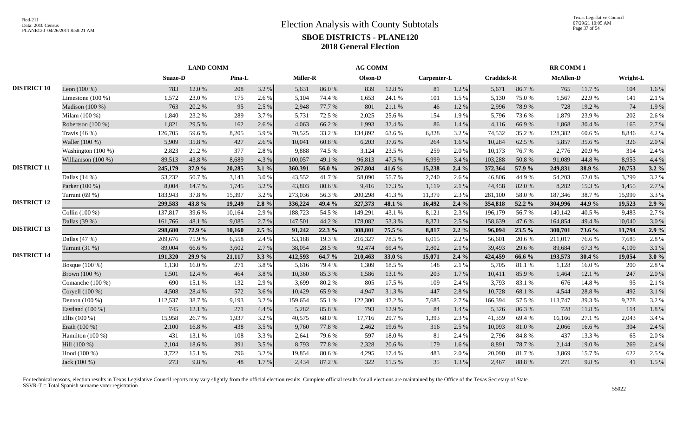|                    |                     |         | <b>LAND COMM</b> |        |         |                 |        | <b>AG COMM</b> |        |             |         |                   |        | <b>RR COMM1</b>  |        |          |         |
|--------------------|---------------------|---------|------------------|--------|---------|-----------------|--------|----------------|--------|-------------|---------|-------------------|--------|------------------|--------|----------|---------|
|                    |                     | Suazo-D |                  | Pina-L |         | <b>Miller-R</b> |        | Olson-D        |        | Carpenter-L |         | <b>Craddick-R</b> |        | <b>McAllen-D</b> |        | Wright-L |         |
| <b>DISTRICT 10</b> | Leon $(100\%)$      | 783     | 12.0 %           | 208    | 3.2 %   | 5,631           | 86.0%  | 839            | 12.8 % | 81          | 1.2%    | 5,671             | 86.7%  | 765              | 11.7 % | 104      | 1.6%    |
|                    | Limestone $(100\%)$ | 1,572   | 23.0%            | 175    | 2.6%    | 5,104           | 74.4 % | 1,653          | 24.1 % | 101         | 1.5 %   | 5,130             | 75.0%  | 1,567            | 22.9%  | 141      | 2.1 %   |
|                    | Madison (100 %)     | 763     | 20.2 %           | 95     | 2.5 %   | 2.948           | 77.7 % | 801            | 21.1 % | 46          | 1.2%    | 2,996             | 78.9%  | 728              | 19.2 % | 74       | 1.9%    |
|                    | Milam (100 %)       | 1,840   | 23.2 %           | 289    | 3.7 %   | 5,731           | 72.5 % | 2,025          | 25.6 % | 154         | 1.9%    | 5,796             | 73.6%  | 1,879            | 23.9%  | 202      | 2.6 %   |
|                    | Robertson (100 %)   | 1,821   | 29.5 %           | 162    | 2.6%    | 4,063           | 66.2%  | 1,993          | 32.4 % | 86          | 1.4 %   | 4,116             | 66.9%  | 1,868            | 30.4 % | 165      | 2.7 %   |
|                    | Travis $(46\%)$     | 126,705 | 59.6%            | 8,205  | 3.9%    | 70,525          | 33.2 % | 134,892        | 63.6%  | 6,828       | 3.2 %   | 74,532            | 35.2 % | 128,382          | 60.6%  | 8,846    | 4.2 %   |
|                    | Waller (100 %)      | 5,909   | 35.8%            | 427    | 2.6 %   | 10,041          | 60.8%  | 6,203          | 37.6 % | 264         | 1.6%    | 10,284            | 62.5 % | 5,857            | 35.6%  | 326      | 2.0%    |
|                    | Washington (100 %)  | 2,823   | 21.2%            | 377    | 2.8%    | 9,888           | 74.5 % | 3,124          | 23.5 % | 259         | 2.0%    | 10,173            | 76.7%  | 2.776            | 20.9%  | 314      | 2.4 %   |
|                    | Williamson (100 %)  | 89,513  | 43.8%            | 8,689  | 4.3 %   | 100,057         | 49.1 % | 96,813         | 47.5 % | 6,999       | 3.4 %   | 103,288           | 50.8%  | 91,089           | 44.8%  | 8,953    | 4.4 %   |
| <b>DISTRICT 11</b> |                     | 245,179 | 37.9 %           | 20,285 | 3.1%    | 360,391         | 56.0%  | 267,804        | 41.6 % | 15,238      | $2.4\%$ | 372,364           | 57.9 % | 249,831          | 38.9%  | 20,753   | $3.2\%$ |
|                    | Dallas $(14%)$      | 53,232  | 50.7%            | 3,143  | 3.0%    | 43,552          | 41.7%  | 58,090         | 55.7%  | 2,740       | 2.6 %   | 46,806            | 44.9%  | 54,203           | 52.0%  | 3,299    | 3.2 %   |
|                    | Parker (100 %)      | 8,004   | 14.7%            | 1,745  | 3.2%    | 43,803          | 80.6%  | 9,416          | 17.3 % | 1,119       | 2.1 %   | 44,458            | 82.0%  | 8,282            | 15.3%  | 1,455    | 2.7 %   |
|                    | Tarrant (69 %)      | 183,943 | 37.8%            | 15,397 | 3.2 %   | 273,036         | 56.3%  | 200,298        | 41.3%  | 11,379      | 2.3 %   | 281,100           | 58.0%  | 187,346          | 38.7%  | 15,999   | 3.3 %   |
| <b>DISTRICT 12</b> |                     | 299,583 | 43.8%            | 19,249 | 2.8%    | 336,224         | 49.4 % | 327,373        | 48.1 % | 16,492      | 2.4%    | 354,818           | 52.2 % | 304,996          | 44.9 % | 19,523   | 2.9%    |
|                    | Collin (100 %)      | 137,817 | 39.6%            | 10,164 | 2.9%    | 188,723         | 54.5 % | 149,291        | 43.1 % | 8,121       | 2.3 %   | 196,179           | 56.7%  | 140,142          | 40.5 % | 9,483    | 2.7%    |
|                    | Dallas (39 %)       | 161,766 | 48.1 %           | 9,085  | 2.7 %   | 147,501         | 44.2 % | 178,082        | 53.3%  | 8,371       | 2.5 %   | 158,639           | 47.6%  | 164,854          | 49.4 % | 10,040   | 3.0%    |
| <b>DISTRICT 13</b> |                     | 298,680 | 72.9 %           | 10,160 | $2.5\%$ | 91,242          | 22.3 % | 308,801        | 75.5 % | 8,817       | $2.2\%$ | 96,094            | 23.5 % | 300,701          | 73.6 % | 11,794   | 2.9%    |
|                    | Dallas $(47%)$      | 209,676 | 75.9%            | 6,558  | 2.4 %   | 53,188          | 19.3 % | 216,327        | 78.5%  | 6,015       | 2.2 %   | 56,601            | 20.6 % | 211,017          | 76.6%  | 7,685    | 2.8%    |
|                    | Tarrant (31 %)      | 89,004  | 66.6%            | 3,602  | 2.7%    | 38,054          | 28.5 % | 92,474         | 69.4%  | 2,802       | 2.1 %   | 39,493            | 29.6%  | 89,684           | 67.3%  | 4,109    | 3.1 %   |
| <b>DISTRICT 14</b> |                     | 191,320 | 29.9 %           | 21,117 | $3.3\%$ | 412,593         | 64.7 % | 210,463        | 33.0%  | 15,071      | 2.4%    | 424,459           | 66.6 % | 193,573          | 30.4 % | 19,054   | 3.0%    |
|                    | Bosque (100 %)      | 1,130   | 16.0%            | 271    | 3.8%    | 5,616           | 79.4%  | 1,309          | 18.5 % | 148         | 2.1 %   | 5,705             | 81.1%  | 1,128            | 16.0%  | 200      | 2.8%    |
|                    | Brown (100 %)       | 1,501   | 12.4 %           | 464    | 3.8%    | 10,360          | 85.3%  | 1,586          | 13.1 % | 203         | 1.7%    | 10,411            | 85.9%  | 1,464            | 12.1 % | 247      | 2.0 %   |
|                    | Comanche $(100\%)$  | 690     | 15.1 %           | 132    | 2.9 %   | 3,699           | 80.2%  | 805            | 17.5 % | 109         | 2.4 %   | 3,793             | 83.1 % | 676              | 14.8%  | 95       | 2.1 %   |
|                    | Coryell (100 %)     | 4,508   | 28.4%            | 572    | 3.6%    | 10,429          | 65.9%  | 4,947          | 31.3%  | 447         | 2.8 %   | 10,728            | 68.1%  | 4,544            | 28.8%  | 492      | 3.1 %   |
|                    | Denton $(100\%)$    | 112,537 | 38.7%            | 9,193  | 3.2 %   | 159,654         | 55.1 % | 122,300        | 42.2 % | 7,685       | 2.7%    | 166,394           | 57.5 % | 113,747          | 39.3%  | 9,278    | 3.2 %   |
|                    | Eastland (100 %)    | 745     | 12.1 %           | 271    | 4.4 %   | 5,282           | 85.8%  | 793            | 12.9 % | 84          | 1.4 %   | 5,326             | 86.3%  | 728              | 11.8 % | 114      | 1.8%    |
|                    | Ellis $(100\%)$     | 15,958  | 26.7%            | 1,937  | 3.2%    | 40,575          | 68.0%  | 17,716         | 29.7%  | 1,393       | 2.3 %   | 41,359            | 69.4%  | 16,166           | 27.1 % | 2,043    | 3.4 %   |
|                    | Erath (100 %)       | 2,100   | 16.8%            | 438    | 3.5 %   | 9,760           | 77.8%  | 2,462          | 19.6 % | 316         | 2.5 %   | 10,093            | 81.0%  | 2,066            | 16.6 % | 304      | 2.4 %   |
|                    | Hamilton (100 %)    | 431     | 13.1 %           | 108    | 3.3%    | 2,641           | 79.6%  | 597            | 18.0%  | 81          | 2.4 %   | 2,796             | 84.8%  | 437              | 13.3 % | 65       | 2.0%    |
|                    | Hill (100 %)        | 2,104   | 18.6%            | 391    | 3.5 %   | 8,793           | 77.8%  | 2,328          | 20.6 % | 179         | 1.6%    | 8,891             | 78.7%  | 2,144            | 19.0%  | 269      | 2.4 %   |
|                    | Hood $(100\%)$      | 3,722   | 15.1 %           | 796    | 3.2 %   | 19,854          | 80.6%  | 4,295          | 17.4 % | 483         | 2.0%    | 20,090            | 81.7%  | 3,869            | 15.7%  | 622      | 2.5 %   |
|                    | Jack (100 %)        | 273     | 9.8%             | 48     | 1.7 %   | 2,434           | 87.2 % | 322            | 11.5 % | 35          | 1.3 %   | 2,467             | 88.8%  | 271              | 9.8%   | 41       | 1.5 %   |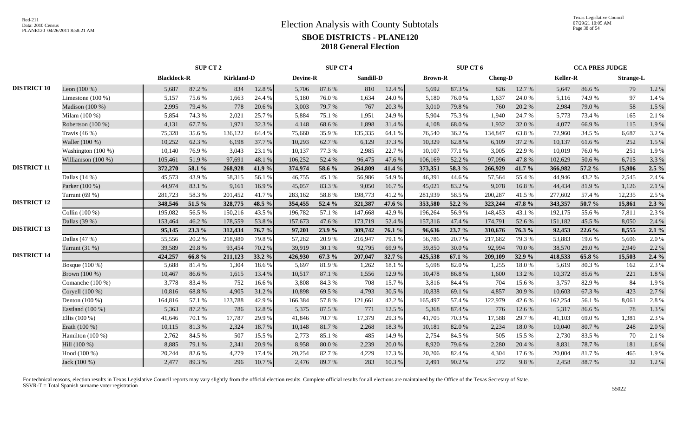Texas Legislative Council 07/29/21 10:05 AM Page 38 of 54

|                    |                     | SUP CT 2           |        |                   | <b>SUP CT 4</b> |                 |        |           | SUP CT 6 |                |        |                | <b>CCA PRES JUDGE</b> |                 |        |                  |         |
|--------------------|---------------------|--------------------|--------|-------------------|-----------------|-----------------|--------|-----------|----------|----------------|--------|----------------|-----------------------|-----------------|--------|------------------|---------|
|                    |                     | <b>Blacklock-R</b> |        | <b>Kirkland-D</b> |                 | <b>Devine-R</b> |        | Sandill-D |          | <b>Brown-R</b> |        | <b>Cheng-D</b> |                       | <b>Keller-R</b> |        | <b>Strange-L</b> |         |
| <b>DISTRICT 10</b> | Leon $(100\%)$      | 5,687              | 87.2 % | 834               | 12.8 %          | 5,706           | 87.6%  | 810       | 12.4 %   | 5,692          | 87.3%  | 826            | 12.7 %                | 5,647           | 86.6%  | 79               | 1.2%    |
|                    | Limestone $(100\%)$ | 5,157              | 75.6%  | 1,663             | 24.4 %          | 5,180           | 76.0%  | 1,634     | 24.0%    | 5,180          | 76.0%  | 1,637          | 24.0%                 | 5,116           | 74.9%  | 97               | 1.4 %   |
|                    | Madison (100 %)     | 2,995              | 79.4 % | 778               | 20.6 %          | 3,003           | 79.7%  | 767       | 20.3 %   | 3,010          | 79.8%  | 760            | 20.2 %                | 2,984           | 79.0%  | 58               | 1.5 %   |
|                    | Milam (100 %)       | 5,854              | 74.3 % | 2,021             | 25.7 %          | 5,884           | 75.1 % | 1,951     | 24.9%    | 5,904          | 75.3 % | 1,940          | 24.7 %                | 5,773           | 73.4 % | 165              | 2.1%    |
|                    | Robertson (100 %)   | 4,131              | 67.7%  | 1,971             | 32.3 %          | 4,148           | 68.6%  | 1,898     | 31.4 %   | 4,108          | 68.0%  | 1,932          | 32.0%                 | 4,077           | 66.9%  | 115              | 1.9%    |
|                    | Travis $(46\%)$     | 75,328             | 35.6%  | 136,122           | 64.4 %          | 75,660          | 35.9%  | 135,335   | 64.1 %   | 76,540         | 36.2%  | 134,847        | 63.8%                 | 72,960          | 34.5 % | 6,687            | 3.2%    |
|                    | Waller (100 %)      | 10,252             | 62.3%  | 6,198             | 37.7 %          | 10,293          | 62.7%  | 6,129     | 37.3 %   | 10,329         | 62.8%  | 6,109          | 37.2 %                | 10,137          | 61.6%  | 252              | 1.5 %   |
|                    | Washington (100 %)  | 10,140             | 76.9%  | 3,043             | 23.1 %          | 10,137          | 77.3 % | 2,985     | 22.7 %   | 10,107         | 77.1 % | 3,005          | 22.9%                 | 10,019          | 76.0%  | 251              | 1.9%    |
|                    | Williamson (100 %)  | 105,461            | 51.9%  | 97,691            | 48.1%           | 106,252         | 52.4 % | 96,475    | 47.6%    | 106,169        | 52.2 % | 97,096         | 47.8%                 | 102,629         | 50.6%  | 6,715            | 3.3 %   |
| <b>DISTRICT 11</b> |                     | 372,270            | 58.1 % | 268,928           | 41.9 %          | 374,974         | 58.6 % | 264,809   | 41.4 %   | 373,351        | 58.3 % | 266,929        | 41.7 %                | 366,982         | 57.2 % | 15,906           | $2.5\%$ |
|                    | Dallas $(14%)$      | 45,573             | 43.9%  | 58,315            | 56.1%           | 46,755          | 45.1 % | 56,986    | 54.9%    | 46,391         | 44.6 % | 57,564         | 55.4 %                | 44,946          | 43.2 % | 2,545            | 2.4 %   |
|                    | Parker (100 %)      | 44,974             | 83.1 % | 9,161             | 16.9%           | 45,057          | 83.3%  | 9,050     | 16.7%    | 45,021         | 83.2%  | 9,078          | 16.8%                 | 44,434          | 81.9%  | 1,126            | 2.1 %   |
|                    | Tarrant (69 %)      | 281,723            | 58.3%  | 201,452           | 41.7%           | 283,162         | 58.8%  | 198,773   | 41.2%    | 281,939        | 58.5%  | 200,287        | 41.5%                 | 277,602         | 57.4 % | 12,235           | 2.5 %   |
| <b>DISTRICT 12</b> |                     | 348,546            | 51.5 % | 328,775           | 48.5 %          | 354,455         | 52.4 % | 321,387   | 47.6 %   | 353,580        | 52.2 % | 323,244        | 47.8%                 | 343,357         | 50.7 % | 15,861           | $2.3\%$ |
|                    | Collin (100 %)      | 195,082            | 56.5%  | 150,216           | 43.5 %          | 196,782         | 57.1 % | 147,668   | 42.9%    | 196,264        | 56.9%  | 148,453        | 43.1 %                | 192,175         | 55.6%  | 7,811            | 2.3 %   |
|                    | Dallas (39 %)       | 153,464            | 46.2%  | 178,559           | 53.8%           | 157,673         | 47.6 % | 173,719   | 52.4 %   | 157,316        | 47.4 % | 174,791        | 52.6%                 | 151,182         | 45.5 % | 8,050            | 2.4 %   |
| <b>DISTRICT 13</b> |                     | 95,145             | 23.3 % | 312,434           | 76.7 %          | 97.201          | 23.9%  | 309,742   | 76.1 %   | 96,636         | 23.7 % | 310,676        | 76.3 %                | 92,453          | 22.6 % | 8,555            | $2.1\%$ |
|                    | Dallas $(47%)$      | 55,556             | 20.2 % | 218,980           | 79.8%           | 57,282          | 20.9%  | 216,947   | 79.1 %   | 56,786         | 20.7%  | 217,682        | 79.3%                 | 53,883          | 19.6%  | 5,606            | 2.0%    |
|                    | Tarrant $(31%)$     | 39,589             | 29.8%  | 93,454            | 70.2 %          | 39,919          | 30.1 % | 92,795    | 69.9%    | 39,850         | 30.0%  | 92,994         | 70.0%                 | 38,570          | 29.0 % | 2,949            | 2.2 %   |
| <b>DISTRICT 14</b> |                     | 424,257            | 66.8%  | 211,123           | 33.2 %          | 426,930         | 67.3 % | 207,047   | 32.7 %   | 425,538        | 67.1%  | 209,109        | 32.9 %                | 418,533         | 65.8%  | 15,503           | 2.4%    |
|                    | Bosque (100 %)      | 5,688              | 81.4%  | 1,304             | 18.6%           | 5,697           | 81.9%  | 1,262     | 18.1%    | 5,698          | 82.0%  | 1,255          | 18.0%                 | 5,619           | 80.3%  | 162              | 2.3 %   |
|                    | Brown (100 %)       | 10,467             | 86.6%  | 1,615             | 13.4 %          | 10.517          | 87.1 % | 1,556     | 12.9%    | 10,478         | 86.8%  | 1,600          | 13.2 %                | 10,372          | 85.6%  | 221              | 1.8%    |
|                    | Comanche (100 %)    | 3,778              | 83.4%  | 752               | 16.6%           | 3.808           | 84.3%  | 708       | 15.7 %   | 3,816          | 84.4 % | 704            | 15.6%                 | 3.757           | 82.9%  | 84               | 1.9%    |
|                    | Coryell (100 %)     | 10,816             | 68.8%  | 4,905             | 31.2%           | 10,898          | 69.5%  | 4,793     | 30.5 %   | 10,838         | 69.1%  | 4,857          | 30.9%                 | 10.603          | 67.3%  | 423              | 2.7%    |
|                    | Denton $(100\%)$    | 164,816            | 57.1 % | 123,788           | 42.9%           | 166,384         | 57.8%  | 121,661   | 42.2 %   | 165,497        | 57.4 % | 122,979        | 42.6%                 | 162,254         | 56.1 % | 8,061            | 2.8%    |
|                    | Eastland (100 %)    | 5,363              | 87.2 % | 786               | 12.8 %          | 5,375           | 87.5 % | 771       | 12.5 %   | 5,368          | 87.4 % | 776            | 12.6 %                | 5,317           | 86.6%  | 78               | 1.3%    |
|                    | Ellis $(100\%)$     | 41,646             | 70.1 % | 17,787            | 29.9%           | 41,846          | 70.7%  | 17,379    | 29.3%    | 41,705         | 70.3%  | 17,588         | 29.7%                 | 41,103          | 69.0%  | 1,381            | 2.3 %   |
|                    | Erath (100 %)       | 10,115             | 81.3%  | 2,324             | 18.7%           | 10,148          | 81.7%  | 2,268     | 18.3%    | 10,181         | 82.0%  | 2,234          | 18.0%                 | 10,040          | 80.7%  | 248              | 2.0%    |
|                    | Hamilton (100 %)    | 2,762              | 84.5 % | 507               | 15.5 %          | 2,773           | 85.1%  | 485       | 14.9%    | 2,754          | 84.5 % | 505            | 15.5 %                | 2,730           | 83.5 % | 70               | 2.1 %   |
|                    | Hill (100 %)        | 8,885              | 79.1 % | 2,341             | 20.9%           | 8,958           | 80.0%  | 2,239     | 20.0%    | 8,920          | 79.6%  | 2,280          | 20.4 %                | 8,831           | 78.7%  | 181              | 1.6%    |
|                    | Hood (100 %)        | 20,244             | 82.6%  | 4,279             | 17.4 %          | 20,254          | 82.7%  | 4,229     | 17.3 %   | 20,206         | 82.4%  | 4,304          | 17.6%                 | 20,004          | 81.7%  | 465              | 1.9%    |
|                    | Jack (100 %)        | 2,477              | 89.3%  | 296               | 10.7%           | 2,476           | 89.7%  | 283       | 10.3%    | 2,491          | 90.2%  | 272            | 9.8%                  | 2,458           | 88.7%  | 32               | 1.2%    |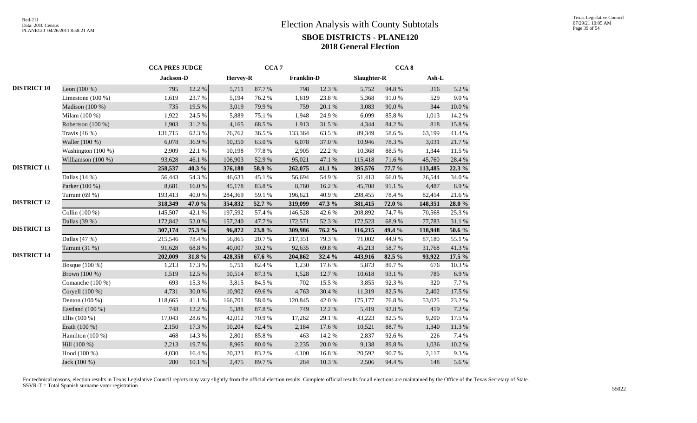|                    |                     | <b>CCA PRES JUDGE</b> |        |                 | CCA <sub>7</sub> |            |        |             | CCA <sub>8</sub> |         |        |
|--------------------|---------------------|-----------------------|--------|-----------------|------------------|------------|--------|-------------|------------------|---------|--------|
|                    |                     | Jackson-D             |        | <b>Hervey-R</b> |                  | Franklin-D |        | Slaughter-R |                  | Ash-L   |        |
| <b>DISTRICT 10</b> | Leon $(100\%)$      | 795                   | 12.2 % | 5,711           | 87.7%            | 798        | 12.3 % | 5,752       | 94.8%            | 316     | 5.2 %  |
|                    | Limestone $(100\%)$ | 1,619                 | 23.7%  | 5,194           | 76.2%            | 1,619      | 23.8%  | 5,368       | 91.0%            | 529     | 9.0%   |
|                    | Madison (100 %)     | 735                   | 19.5 % | 3,019           | 79.9%            | 759        | 20.1 % | 3,083       | 90.0 %           | 344     | 10.0%  |
|                    | Milam (100 %)       | 1,922                 | 24.5 % | 5,889           | 75.1 %           | 1,948      | 24.9%  | 6,099       | 85.8%            | 1,013   | 14.2 % |
|                    | Robertson (100 %)   | 1,903                 | 31.2%  | 4,165           | 68.5%            | 1,913      | 31.5 % | 4,344       | 84.2 %           | 818     | 15.8%  |
|                    | Travis $(46\%)$     | 131,715               | 62.3%  | 76,762          | 36.5 %           | 133,364    | 63.5%  | 89,349      | 58.6%            | 63,199  | 41.4%  |
|                    | Waller (100 %)      | 6,078                 | 36.9%  | 10,350          | 63.0%            | 6,078      | 37.0%  | 10,946      | 78.3%            | 3,031   | 21.7%  |
|                    | Washington (100 %)  | 2,909                 | 22.1 % | 10,198          | 77.8 %           | 2,905      | 22.2 % | 10,368      | 88.5%            | 1,344   | 11.5 % |
|                    | Williamson (100 %)  | 93,628                | 46.1%  | 106,903         | 52.9%            | 95,021     | 47.1 % | 115,418     | 71.6%            | 45,760  | 28.4 % |
| <b>DISTRICT 11</b> |                     | 258,537               | 40.3%  | 376,180         | 58.9%            | 262,075    | 41.1 % | 395,576     | 77.7 %           | 113,485 | 22.3 % |
|                    | Dallas $(14%)$      | 56,443                | 54.3 % | 46,633          | 45.1 %           | 56,694     | 54.9%  | 51,413      | 66.0%            | 26,544  | 34.0%  |
|                    | Parker (100 %)      | 8,681                 | 16.0%  | 45,178          | 83.8%            | 8,760      | 16.2 % | 45,708      | $91.1\text{ }\%$ | 4,487   | 8.9%   |
|                    | Tarrant (69 %)      | 193,413               | 40.0%  | 284,369         | 59.1 %           | 196,621    | 40.9%  | 298,455     | 78.4%            | 82,454  | 21.6%  |
| <b>DISTRICT 12</b> |                     | 318,349               | 47.0 % | 354,832         | 52.7 %           | 319,099    | 47.3 % | 381,415     | 72.0 %           | 148,351 | 28.0 % |
|                    | Collin (100 %)      | 145,507               | 42.1 % | 197,592         | 57.4 %           | 146,528    | 42.6 % | 208,892     | 74.7%            | 70,568  | 25.3 % |
|                    | Dallas (39 %)       | 172,842               | 52.0%  | 157,240         | 47.7%            | 172,571    | 52.3 % | 172,523     | 68.9%            | 77,783  | 31.1 % |
| <b>DISTRICT 13</b> |                     | 307,174               | 75.3 % | 96,872          | 23.8 %           | 309,986    | 76.2 % | 116,215     | 49.4 %           | 118,948 | 50.6 % |
|                    | Dallas $(47%)$      | 215,546               | 78.4%  | 56,865          | 20.7%            | 217,351    | 79.3 % | 71,002      | 44.9%            | 87,180  | 55.1 % |
|                    | Tarrant (31 %)      | 91,628                | 68.8%  | 40,007          | 30.2 %           | 92,635     | 69.8%  | 45,213      | 58.7%            | 31,768  | 41.3%  |
| <b>DISTRICT 14</b> |                     | 202,009               | 31.8%  | 428,358         | 67.6 %           | 204,862    | 32.4 % | 443,916     | 82.5 %           | 93,922  | 17.5 % |
|                    | Bosque (100 %)      | 1,213                 | 17.3 % | 5,751           | 82.4%            | 1,230      | 17.6%  | 5,873       | 89.7%            | 676     | 10.3%  |
|                    | Brown (100 %)       | 1,519                 | 12.5 % | 10,514          | 87.3 %           | 1,528      | 12.7 % | 10,618      | 93.1 %           | 785     | 6.9%   |
|                    | Comanche (100 %)    | 693                   | 15.3 % | 3,815           | 84.5 %           | 702        | 15.5 % | 3,855       | 92.3%            | 320     | 7.7%   |
|                    | Coryell (100 %)     | 4,731                 | 30.0%  | 10,902          | 69.6%            | 4,763      | 30.4 % | 11,319      | 82.5 %           | 2,402   | 17.5 % |
|                    | Denton $(100\%)$    | 118,665               | 41.1%  | 166,701         | 58.0%            | 120,845    | 42.0%  | 175,177     | 76.8%            | 53,025  | 23.2 % |
|                    | Eastland (100 %)    | 748                   | 12.2 % | 5,388           | 87.8 %           | 749        | 12.2 % | 5,419       | 92.8%            | 419     | 7.2 %  |
|                    | Ellis (100 %)       | 17,043                | 28.6%  | 42,012          | 70.9%            | 17,262     | 29.1 % | 43,223      | 82.5 %           | 9,200   | 17.5 % |
|                    | Erath (100 %)       | 2,150                 | 17.3 % | 10,204          | 82.4 %           | 2,184      | 17.6 % | 10,521      | 88.7%            | 1,340   | 11.3 % |
|                    | Hamilton (100 %)    | 468                   | 14.3 % | 2,801           | 85.8%            | 463        | 14.2 % | 2,837       | 92.6%            | 226     | 7.4 %  |
|                    | Hill (100 %)        | 2,213                 | 19.7%  | 8,965           | $80.0\ \%$       | 2,235      | 20.0 % | 9,138       | 89.8%            | 1,036   | 10.2%  |
|                    | Hood (100 %)        | 4,030                 | 16.4%  | 20,323          | 83.2%            | 4,100      | 16.8%  | 20,592      | 90.7%            | 2,117   | 9.3%   |
|                    | Jack (100 %)        | 280                   | 10.1 % | 2,475           | 89.7%            | 284        | 10.3%  | 2,506       | 94.4 %           | 148     | 5.6%   |
|                    |                     |                       |        |                 |                  |            |        |             |                  |         |        |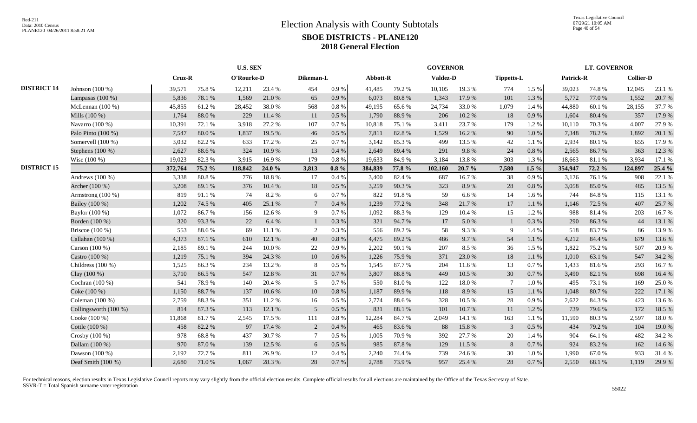Texas Legislative Council 07/29/21 10:05 AM Page 40 of 54

|                    |                         |         |        | <b>U.S. SEN</b> |        |                |           |          |        | <b>GOVERNOR</b> |        |                   |          |           | <b>LT. GOVERNOR</b> |                  |        |
|--------------------|-------------------------|---------|--------|-----------------|--------|----------------|-----------|----------|--------|-----------------|--------|-------------------|----------|-----------|---------------------|------------------|--------|
|                    |                         | Cruz-R  |        | O'Rourke-D      |        | Dikeman-L      |           | Abbott-R |        | <b>Valdez-D</b> |        | <b>Tippetts-L</b> |          | Patrick-R |                     | <b>Collier-D</b> |        |
| <b>DISTRICT 14</b> | Johnson $(100\%)$       | 39,571  | 75.8%  | 12,211          | 23.4 % | 454            | $0.9\,\%$ | 41,485   | 79.2 % | 10,105          | 19.3%  | 774               | 1.5 %    | 39,023    | 74.8%               | 12,045           | 23.1 % |
|                    | Lampasas $(100\%)$      | 5,836   | 78.1 % | 1,569           | 21.0%  | 65             | 0.9%      | 6,073    | 80.8%  | 1,343           | 17.9%  | 101               | 1.3%     | 5,772     | 77.0%               | 1,552            | 20.7 % |
|                    | McLennan $(100\%)$      | 45,855  | 61.2%  | 28,452          | 38.0%  | 568            | 0.8%      | 49,195   | 65.6%  | 24,734          | 33.0%  | 1,079             | 1.4 %    | 44,880    | 60.1%               | 28,155           | 37.7 % |
|                    | Mills (100 %)           | 1,764   | 88.0%  | 229             | 11.4 % | 11             | $0.5\ \%$ | 1,790    | 88.9%  | 206             | 10.2%  | $18\,$            | 0.9 %    | 1,604     | 80.4 %              | 357              | 17.9 % |
|                    | Navarro $(100\%)$       | 10,391  | 72.1 % | 3,918           | 27.2 % | 107            | 0.7%      | 10,818   | 75.1 % | 3,411           | 23.7%  | 179               | 1.2%     | 10,110    | 70.3%               | 4,007            | 27.9 % |
|                    | Palo Pinto (100 %)      | 7,547   | 80.0%  | 1,837           | 19.5 % | 46             | $0.5\%$   | 7,811    | 82.8%  | 1,529           | 16.2%  | 90                | 1.0%     | 7,348     | 78.2%               | 1,892            | 20.1 % |
|                    | Somervell (100 %)       | 3,032   | 82.2%  | 633             | 17.2 % | 25             | 0.7%      | 3,142    | 85.3%  | 499             | 13.5 % | 42                | 1.1%     | 2,934     | 80.1%               | 655              | 17.9 % |
|                    | Stephens (100 %)        | 2,627   | 88.6%  | 324             | 10.9%  | 13             | 0.4%      | 2,649    | 89.4%  | 291             | 9.8%   | 24                | 0.8%     | 2,565     | 86.7%               | 363              | 12.3 % |
|                    | Wise $(100\%)$          | 19,023  | 82.3%  | 3,915           | 16.9%  | 179            | 0.8%      | 19,633   | 84.9%  | 3,184           | 13.8%  | 303               | 1.3%     | 18,663    | 81.1%               | 3,934            | 17.1 % |
| <b>DISTRICT 15</b> |                         | 372,764 | 75.2 % | 118,842         | 24.0 % | 3,813          | $0.8 \%$  | 384,839  | 77.8 % | 102,160         | 20.7%  | 7,580             | $1.5\%$  | 354,947   | 72.2 %              | 124,897          | 25.4 % |
|                    | Andrews $(100\%)$       | 3,338   | 80.8%  | 776             | 18.8%  | 17             | 0.4%      | 3,400    | 82.4%  | 687             | 16.7%  | 38                | 0.9%     | 3,126     | 76.1%               | 908              | 22.1 % |
|                    | Archer (100 %)          | 3,208   | 89.1%  | 376             | 10.4 % | 18             | 0.5 %     | 3,259    | 90.3%  | 323             | 8.9%   | $28\,$            | $0.8~\%$ | 3,058     | 85.0%               | 485              | 13.5 % |
|                    | Armstrong $(100\%)$     | 819     | 91.1%  | 74              | 8.2%   | 6              | 0.7%      | 822      | 91.8%  | 59              | 6.6%   | 14                | 1.6 %    | 744       | 84.8%               | 115              | 13.1 % |
|                    | Bailey (100 %)          | 1,202   | 74.5 % | 405             | 25.1 % |                | 0.4%      | 1,239    | 77.2 % | 348             | 21.7%  | 17                | 1.1 %    | 1,146     | 72.5 %              | 407              | 25.7 % |
|                    | Baylor (100 %)          | 1,072   | 86.7%  | 156             | 12.6 % | 9              | 0.7%      | 1,092    | 88.3%  | 129             | 10.4%  | 15                | 1.2%     | 988       | 81.4%               | 203              | 16.7%  |
|                    | Borden (100 %)          | 320     | 93.3%  | 22              | 6.4 %  |                | 0.3 %     | 321      | 94.7%  | 17              | 5.0%   | $\mathbf{1}$      | 0.3%     | 290       | 86.3%               | 44               | 13.1 % |
|                    | Briscoe $(100\%)$       | 553     | 88.6%  | 69              | 11.1 % | 2              | 0.3%      | 556      | 89.2%  | 58              | 9.3%   | 9                 | 1.4 %    | 518       | 83.7%               | 86               | 13.9 % |
|                    | Callahan (100 %)        | 4,373   | 87.1 % | 610             | 12.1 % | 40             | 0.8 %     | 4,475    | 89.2%  | 486             | 9.7%   | 54                | 1.1 %    | 4,212     | 84.4 %              | 679              | 13.6 % |
|                    | Carson $(100\%)$        | 2,185   | 89.1 % | 244             | 10.0%  | 22             | 0.9%      | 2.202    | 90.1 % | 207             | 8.5%   | 36                | 1.5 %    | 1.822     | 75.2 %              | 507              | 20.9%  |
|                    | Castro (100 %)          | 1,219   | 75.1 % | 394             | 24.3 % | 10             | 0.6 %     | 1,226    | 75.9%  | 371             | 23.0%  | 18                | 1.1%     | 1,010     | 63.1 %              | 547              | 34.2 % |
|                    | Childress $(100\%)$     | 1,525   | 86.3%  | 234             | 13.2 % | 8              | 0.5%      | 1,545    | 87.7%  | 204             | 11.6 % | 13                | 0.7%     | 1.433     | 81.6%               | 293              | 16.7%  |
|                    | Clay $(100\%)$          | 3,710   | 86.5%  | 547             | 12.8 % | 31             | 0.7%      | 3,807    | 88.8%  | 449             | 10.5 % | 30                | 0.7%     | 3,490     | 82.1 %              | 698              | 16.4 % |
|                    | Cochran $(100\%)$       | 541     | 78.9%  | 140             | 20.4 % | 5              | 0.7%      | 550      | 81.0%  | 122             | 18.0%  | $\tau$            | 1.0%     | 495       | 73.1 %              | 169              | 25.0%  |
|                    | Coke (100 %)            | 1,150   | 88.7%  | 137             | 10.6 % | 10             | 0.8%      | 1,187    | 89.9%  | 118             | 8.9%   | 15                | 1.1 %    | 1.048     | 80.7%               | 222              | 17.1 % |
|                    | Coleman $(100\%)$       | 2,759   | 88.3%  | 351             | 11.2 % | 16             | $0.5\%$   | 2,774    | 88.6%  | 328             | 10.5 % | 28                | 0.9%     | 2.622     | 84.3%               | 423              | 13.6 % |
|                    | Collingsworth $(100\%)$ | 814     | 87.3%  | 113             | 12.1 % | 5              | 0.5%      | 831      | 88.1%  | 101             | 10.7%  | 11                | 1.2%     | 739       | 79.6%               | 172              | 18.5 % |
|                    | Cooke (100 %)           | 11,868  | 81.7%  | 2,545           | 17.5 % | 111            | 0.8%      | 12,284   | 84.7%  | 2,049           | 14.1 % | 163               | 1.1%     | 11,590    | 80.3%               | 2,597            | 18.0%  |
|                    | Cottle (100 %)          | 458     | 82.2%  | 97              | 17.4 % | 2              | 0.4%      | 465      | 83.6%  | 88              | 15.8%  | $\mathfrak{Z}$    | 0.5 %    | 434       | 79.2 %              | 104              | 19.0%  |
|                    | Crosby (100 %)          | 978     | 68.8%  | 437             | 30.7%  | $\overline{7}$ | $0.5\%$   | 1,005    | 70.9%  | 392             | 27.7 % | 20                | 1.4 %    | 904       | 64.1 %              | 482              | 34.2 % |
|                    | Dallam (100 %)          | 970     | 87.0%  | 139             | 12.5 % | 6              | 0.5 %     | 985      | 87.8%  | 129             | 11.5 % | 8                 | 0.7 %    | 924       | 83.2%               | 162              | 14.6 % |
|                    | Dawson (100 %)          | 2,192   | 72.7%  | 811             | 26.9%  | 12             | 0.4%      | 2,240    | 74.4 % | 739             | 24.6 % | 30                | 1.0%     | 1,990     | 67.0%               | 933              | 31.4%  |
|                    | Deaf Smith (100 %)      | 2,680   | 71.0%  | 1,067           | 28.3 % | 28             | 0.7 %     | 2,788    | 73.9%  | 957             | 25.4 % | 28                | 0.7 %    | 2,550     | 68.1%               | 1,119            | 29.9%  |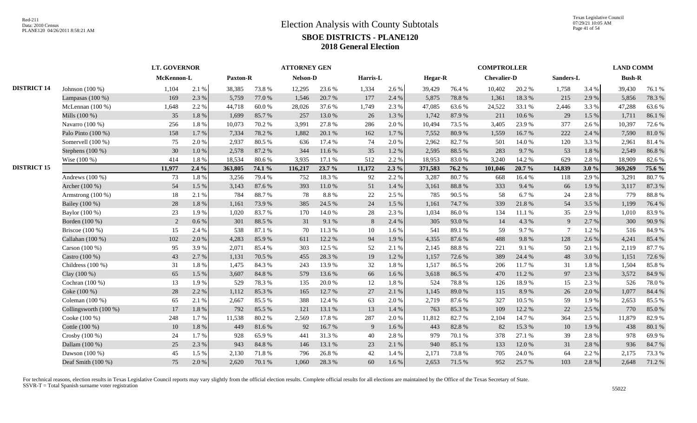|                    |                       |            | <b>LT. GOVERNOR</b> |                 |        | <b>ATTORNEY GEN</b> |        |          |         |         |        | <b>COMPTROLLER</b> |        |           |       | <b>LAND COMM</b> |        |
|--------------------|-----------------------|------------|---------------------|-----------------|--------|---------------------|--------|----------|---------|---------|--------|--------------------|--------|-----------|-------|------------------|--------|
|                    |                       | McKennon-L |                     | <b>Paxton-R</b> |        | Nelson-D            |        | Harris-L |         | Hegar-R |        | <b>Chevalier-D</b> |        | Sanders-L |       | <b>Bush-R</b>    |        |
| <b>DISTRICT 14</b> | Johnson $(100\%)$     | 1,104      | 2.1 %               | 38,385          | 73.8%  | 12,295              | 23.6 % | 1,334    | 2.6 %   | 39,429  | 76.4 % | 10,402             | 20.2%  | 1,758     | 3.4 % | 39,430           | 76.1%  |
|                    | Lampasas (100 %)      | 169        | 2.3 %               | 5,759           | 77.0 % | 1,546               | 20.7 % | 177      | 2.4 %   | 5,875   | 78.8%  | 1,361              | 18.3 % | 215       | 2.9%  | 5,856            | 78.3%  |
|                    | McLennan $(100\%)$    | 1,648      | 2.2 %               | 44,718          | 60.0%  | 28,026              | 37.6 % | 1,749    | 2.3 %   | 47,085  | 63.6%  | 24,522             | 33.1 % | 2,446     | 3.3 % | 47,288           | 63.6%  |
|                    | Mills $(100\%)$       | 35         | 1.8%                | 1,699           | 85.7%  | 257                 | 13.0 % | 26       | 1.3%    | 1,742   | 87.9%  | 211                | 10.6%  | 29        | 1.5 % | 1,711            | 86.1%  |
|                    | Navarro (100 %)       | 256        | $1.8~\%$            | 10,073          | 70.2 % | 3,991               | 27.8%  | 286      | 2.0%    | 10,494  | 73.5 % | 3,405              | 23.9%  | 377       | 2.6%  | 10,397           | 72.6 % |
|                    | Palo Pinto (100 %)    | 158        | 1.7%                | 7,334           | 78.2 % | 1.882               | 20.1 % | 162      | 1.7%    | 7,552   | 80.9%  | 1,559              | 16.7%  | 222       | 2.4 % | 7,590            | 81.0%  |
|                    | Somervell (100 %)     | 75         | 2.0%                | 2,937           | 80.5%  | 636                 | 17.4 % | 74       | 2.0%    | 2,962   | 82.7%  | 501                | 14.0%  | 120       | 3.3 % | 2,961            | 81.4%  |
|                    | Stephens (100 %)      | 30         | $1.0\ \%$           | 2,578           | 87.2%  | 344                 | 11.6 % | 35       | 1.2%    | 2,595   | 88.5%  | 283                | 9.7%   | 53        | 1.8%  | 2,549            | 86.8%  |
|                    | Wise (100 %)          | 414        | 1.8%                | 18,534          | 80.6%  | 3,935               | 17.1 % | 512      | 2.2 %   | 18,953  | 83.0%  | 3,240              | 14.2 % | 629       | 2.8%  | 18,909           | 82.6%  |
| <b>DISTRICT 15</b> |                       | 11,977     | 2.4%                | 363,805         | 74.1 % | 116,217             | 23.7 % | 11,172   | $2.3\%$ | 371,583 | 76.2 % | 101,046            | 20.7 % | 14,839    | 3.0%  | 369,269          | 75.6 % |
|                    | Andrews $(100\%)$     | 73         | 1.8%                | 3,256           | 79.4 % | 752                 | 18.3%  | 92       | 2.2 %   | 3,287   | 80.7%  | 668                | 16.4%  | 118       | 2.9 % | 3,291            | 80.7%  |
|                    | Archer (100 %)        | 54         | 1.5 %               | 3,143           | 87.6%  | 393                 | 11.0%  | 51       | 1.4 %   | 3,161   | 88.8%  | 333                | 9.4 %  | 66        | 1.9%  | 3,117            | 87.3%  |
|                    | Armstrong (100 %)     | $18\,$     | 2.1 %               | 784             | 88.7%  | 78                  | 8.8%   | 22       | 2.5 %   | 785     | 90.5 % | 58                 | 6.7%   | 24        | 2.8%  | 779              | 88.8%  |
|                    | Bailey (100 %)        | 28         | 1.8%                | 1,161           | 73.9%  | 385                 | 24.5 % | 24       | 1.5 %   | 1,161   | 74.7%  | 339                | 21.8%  | 54        | 3.5 % | 1,199            | 76.4%  |
|                    | Baylor (100 %)        | 23         | 1.9%                | 1,020           | 83.7%  | 170                 | 14.0 % | 28       | 2.3 %   | 1,034   | 86.0%  | 134                | 11.1 % | 35        | 2.9 % | 1,010            | 83.9%  |
|                    | Borden (100 %)        | 2          | 0.6 %               | 301             | 88.5 % | 31                  | 9.1 %  | 8        | 2.4 %   | 305     | 93.0%  | 14                 | 4.3 %  | 9         | 2.7 % | 300              | 90.9%  |
|                    | Briscoe (100 %)       | 15         | 2.4 %               | 538             | 87.1 % | 70                  | 11.3 % | 10       | 1.6%    | 541     | 89.1%  | 59                 | 9.7%   |           | 1.2%  | 516              | 84.9%  |
|                    | Callahan (100 %)      | 102        | 2.0%                | 4,283           | 85.9%  | 611                 | 12.2 % | 94       | 1.9%    | 4,355   | 87.6%  | 488                | 9.8%   | 128       | 2.6%  | 4,241            | 85.4 % |
|                    | Carson (100 %)        | 95         | 3.9%                | 2,071           | 85.4%  | 303                 | 12.5 % | 52       | 2.1%    | 2,145   | 88.8%  | 221                | 9.1%   | 50        | 2.1 % | 2,119            | 87.7%  |
|                    | Castro (100 %)        | 43         | 2.7%                | 1,131           | 70.5 % | 455                 | 28.3%  | 19       | 1.2 %   | 1,157   | 72.6 % | 389                | 24.4 % | 48        | 3.0 % | 1,151            | 72.6 % |
|                    | Childress $(100\%)$   | 31         | 1.8%                | 1,475           | 84.3%  | 243                 | 13.9%  | 32       | 1.8%    | 1,517   | 86.5%  | 206                | 11.7%  | 31        | 1.8%  | 1,504            | 85.8%  |
|                    | Clay (100 %)          | 65         | 1.5 %               | 3,607           | 84.8 % | 579                 | 13.6 % | 66       | 1.6%    | 3,618   | 86.5%  | 470                | 11.2%  | 97        | 2.3 % | 3,572            | 84.9%  |
|                    | Cochran (100 %)       | 13         | 1.9%                | 529             | 78.3%  | 135                 | 20.0%  | 12       | 1.8%    | 524     | 78.8%  | 126                | 18.9%  | 15        | 2.3 % | 526              | 78.0%  |
|                    | Coke (100 %)          | 28         | 2.2%                | 1,112           | 85.3%  | 165                 | 12.7 % | 27       | 2.1%    | 1,145   | 89.0%  | 115                | 8.9%   | 26        | 2.0%  | 1,077            | 84.4 % |
|                    | Coleman $(100\%)$     | 65         | 2.1 %               | 2,667           | 85.5 % | 388                 | 12.4 % | 63       | 2.0 %   | 2,719   | 87.6%  | 327                | 10.5 % | 59        | 1.9 % | 2,653            | 85.5%  |
|                    | Collingsworth (100 %) | $17\,$     | 1.8%                | 792             | 85.5 % | 121                 | 13.1 % | 13       | 1.4 %   | 763     | 85.3%  | 109                | 12.2 % | 22        | 2.5 % | 770              | 85.0%  |
|                    | Cooke (100 %)         | 248        | 1.7%                | 11,538          | 80.2%  | 2,569               | 17.8%  | 287      | 2.0%    | 11,812  | 82.7%  | 2,104              | 14.7%  | 364       | 2.5 % | 11,879           | 82.9%  |
|                    | Cottle (100 %)        | 10         | 1.8%                | 449             | 81.6%  | 92                  | 16.7%  | 9        | 1.6 %   | 443     | 82.8%  | 82                 | 15.3%  | 10        | 1.9%  | 438              | 80.1%  |
|                    | Crosby (100 %)        | 24         | 1.7%                | 928             | 65.9%  | 441                 | 31.3%  | 40       | 2.8%    | 979     | 70.1 % | 378                | 27.1 % | 39        | 2.8%  | 978              | 69.9%  |
|                    | Dallam (100 %)        | 25         | 2.3 %               | 943             | 84.8 % | 146                 | 13.1 % | 23       | 2.1%    | 940     | 85.1%  | 133                | 12.0%  | 31        | 2.8%  | 936              | 84.7%  |
|                    | Dawson (100 %)        | 45         | 1.5 %               | 2,130           | 71.8%  | 796                 | 26.8%  | 42       | 1.4 %   | 2,171   | 73.8%  | 705                | 24.0%  | 64        | 2.2 % | 2,175            | 73.3 % |
|                    | Deaf Smith (100 %)    | 75         | 2.0 %               | 2,620           | 70.1 % | 1,060               | 28.3%  | 60       | 1.6 %   | 2,653   | 71.5 % | 952                | 25.7%  | 103       | 2.8%  | 2,648            | 71.2%  |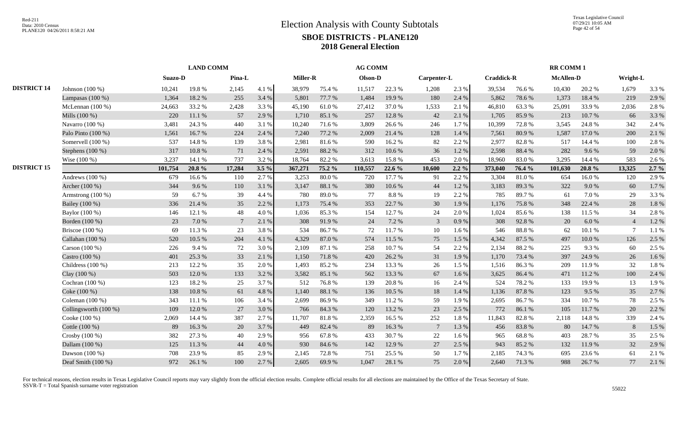|                    |                         |         | <b>LAND COMM</b> |        |         |                 |        | <b>AG COMM</b> |        |                |           |                   |        | <b>RR COMM1</b>  |        |                 |           |
|--------------------|-------------------------|---------|------------------|--------|---------|-----------------|--------|----------------|--------|----------------|-----------|-------------------|--------|------------------|--------|-----------------|-----------|
|                    |                         | Suazo-D |                  | Pina-L |         | <b>Miller-R</b> |        | Olson-D        |        | Carpenter-L    |           | <b>Craddick-R</b> |        | <b>McAllen-D</b> |        | Wright-L        |           |
| <b>DISTRICT 14</b> | Johnson (100 %)         | 10,241  | 19.8%            | 2,145  | 4.1 %   | 38,979          | 75.4 % | 11,517         | 22.3 % | 1,208          | 2.3 %     | 39,534            | 76.6%  | 10,430           | 20.2 % | 1,679           | 3.3 %     |
|                    | Lampasas $(100\%)$      | 1,364   | 18.2%            | 255    | 3.4 %   | 5,801           | 77.7 % | 1,484          | 19.9%  | 180            | 2.4 %     | 5,862             | 78.6%  | 1,373            | 18.4%  | 219             | 2.9%      |
|                    | McLennan $(100\%)$      | 24,663  | 33.2 %           | 2,428  | 3.3 %   | 45.190          | 61.0%  | 27,412         | 37.0 % | 1,533          | 2.1 %     | 46,810            | 63.3%  | 25,091           | 33.9%  | 2,036           | 2.8%      |
|                    | Mills (100 %)           | 220     | 11.1 %           | 57     | 2.9 %   | 1,710           | 85.1 % | 257            | 12.8 % | 42             | 2.1%      | 1,705             | 85.9%  | 213              | 10.7%  | 66              | 3.3 %     |
|                    | Navarro (100 %)         | 3,481   | 24.3 %           | 440    | 3.1 %   | 10,240          | 71.6%  | 3,809          | 26.6%  | 246            | 1.7%      | 10,399            | 72.8%  | 3,545            | 24.8%  | 342             | 2.4 %     |
|                    | Palo Pinto $(100\%)$    | 1,561   | 16.7%            | 224    | 2.4 %   | 7.240           | 77.2 % | 2,009          | 21.4 % | 128            | 1.4 %     | 7,561             | 80.9%  | 1.587            | 17.0 % | 200             | 2.1%      |
|                    | Somervell (100 %)       | 537     | 14.8%            | 139    | 3.8%    | 2,981           | 81.6%  | 590            | 16.2%  | 82             | 2.2 %     | 2,977             | 82.8%  | 517              | 14.4 % | 100             | 2.8%      |
|                    | Stephens $(100\%)$      | 317     | 10.8%            | 71     | 2.4 %   | 2,591           | 88.2%  | 312            | 10.6%  | 36             | 1.2%      | 2,598             | 88.4%  | 282              | 9.6 %  | 59              | 2.0%      |
|                    | Wise (100 %)            | 3,237   | 14.1 %           | 737    | 3.2 %   | 18,764          | 82.2%  | 3,613          | 15.8%  | 453            | 2.0%      | 18,960            | 83.0%  | 3,295            | 14.4 % | 583             | 2.6 %     |
| <b>DISTRICT 15</b> |                         | 101,754 | 20.8%            | 17,284 | $3.5\%$ | 367,271         | 75.2 % | 110,557        | 22.6%  | 10,600         | $2.2\%$   | 373,040           | 76.4 % | 101,630          | 20.8%  | 13,325          | $2.7\%$   |
|                    | Andrews $(100\%)$       | 679     | 16.6%            | 110    | 2.7%    | 3,253           | 80.0%  | 720            | 17.7 % | 91             | 2.2 %     | 3,304             | 81.0%  | 654              | 16.0%  | 120             | 2.9%      |
|                    | Archer (100 %)          | 344     | 9.6%             | 110    | 3.1%    | 3,147           | 88.1%  | 380            | 10.6 % | 44             | 1.2%      | 3,183             | 89.3%  | 322              | 9.0%   | 60              | 1.7%      |
|                    | Armstrong $(100\%)$     | 59      | 6.7%             | 39     | 4.4 %   | 780             | 89.0%  | 77             | 8.8%   | 19             | 2.2 %     | 785               | 89.7%  | 61               | 7.0 %  | 29              | 3.3 %     |
|                    | Bailey (100 %)          | 336     | 21.4%            | 35     | 2.2%    | 1,173           | 75.4 % | 353            | 22.7 % | 30             | 1.9%      | 1,176             | 75.8%  | 348              | 22.4 % | 28              | $1.8\ \%$ |
|                    | Baylor (100 %)          | 146     | 12.1 %           | $48\,$ | 4.0%    | 1,036           | 85.3%  | 154            | 12.7 % | 24             | $2.0\ \%$ | 1,024             | 85.6%  | 138              | 11.5 % | 34              | 2.8%      |
|                    | Borden (100 %)          | 23      | 7.0 %            | 7      | 2.1 %   | 308             | 91.9%  | 24             | 7.2 %  | 3              | 0.9%      | 308               | 92.8%  | 20               | 6.0%   | $\overline{4}$  | 1.2%      |
|                    | Briscoe (100 %)         | 69      | 11.3 %           | 23     | 3.8%    | 534             | 86.7%  | 72             | 11.7%  | $10\,$         | 1.6%      | 546               | 88.8%  | 62               | 10.1 % | $7\phantom{.0}$ | 1.1 %     |
|                    | Callahan (100 %)        | 520     | 10.5 %           | 204    | 4.1%    | 4.329           | 87.0%  | 574            | 11.5 % | 75             | 1.5 %     | 4,342             | 87.5 % | 497              | 10.0%  | 126             | 2.5 %     |
|                    | Carson (100 %)          | 226     | 9.4 %            | 72     | 3.0%    | 2,109           | 87.1 % | 258            | 10.7%  | 54             | 2.2 %     | 2,134             | 88.2%  | 225              | 9.3%   | 60              | 2.5 %     |
|                    | Castro (100 %)          | 401     | 25.3 %           | 33     | 2.1 %   | 1,150           | 71.8%  | 420            | 26.2%  | 31             | 1.9%      | 1,170             | 73.4 % | 397              | 24.9%  | 26              | 1.6%      |
|                    | Childress $(100\%)$     | 213     | 12.2 %           | 35     | 2.0%    | 1.493           | 85.2%  | 234            | 13.3 % | 26             | 1.5 %     | 1,516             | 86.3%  | 209              | 11.9 % | 32              | 1.8%      |
|                    | Clay (100 %)            | 503     | 12.0 %           | 133    | 3.2%    | 3,582           | 85.1 % | 562            | 13.3 % | 67             | 1.6%      | 3,625             | 86.4%  | 471              | 11.2 % | 100             | 2.4 %     |
|                    | Cochran (100 %)         | 123     | 18.2%            | 25     | 3.7%    | 512             | 76.8%  | 139            | 20.8%  | 16             | 2.4 %     | 524               | 78.2%  | 133              | 19.9%  | 13              | 1.9%      |
|                    | Coke (100 %)            | 138     | 10.8%            | 61     | 4.8 %   | 1,140           | 88.1 % | 136            | 10.5 % | 18             | 1.4 %     | 1,136             | 87.8 % | 123              | 9.5 %  | 35              | 2.7%      |
|                    | Coleman $(100\%)$       | 343     | 11.1 %           | 106    | 3.4 %   | 2,699           | 86.9%  | 349            | 11.2%  | 59             | 1.9%      | 2,695             | 86.7%  | 334              | 10.7%  | 78              | 2.5 %     |
|                    | Collingsworth $(100\%)$ | 109     | 12.0%            | 27     | 3.0%    | 766             | 84.3%  | 120            | 13.2 % | 23             | 2.5 %     | 772               | 86.1%  | 105              | 11.7 % | 20              | 2.2 %     |
|                    | Cooke (100 %)           | 2,069   | 14.4 %           | 387    | 2.7%    | 11,707          | 81.8%  | 2,359          | 16.5 % | 252            | 1.8%      | 11,843            | 82.8%  | 2,118            | 14.8%  | 339             | 2.4 %     |
|                    | Cottle (100 %)          | 89      | 16.3%            | 20     | 3.7 %   | 449             | 82.4 % | 89             | 16.3%  | $\overline{7}$ | 1.3%      | 456               | 83.8%  | 80               | 14.7 % | 8               | 1.5 %     |
|                    | Crosby (100 %)          | 382     | 27.3 %           | 40     | 2.9%    | 956             | 67.8%  | 433            | 30.7%  | 22             | $1.6\%$   | 965               | 68.8%  | 403              | 28.7%  | 35              | 2.5 %     |
|                    | Dallam (100 %)          | 125     | 11.3%            | 44     | 4.0%    | 930             | 84.6%  | 142            | 12.9%  | 27             | 2.5 %     | 943               | 85.2%  | 132              | 11.9%  | 32              | 2.9%      |
|                    | Dawson (100 %)          | 708     | 23.9%            | 85     | 2.9 %   | 2,145           | 72.8%  | 751            | 25.5 % | 50             | 1.7%      | 2,185             | 74.3 % | 695              | 23.6 % | 61              | 2.1 %     |
|                    | Deaf Smith (100 %)      | 972     | 26.1%            | 100    | 2.7 %   | 2,605           | 69.9%  | 1,047          | 28.1 % | 75             | 2.0%      | 2,640             | 71.3 % | 988              | 26.7%  | 77              | 2.1 %     |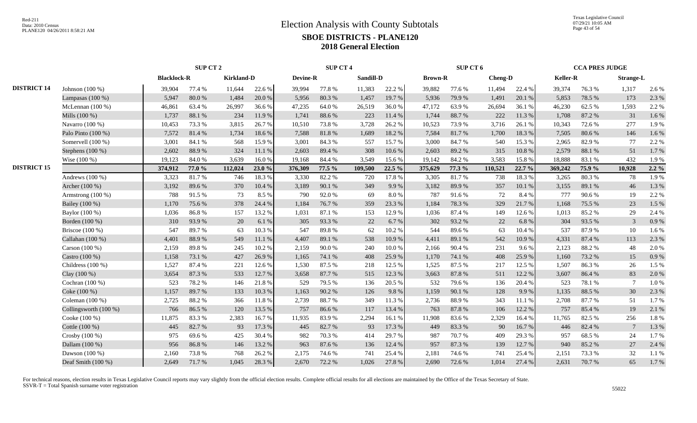|                    |                       |                    | SUP CT 2 |                   |        |          | <b>SUP CT 4</b> |           |        |                | SUP CT 6 |         |        |                 | <b>CCA PRES JUDGE</b> |                  |         |
|--------------------|-----------------------|--------------------|----------|-------------------|--------|----------|-----------------|-----------|--------|----------------|----------|---------|--------|-----------------|-----------------------|------------------|---------|
|                    |                       | <b>Blacklock-R</b> |          | <b>Kirkland-D</b> |        | Devine-R |                 | Sandill-D |        | <b>Brown-R</b> |          | Cheng-D |        | <b>Keller-R</b> |                       | <b>Strange-L</b> |         |
| <b>DISTRICT 14</b> | Johnson (100 %)       | 39,904             | 77.4 %   | 11,644            | 22.6 % | 39,994   | 77.8%           | 11,383    | 22.2 % | 39,882         | 77.6%    | 11,494  | 22.4 % | 39,374          | 76.3%                 | 1,317            | 2.6%    |
|                    | Lampasas $(100\%)$    | 5,947              | 80.0%    | 1,484             | 20.0%  | 5,956    | 80.3%           | 1,457     | 19.7%  | 5,936          | 79.9%    | 1,491   | 20.1 % | 5,853           | 78.5 %                | 173              | 2.3 %   |
|                    | McLennan $(100\%)$    | 46,861             | 63.4 %   | 26,997            | 36.6%  | 47,235   | 64.0%           | 26,519    | 36.0%  | 47,172         | 63.9%    | 26,694  | 36.1 % | 46,230          | 62.5%                 | 1,593            | 2.2 %   |
|                    | Mills $(100\%)$       | 1,737              | 88.1%    | 234               | 11.9%  | 1,741    | 88.6%           | 223       | 11.4 % | 1,744          | 88.7%    | 222     | 11.3 % | 1,708           | 87.2 %                | 31               | 1.6%    |
|                    | Navarro (100 %)       | 10,453             | 73.3 %   | 3,815             | 26.7%  | 10,510   | 73.8%           | 3,728     | 26.2%  | 10,523         | 73.9%    | 3,716   | 26.1%  | 10,343          | 72.6%                 | 277              | 1.9%    |
|                    | Palo Pinto (100 %)    | 7,572              | 81.4%    | 1,734             | 18.6%  | 7,588    | 81.8 %          | 1,689     | 18.2 % | 7,584          | 81.7%    | 1,700   | 18.3 % | 7,505           | 80.6%                 | 146              | 1.6%    |
|                    | Somervell (100 %)     | 3,001              | 84.1 %   | 568               | 15.9%  | 3,001    | 84.3%           | 557       | 15.7%  | 3,000          | 84.7%    | 540     | 15.3 % | 2,965           | 82.9%                 | 77               | 2.2 %   |
|                    | Stephens $(100\%)$    | 2,602              | 88.9%    | 324               | 11.1 % | 2,603    | 89.4 %          | 308       | 10.6%  | 2,603          | 89.2%    | 315     | 10.8%  | 2,579           | 88.1 %                | 51               | 1.7%    |
|                    | Wise $(100\%)$        | 19,123             | 84.0%    | 3,639             | 16.0%  | 19.168   | 84.4 %          | 3,549     | 15.6%  | 19,142         | 84.2 %   | 3,583   | 15.8%  | 18,888          | 83.1 %                | 432              | 1.9%    |
| <b>DISTRICT 15</b> |                       | 374,912            | 77.0 %   | 112,024           | 23.0%  | 376,309  | 77.5 %          | 109,500   | 22.5 % | 375,629        | 77.3 %   | 110,521 | 22.7 % | 369,242         | 75.9 %                | 10,928           | $2.2\%$ |
|                    | Andrews $(100\%)$     | 3,323              | 81.7%    | 746               | 18.3 % | 3,330    | 82.2%           | 720       | 17.8 % | 3,305          | 81.7%    | 738     | 18.3%  | 3,265           | 80.3%                 | 78               | 1.9%    |
|                    | Archer (100 %)        | 3,192              | 89.6%    | 370               | 10.4 % | 3,189    | 90.1 %          | 349       | 9.9%   | 3,182          | 89.9%    | 357     | 10.1%  | 3,155           | 89.1%                 | 46               | 1.3%    |
|                    | Armstrong $(100\%)$   | 788                | 91.5%    | 73                | 8.5 %  | 790      | 92.0%           | 69        | 8.0%   | 787            | 91.6%    | 72      | 8.4%   | 777             | 90.6%                 | 19               | 2.2 %   |
|                    | Bailey (100 %)        | 1,170              | 75.6%    | 378               | 24.4 % | 1.184    | 76.7%           | 359       | 23.3 % | 1,184          | 78.3%    | 329     | 21.7%  | 1.168           | 75.5 %                | 23               | 1.5 %   |
|                    | Baylor (100 %)        | 1,036              | 86.8%    | 157               | 13.2 % | 1,031    | 87.1 %          | 153       | 12.9%  | 1,036          | 87.4 %   | 149     | 12.6 % | 1,013           | 85.2%                 | 29               | 2.4 %   |
|                    | Borden (100 %)        | 310                | 93.9%    | 20                | 6.1%   | 305      | 93.3%           | 22        | 6.7%   | 302            | 93.2%    | $22\,$  | 6.8%   | 304             | 93.5%                 | $\overline{3}$   | 0.9%    |
|                    | Briscoe (100 %)       | 547                | 89.7%    | 63                | 10.3%  | 547      | 89.8%           | 62        | 10.2 % | 544            | 89.6%    | 63      | 10.4 % | 537             | 87.9%                 | 10               | 1.6%    |
|                    | Callahan (100 %)      | 4,401              | 88.9%    | 549               | 11.1%  | 4,407    | 89.1 %          | 538       | 10.9%  | 4,411          | 89.1 %   | 542     | 10.9%  | 4,331           | 87.4 %                | 113              | 2.3 %   |
|                    | Carson $(100\%)$      | 2,159              | 89.8%    | 245               | 10.2%  | 2.159    | 90.0%           | 240       | 10.0%  | 2,166          | 90.4 %   | 231     | 9.6%   | 2,123           | 88.2%                 | 48               | 2.0%    |
|                    | Castro (100 %)        | 1,158              | 73.1 %   | 427               | 26.9%  | 1,165    | 74.1 %          | 408       | 25.9%  | 1,170          | 74.1 %   | 408     | 25.9%  | 1,160           | 73.2 %                | 15               | 0.9%    |
|                    | Childress $(100\%)$   | 1,527              | 87.4 %   | 221               | 12.6 % | 1,530    | 87.5 %          | 218       | 12.5 % | 1,525          | 87.5 %   | 217     | 12.5 % | 1,507           | 86.3%                 | 26               | 1.5 %   |
|                    | Clay (100 %)          | 3,654              | 87.3%    | 533               | 12.7 % | 3,658    | 87.7%           | 515       | 12.3 % | 3,663          | 87.8%    | 511     | 12.2 % | 3,607           | 86.4%                 | 83               | 2.0%    |
|                    | Cochran (100 %)       | 523                | 78.2%    | 146               | 21.8%  | 529      | 79.5 %          | 136       | 20.5 % | 532            | 79.6%    | 136     | 20.4 % | 523             | 78.1 %                |                  | 1.0%    |
|                    | Coke (100 %)          | 1,157              | 89.7%    | 133               | 10.3 % | 1,163    | 90.2%           | 126       | 9.8%   | 1,159          | 90.1%    | 128     | 9.9%   | 1,135           | 88.5%                 | 30               | 2.3 %   |
|                    | Coleman $(100\%)$     | 2,725              | 88.2%    | 366               | 11.8%  | 2,739    | 88.7%           | 349       | 11.3%  | 2,736          | 88.9%    | 343     | 11.1 % | 2,708           | 87.7%                 | 51               | 1.7%    |
|                    | Collingsworth (100 %) | 766                | 86.5%    | 120               | 13.5 % | 757      | 86.6%           | 117       | 13.4 % | 763            | 87.8%    | 106     | 12.2 % | 757             | 85.4%                 | 19               | 2.1%    |
|                    | Cooke (100 %)         | 11,875             | 83.3%    | 2,383             | 16.7%  | 11,935   | 83.9%           | 2,294     | 16.1 % | 11,908         | 83.6%    | 2,329   | 16.4%  | 11,765          | 82.5 %                | 256              | 1.8%    |
|                    | Cottle (100 %)        | 445                | 82.7%    | 93                | 17.3 % | 445      | 82.7%           | 93        | 17.3 % | 449            | 83.3%    | 90      | 16.7%  | 446             | 82.4%                 | $7\phantom{.0}$  | 1.3%    |
|                    | Crosby $(100\%)$      | 975                | 69.6%    | 425               | 30.4 % | 982      | 70.3%           | 414       | 29.7%  | 987            | 70.7%    | 409     | 29.3 % | 957             | 68.5%                 | 24               | 1.7%    |
|                    | Dallam (100 %)        | 956                | 86.8%    | 146               | 13.2 % | 963      | 87.6%           | 136       | 12.4 % | 957            | 87.3%    | 139     | 12.7 % | 940             | 85.2%                 | 27               | 2.4 %   |
|                    | Dawson (100 %)        | 2,160              | 73.8%    | 768               | 26.2%  | 2,175    | 74.6 %          | 741       | 25.4 % | 2,181          | 74.6 %   | 741     | 25.4 % | 2,151           | 73.3 %                | 32               | 1.1%    |
|                    | Deaf Smith (100 %)    | 2,649              | 71.7%    | 1,045             | 28.3 % | 2,670    | 72.2 %          | 1,026     | 27.8 % | 2,690          | 72.6%    | 1,014   | 27.4 % | 2,631           | 70.7%                 | 65               | 1.7%    |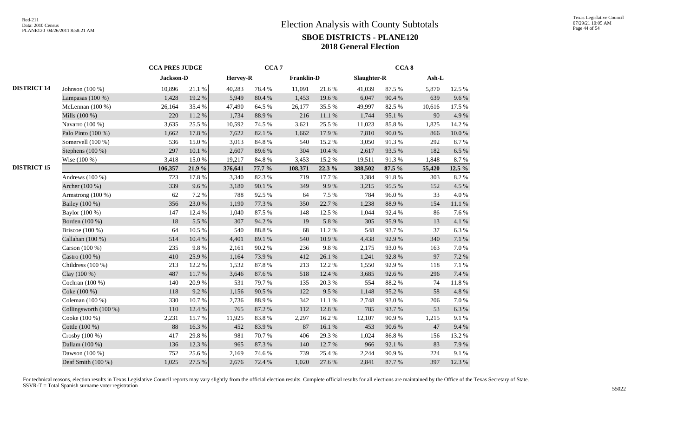|                    |                       | <b>CCA PRES JUDGE</b> |        |          | CCA <sub>7</sub> |                   |        |             | CCA <sub>8</sub> |         |            |
|--------------------|-----------------------|-----------------------|--------|----------|------------------|-------------------|--------|-------------|------------------|---------|------------|
|                    |                       | Jackson-D             |        | Hervey-R |                  | <b>Franklin-D</b> |        | Slaughter-R |                  | $Ash-L$ |            |
| <b>DISTRICT 14</b> | Johnson (100 %)       | 10,896                | 21.1%  | 40,283   | 78.4%            | 11,091            | 21.6%  | 41,039      | 87.5 %           | 5,870   | 12.5 %     |
|                    | Lampasas $(100\%)$    | 1,428                 | 19.2%  | 5,949    | 80.4%            | 1,453             | 19.6%  | 6,047       | 90.4%            | 639     | 9.6%       |
|                    | McLennan (100 %)      | 26,164                | 35.4%  | 47,490   | 64.5%            | 26,177            | 35.5%  | 49,997      | 82.5 %           | 10,616  | 17.5 %     |
|                    | Mills (100 %)         | 220                   | 11.2 % | 1,734    | 88.9%            | 216               | 11.1%  | 1,744       | 95.1 %           | 90      | 4.9%       |
|                    | Navarro (100 %)       | 3,635                 | 25.5 % | 10,592   | 74.5 %           | 3,621             | 25.5 % | 11,023      | 85.8%            | 1,825   | 14.2 %     |
|                    | Palo Pinto (100 %)    | 1,662                 | 17.8 % | 7,622    | 82.1 %           | 1,662             | 17.9%  | 7,810       | 90.0%            | 866     | $10.0~\%$  |
|                    | Somervell (100 %)     | 536                   | 15.0%  | 3,013    | 84.8 %           | 540               | 15.2%  | 3,050       | 91.3%            | 292     | 8.7%       |
|                    | Stephens $(100\%)$    | 297                   | 10.1%  | 2,607    | 89.6%            | 304               | 10.4 % | 2,617       | 93.5%            | 182     | 6.5%       |
|                    | Wise (100 %)          | 3,418                 | 15.0%  | 19,217   | 84.8%            | 3,453             | 15.2%  | 19,511      | 91.3%            | 1,848   | 8.7%       |
| <b>DISTRICT 15</b> |                       | 106,357               | 21.9%  | 376,641  | 77.7 %           | 108,371           | 22.3 % | 388,502     | 87.5 %           | 55,420  | 12.5 %     |
|                    | Andrews (100 %)       | 723                   | 17.8%  | 3,340    | 82.3%            | 719               | 17.7 % | 3,384       | 91.8%            | 303     | 8.2%       |
|                    | Archer (100 %)        | 339                   | 9.6%   | 3,180    | 90.1 %           | 349               | 9.9%   | 3,215       | 95.5 %           | 152     | 4.5 %      |
|                    | Armstrong (100 %)     | 62                    | 7.2 %  | 788      | 92.5 %           | 64                | 7.5 %  | 784         | 96.0%            | 33      | $4.0\ \%$  |
|                    | Bailey (100 %)        | 356                   | 23.0%  | 1,190    | 77.3 %           | 350               | 22.7 % | 1,238       | 88.9%            | 154     | $11.1\ \%$ |
|                    | Baylor (100 %)        | 147                   | 12.4 % | 1,040    | 87.5 %           | 148               | 12.5 % | 1,044       | 92.4 %           | 86      | 7.6%       |
|                    | Borden (100 %)        | 18                    | 5.5 %  | 307      | 94.2%            | 19                | 5.8%   | 305         | 95.9%            | 13      | 4.1%       |
|                    | Briscoe $(100\%)$     | 64                    | 10.5 % | 540      | 88.8 %           | 68                | 11.2%  | 548         | 93.7%            | 37      | 6.3%       |
|                    | Callahan (100 %)      | 514                   | 10.4 % | 4,401    | 89.1 %           | 540               | 10.9%  | 4,438       | 92.9%            | 340     | $7.1~\%$   |
|                    | Carson (100 %)        | 235                   | 9.8%   | 2,161    | 90.2%            | 236               | 9.8%   | 2,175       | 93.0%            | 163     | 7.0%       |
|                    | Castro (100 %)        | 410                   | 25.9%  | 1,164    | 73.9%            | 412               | 26.1 % | 1,241       | 92.8%            | 97      | 7.2 %      |
|                    | Childress (100 %)     | 213                   | 12.2 % | 1,532    | 87.8 %           | 213               | 12.2 % | 1,550       | 92.9%            | 118     | 7.1 %      |
|                    | Clay (100 %)          | 487                   | 11.7 % | 3,646    | 87.6 %           | 518               | 12.4 % | 3,685       | 92.6%            | 296     | 7.4 %      |
|                    | Cochran (100 %)       | 140                   | 20.9%  | 531      | 79.7%            | 135               | 20.3%  | 554         | 88.2%            | 74      | 11.8 %     |
|                    | Coke (100 %)          | 118                   | 9.2%   | 1,156    | 90.5%            | 122               | 9.5 %  | 1,148       | 95.2%            | 58      | 4.8 %      |
|                    | Coleman (100 %)       | 330                   | 10.7%  | 2,736    | 88.9%            | 342               | 11.1 % | 2,748       | 93.0%            | 206     | 7.0%       |
|                    | Collingsworth (100 %) | 110                   | 12.4 % | 765      | 87.2 %           | 112               | 12.8 % | 785         | 93.7%            | 53      | 6.3%       |
|                    | Cooke (100 %)         | 2,231                 | 15.7 % | 11,925   | 83.8%            | 2,297             | 16.2%  | 12,107      | 90.9%            | 1,215   | 9.1%       |
|                    | Cottle (100 %)        | 88                    | 16.3%  | 452      | 83.9%            | 87                | 16.1%  | 453         | 90.6%            | 47      | 9.4%       |
|                    | Crosby (100 %)        | 417                   | 29.8%  | 981      | 70.7%            | 406               | 29.3%  | 1,024       | 86.8%            | 156     | 13.2 %     |
|                    | Dallam (100 %)        | 136                   | 12.3 % | 965      | 87.3 %           | 140               | 12.7 % | 966         | 92.1 %           | 83      | 7.9%       |
|                    | Dawson (100 %)        | 752                   | 25.6%  | 2,169    | 74.6%            | 739               | 25.4 % | 2,244       | 90.9%            | 224     | 9.1%       |
|                    | Deaf Smith (100 %)    | 1,025                 | 27.5 % | 2,676    | 72.4 %           | 1,020             | 27.6 % | 2,841       | 87.7%            | 397     | 12.3 %     |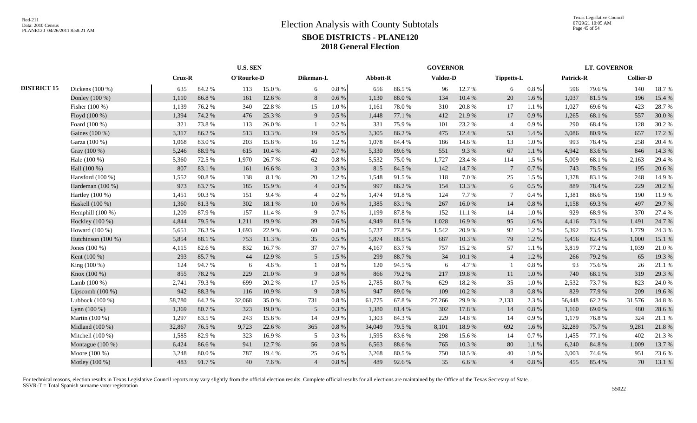Texas Legislative Council 07/29/21 10:05 AM Page 45 of 54

|                    |                    |        | <b>U.S. SEN</b> |        |            |                |           |          |        | <b>GOVERNOR</b> |        |                   |           |           | <b>LT. GOVERNOR</b> |                  |        |
|--------------------|--------------------|--------|-----------------|--------|------------|----------------|-----------|----------|--------|-----------------|--------|-------------------|-----------|-----------|---------------------|------------------|--------|
|                    |                    |        | <b>Cruz-R</b>   |        | O'Rourke-D | Dikeman-L      |           | Abbott-R |        | <b>Valdez-D</b> |        | <b>Tippetts-L</b> |           | Patrick-R |                     | <b>Collier-D</b> |        |
| <b>DISTRICT 15</b> | Dickens (100 %)    | 635    | 84.2%           | 113    | 15.0%      | 6              | 0.8 %     | 656      | 86.5%  | 96              | 12.7 % | 6                 | 0.8 %     | 596       | 79.6%               | 140              | 18.7%  |
|                    | Donley (100 %)     | 1,110  | 86.8%           | 161    | 12.6 %     | 8              | $0.6\%$   | 1,130    | 88.0%  | 134             | 10.4 % | 20                | 1.6 %     | 1,037     | 81.5%               | 196              | 15.4 % |
|                    | Fisher (100 %)     | 1,139  | 76.2%           | 340    | 22.8%      | 15             | 1.0%      | 1,161    | 78.0%  | 310             | 20.8%  | 17                | 1.1 %     | 1,027     | 69.6%               | 423              | 28.7%  |
|                    | Floyd (100 %)      | 1,394  | 74.2 %          | 476    | 25.3 %     | 9              | 0.5%      | 1,448    | 77.1 % | 412             | 21.9%  | 17                | 0.9%      | 1,265     | 68.1 %              | 557              | 30.0%  |
|                    | Foard (100 %)      | 321    | 73.8%           | 113    | 26.0%      |                | 0.2 %     | 331      | 75.9%  | 101             | 23.2 % | $\overline{4}$    | 0.9%      | 290       | 68.4%               | 128              | 30.2 % |
|                    | Gaines (100 %)     | 3,317  | 86.2%           | 513    | 13.3 %     | 19             | 0.5%      | 3,305    | 86.2%  | 475             | 12.4 % | 53                | 1.4 %     | 3,086     | 80.9%               | 657              | 17.2 % |
|                    | Garza (100 %)      | 1,068  | 83.0%           | 203    | 15.8%      | 16             | 1.2%      | 1.078    | 84.4 % | 186             | 14.6 % | 13                | 1.0%      | 993       | 78.4%               | 258              | 20.4 % |
|                    | Gray (100 %)       | 5,246  | 88.9%           | 615    | 10.4%      | 40             | 0.7 %     | 5,330    | 89.6%  | 551             | 9.3%   | 67                | 1.1%      | 4,942     | 83.6%               | 846              | 14.3 % |
|                    | Hale (100 %)       | 5,360  | 72.5 %          | 1,970  | 26.7%      | 62             | $0.8\ \%$ | 5,532    | 75.0%  | 1,727           | 23.4 % | 114               | 1.5%      | 5,009     | 68.1%               | 2,163            | 29.4 % |
|                    | Hall (100 %)       | 807    | 83.1 %          | 161    | 16.6%      | 3              | $0.3\ \%$ | 815      | 84.5 % | 142             | 14.7 % | $7\phantom{.0}$   | 0.7%      | 743       | 78.5 %              | 195              | 20.6 % |
|                    | Hansford $(100\%)$ | 1,552  | 90.8%           | 138    | 8.1%       | 20             | 1.2%      | 1,548    | 91.5%  | 118             | 7.0 %  | 25                | 1.5%      | 1,378     | 83.1%               | 248              | 14.9 % |
|                    | Hardeman (100 %)   | 973    | 83.7%           | 185    | 15.9%      | $\overline{4}$ | 0.3 %     | 997      | 86.2%  | 154             | 13.3 % | 6                 | 0.5 %     | 889       | 78.4%               | 229              | 20.2 % |
|                    | Hartley (100 %)    | 1,451  | 90.3%           | 151    | 9.4%       | $\overline{4}$ | 0.2 %     | 1,474    | 91.8%  | 124             | 7.7 %  | $\overline{7}$    | 0.4%      | 1,381     | 86.6%               | 190              | 11.9%  |
|                    | Haskell (100 %)    | 1,360  | 81.3%           | 302    | 18.1 %     | 10             | $0.6\,\%$ | 1,385    | 83.1 % | 267             | 16.0%  | 14                | $0.8~\%$  | 1,158     | 69.3%               | 497              | 29.7 % |
|                    | Hemphill $(100\%)$ | 1,209  | 87.9%           | 157    | 11.4 %     | 9              | 0.7%      | 1,199    | 87.8%  | 152             | 11.1%  | 14                | 1.0%      | 929       | 68.9%               | 370              | 27.4 % |
|                    | Hockley (100 %)    | 4,844  | 79.5 %          | 1,211  | 19.9%      | 39             | 0.6 %     | 4,949    | 81.5%  | 1,028           | 16.9%  | 95                | 1.6 %     | 4,416     | 73.1 %              | 1,491            | 24.7 % |
|                    | Howard (100 %)     | 5,651  | 76.3%           | 1,693  | 22.9%      | 60             | $0.8 \%$  | 5,737    | 77.8%  | 1,542           | 20.9%  | 92                | 1.2%      | 5,392     | 73.5 %              | 1,779            | 24.3 % |
|                    | Hutchinson (100 %) | 5,854  | 88.1%           | 753    | 11.3 %     | 35             | 0.5%      | 5.874    | 88.5 % | 687             | 10.3%  | 79                | $1.2\%$   | 5,456     | 82.4 %              | 1,000            | 15.1 % |
|                    | Jones (100 %)      | 4,115  | 82.6%           | 832    | 16.7%      | 37             | 0.7 %     | 4,167    | 83.7%  | 757             | 15.2 % | 57                | 1.1 %     | 3,819     | 77.2 %              | 1,039            | 21.0%  |
|                    | Kent (100 %)       | 293    | 85.7%           | 44     | 12.9%      | 5 <sup>5</sup> | 1.5%      | 299      | 88.7%  | 34              | 10.1%  | $\overline{4}$    | 1.2%      | 266       | 79.2 %              | 65               | 19.3 % |
|                    | King (100 %)       | 124    | 94.7%           | 6      | 4.6 %      |                | 0.8%      | 120      | 94.5 % | 6               | 4.7 %  |                   | 0.8%      | 93        | 75.6%               | 26               | 21.1 % |
|                    | Knox (100 %)       | 855    | 78.2%           | 229    | 21.0%      | 9              | $0.8\ \%$ | 866      | 79.2 % | 217             | 19.8%  | 11                | 1.0%      | 740       | 68.1%               | 319              | 29.3 % |
|                    | Lamb (100 %)       | 2,741  | 79.3 %          | 699    | 20.2 %     | 17             | $0.5\%$   | 2,785    | 80.7%  | 629             | 18.2%  | 35                | 1.0%      | 2,532     | 73.7%               | 823              | 24.0 % |
|                    | Lipscomb $(100\%)$ | 942    | 88.3%           | 116    | 10.9%      | 9              | $0.8\ \%$ | 947      | 89.0%  | 109             | 10.2%  | $\,8\,$           | $0.8\ \%$ | 829       | 77.9%               | 209              | 19.6 % |
|                    | Lubbock (100 %)    | 58,780 | 64.2 %          | 32,068 | 35.0%      | 731            | 0.8%      | 61,775   | 67.8%  | 27,266          | 29.9%  | 2,133             | 2.3%      | 56,448    | 62.2%               | 31,576           | 34.8%  |
|                    | Lynn $(100\%)$     | 1,369  | 80.7%           | 323    | 19.0%      | 5              | 0.3%      | 1,380    | 81.4 % | 302             | 17.8 % | 14                | 0.8%      | 1,160     | 69.0%               | 480              | 28.6%  |
|                    | Martin (100 %)     | 1,297  | 83.5%           | 243    | 15.6%      | 14             | 0.9%      | 1.303    | 84.3 % | 229             | 14.8%  | 14                | 0.9%      | 1,179     | 76.8%               | 324              | 21.1 % |
|                    | Midland (100 %)    | 32,867 | 76.5 %          | 9,723  | 22.6 %     | 365            | 0.8%      | 34,049   | 79.5 % | 8,101           | 18.9%  | 692               | 1.6 %     | 32,289    | 75.7%               | 9,281            | 21.8%  |
|                    | Mitchell (100 %)   | 1,585  | 82.9%           | 323    | 16.9%      | 5              | 0.3 %     | 1,595    | 83.6%  | 298             | 15.6%  | 14                | 0.7%      | 1,455     | 77.1 %              | 402              | 21.3%  |
|                    | Montague (100 %)   | 6,424  | 86.6%           | 941    | 12.7 %     | 56             | $0.8~\%$  | 6,563    | 88.6%  | 765             | 10.3 % | 80                | $1.1~\%$  | 6,240     | 84.8%               | 1,009            | 13.7 % |
|                    | Moore (100 %)      | 3,248  | 80.0%           | 787    | 19.4 %     | 25             | 0.6 %     | 3,268    | 80.5 % | 750             | 18.5 % | 40                | 1.0%      | 3,003     | 74.6%               | 951              | 23.6 % |
|                    | Motley (100 %)     | 483    | 91.7%           | 40     | 7.6 %      | $\overline{4}$ | $0.8\ \%$ | 489      | 92.6%  | 35              | 6.6%   | $\overline{4}$    | $0.8\ \%$ | 455       | 85.4%               | 70               | 13.1 % |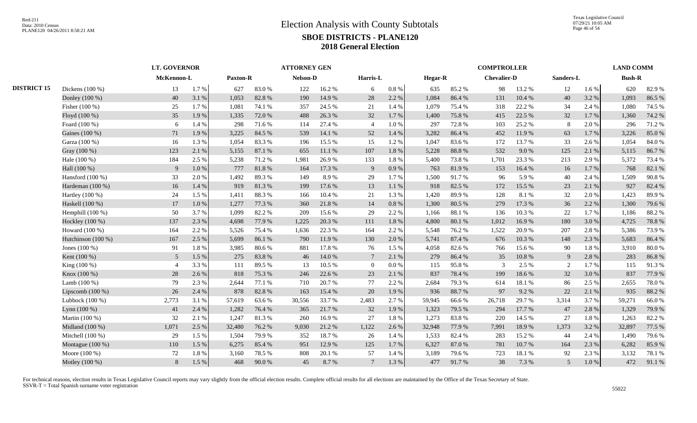|                    |                      | <b>LT. GOVERNOR</b> |       |          |        | <b>ATTORNEY GEN</b> |        |                 |           |                |        | <b>COMPTROLLER</b> |           |           |       | <b>LAND COMM</b> |        |
|--------------------|----------------------|---------------------|-------|----------|--------|---------------------|--------|-----------------|-----------|----------------|--------|--------------------|-----------|-----------|-------|------------------|--------|
|                    |                      | McKennon-L          |       | Paxton-R |        | Nelson-D            |        | Harris-L        |           | <b>Hegar-R</b> |        | <b>Chevalier-D</b> |           | Sanders-L |       | <b>Bush-R</b>    |        |
| <b>DISTRICT 15</b> | Dickens $(100\%)$    | 13                  | 1.7%  | 627      | 83.0%  | 122                 | 16.2%  | 6               | $0.8~\%$  | 635            | 85.2%  | 98                 | 13.2 %    | 12        | 1.6%  | 620              | 82.9%  |
|                    | Donley (100 %)       | 40                  | 3.1 % | 1,053    | 82.8%  | 190                 | 14.9%  | 28              | 2.2 %     | 1,084          | 86.4%  | 131                | 10.4 %    | 40        | 3.2%  | 1,093            | 86.5%  |
|                    | Fisher (100 %)       | 25                  | 1.7%  | 1,081    | 74.1 % | 357                 | 24.5 % | 21              | 1.4 %     | 1,079          | 75.4 % | 318                | 22.2 %    | 34        | 2.4 % | 1,080            | 74.5 % |
|                    | Floyd (100 %)        | 35                  | 1.9%  | 1,335    | 72.0 % | 488                 | 26.3%  | 32              | 1.7%      | 1,400          | 75.8%  | 415                | 22.5 %    | 32        | 1.7%  | 1,360            | 74.2 % |
|                    | Foard (100 %)        | 6                   | 1.4 % | 298      | 71.6%  | 114                 | 27.4 % | $\overline{4}$  | 1.0%      | 297            | 72.8%  | 103                | 25.2 %    | 8         | 2.0%  | 296              | 71.2%  |
|                    | Gaines (100 %)       | 71                  | 1.9%  | 3,225    | 84.5 % | 539                 | 14.1 % | 52              | 1.4%      | 3,282          | 86.4%  | 452                | 11.9%     | 63        | 1.7%  | 3,226            | 85.0%  |
|                    | Garza (100 %)        | 16                  | 1.3%  | 1,054    | 83.3%  | 196                 | 15.5 % | 15              | 1.2%      | 1,047          | 83.6%  | 172                | 13.7%     | 33        | 2.6 % | 1,054            | 84.0%  |
|                    | Gray (100 %)         | 123                 | 2.1 % | 5,155    | 87.1 % | 655                 | 11.1 % | 107             | 1.8%      | 5,228          | 88.8%  | 532                | 9.0%      | 125       | 2.1 % | 5,115            | 86.7%  |
|                    | Hale (100 %)         | 184                 | 2.5 % | 5,238    | 71.2%  | 1,981               | 26.9%  | 133             | $1.8\ \%$ | 5,400          | 73.8%  | 1,701              | 23.3 %    | 213       | 2.9%  | 5,372            | 73.4 % |
|                    | Hall (100 %)         | 9                   | 1.0%  | 777      | 81.8%  | 164                 | 17.3 % | 9               | 0.9%      | 763            | 81.9%  | 153                | 16.4%     | 16        | 1.7%  | 768              | 82.1 % |
|                    | Hansford $(100\%)$   | 33                  | 2.0%  | 1,492    | 89.3%  | 149                 | 8.9%   | 29              | 1.7 %     | 1,500          | 91.7%  | 96                 | 5.9%      | 40        | 2.4 % | 1,509            | 90.8%  |
|                    | Hardeman (100 %)     | 16                  | 1.4%  | 919      | 81.3%  | 199                 | 17.6 % | 13              | 1.1%      | 918            | 82.5 % | 172                | 15.5 %    | 23        | 2.1%  | 927              | 82.4 % |
|                    | Hartley (100 %)      | 24                  | 1.5 % | 1,411    | 88.3%  | 166                 | 10.4 % | 21              | 1.3%      | 1,420          | 89.9%  | 128                | 8.1 %     | 32        | 2.0%  | 1,423            | 89.9%  |
|                    | Haskell (100 %)      | 17                  | 1.0%  | 1,277    | 77.3 % | 360                 | 21.8%  | 14              | 0.8%      | 1,300          | 80.5 % | 279                | 17.3 %    | 36        | 2.2 % | 1,300            | 79.6%  |
|                    | Hemphill $(100\%)$   | 50                  | 3.7%  | 1,099    | 82.2%  | 209                 | 15.6%  | 29              | 2.2 %     | 1,166          | 88.1 % | 136                | 10.3 %    | 22        | 1.7%  | 1,186            | 88.2%  |
|                    | Hockley (100 %)      | 137                 | 2.3 % | 4,698    | 77.9%  | 1,225               | 20.3 % | 111             | 1.8%      | 4,800          | 80.1 % | 1,012              | 16.9%     | 180       | 3.0%  | 4,725            | 78.8%  |
|                    | Howard $(100\%)$     | 164                 | 2.2 % | 5,526    | 75.4 % | 1,636               | 22.3 % | 164             | 2.2 %     | 5,548          | 76.2%  | 1,522              | 20.9%     | 207       | 2.8%  | 5,386            | 73.9%  |
|                    | Hutchinson $(100\%)$ | 167                 | 2.5 % | 5,699    | 86.1%  | 790                 | 11.9%  | 130             | 2.0%      | 5,741          | 87.4%  | 676                | 10.3%     | 148       | 2.3 % | 5,683            | 86.4%  |
|                    | Jones $(100\%)$      | 91                  | 1.8%  | 3,985    | 80.6%  | 881                 | 17.8%  | 76              | 1.5 %     | 4,058          | 82.6%  | 766                | 15.6%     | 90        | 1.8%  | 3,910            | 80.0%  |
|                    | Kent (100 %)         | 5 <sup>5</sup>      | 1.5 % | 275      | 83.8%  | 46                  | 14.0 % | $7\phantom{.0}$ | 2.1 %     | 279            | 86.4%  | 35                 | $10.8~\%$ | 9         | 2.8%  | 283              | 86.8%  |
|                    | King (100 %)         | $\overline{4}$      | 3.3%  | 111      | 89.5%  | 13                  | 10.5 % | $\Omega$        | $0.0\%$   | 115            | 95.8%  | 3                  | 2.5 %     | 2         | 1.7%  | 115              | 91.3%  |
|                    | Knox (100 %)         | 28                  | 2.6%  | 818      | 75.3 % | 246                 | 22.6 % | 23              | 2.1 %     | 837            | 78.4%  | 199                | 18.6%     | 32        | 3.0%  | 837              | 77.9%  |
|                    | Lamb $(100\%)$       | 79                  | 2.3 % | 2,644    | 77.1 % | 710                 | 20.7%  | 77              | 2.2 %     | 2,684          | 79.3%  | 614                | 18.1 %    | 86        | 2.5 % | 2,655            | 78.0%  |
|                    | Lipscomb $(100\%)$   | 26                  | 2.4 % | 878      | 82.8%  | 163                 | 15.4 % | 20              | 1.9%      | 936            | 88.7%  | 97                 | 9.2 %     | 22        | 2.1 % | 935              | 88.2%  |
|                    | Lubbock (100 %)      | 2,773               | 3.1 % | 57,619   | 63.6%  | 30,556              | 33.7%  | 2,483           | 2.7%      | 59,945         | 66.6%  | 26,718             | 29.7%     | 3,314     | 3.7%  | 59,271           | 66.0%  |
|                    | Lynn (100 %)         | 41                  | 2.4 % | 1,282    | 76.4%  | 365                 | 21.7%  | 32              | 1.9%      | 1,323          | 79.5 % | 294                | 17.7 %    | 47        | 2.8%  | 1,329            | 79.9%  |
|                    | Martin (100 %)       | 32                  | 2.1 % | 1,247    | 81.3%  | 260                 | 16.9%  | 27              | 1.8%      | 1,273          | 83.8%  | 220                | 14.5 %    | 27        | 1.8%  | 1,263            | 82.2%  |
|                    | Midland (100 %)      | 1,071               | 2.5 % | 32,480   | 76.2%  | 9,030               | 21.2%  | 1,122           | 2.6 %     | 32,948         | 77.9 % | 7,991              | 18.9%     | 1,373     | 3.2%  | 32,897           | 77.5 % |
|                    | Mitchell (100 %)     | 29                  | 1.5 % | 1,504    | 79.9%  | 352                 | 18.7%  | 26              | 1.4 %     | 1,533          | 82.4%  | 283                | 15.2 %    | 44        | 2.4 % | 1,490            | 79.6%  |
|                    | Montague (100 %)     | 110                 | 1.5 % | 6,275    | 85.4%  | 951                 | 12.9%  | 125             | 1.7%      | 6,327          | 87.0%  | 781                | 10.7%     | 164       | 2.3 % | 6,282            | 85.9%  |
|                    | Moore $(100\%)$      | 72                  | 1.8%  | 3,160    | 78.5%  | 808                 | 20.1 % | 57              | 1.4 %     | 3,189          | 79.6%  | 723                | 18.1 %    | 92        | 2.3%  | 3,132            | 78.1 % |
|                    | Motley (100 %)       | 8                   | 1.5 % | 468      | 90.0%  | 45                  | 8.7%   | $7\phantom{.0}$ | 1.3 %     | 477            | 91.7%  | 38                 | 7.3 %     | 5         | 1.0 % | 472              | 91.1%  |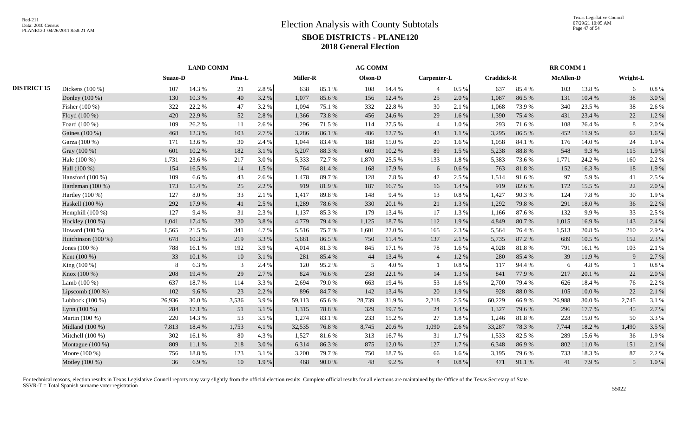|                    |                    |         | <b>LAND COMM</b> |        |       |                 |         | <b>AG COMM</b> |        |                |          |                   |            | RR COMM 1        |            |                |           |
|--------------------|--------------------|---------|------------------|--------|-------|-----------------|---------|----------------|--------|----------------|----------|-------------------|------------|------------------|------------|----------------|-----------|
|                    |                    | Suazo-D |                  | Pina-L |       | <b>Miller-R</b> |         | Olson-D        |        | Carpenter-L    |          | <b>Craddick-R</b> |            | <b>McAllen-D</b> |            | Wright-L       |           |
| <b>DISTRICT 15</b> | Dickens $(100\%)$  | 107     | 14.3 %           | 21     | 2.8%  | 638             | 85.1 %  | 108            | 14.4 % | 4              | $0.5~\%$ | 637               | 85.4%      | 103              | 13.8%      | 6              | 0.8%      |
|                    | Donley (100 %)     | 130     | 10.3%            | 40     | 3.2 % | 1.077           | 85.6%   | 156            | 12.4 % | 25             | 2.0 %    | 1,087             | 86.5%      | 131              | 10.4 %     | 38             | 3.0%      |
|                    | Fisher (100 %)     | 322     | 22.2 %           | 47     | 3.2%  | 1.094           | 75.1 %  | 332            | 22.8%  | 30             | 2.1 %    | 1,068             | 73.9%      | 340              | 23.5 %     | 38             | 2.6%      |
|                    | Floyd (100 %)      | 420     | 22.9 %           | 52     | 2.8%  | 1,366           | 73.8%   | 456            | 24.6 % | 29             | 1.6 %    | 1,390             | 75.4 %     | 431              | 23.4 %     | 22             | 1.2%      |
|                    | Foard (100 %)      | 109     | 26.2 %           | 11     | 2.6 % | 296             | 71.5 %  | 114            | 27.5 % | $\overline{4}$ | 1.0%     | 293               | 71.6 %     | 108              | 26.4 %     | 8              | 2.0%      |
|                    | Gaines (100 %)     | 468     | 12.3 %           | 103    | 2.7%  | 3,286           | 86.1%   | 486            | 12.7 % | 43             | 1.1%     | 3,295             | 86.5%      | 452              | 11.9%      | 62             | 1.6%      |
|                    | Garza (100 %)      | 171     | 13.6 %           | 30     | 2.4 % | 1,044           | 83.4%   | 188            | 15.0%  | 20             | 1.6%     | 1,058             | 84.1 %     | 176              | 14.0%      | 24             | 1.9%      |
|                    | Gray (100 %)       | 601     | 10.2%            | 182    | 3.1 % | 5,207           | 88.3%   | 603            | 10.2%  | 89             | 1.5 %    | 5,238             | 88.8%      | 548              | 9.3 %      | 115            | 1.9%      |
|                    | Hale (100 %)       | 1,731   | 23.6%            | 217    | 3.0 % | 5.333           | 72.7%   | 1,870          | 25.5 % | 133            | 1.8%     | 5,383             | 73.6 %     | 1.771            | 24.2 %     | 160            | 2.2 %     |
|                    | Hall (100 %)       | 154     | 16.5 %           | 14     | 1.5 % | 764             | 81.4%   | 168            | 17.9%  | 6              | 0.6 %    | 763               | $81.8\ \%$ | 152              | 16.3%      | 18             | 1.9%      |
|                    | Hansford $(100\%)$ | 109     | 6.6%             | 43     | 2.6 % | 1,478           | 89.7%   | 128            | 7.8%   | 42             | 2.5 %    | 1,514             | 91.6%      | 97               | 5.9%       | 41             | 2.5 %     |
|                    | Hardeman (100 %)   | 173     | 15.4 %           | 25     | 2.2 % | 919             | 81.9%   | 187            | 16.7%  | 16             | 1.4 %    | 919               | 82.6%      | 172              | 15.5 %     | 22             | 2.0%      |
|                    | Hartley (100 %)    | 127     | 8.0%             | 33     | 2.1%  | 1,417           | 89.8%   | 148            | 9.4%   | 13             | 0.8 %    | 1,427             | 90.3%      | 124              | 7.8%       | 30             | 1.9%      |
|                    | Haskell (100 %)    | 292     | 17.9%            | 41     | 2.5 % | 1,289           | 78.6%   | 330            | 20.1 % | 21             | 1.3%     | 1,292             | 79.8%      | 291              | 18.0%      | 36             | 2.2 %     |
|                    | Hemphill (100 %)   | 127     | 9.4%             | 31     | 2.3 % | 1,137           | 85.3%   | 179            | 13.4 % | 17             | 1.3%     | 1,166             | 87.6%      | 132              | 9.9%       | 33             | 2.5 %     |
|                    | Hockley (100 %)    | 1,041   | 17.4 %           | 230    | 3.8 % | 4,779           | 79.4 %  | 1,125          | 18.7%  | 112            | 1.9 %    | 4,849             | 80.7%      | 1,015            | 16.9%      | 143            | 2.4 %     |
|                    | Howard (100 %)     | 1,565   | 21.5 %           | 341    | 4.7%  | 5,516           | 75.7%   | 1,601          | 22.0%  | 165            | 2.3 %    | 5,564             | 76.4%      | 1,513            | 20.8%      | 210            | 2.9%      |
|                    | Hutchinson (100 %) | 678     | 10.3%            | 219    | 3.3 % | 5,681           | 86.5 %  | 750            | 11.4 % | 137            | 2.1 %    | 5,735             | 87.2%      | 689              | 10.5 %     | 152            | 2.3 %     |
|                    | Jones $(100\%)$    | 788     | 16.1%            | 192    | 3.9%  | 4.014           | 81.3%   | 845            | 17.1 % | 78             | 1.6 %    | 4,028             | 81.8%      | 791              | 16.1%      | 103            | 2.1 %     |
|                    | Kent (100 %)       | 33      | 10.1 %           | 10     | 3.1 % | 281             | 85.4%   | 44             | 13.4 % | $\overline{4}$ | 1.2%     | 280               | 85.4%      | 39               | 11.9 %     | 9              | 2.7%      |
|                    | King (100 %)       | 8       | 6.3%             | 3      | 2.4 % | 120             | 95.2%   | 5              | 4.0%   |                | 0.8 %    | 117               | 94.4 %     | 6                | 4.8%       | $\overline{1}$ | $0.8~\%$  |
|                    | Knox (100 %)       | 208     | 19.4 %           | 29     | 2.7%  | 824             | 76.6%   | 238            | 22.1 % | 14             | 1.3 %    | 841               | 77.9%      | 217              | 20.1 %     | 22             | 2.0%      |
|                    | Lamb $(100\%)$     | 637     | 18.7%            | 114    | 3.3 % | 2,694           | 79.0%   | 663            | 19.4 % | 53             | 1.6 %    | 2,700             | 79.4 %     | 626              | 18.4 %     | 76             | 2.2 %     |
|                    | Lipscomb $(100\%)$ | 102     | 9.6%             | 23     | 2.2 % | 896             | 84.7%   | 142            | 13.4 % | 20             | 1.9%     | 928               | $88.0\ \%$ | 105              | $10.0\ \%$ | $22\,$         | 2.1 %     |
|                    | Lubbock $(100\%)$  | 26,936  | 30.0%            | 3,536  | 3.9%  | 59,113          | 65.6%   | 28,739         | 31.9%  | 2,218          | 2.5 %    | 60,229            | 66.9%      | 26,988           | 30.0%      | 2,745          | 3.1%      |
|                    | Lynn $(100\%)$     | 284     | 17.1 %           | 51     | 3.1 % | 1,315           | 78.8 %  | 329            | 19.7%  | 24             | 1.4 %    | 1,327             | 79.6%      | 296              | 17.7 %     | 45             | 2.7%      |
|                    | Martin (100 %)     | 220     | 14.3 %           | 53     | 3.5 % | 1,274           | 83.1 %  | 233            | 15.2 % | 27             | 1.8%     | 1,246             | 81.8%      | 228              | 15.0%      | 50             | 3.3 %     |
|                    | Midland (100 %)    | 7,813   | 18.4%            | 1,753  | 4.1 % | 32,535          | 76.8%   | 8,745          | 20.6 % | 1,090          | 2.6 %    | 33,287            | 78.3%      | 7,744            | 18.2%      | 1,490          | 3.5 %     |
|                    | Mitchell $(100\%)$ | 302     | 16.1%            | 80     | 4.3 % | 1.527           | 81.6%   | 313            | 16.7%  | 31             | 1.7%     | 1,533             | 82.5 %     | 289              | 15.6%      | 36             | 1.9%      |
|                    | Montague $(100\%)$ | 809     | 11.1 %           | 218    | 3.0 % | 6,314           | 86.3%   | 875            | 12.0%  | 127            | 1.7%     | 6,348             | 86.9%      | 802              | 11.0%      | 151            | 2.1 %     |
|                    | Moore $(100\%)$    | 756     | 18.8%            | 123    | 3.1%  | 3,200           | 79.7%   | 750            | 18.7%  | 66             | 1.6 %    | 3,195             | 79.6%      | 733              | 18.3%      | 87             | 2.2 %     |
|                    | Motley (100 %)     | 36      | 6.9%             | 10     | 1.9%  | 468             | $90.0%$ | 48             | 9.2%   | $\overline{4}$ | $0.8~\%$ | 471               | 91.1 %     | 41               | 7.9 %      | 5              | $1.0\ \%$ |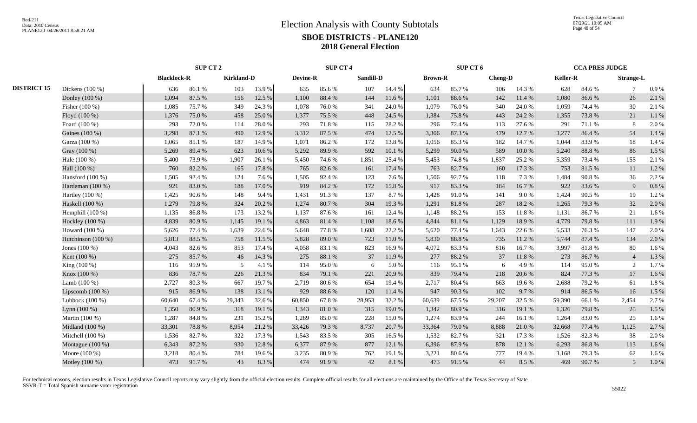Texas Legislative Council 07/29/21 10:05 AM Page 48 of 54

|                    |                    |                    | SUP CT 2 |                   |        |          | <b>SUP CT 4</b> |           |          |                | SUP CT 6 |                |            |          | <b>CCA PRES JUDGE</b> |                  |       |
|--------------------|--------------------|--------------------|----------|-------------------|--------|----------|-----------------|-----------|----------|----------------|----------|----------------|------------|----------|-----------------------|------------------|-------|
|                    |                    | <b>Blacklock-R</b> |          | <b>Kirkland-D</b> |        | Devine-R |                 | Sandill-D |          | <b>Brown-R</b> |          | <b>Cheng-D</b> |            | Keller-R |                       | <b>Strange-L</b> |       |
| <b>DISTRICT 15</b> | Dickens (100 %)    | 636                | 86.1%    | 103               | 13.9 % | 635      | 85.6%           | 107       | 14.4 %   | 634            | 85.7%    | 106            | 14.3 %     | 628      | 84.6%                 | 7                | 0.9%  |
|                    | Donley (100 %)     | 1,094              | 87.5 %   | 156               | 12.5 % | 1,100    | 88.4 %          | 144       | 11.6%    | 1,101          | 88.6%    | 142            | 11.4 %     | 1,080    | 86.6%                 | 26               | 2.1%  |
|                    | Fisher (100 %)     | 1,085              | 75.7%    | 349               | 24.3 % | 1,078    | 76.0%           | 341       | 24.0 %   | 1,079          | 76.0%    | 340            | 24.0%      | 1,059    | 74.4 %                | 30               | 2.1%  |
|                    | Floyd (100 %)      | 1,376              | 75.0%    | 458               | 25.0%  | 1,377    | 75.5 %          | 448       | 24.5 %   | 1,384          | 75.8%    | 443            | 24.2 %     | 1,355    | 73.8%                 | 21               | 1.1%  |
|                    | Foard (100 %)      | 293                | 72.0%    | 114               | 28.0%  | 293      | 71.8%           | 115       | 28.2 %   | 296            | 72.4 %   | 113            | 27.6 %     | 291      | 71.1 %                | 8                | 2.0%  |
|                    | Gaines (100 %)     | 3,298              | 87.1 %   | 490               | 12.9 % | 3,312    | 87.5 %          | 474       | 12.5 %   | 3,306          | 87.3%    | 479            | 12.7 %     | 3,277    | 86.4%                 | 54               | 1.4 % |
|                    | Garza (100 %)      | 1,065              | 85.1%    | 187               | 14.9%  | 1,071    | 86.2%           | 172       | 13.8%    | 1,056          | 85.3%    | 182            | 14.7 %     | 1.044    | 83.9%                 | 18               | 1.4 % |
|                    | Gray (100 %)       | 5,269              | 89.4%    | 623               | 10.6%  | 5,292    | 89.9%           | 592       | 10.1%    | 5,299          | 90.0%    | 589            | $10.0\ \%$ | 5,240    | 88.8%                 | 86               | 1.5 % |
|                    | Hale (100 %)       | 5,400              | 73.9%    | 1,907             | 26.1 % | 5,450    | 74.6%           | 1,851     | 25.4 %   | 5,453          | 74.8%    | 1,837          | 25.2%      | 5,359    | 73.4 %                | 155              | 2.1%  |
|                    | Hall (100 %)       | 760                | 82.2%    | 165               | 17.8 % | 765      | 82.6%           | 161       | 17.4 %   | 763            | 82.7%    | 160            | 17.3 %     | 753      | 81.5 %                | 11               | 1.2%  |
|                    | Hansford $(100\%)$ | 1,505              | 92.4 %   | 124               | 7.6 %  | 1,505    | 92.4%           | 123       | 7.6 %    | 1,506          | 92.7%    | 118            | 7.3 %      | 1,484    | 90.8%                 | 36               | 2.2 % |
|                    | Hardeman (100 %)   | 921                | 83.0%    | 188               | 17.0 % | 919      | 84.2 %          | 172       | 15.8%    | 917            | 83.3%    | 184            | 16.7%      | 922      | 83.6%                 | 9                | 0.8%  |
|                    | Hartley $(100\%)$  | 1,425              | 90.6%    | 148               | 9.4%   | 1,431    | 91.3%           | 137       | 8.7%     | 1,428          | 91.0%    | 141            | 9.0%       | 1,424    | 90.5 %                | 19               | 1.2%  |
|                    | Haskell (100 %)    | 1,279              | 79.8%    | 324               | 20.2 % | 1,274    | 80.7%           | 304       | 19.3%    | 1,291          | 81.8%    | 287            | 18.2%      | 1,265    | 79.3%                 | 32               | 2.0%  |
|                    | Hemphill $(100\%)$ | 1,135              | 86.8%    | 173               | 13.2 % | 1,137    | 87.6%           | 161       | 12.4 %   | 1,148          | 88.2%    | 153            | 11.8%      | 1,131    | 86.7%                 | 21               | 1.6%  |
|                    | Hockley (100 %)    | 4,839              | 80.9%    | 1,145             | 19.1 % | 4,863    | 81.4%           | 1,108     | 18.6%    | 4,844          | 81.1%    | 1,129          | 18.9%      | 4,779    | 79.8%                 | 111              | 1.9%  |
|                    | Howard (100 %)     | 5,626              | 77.4 %   | 1,639             | 22.6 % | 5,648    | 77.8%           | 1,608     | 22.2 %   | 5,620          | 77.4 %   | 1,643          | 22.6 %     | 5,533    | 76.3%                 | 147              | 2.0%  |
|                    | Hutchinson (100 %) | 5,813              | 88.5%    | 758               | 11.5 % | 5,828    | 89.0%           | 723       | 11.0%    | 5,830          | 88.8%    | 735            | 11.2 %     | 5.744    | 87.4 %                | 134              | 2.0%  |
|                    | Jones $(100\%)$    | 4,043              | 82.6%    | 853               | 17.4 % | 4,058    | 83.1 %          | 823       | 16.9%    | 4,072          | 83.3%    | 816            | 16.7%      | 3,997    | 81.8%                 | 80               | 1.6%  |
|                    | Kent (100 %)       | 275                | 85.7%    | 46                | 14.3 % | 275      | 88.1 %          | 37        | 11.9 %   | 277            | 88.2%    | 37             | 11.8%      | 273      | 86.7%                 | $\overline{4}$   | 1.3%  |
|                    | King (100 %)       | 116                | 95.9%    | 5                 | 4.1 %  | 114      | 95.0%           | 6         | 5.0 %    | 116            | 95.1%    | 6              | 4.9%       | 114      | 95.0%                 | 2                | 1.7%  |
|                    | Knox (100 %)       | 836                | 78.7%    | 226               | 21.3%  | 834      | 79.1 %          | 221       | 20.9%    | 839            | 79.4%    | 218            | 20.6%      | 824      | 77.3 %                | 17               | 1.6%  |
|                    | Lamb $(100\%)$     | 2,727              | 80.3%    | 667               | 19.7%  | 2,719    | 80.6%           | 654       | 19.4 %   | 2,717          | 80.4%    | 663            | 19.6 %     | 2.688    | 79.2 %                | 61               | 1.8%  |
|                    | Lipscomb $(100\%)$ | 915                | 86.9%    | 138               | 13.1 % | 929      | 88.6%           | 120       | 11.4 %   | 947            | 90.3%    | 102            | 9.7%       | 914      | 86.5%                 | 16               | 1.5 % |
|                    | Lubbock $(100\%)$  | 60,640             | 67.4%    | 29,343            | 32.6 % | 60,850   | 67.8%           | 28,953    | 32.2 %   | 60,639         | 67.5 %   | 29,207         | 32.5 %     | 59,390   | 66.1%                 | 2,454            | 2.7%  |
|                    | Lynn $(100\%)$     | 1,350              | 80.9%    | 318               | 19.1 % | 1,343    | $81.0\ \%$      | 315       | 19.0%    | 1,342          | 80.9%    | 316            | 19.1 %     | 1,326    | 79.8%                 | 25               | 1.5 % |
|                    | Martin (100 %)     | 1,287              | 84.8%    | 231               | 15.2%  | 1,289    | 85.0%           | 228       | 15.0%    | 1,274          | 83.9%    | 244            | 16.1%      | 1,264    | 83.0%                 | 25               | 1.6%  |
|                    | Midland (100 %)    | 33,301             | 78.8%    | 8,954             | 21.2%  | 33,426   | 79.3 %          | 8,737     | 20.7 %   | 33,364         | 79.0%    | 8,888          | 21.0%      | 32,668   | 77.4 %                | 1,125            | 2.7%  |
|                    | Mitchell (100 %)   | 1,536              | 82.7%    | 322               | 17.3 % | 1,543    | 83.5%           | 305       | 16.5 %   | 1,532          | 82.7%    | 321            | 17.3 %     | 1,526    | 82.3%                 | 38               | 2.0%  |
|                    | Montague $(100\%)$ | 6,343              | 87.2%    | 930               | 12.8%  | 6,377    | 87.9%           | 877       | 12.1 %   | 6,396          | 87.9%    | 878            | 12.1 %     | 6,293    | 86.8%                 | 113              | 1.6%  |
|                    | Moore (100 %)      | 3,218              | 80.4%    | 784               | 19.6%  | 3,235    | 80.9%           | 762       | 19.1 %   | 3,221          | 80.6%    | 777            | 19.4 %     | 3,168    | 79.3%                 | 62               | 1.6%  |
|                    | Motley (100 %)     | 473                | 91.7%    | 43                | 8.3%   | 474      | 91.9%           | 42        | $8.1~\%$ | 473            | 91.5%    | 44             | 8.5 %      | 469      | 90.7%                 | 5                | 1.0 % |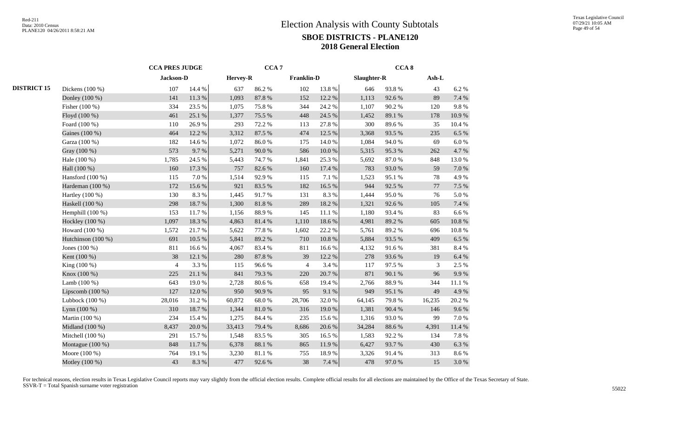|                    |                    | <b>CCA PRES JUDGE</b> |           |        | CCA <sub>7</sub> |                   |           | CCA <sub>8</sub> |        |         |            |  |  |
|--------------------|--------------------|-----------------------|-----------|--------|------------------|-------------------|-----------|------------------|--------|---------|------------|--|--|
|                    |                    |                       | Jackson-D |        |                  | <b>Franklin-D</b> |           | Slaughter-R      |        | $Ash-L$ |            |  |  |
| <b>DISTRICT 15</b> | Dickens $(100\%)$  | 107                   | 14.4 %    | 637    | 86.2%            | 102               | 13.8%     | 646              | 93.8%  | 43      | 6.2%       |  |  |
|                    | Donley (100 %)     | 141                   | 11.3%     | 1,093  | 87.8%            | 152               | 12.2 %    | 1,113            | 92.6%  | 89      | 7.4 %      |  |  |
|                    | Fisher $(100\%)$   | 334                   | 23.5 %    | 1,075  | 75.8%            | 344               | 24.2 %    | 1,107            | 90.2%  | 120     | 9.8%       |  |  |
|                    | Floyd (100 %)      | 461                   | 25.1 %    | 1,377  | 75.5 %           | 448               | 24.5 %    | 1,452            | 89.1 % | 178     | 10.9%      |  |  |
|                    | Foard (100 %)      | 110                   | 26.9%     | 293    | 72.2 %           | 113               | 27.8%     | 300              | 89.6%  | 35      | 10.4%      |  |  |
|                    | Gaines (100 %)     | 464                   | 12.2 %    | 3,312  | 87.5 %           | 474               | 12.5 %    | 3,368            | 93.5%  | 235     | 6.5%       |  |  |
|                    | Garza (100 %)      | 182                   | 14.6 %    | 1,072  | 86.0%            | 175               | 14.0%     | 1,084            | 94.0%  | 69      | $6.0\ \%$  |  |  |
|                    | Gray (100 %)       | 573                   | 9.7%      | 5,271  | 90.0%            | 586               | 10.0%     | 5,315            | 95.3%  | 262     | 4.7%       |  |  |
|                    | Hale (100 %)       | 1,785                 | 24.5 %    | 5,443  | 74.7 %           | 1,841             | 25.3%     | 5,692            | 87.0%  | 848     | 13.0%      |  |  |
|                    | Hall (100 %)       | 160                   | 17.3 %    | 757    | 82.6%            | 160               | 17.4 %    | 783              | 93.0%  | 59      | $7.0\,\%$  |  |  |
|                    | Hansford (100 %)   | 115                   | 7.0%      | 1,514  | 92.9%            | 115               | 7.1 %     | 1,523            | 95.1 % | 78      | 4.9%       |  |  |
|                    | Hardeman (100 %)   | 172                   | 15.6%     | 921    | 83.5%            | 182               | 16.5 %    | 944              | 92.5 % | 77      | 7.5 %      |  |  |
|                    | Hartley (100 %)    | 130                   | 8.3%      | 1,445  | 91.7%            | 131               | 8.3%      | 1,444            | 95.0%  | 76      | 5.0%       |  |  |
|                    | Haskell (100 %)    | 298                   | 18.7%     | 1,300  | $81.8\ \%$       | 289               | 18.2 %    | 1,321            | 92.6%  | 105     | 7.4 %      |  |  |
|                    | Hemphill $(100\%)$ | 153                   | 11.7%     | 1,156  | 88.9%            | 145               | 11.1 %    | 1,180            | 93.4%  | 83      | 6.6%       |  |  |
|                    | Hockley (100 %)    | 1,097                 | 18.3 %    | 4,863  | 81.4%            | 1,110             | 18.6%     | 4,981            | 89.2%  | 605     | $10.8~\%$  |  |  |
|                    | Howard (100 %)     | 1,572                 | 21.7%     | 5,622  | 77.8%            | 1,602             | 22.2 %    | 5,761            | 89.2%  | 696     | $10.8~\%$  |  |  |
|                    | Hutchinson (100 %) | 691                   | 10.5 %    | 5,841  | 89.2%            | 710               | $10.8~\%$ | 5,884            | 93.5 % | 409     | 6.5%       |  |  |
|                    | Jones $(100\%)$    | 811                   | 16.6%     | 4,067  | 83.4%            | 811               | 16.6%     | 4,132            | 91.6%  | 381     | 8.4 %      |  |  |
|                    | Kent (100 %)       | 38                    | 12.1 %    | 280    | 87.8%            | 39                | 12.2 %    | 278              | 93.6%  | 19      | 6.4 %      |  |  |
|                    | King (100 %)       | $\overline{4}$        | 3.3%      | 115    | 96.6%            | $\overline{4}$    | 3.4 %     | 117              | 97.5 % | 3       | 2.5 %      |  |  |
|                    | Knox (100 %)       | 225                   | 21.1 %    | 841    | 79.3%            | 220               | 20.7%     | 871              | 90.1 % | 96      | 9.9%       |  |  |
|                    | Lamb $(100\%)$     | 643                   | 19.0%     | 2,728  | 80.6%            | 658               | 19.4 %    | 2,766            | 88.9%  | 344     | $11.1\ \%$ |  |  |
|                    | Lipscomb $(100\%)$ | 127                   | 12.0%     | 950    | 90.9%            | 95                | 9.1 %     | 949              | 95.1 % | 49      | 4.9%       |  |  |
|                    | Lubbock (100 %)    | 28,016                | 31.2%     | 60,872 | 68.0%            | 28,706            | 32.0%     | 64,145           | 79.8%  | 16,235  | 20.2 %     |  |  |
|                    | Lynn (100 %)       | 310                   | 18.7%     | 1,344  | $81.0\ \%$       | 316               | 19.0%     | 1,381            | 90.4 % | 146     | 9.6%       |  |  |
|                    | Martin (100 %)     | 234                   | 15.4 %    | 1,275  | 84.4 %           | 235               | 15.6%     | 1,316            | 93.0%  | 99      | 7.0 %      |  |  |
|                    | Midland (100 %)    | 8,437                 | $20.0~\%$ | 33,413 | 79.4 %           | 8,686             | 20.6 %    | 34,284           | 88.6 % | 4,391   | $11.4\ \%$ |  |  |
|                    | Mitchell (100 %)   | 291                   | 15.7%     | 1,548  | 83.5%            | 305               | 16.5%     | 1,583            | 92.2%  | 134     | 7.8 %      |  |  |
|                    | Montague (100 %)   | 848                   | 11.7 %    | 6,378  | 88.1 %           | 865               | 11.9%     | 6,427            | 93.7%  | 430     | 6.3 %      |  |  |
|                    | Moore (100 %)      | 764                   | 19.1 %    | 3,230  | 81.1 %           | 755               | 18.9%     | 3,326            | 91.4%  | 313     | $8.6\;\%$  |  |  |
|                    | Motley (100 %)     | 43                    | 8.3%      | 477    | 92.6%            | 38                | 7.4 %     | 478              | 97.0%  | 15      | 3.0%       |  |  |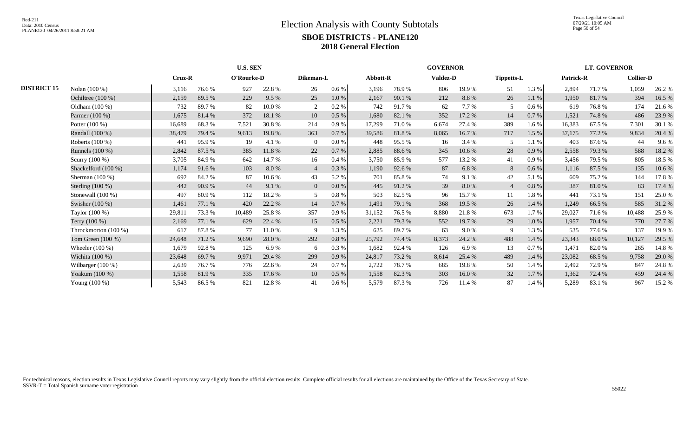Texas Legislative Council 07/29/21 10:05 AM Page 50 of 54

|                    |                      | <b>U.S. SEN</b> |                             |        |           |                |           |        | <b>GOVERNOR</b> |       |                 |                |                   |        | <b>LT. GOVERNOR</b> |        |                  |  |
|--------------------|----------------------|-----------------|-----------------------------|--------|-----------|----------------|-----------|--------|-----------------|-------|-----------------|----------------|-------------------|--------|---------------------|--------|------------------|--|
|                    |                      |                 | O'Rourke-D<br><b>Cruz-R</b> |        | Dikeman-L |                |           |        | Abbott-R        |       | <b>Valdez-D</b> |                | <b>Tippetts-L</b> |        | <b>Patrick-R</b>    |        | <b>Collier-D</b> |  |
| <b>DISTRICT 15</b> | Nolan (100 %)        | 3,116           | 76.6%                       | 927    | 22.8%     | 26             | 0.6 %     | 3,196  | 78.9%           | 806   | 19.9%           | 51             | 1.3 %             | 2,894  | 71.7 %              | 1,059  | 26.2 %           |  |
|                    | Ochiltree (100 %)    | 2,159           | 89.5 %                      | 229    | 9.5%      | 25             | 1.0%      | 2,167  | 90.1 %          | 212   | 8.8%            | 26             | 1.1%              | 1,950  | 81.7%               | 394    | 16.5 %           |  |
|                    | Oldham (100 %)       | 732             | 89.7%                       | 82     | 10.0%     | 2              | 0.2 %     | 742    | 91.7%           | 62    | 7.7 %           | 5              | $0.6\%$           | 619    | 76.8%               | 174    | 21.6%            |  |
|                    | Parmer (100 %)       | 1,675           | 81.4%                       | 372    | 18.1 %    | 10             | 0.5%      | 1,680  | 82.1 %          | 352   | 17.2 %          | 14             | 0.7 %             | 1,521  | 74.8%               | 486    | 23.9%            |  |
|                    | Potter (100 %)       | 16,689          | 68.3%                       | 7,521  | 30.8%     | 214            | 0.9%      | 17,299 | 71.0 %          | 6,674 | 27.4 %          | 389            | $1.6\%$           | 16,383 | 67.5 %              | 7,301  | 30.1 %           |  |
|                    | Randall (100 %)      | 38,479          | 79.4 %                      | 9,613  | 19.8%     | 363            | $0.7\,\%$ | 39,586 | 81.8%           | 8,065 | 16.7%           | 717            | 1.5%              | 37,175 | 77.2 %              | 9,834  | 20.4 %           |  |
|                    | Roberts (100 %)      | 441             | 95.9%                       | 19     | 4.1 %     | $\Omega$       | $0.0\%$   | 448    | 95.5 %          | 16    | 3.4 %           | 5              | $1.1\%$           | 403    | 87.6 %              | 44     | 9.6%             |  |
|                    | Runnels (100 %)      | 2,842           | 87.5 %                      | 385    | 11.8%     | 22             | 0.7%      | 2,885  | 88.6%           | 345   | 10.6%           | 28             | 0.9%              | 2,558  | 79.3 %              | 588    | 18.2 %           |  |
|                    | Scurry (100 %)       | 3,705           | 84.9%                       | 642    | 14.7 %    | 16             | $0.4\%$   | 3,750  | 85.9%           | 577   | 13.2 %          | 41             | $0.9\%$           | 3,456  | 79.5 %              | 805    | 18.5 %           |  |
|                    | Shackelford (100 %)  | 1,174           | 91.6%                       | 103    | 8.0%      | $\overline{4}$ | 0.3%      | 1,190  | 92.6 %          | 87    | 6.8%            | 8              | $0.6\%$           | 1,116  | 87.5 %              | 135    | 10.6%            |  |
|                    | Sherman $(100\%)$    | 692             | 84.2%                       | 87     | 10.6%     | 43             | 5.2 %     | 701    | 85.8%           | 74    | 9.1%            | 42             | 5.1 %             | 609    | 75.2%               | 144    | 17.8 %           |  |
|                    | Sterling $(100\%)$   | 442             | 90.9%                       | 44     | 9.1%      | $\overline{0}$ | $0.0\%$   | 445    | 91.2%           | 39    | 8.0%            | $\overline{4}$ | $0.8\%$           | 387    | 81.0%               | 83     | 17.4 %           |  |
|                    | Stonewall $(100\%)$  | 497             | 80.9%                       | 112    | 18.2%     |                | $0.8\%$   | 503    | 82.5 %          | 96    | 15.7%           | 11             | 1.8%              | 441    | 73.1 %              | 151    | 25.0%            |  |
|                    | Swisher (100 %)      | 1,461           | 77.1 %                      | 420    | 22.2 %    | 14             | 0.7%      | 1,491  | 79.1 %          | 368   | 19.5 %          | 26             | 1.4 %             | 1,249  | 66.5%               | 585    | 31.2%            |  |
|                    | Taylor (100 %)       | 29,811          | 73.3 %                      | 10,489 | 25.8%     | 357            | $0.9\%$   | 31,152 | 76.5 %          | 8,880 | 21.8%           | 673            | $1.7\%$           | 29,027 | 71.6 %              | 10,488 | 25.9%            |  |
|                    | Terry (100 %)        | 2,169           | 77.1 %                      | 629    | 22.4 %    | 15             | $0.5\%$   | 2,221  | 79.3 %          | 552   | 19.7%           | 29             | 1.0 %             | 1,957  | 70.4 %              | 770    | 27.7 %           |  |
|                    | Throckmorton (100 %) | 617             | 87.8%                       | 77     | 11.0%     | 9              | 1.3%      | 625    | 89.7%           | 63    | $9.0\%$         | 9              | 1.3%              | 535    | 77.6 %              | 137    | 19.9%            |  |
|                    | Tom Green (100 %)    | 24,648          | 71.2%                       | 9,690  | 28.0%     | 292            | $0.8\ \%$ | 25,792 | 74.4 %          | 8,373 | 24.2 %          | 488            | 1.4%              | 23,343 | 68.0%               | 10,127 | 29.5 %           |  |
|                    | Wheeler $(100\%)$    | 1,679           | 92.8%                       | 125    | 6.9%      | 6              | 0.3 %     | 1,682  | 92.4 %          | 126   | 6.9%            | 13             | 0.7%              | 1,471  | 82.0%               | 265    | 14.8 %           |  |
|                    | Wichita (100 %)      | 23,648          | 69.7%                       | 9,971  | 29.4 %    | 299            | 0.9%      | 24,817 | 73.2 %          | 8,614 | 25.4 %          | 489            | 1.4 %             | 23,082 | 68.5 %              | 9,758  | 29.0 %           |  |
|                    | Wilbarger $(100\%)$  | 2,639           | 76.7%                       | 776    | 22.6 %    | 24             | 0.7%      | 2,722  | 78.7%           | 685   | 19.8%           | 50             | 1.4 %             | 2,492  | 72.9 %              | 847    | 24.8 %           |  |
|                    | Yoakum (100 %)       | 1,558           | 81.9%                       | 335    | 17.6 %    | 10             | $0.5\%$   | 1,558  | 82.3 %          | 303   | 16.0%           | 32             | $1.7\%$           | 1,362  | 72.4 %              | 459    | 24.4 %           |  |
|                    | Young $(100\%)$      | 5,543           | 86.5%                       | 821    | 12.8%     | 41             | 0.6 %     | 5,579  | 87.3 %          | 726   | 11.4 %          | 87             | 1.4%              | 5,289  | 83.1 %              | 967    | 15.2 %           |  |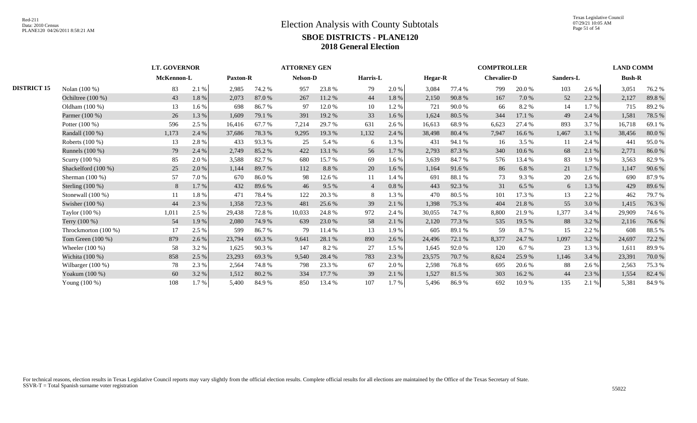|                    |                      | <b>LT. GOVERNOR</b> |            | <b>ATTORNEY GEN</b> |                 |                 |        |                |       |         | <b>COMPTROLLER</b> |                    |        |           |         |               |        |
|--------------------|----------------------|---------------------|------------|---------------------|-----------------|-----------------|--------|----------------|-------|---------|--------------------|--------------------|--------|-----------|---------|---------------|--------|
|                    |                      |                     | McKennon-L |                     | <b>Paxton-R</b> | <b>Nelson-D</b> |        | Harris-L       |       | Hegar-R |                    | <b>Chevalier-D</b> |        | Sanders-L |         | <b>Bush-R</b> |        |
| <b>DISTRICT 15</b> | Nolan (100 %)        | 83                  | 2.1 %      | 2,985               | 74.2 %          | 957             | 23.8%  | 79             | 2.0 % | 3,084   | 77.4 %             | 799                | 20.0 % | 103       | 2.6 %   | 3,051         | 76.2 % |
|                    | Ochiltree (100 %)    | 43                  | 1.8 %      | 2,073               | 87.0%           | 267             | 11.2 % | 44             | 1.8%  | 2,150   | 90.8%              | 167                | 7.0 %  | 52        | 2.2 %   | 2,127         | 89.8%  |
|                    | Oldham $(100\%)$     | 13                  | 1.6 %      | 698                 | 86.7%           | 97              | 12.0 % | 10             | 1.2%  | 721     | 90.0%              | 66                 | 8.2%   | 14        | 1.7%    | 715           | 89.2%  |
|                    | Parmer (100 %)       | 26                  | 1.3%       | 1,609               | 79.1 %          | 391             | 19.2 % | 33             | 1.6 % | 1,624   | 80.5 %             | 344                | 17.1 % | 49        | 2.4 %   | 1,581         | 78.5 % |
|                    | Potter $(100\%)$     | 596                 | 2.5 %      | 16,416              | 67.7 %          | 7,214           | 29.7 % | 631            | 2.6 % | 16,613  | 68.9%              | 6,623              | 27.4 % | 893       | 3.7 %   | 16,718        | 69.1 % |
|                    | Randall (100 %)      | 1,173               | 2.4 %      | 37,686              | 78.3%           | 9,295           | 19.3 % | 1,132          | 2.4 % | 38,498  | 80.4%              | 7,947              | 16.6%  | 1,467     | 3.1 %   | 38,456        | 80.0%  |
|                    | Roberts (100 %)      | 13                  | 2.8%       | 433                 | 93.3%           | 25              | 5.4 %  | 6              | 1.3%  | 431     | 94.1 %             | 16                 | 3.5 %  | 11        | 2.4 %   | 441           | 95.0%  |
|                    | Runnels (100 %)      | 79                  | 2.4 %      | 2,749               | 85.2%           | 422             | 13.1 % | 56             | 1.7 % | 2,793   | 87.3%              | 340                | 10.6 % | 68        | 2.1 %   | 2,771         | 86.0%  |
|                    | Scurry (100 %)       | 85                  | 2.0%       | 3,588               | 82.7 %          | 680             | 15.7 % | 69             | 1.6 % | 3,639   | 84.7%              | 576                | 13.4 % | 83        | 1.9%    | 3,563         | 82.9%  |
|                    | Shackelford (100 %)  | 25                  | 2.0%       | 1,144               | 89.7%           | 112             | 8.8%   | 20             | 1.6 % | 1,164   | 91.6%              | 86                 | 6.8%   | 21        | $1.7\%$ | 1,147         | 90.6%  |
|                    | Sherman $(100\%)$    | 57                  | 7.0%       | 670                 | 86.0%           | 98              | 12.6 % | 11             | 1.4 % | 691     | 88.1 %             | 73                 | 9.3%   | 20        | 2.6 %   | 690           | 87.9%  |
|                    | Sterling $(100\%)$   | 8                   | 1.7%       | 432                 | 89.6%           | 46              | 9.5 %  | $\overline{4}$ | 0.8%  | 443     | 92.3 %             | 31                 | 6.5 %  | 6         | 1.3 %   | 429           | 89.6%  |
|                    | Stonewall $(100\%)$  | 11                  | 1.8%       | 471                 | 78.4%           | 122             | 20.3 % | 8              | 1.3%  | 470     | 80.5%              | 101                | 17.3 % | 13        | 2.2 %   | 462           | 79.7 % |
|                    | Swisher (100 %)      | 44                  | 2.3 %      | 1,358               | 72.3 %          | 481             | 25.6 % | 39             | 2.1 % | 1,398   | 75.3 %             | 404                | 21.8%  | 55        | 3.0%    | 1,415         | 76.3 % |
|                    | Taylor (100 %)       | 1,011               | 2.5 %      | 29,438              | 72.8%           | 10,033          | 24.8 % | 972            | 2.4 % | 30,055  | 74.7 %             | 8,800              | 21.9%  | 1,377     | 3.4 %   | 29,909        | 74.6 % |
|                    | Terry (100 %)        | 54                  | 1.9%       | 2,080               | 74.9 %          | 639             | 23.0 % | 58             | 2.1 % | 2,120   | 77.3 %             | 535                | 19.5 % | 88        | 3.2 %   | 2,116         | 76.6%  |
|                    | Throckmorton (100 %) | 17                  | 2.5 %      | 599                 | 86.7%           | 79              | 11.4 % | 13             | 1.9%  | 605     | 89.1 %             | 59                 | 8.7%   | 15        | 2.2%    | 608           | 88.5 % |
|                    | Tom Green $(100\%)$  | 879                 | 2.6 %      | 23,794              | 69.3%           | 9,641           | 28.1 % | 890            | 2.6 % | 24,496  | 72.1 %             | 8,377              | 24.7 % | 1,097     | 3.2 %   | 24,697        | 72.2 % |
|                    | Wheeler $(100\%)$    | 58                  | 3.2 %      | 1,625               | 90.3%           | 147             | 8.2%   | 27             | 1.5 % | 1,645   | 92.0%              | 120                | 6.7%   | 23        | 1.3%    | 1,611         | 89.9%  |
|                    | Wichita (100 %)      | 858                 | 2.5 %      | 23,293              | 69.3%           | 9,540           | 28.4 % | 783            | 2.3 % | 23,575  | 70.7 %             | 8,624              | 25.9%  | 1,146     | 3.4 %   | 23,391        | 70.0%  |
|                    | Wilbarger $(100\%)$  | 78                  | 2.3 %      | 2,564               | 74.8%           | 798             | 23.3 % | 67             | 2.0%  | 2,598   | 76.8%              | 695                | 20.6 % | 88        | 2.6 %   | 2,563         | 75.3 % |
|                    | Yoakum (100 %)       | 60                  | 3.2 %      | 1,512               | 80.2%           | 334             | 17.7 % | 39             | 2.1 % | 1,527   | 81.5%              | 303                | 16.2%  | 44        | 2.3 %   | 1,554         | 82.4 % |
|                    | Young (100 %)        | 108                 | 1.7%       | 5,400               | 84.9%           | 850             | 13.4 % | 107            | 1.7 % | 5,496   | 86.9%              | 692                | 10.9 % | 135       | 2.1 %   | 5,381         | 84.9%  |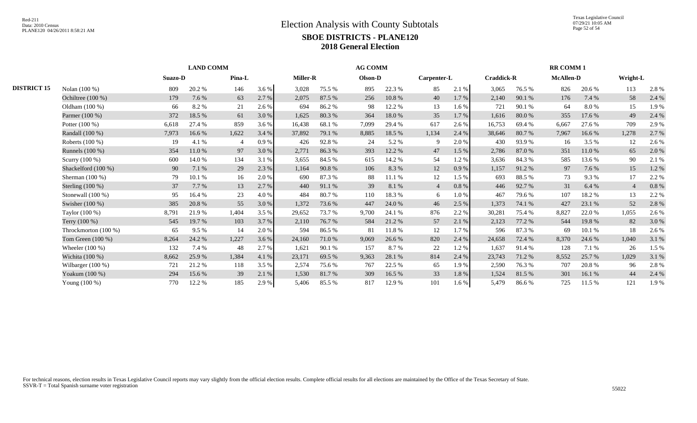|                    |                      |         | <b>LAND COMM</b> |                |       |        |                 | <b>AG COMM</b> |         |                | <b>RR COMM1</b> |        |                   |       |                  |                |          |
|--------------------|----------------------|---------|------------------|----------------|-------|--------|-----------------|----------------|---------|----------------|-----------------|--------|-------------------|-------|------------------|----------------|----------|
|                    |                      | Suazo-D |                  | Pina-L         |       |        | <b>Miller-R</b> |                | Olson-D |                | Carpenter-L     |        | <b>Craddick-R</b> |       | <b>McAllen-D</b> |                | Wright-L |
| <b>DISTRICT 15</b> | Nolan (100 %)        | 809     | 20.2%            | 146            | 3.6 % | 3,028  | 75.5 %          | 895            | 22.3 %  | 85             | 2.1 %           | 3,065  | 76.5 %            | 826   | 20.6 %           | 113            | 2.8 %    |
|                    | Ochiltree $(100\%)$  | 179     | 7.6 %            | 63             | 2.7 % | 2,075  | 87.5 %          | 256            | 10.8%   | 40             | 1.7 %           | 2,140  | 90.1 %            | 176   | 7.4 %            | 58             | 2.4 %    |
|                    | Oldham (100 %)       | 66      | 8.2%             | 21             | 2.6 % | 694    | 86.2%           | 98             | 12.2 %  | 13             | 1.6 %           | 721    | 90.1 %            | 64    | 8.0%             | 15             | 1.9%     |
|                    | Parmer (100 %)       | 372     | 18.5 %           | 61             | 3.0%  | 1,625  | 80.3%           | 364            | 18.0%   | 35             | 1.7 %           | 1,616  | 80.0%             | 355   | 17.6 %           | 49             | 2.4 %    |
|                    | Potter (100 %)       | 6,618   | 27.4 %           | 859            | 3.6 % | 16.438 | 68.1%           | 7,099          | 29.4 %  | 617            | 2.6 %           | 16,753 | 69.4%             | 6,667 | 27.6 %           | 709            | 2.9%     |
|                    | Randall (100 %)      | 7,973   | 16.6%            | 1,622          | 3.4 % | 37,892 | 79.1 %          | 8,885          | 18.5 %  | 1,134          | 2.4 %           | 38,646 | 80.7%             | 7,967 | 16.6 %           | 1,278          | 2.7%     |
|                    | Roberts (100 %)      | 19      | 4.1 %            | $\overline{4}$ | 0.9%  | 426    | 92.8%           | 24             | 5.2 %   | $\mathbf Q$    | 2.0%            | 430    | 93.9%             | 16    | 3.5 %            | 12             | 2.6 %    |
|                    | Runnels (100 %)      | 354     | 11.0%            | 97             | 3.0%  | 2,771  | 86.3%           | 393            | 12.2 %  | 47             | 1.5 %           | 2,786  | 87.0%             | 351   | 11.0 %           | 65             | 2.0%     |
|                    | Scurry (100 %)       | 600     | 14.0 %           | 134            | 3.1 % | 3,655  | 84.5 %          | 615            | 14.2 %  | 54             | 1.2%            | 3,636  | 84.3%             | 585   | 13.6 %           | 90             | 2.1 %    |
|                    | Shackelford (100 %)  | 90      | 7.1 %            | 29             | 2.3 % | 1,164  | 90.8%           | 106            | 8.3%    | 12             | 0.9%            | 1,157  | 91.2%             | 97    | 7.6 %            | 15             | 1.2%     |
|                    | Sherman $(100\%)$    | 79      | 10.1 %           | 16             | 2.0%  | 690    | 87.3%           | 88             | 11.1 %  | 12             | 1.5 %           | 693    | 88.5%             | 73    | 9.3 %            | 17             | 2.2 %    |
|                    | Sterling $(100\%)$   | 37      | 7.7 %            | 13             | 2.7 % | 440    | 91.1 %          | 39             | 8.1 %   | $\overline{4}$ | 0.8%            | 446    | 92.7%             | 31    | 6.4 %            | $\overline{4}$ | $0.8~\%$ |
|                    | Stonewall $(100\%)$  | 95      | 16.4 %           | 23             | 4.0%  | 484    | 80.7%           | 110            | 18.3%   | 6              | 1.0%            | 467    | 79.6%             | 107   | 18.2 %           | 13             | 2.2 %    |
|                    | Swisher (100 %)      | 385     | 20.8%            | 55             | 3.0 % | 1,372  | 73.6 %          | 447            | 24.0 %  | 46             | 2.5 %           | 1,373  | 74.1 %            | 427   | 23.1 %           | 52             | 2.8%     |
|                    | Taylor (100 %)       | 8,791   | 21.9%            | 1,404          | 3.5 % | 29,652 | 73.7 %          | 9,700          | 24.1 %  | 876            | 2.2 %           | 30,281 | 75.4 %            | 8,827 | 22.0 %           | 1,055          | 2.6 %    |
|                    | Terry $(100\%)$      | 545     | 19.7 %           | 103            | 3.7 % | 2,110  | 76.7 %          | 584            | 21.2%   | 57             | 2.1 %           | 2,123  | 77.2 %            | 544   | 19.8%            | 82             | 3.0%     |
|                    | Throckmorton (100 %) | 65      | 9.5 %            | 14             | 2.0%  | 594    | 86.5%           | 81             | 11.8%   | 12             | 1.7%            | 596    | 87.3 %            | 69    | 10.1 %           | 18             | 2.6 %    |
|                    | Tom Green (100 %)    | 8,264   | 24.2 %           | 1,227          | 3.6 % | 24,160 | 71.0%           | 9,069          | 26.6 %  | 820            | 2.4 %           | 24,658 | 72.4 %            | 8,370 | 24.6 %           | 1,040          | 3.1 %    |
|                    | Wheeler $(100\%)$    | 132     | 7.4 %            | 48             | 2.7 % | 1,621  | 90.1 %          | 157            | 8.7%    | 22             | 1.2%            | 1,637  | 91.4 %            | 128   | 7.1 %            | 26             | 1.5 %    |
|                    | Wichita (100 %)      | 8,662   | 25.9%            | 1,384          | 4.1 % | 23,171 | 69.5 %          | 9,363          | 28.1 %  | 814            | 2.4 %           | 23,743 | 71.2%             | 8,552 | 25.7 %           | 1,029          | 3.1 %    |
|                    | Wilbarger $(100\%)$  | 721     | 21.2%            | 118            | 3.5 % | 2,574  | 75.6 %          | 767            | 22.5 %  | 65             | 1.9%            | 2,590  | 76.3%             | 707   | 20.8%            | 96             | 2.8%     |
|                    | Yoakum (100 %)       | 294     | 15.6 %           | 39             | 2.1 % | 1,530  | 81.7%           | 309            | 16.5 %  | 33             | 1.8 %           | 1,524  | 81.5 %            | 301   | 16.1%            | 44             | 2.4 %    |
|                    | Young (100 %)        | 770     | 12.2 %           | 185            | 2.9 % | 5,406  | 85.5 %          | 817            | 12.9%   | 101            | $1.6\%$         | 5,479  | 86.6%             | 725   | 11.5 %           | 121            | 1.9%     |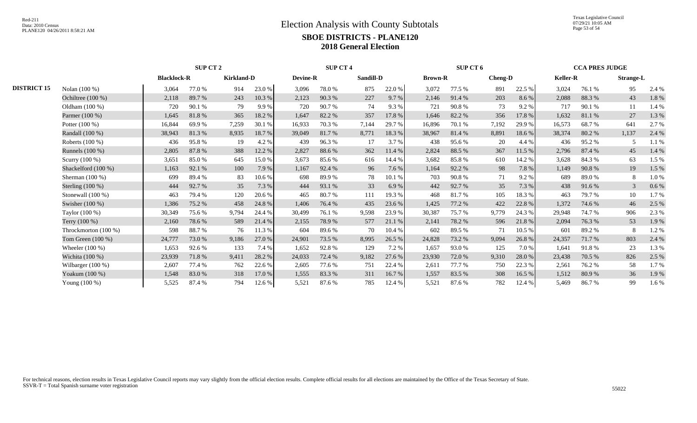Texas Legislative Council 07/29/21 10:05 AM Page 53 of 54

|                    |                      |                    | <b>SUP CT 2</b> |                   | <b>SUP CT 4</b> |        |                 |       | SUP CT 6         |        | <b>CCA PRES JUDGE</b> |       |                |        |                 |       |                  |
|--------------------|----------------------|--------------------|-----------------|-------------------|-----------------|--------|-----------------|-------|------------------|--------|-----------------------|-------|----------------|--------|-----------------|-------|------------------|
|                    |                      | <b>Blacklock-R</b> |                 | <b>Kirkland-D</b> |                 |        | <b>Devine-R</b> |       | <b>Sandill-D</b> |        | <b>Brown-R</b>        |       | <b>Cheng-D</b> |        | <b>Keller-R</b> |       | <b>Strange-L</b> |
| <b>DISTRICT 15</b> | Nolan (100 %)        | 3,064              | 77.0 %          | 914               | 23.0 %          | 3,096  | 78.0 %          | 875   | 22.0%            | 3,072  | 77.5 %                | 891   | 22.5 %         | 3,024  | 76.1 %          | 95    | 2.4 %            |
|                    | Ochiltree (100 %)    | 2,118              | 89.7%           | 243               | 10.3%           | 2,123  | 90.3%           | 227   | 9.7%             | 2,146  | 91.4%                 | 203   | 8.6 %          | 2,088  | 88.3%           | 43    | 1.8 %            |
|                    | Oldham $(100\%)$     | 720                | 90.1 %          | 79                | 9.9%            | 720    | 90.7 %          | 74    | 9.3 %            | 721    | 90.8%                 | 73    | 9.2%           | 717    | 90.1 %          | 11    | 1.4 %            |
|                    | Parmer (100 %)       | 1,645              | 81.8%           | 365               | 18.2%           | 1,647  | 82.2 %          | 357   | 17.8%            | 1,646  | 82.2 %                | 356   | 17.8 %         | 1,632  | 81.1%           | 27    | 1.3 %            |
|                    | Potter $(100\%)$     | 16,844             | 69.9%           | 7,259             | 30.1 %          | 16,933 | 70.3%           | 7,144 | 29.7 %           | 16,896 | 70.1 %                | 7,192 | 29.9%          | 16,573 | 68.7%           | 641   | 2.7 %            |
|                    | Randall (100 %)      | 38,943             | 81.3%           | 8,935             | 18.7%           | 39,049 | 81.7%           | 8,771 | 18.3%            | 38,967 | 81.4%                 | 8,891 | 18.6%          | 38,374 | 80.2%           | 1,137 | 2.4 %            |
|                    | Roberts $(100\%)$    | 436                | 95.8%           | 19                | 4.2 %           | 439    | 96.3%           | 17    | 3.7 %            | 438    | 95.6%                 | 20    | 4.4 %          | 436    | 95.2%           |       | 1.1 %            |
|                    | Runnels (100 %)      | 2,805              | 87.8%           | 388               | 12.2 %          | 2,827  | 88.6%           | 362   | 11.4 %           | 2,824  | 88.5%                 | 367   | 11.5 %         | 2,796  | 87.4 %          | 45    | 1.4 %            |
|                    | Scurry (100 %)       | 3,651              | 85.0%           | 645               | 15.0%           | 3,673  | 85.6%           | 616   | 14.4 %           | 3,682  | 85.8%                 | 610   | 14.2 %         | 3.628  | 84.3 %          | 63    | 1.5 %            |
|                    | Shackelford (100 %)  | 1,163              | 92.1 %          | 100               | 7.9 %           | 1,167  | 92.4 %          | 96    | 7.6 %            | 1,164  | 92.2 %                | 98    | 7.8%           | 1,149  | 90.8%           | 19    | 1.5 %            |
|                    | Sherman $(100\%)$    | 699                | 89.4%           | 83                | 10.6%           | 698    | 89.9%           | 78    | 10.1 %           | 703    | 90.8%                 | 71    | 9.2%           | 689    | 89.0%           | 8     | 1.0%             |
|                    | Sterling $(100\%)$   | 444                | 92.7 %          | 35                | 7.3 %           | 444    | 93.1 %          | 33    | 6.9%             | 442    | 92.7%                 | 35    | 7.3%           | 438    | 91.6%           | 3     | 0.6%             |
|                    | Stonewall $(100\%)$  | 463                | 79.4 %          | 120               | 20.6 %          | 465    | 80.7%           | 111   | 19.3 %           | 468    | 81.7%                 | 105   | 18.3%          | 463    | 79.7 %          | 10    | 1.7 %            |
|                    | Swisher (100 %)      | 1,386              | 75.2 %          | 458               | 24.8%           | 1,406  | 76.4 %          | 435   | 23.6 %           | 1,425  | 77.2 %                | 422   | 22.8%          | 1,372  | 74.6 %          | 46    | 2.5 %            |
|                    | Taylor (100 %)       | 30,349             | 75.6 %          | 9,794             | 24.4 %          | 30.499 | 76.1 %          | 9,598 | 23.9%            | 30,387 | 75.7 %                | 9,779 | 24.3 %         | 29,948 | 74.7 %          | 906   | 2.3 %            |
|                    | Terry (100 %)        | 2,160              | 78.6%           | 589               | 21.4 %          | 2,155  | 78.9%           | 577   | 21.1 %           | 2,141  | 78.2 %                | 596   | 21.8 %         | 2,094  | 76.3%           | 53    | 1.9%             |
|                    | Throckmorton (100 %) | 598                | 88.7%           | 76                | 11.3 %          | 604    | 89.6%           | 70    | 10.4 %           | 602    | 89.5 %                | 71    | 10.5 %         | 601    | 89.2%           | 8     | 1.2%             |
|                    | Tom Green $(100\%)$  | 24,777             | 73.0 %          | 9,186             | 27.0 %          | 24,901 | 73.5 %          | 8,995 | 26.5 %           | 24,828 | 73.2 %                | 9,094 | 26.8%          | 24,357 | 71.7%           | 803   | 2.4 %            |
|                    | Wheeler $(100\%)$    | 1,653              | 92.6 %          | 133               | 7.4 %           | 1,652  | 92.8%           | 129   | 7.2 %            | 1,657  | 93.0%                 | 125   | 7.0%           | 1,641  | 91.8%           | 23    | 1.3%             |
|                    | Wichita (100 %)      | 23,939             | 71.8%           | 9,411             | 28.2 %          | 24,033 | 72.4 %          | 9,182 | 27.6 %           | 23,930 | 72.0%                 | 9,310 | 28.0 %         | 23,438 | 70.5 %          | 826   | 2.5 %            |
|                    | Wilbarger $(100\%)$  | 2,607              | 77.4 %          | 762               | 22.6 %          | 2,605  | 77.6 %          | 751   | 22.4 %           | 2,611  | 77.7 %                | 750   | 22.3 %         | 2,561  | 76.2 %          | 58    | 1.7%             |
|                    | Yoakum (100 %)       | 1,548              | 83.0%           | 318               | 17.0 %          | 1,555  | 83.3 %          | 311   | 16.7%            | 1,557  | 83.5 %                | 308   | 16.5 %         | 1,512  | 80.9%           | 36    | 1.9%             |
|                    | Young (100 %)        | 5,525              | 87.4 %          | 794               | 12.6%           | 5,521  | 87.6 %          | 785   | 12.4 %           | 5,521  | 87.6 %                | 782   | 12.4 %         | 5,469  | 86.7%           | 99    | 1.6%             |